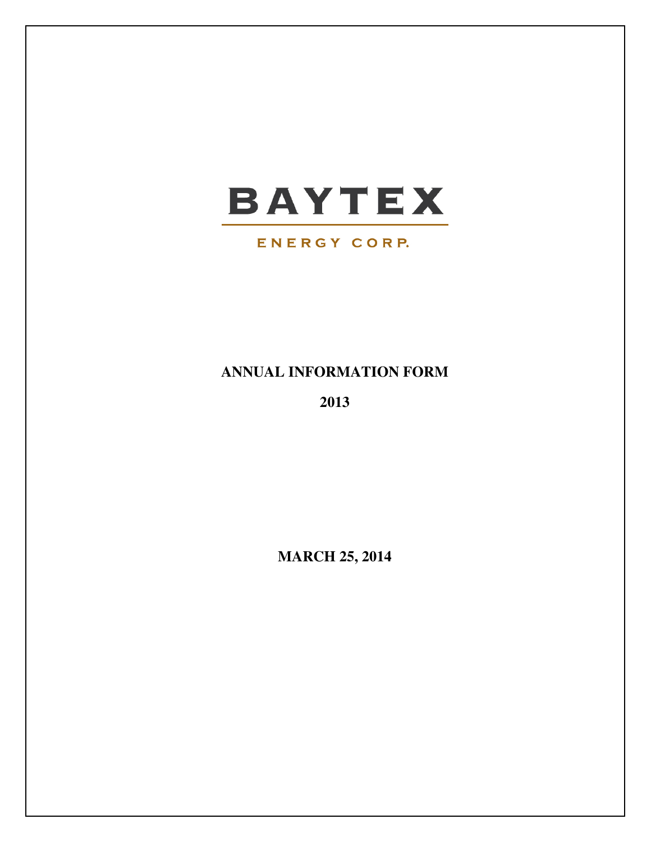

# ENERGY CORP.

# **ANNUAL INFORMATION FORM**

**2013** 

**MARCH 25, 2014**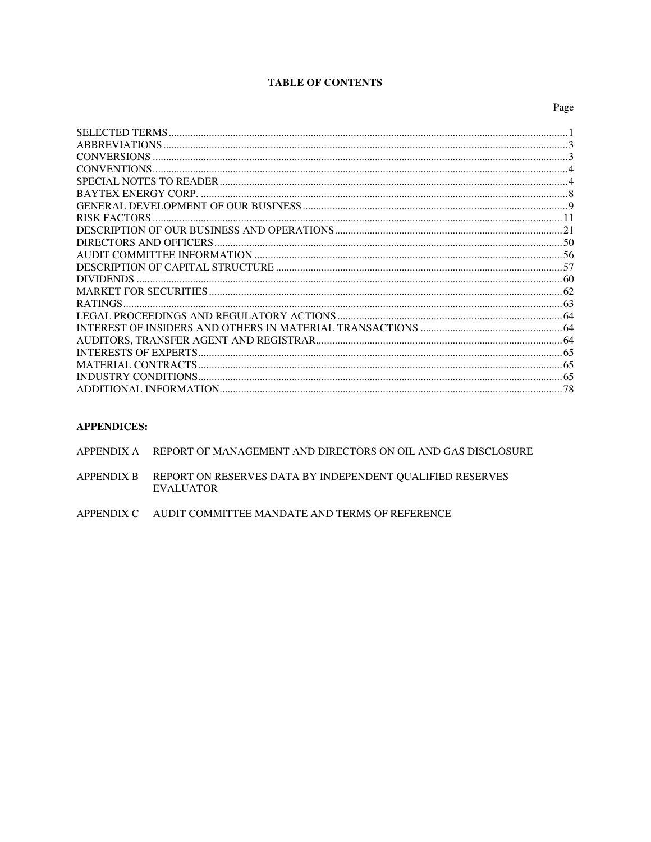# **TABLE OF CONTENTS**

# Page

| RATINGS |  |
|---------|--|
|         |  |
|         |  |
|         |  |
|         |  |
|         |  |
|         |  |
|         |  |

# **APPENDICES:**

APPENDIX A REPORT OF MANAGEMENT AND DIRECTORS ON OIL AND GAS DISCLOSURE

- APPENDIX B REPORT ON RESERVES DATA BY INDEPENDENT QUALIFIED RESERVES **EVALUATOR**
- APPENDIX C AUDIT COMMITTEE MANDATE AND TERMS OF REFERENCE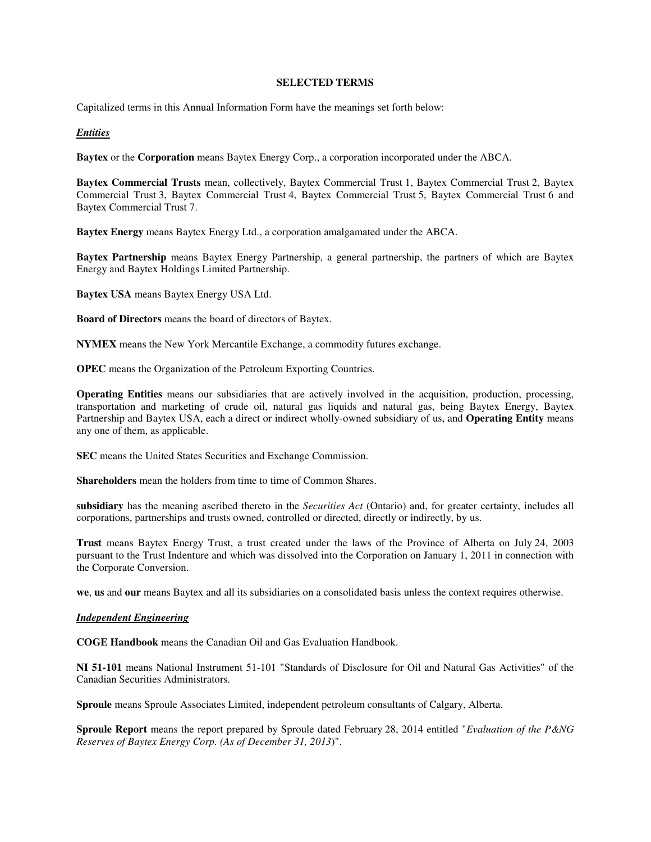#### **SELECTED TERMS**

Capitalized terms in this Annual Information Form have the meanings set forth below:

#### *Entities*

**Baytex** or the **Corporation** means Baytex Energy Corp., a corporation incorporated under the ABCA.

**Baytex Commercial Trusts** mean, collectively, Baytex Commercial Trust 1, Baytex Commercial Trust 2, Baytex Commercial Trust 3, Baytex Commercial Trust 4, Baytex Commercial Trust 5, Baytex Commercial Trust 6 and Baytex Commercial Trust 7.

**Baytex Energy** means Baytex Energy Ltd., a corporation amalgamated under the ABCA.

**Baytex Partnership** means Baytex Energy Partnership, a general partnership, the partners of which are Baytex Energy and Baytex Holdings Limited Partnership.

**Baytex USA** means Baytex Energy USA Ltd.

**Board of Directors** means the board of directors of Baytex.

**NYMEX** means the New York Mercantile Exchange, a commodity futures exchange.

**OPEC** means the Organization of the Petroleum Exporting Countries.

**Operating Entities** means our subsidiaries that are actively involved in the acquisition, production, processing, transportation and marketing of crude oil, natural gas liquids and natural gas, being Baytex Energy, Baytex Partnership and Baytex USA, each a direct or indirect wholly-owned subsidiary of us, and **Operating Entity** means any one of them, as applicable.

**SEC** means the United States Securities and Exchange Commission.

**Shareholders** mean the holders from time to time of Common Shares.

**subsidiary** has the meaning ascribed thereto in the *Securities Act* (Ontario) and, for greater certainty, includes all corporations, partnerships and trusts owned, controlled or directed, directly or indirectly, by us.

**Trust** means Baytex Energy Trust, a trust created under the laws of the Province of Alberta on July 24, 2003 pursuant to the Trust Indenture and which was dissolved into the Corporation on January 1, 2011 in connection with the Corporate Conversion.

**we**, **us** and **our** means Baytex and all its subsidiaries on a consolidated basis unless the context requires otherwise.

#### *Independent Engineering*

**COGE Handbook** means the Canadian Oil and Gas Evaluation Handbook.

**NI 51-101** means National Instrument 51-101 "Standards of Disclosure for Oil and Natural Gas Activities" of the Canadian Securities Administrators.

**Sproule** means Sproule Associates Limited, independent petroleum consultants of Calgary, Alberta.

**Sproule Report** means the report prepared by Sproule dated February 28, 2014 entitled "*Evaluation of the P&NG Reserves of Baytex Energy Corp. (As of December 31, 2013*)".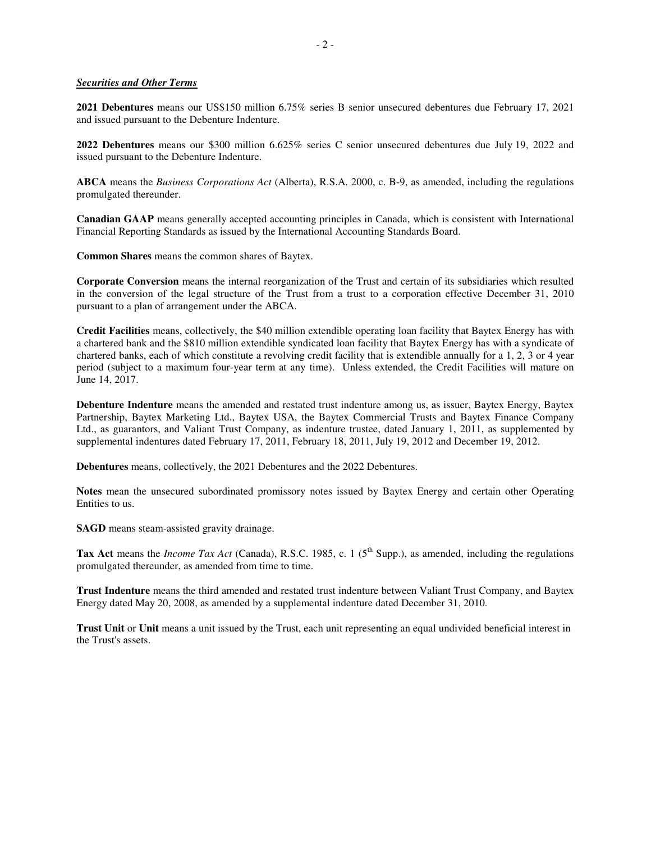# *Securities and Other Terms*

**2021 Debentures** means our US\$150 million 6.75% series B senior unsecured debentures due February 17, 2021 and issued pursuant to the Debenture Indenture.

**2022 Debentures** means our \$300 million 6.625% series C senior unsecured debentures due July 19, 2022 and issued pursuant to the Debenture Indenture.

**ABCA** means the *Business Corporations Act* (Alberta), R.S.A. 2000, c. B-9, as amended, including the regulations promulgated thereunder.

**Canadian GAAP** means generally accepted accounting principles in Canada, which is consistent with International Financial Reporting Standards as issued by the International Accounting Standards Board.

**Common Shares** means the common shares of Baytex.

**Corporate Conversion** means the internal reorganization of the Trust and certain of its subsidiaries which resulted in the conversion of the legal structure of the Trust from a trust to a corporation effective December 31, 2010 pursuant to a plan of arrangement under the ABCA.

**Credit Facilities** means, collectively, the \$40 million extendible operating loan facility that Baytex Energy has with a chartered bank and the \$810 million extendible syndicated loan facility that Baytex Energy has with a syndicate of chartered banks, each of which constitute a revolving credit facility that is extendible annually for a 1, 2, 3 or 4 year period (subject to a maximum four-year term at any time). Unless extended, the Credit Facilities will mature on June 14, 2017.

**Debenture Indenture** means the amended and restated trust indenture among us, as issuer, Baytex Energy, Baytex Partnership, Baytex Marketing Ltd., Baytex USA, the Baytex Commercial Trusts and Baytex Finance Company Ltd., as guarantors, and Valiant Trust Company, as indenture trustee, dated January 1, 2011, as supplemented by supplemental indentures dated February 17, 2011, February 18, 2011, July 19, 2012 and December 19, 2012.

**Debentures** means, collectively, the 2021 Debentures and the 2022 Debentures.

**Notes** mean the unsecured subordinated promissory notes issued by Baytex Energy and certain other Operating Entities to us.

**SAGD** means steam-assisted gravity drainage.

**Tax Act** means the *Income Tax Act* (Canada), R.S.C. 1985, c. 1 (5<sup>th</sup> Supp.), as amended, including the regulations promulgated thereunder, as amended from time to time.

**Trust Indenture** means the third amended and restated trust indenture between Valiant Trust Company, and Baytex Energy dated May 20, 2008, as amended by a supplemental indenture dated December 31, 2010.

**Trust Unit** or **Unit** means a unit issued by the Trust, each unit representing an equal undivided beneficial interest in the Trust's assets.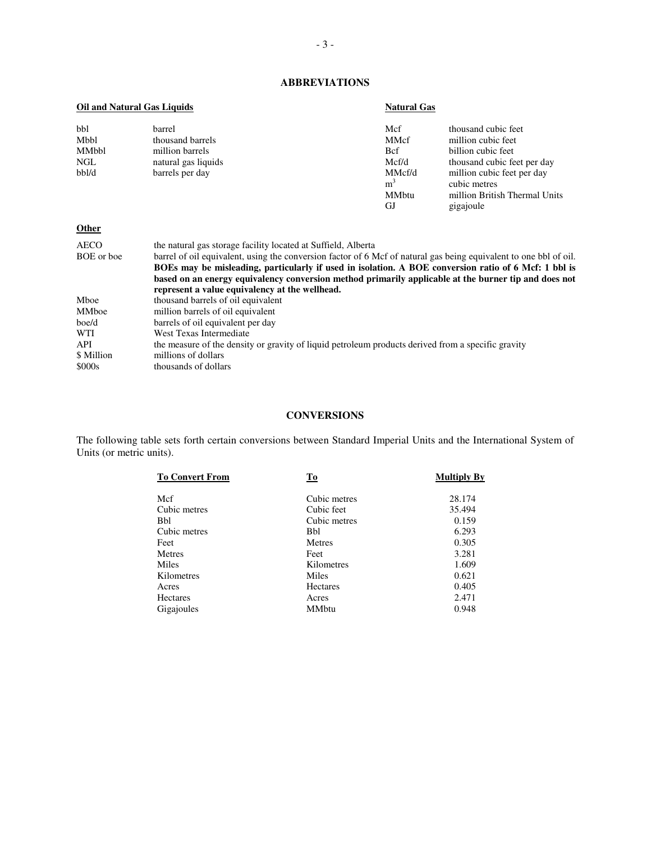# **ABBREVIATIONS**

#### **Oil and Natural Gas Liquids 1988** 2012 12:30 2013 2014 2015 2016 2019 2014 2015 2016 2017 2018 2019 2019 2019 201 bbl barrel barrel barrel Mcf thousand cubic feet Mbbl barrel and thousand cubic feet Mbbl barrel and thousand barrels and thousand barrel and thousand barrel and thousand barrel and thousand barrels and the MMcf million cu Mbbl thousand barrels thousand barrels thousand barrels the million cubic feet million cubic feet million cubic feet million cubic feet million cubic feet million cubic feet million cubic feet million cubic feet million cu million barrels Bcf billion cubic feet<br>
natural gas liquids Bcf billion cubic feet<br>
Mcf/d thousand cubic fe NGL natural gas liquids<br>
bbl/d
thousand cubic feet per day
thousand cubic feet per day
thousand cubic feet per day
MCf/d
million cubic feet per day
mullion cubic feet per day
thousand cubic feet per day
thousand cubic feet bbl/d barrels per day barrels and the barrels per day MMcf/d million cubic feet per day m<sub>m</sub>  $m<sup>3</sup>$ m<sup>3</sup> cubic metres<br>MMbtu million Britis MMbtu million British Thermal Units<br>GJ gigajoule GJ gigajoule **Other**  AECO the natural gas storage facility located at Suffield, Alberta<br>BOE or boe barrel of oil equivalent, using the conversion factor of 6 M barrel of oil equivalent, using the conversion factor of 6 Mcf of natural gas being equivalent to one bbl of oil. **BOEs may be misleading, particularly if used in isolation. A BOE conversion ratio of 6 Mcf: 1 bbl is**

|              | DOES may be misicauing, particularly if used in isolation. A DOE conversion ratio of 0 meet, 1 bor is |
|--------------|-------------------------------------------------------------------------------------------------------|
|              | based on an energy equivalency conversion method primarily applicable at the burner tip and does not  |
|              | represent a value equivalency at the wellhead.                                                        |
| Mboe         | thousand barrels of oil equivalent                                                                    |
| <b>MMboe</b> | million barrels of oil equivalent                                                                     |
| boe/d        | barrels of oil equivalent per day                                                                     |
| <b>WTI</b>   | West Texas Intermediate                                                                               |
| API          | the measure of the density or gravity of liquid petroleum products derived from a specific gravity    |
| \$ Million   | millions of dollars                                                                                   |
| \$000s       | thousands of dollars                                                                                  |
|              |                                                                                                       |

# **CONVERSIONS**

The following table sets forth certain conversions between Standard Imperial Units and the International System of Units (or metric units).

| <b>To Convert From</b> | Tо              | <b>Multiply By</b> |
|------------------------|-----------------|--------------------|
| Mcf                    | Cubic metres    | 28.174             |
| Cubic metres           | Cubic feet      | 35.494             |
| <b>B</b> bl            | Cubic metres    | 0.159              |
| Cubic metres           | Bbl             | 6.293              |
| Feet                   | <b>Metres</b>   | 0.305              |
| Metres                 | Feet            | 3.281              |
| Miles                  | Kilometres      | 1.609              |
| Kilometres             | Miles           | 0.621              |
| Acres                  | <b>Hectares</b> | 0.405              |
| Hectares               | Acres           | 2.471              |
| Gigajoules             | MMbtu           | 0.948              |
|                        |                 |                    |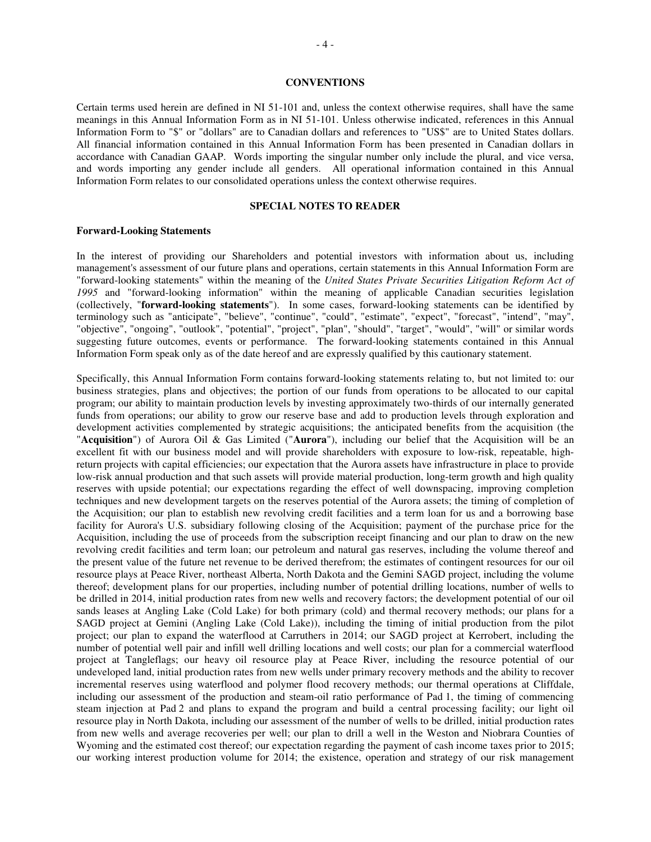#### **CONVENTIONS**

Certain terms used herein are defined in NI 51-101 and, unless the context otherwise requires, shall have the same meanings in this Annual Information Form as in NI 51-101. Unless otherwise indicated, references in this Annual Information Form to "\$" or "dollars" are to Canadian dollars and references to "US\$" are to United States dollars. All financial information contained in this Annual Information Form has been presented in Canadian dollars in accordance with Canadian GAAP. Words importing the singular number only include the plural, and vice versa, and words importing any gender include all genders. All operational information contained in this Annual Information Form relates to our consolidated operations unless the context otherwise requires.

#### **SPECIAL NOTES TO READER**

#### **Forward-Looking Statements**

In the interest of providing our Shareholders and potential investors with information about us, including management's assessment of our future plans and operations, certain statements in this Annual Information Form are "forward-looking statements" within the meaning of the *United States Private Securities Litigation Reform Act of 1995* and "forward-looking information" within the meaning of applicable Canadian securities legislation (collectively, "**forward-looking statements**"). In some cases, forward-looking statements can be identified by terminology such as "anticipate", "believe", "continue", "could", "estimate", "expect", "forecast", "intend", "may", "objective", "ongoing", "outlook", "potential", "project", "plan", "should", "target", "would", "will" or similar words suggesting future outcomes, events or performance. The forward-looking statements contained in this Annual Information Form speak only as of the date hereof and are expressly qualified by this cautionary statement.

Specifically, this Annual Information Form contains forward-looking statements relating to, but not limited to: our business strategies, plans and objectives; the portion of our funds from operations to be allocated to our capital program; our ability to maintain production levels by investing approximately two-thirds of our internally generated funds from operations; our ability to grow our reserve base and add to production levels through exploration and development activities complemented by strategic acquisitions; the anticipated benefits from the acquisition (the "**Acquisition**") of Aurora Oil & Gas Limited ("**Aurora**"), including our belief that the Acquisition will be an excellent fit with our business model and will provide shareholders with exposure to low-risk, repeatable, highreturn projects with capital efficiencies; our expectation that the Aurora assets have infrastructure in place to provide low-risk annual production and that such assets will provide material production, long-term growth and high quality reserves with upside potential; our expectations regarding the effect of well downspacing, improving completion techniques and new development targets on the reserves potential of the Aurora assets; the timing of completion of the Acquisition; our plan to establish new revolving credit facilities and a term loan for us and a borrowing base facility for Aurora's U.S. subsidiary following closing of the Acquisition; payment of the purchase price for the Acquisition, including the use of proceeds from the subscription receipt financing and our plan to draw on the new revolving credit facilities and term loan; our petroleum and natural gas reserves, including the volume thereof and the present value of the future net revenue to be derived therefrom; the estimates of contingent resources for our oil resource plays at Peace River, northeast Alberta, North Dakota and the Gemini SAGD project, including the volume thereof; development plans for our properties, including number of potential drilling locations, number of wells to be drilled in 2014, initial production rates from new wells and recovery factors; the development potential of our oil sands leases at Angling Lake (Cold Lake) for both primary (cold) and thermal recovery methods; our plans for a SAGD project at Gemini (Angling Lake (Cold Lake)), including the timing of initial production from the pilot project; our plan to expand the waterflood at Carruthers in 2014; our SAGD project at Kerrobert, including the number of potential well pair and infill well drilling locations and well costs; our plan for a commercial waterflood project at Tangleflags; our heavy oil resource play at Peace River, including the resource potential of our undeveloped land, initial production rates from new wells under primary recovery methods and the ability to recover incremental reserves using waterflood and polymer flood recovery methods; our thermal operations at Cliffdale, including our assessment of the production and steam-oil ratio performance of Pad 1, the timing of commencing steam injection at Pad 2 and plans to expand the program and build a central processing facility; our light oil resource play in North Dakota, including our assessment of the number of wells to be drilled, initial production rates from new wells and average recoveries per well; our plan to drill a well in the Weston and Niobrara Counties of Wyoming and the estimated cost thereof; our expectation regarding the payment of cash income taxes prior to 2015; our working interest production volume for 2014; the existence, operation and strategy of our risk management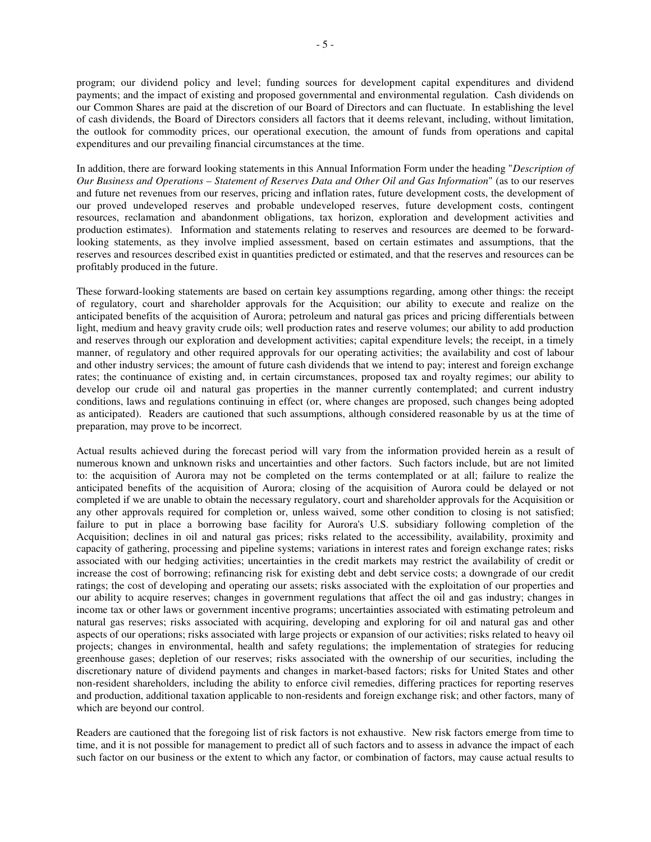program; our dividend policy and level; funding sources for development capital expenditures and dividend payments; and the impact of existing and proposed governmental and environmental regulation. Cash dividends on our Common Shares are paid at the discretion of our Board of Directors and can fluctuate. In establishing the level of cash dividends, the Board of Directors considers all factors that it deems relevant, including, without limitation, the outlook for commodity prices, our operational execution, the amount of funds from operations and capital expenditures and our prevailing financial circumstances at the time.

In addition, there are forward looking statements in this Annual Information Form under the heading "*Description of Our Business and Operations – Statement of Reserves Data and Other Oil and Gas Information*" (as to our reserves and future net revenues from our reserves, pricing and inflation rates, future development costs, the development of our proved undeveloped reserves and probable undeveloped reserves, future development costs, contingent resources, reclamation and abandonment obligations, tax horizon, exploration and development activities and production estimates). Information and statements relating to reserves and resources are deemed to be forwardlooking statements, as they involve implied assessment, based on certain estimates and assumptions, that the reserves and resources described exist in quantities predicted or estimated, and that the reserves and resources can be profitably produced in the future.

These forward-looking statements are based on certain key assumptions regarding, among other things: the receipt of regulatory, court and shareholder approvals for the Acquisition; our ability to execute and realize on the anticipated benefits of the acquisition of Aurora; petroleum and natural gas prices and pricing differentials between light, medium and heavy gravity crude oils; well production rates and reserve volumes; our ability to add production and reserves through our exploration and development activities; capital expenditure levels; the receipt, in a timely manner, of regulatory and other required approvals for our operating activities; the availability and cost of labour and other industry services; the amount of future cash dividends that we intend to pay; interest and foreign exchange rates; the continuance of existing and, in certain circumstances, proposed tax and royalty regimes; our ability to develop our crude oil and natural gas properties in the manner currently contemplated; and current industry conditions, laws and regulations continuing in effect (or, where changes are proposed, such changes being adopted as anticipated). Readers are cautioned that such assumptions, although considered reasonable by us at the time of preparation, may prove to be incorrect.

Actual results achieved during the forecast period will vary from the information provided herein as a result of numerous known and unknown risks and uncertainties and other factors. Such factors include, but are not limited to: the acquisition of Aurora may not be completed on the terms contemplated or at all; failure to realize the anticipated benefits of the acquisition of Aurora; closing of the acquisition of Aurora could be delayed or not completed if we are unable to obtain the necessary regulatory, court and shareholder approvals for the Acquisition or any other approvals required for completion or, unless waived, some other condition to closing is not satisfied; failure to put in place a borrowing base facility for Aurora's U.S. subsidiary following completion of the Acquisition; declines in oil and natural gas prices; risks related to the accessibility, availability, proximity and capacity of gathering, processing and pipeline systems; variations in interest rates and foreign exchange rates; risks associated with our hedging activities; uncertainties in the credit markets may restrict the availability of credit or increase the cost of borrowing; refinancing risk for existing debt and debt service costs; a downgrade of our credit ratings; the cost of developing and operating our assets; risks associated with the exploitation of our properties and our ability to acquire reserves; changes in government regulations that affect the oil and gas industry; changes in income tax or other laws or government incentive programs; uncertainties associated with estimating petroleum and natural gas reserves; risks associated with acquiring, developing and exploring for oil and natural gas and other aspects of our operations; risks associated with large projects or expansion of our activities; risks related to heavy oil projects; changes in environmental, health and safety regulations; the implementation of strategies for reducing greenhouse gases; depletion of our reserves; risks associated with the ownership of our securities, including the discretionary nature of dividend payments and changes in market-based factors; risks for United States and other non-resident shareholders, including the ability to enforce civil remedies, differing practices for reporting reserves and production, additional taxation applicable to non-residents and foreign exchange risk; and other factors, many of which are beyond our control.

Readers are cautioned that the foregoing list of risk factors is not exhaustive. New risk factors emerge from time to time, and it is not possible for management to predict all of such factors and to assess in advance the impact of each such factor on our business or the extent to which any factor, or combination of factors, may cause actual results to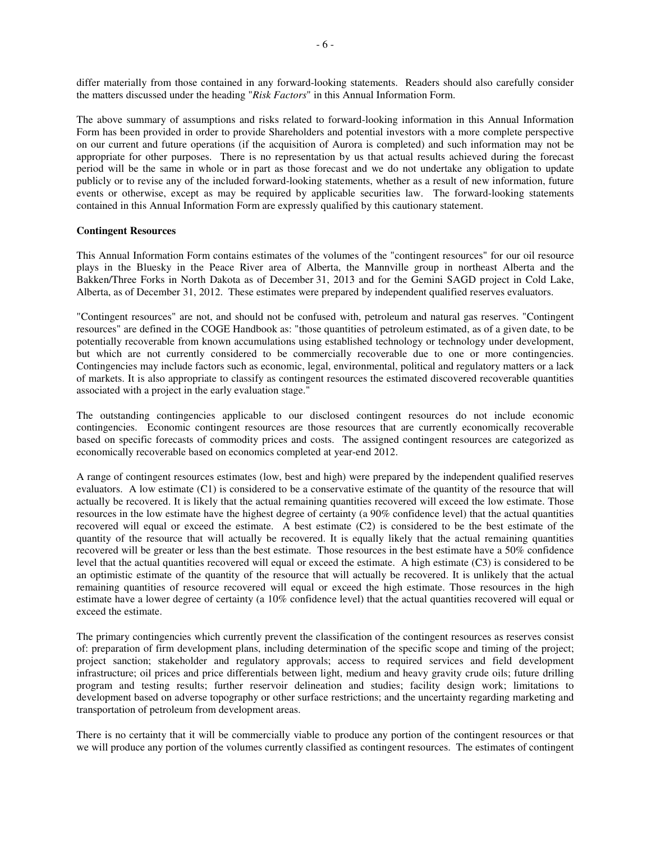differ materially from those contained in any forward-looking statements. Readers should also carefully consider the matters discussed under the heading "*Risk Factors*" in this Annual Information Form.

The above summary of assumptions and risks related to forward-looking information in this Annual Information Form has been provided in order to provide Shareholders and potential investors with a more complete perspective on our current and future operations (if the acquisition of Aurora is completed) and such information may not be appropriate for other purposes. There is no representation by us that actual results achieved during the forecast period will be the same in whole or in part as those forecast and we do not undertake any obligation to update publicly or to revise any of the included forward-looking statements, whether as a result of new information, future events or otherwise, except as may be required by applicable securities law. The forward-looking statements contained in this Annual Information Form are expressly qualified by this cautionary statement.

#### **Contingent Resources**

This Annual Information Form contains estimates of the volumes of the "contingent resources" for our oil resource plays in the Bluesky in the Peace River area of Alberta, the Mannville group in northeast Alberta and the Bakken/Three Forks in North Dakota as of December 31, 2013 and for the Gemini SAGD project in Cold Lake, Alberta, as of December 31, 2012. These estimates were prepared by independent qualified reserves evaluators.

"Contingent resources" are not, and should not be confused with, petroleum and natural gas reserves. "Contingent resources" are defined in the COGE Handbook as: "those quantities of petroleum estimated, as of a given date, to be potentially recoverable from known accumulations using established technology or technology under development, but which are not currently considered to be commercially recoverable due to one or more contingencies. Contingencies may include factors such as economic, legal, environmental, political and regulatory matters or a lack of markets. It is also appropriate to classify as contingent resources the estimated discovered recoverable quantities associated with a project in the early evaluation stage."

The outstanding contingencies applicable to our disclosed contingent resources do not include economic contingencies. Economic contingent resources are those resources that are currently economically recoverable based on specific forecasts of commodity prices and costs. The assigned contingent resources are categorized as economically recoverable based on economics completed at year-end 2012.

A range of contingent resources estimates (low, best and high) were prepared by the independent qualified reserves evaluators. A low estimate (C1) is considered to be a conservative estimate of the quantity of the resource that will actually be recovered. It is likely that the actual remaining quantities recovered will exceed the low estimate. Those resources in the low estimate have the highest degree of certainty (a 90% confidence level) that the actual quantities recovered will equal or exceed the estimate. A best estimate (C2) is considered to be the best estimate of the quantity of the resource that will actually be recovered. It is equally likely that the actual remaining quantities recovered will be greater or less than the best estimate. Those resources in the best estimate have a 50% confidence level that the actual quantities recovered will equal or exceed the estimate. A high estimate (C3) is considered to be an optimistic estimate of the quantity of the resource that will actually be recovered. It is unlikely that the actual remaining quantities of resource recovered will equal or exceed the high estimate. Those resources in the high estimate have a lower degree of certainty (a 10% confidence level) that the actual quantities recovered will equal or exceed the estimate.

The primary contingencies which currently prevent the classification of the contingent resources as reserves consist of: preparation of firm development plans, including determination of the specific scope and timing of the project; project sanction; stakeholder and regulatory approvals; access to required services and field development infrastructure; oil prices and price differentials between light, medium and heavy gravity crude oils; future drilling program and testing results; further reservoir delineation and studies; facility design work; limitations to development based on adverse topography or other surface restrictions; and the uncertainty regarding marketing and transportation of petroleum from development areas.

There is no certainty that it will be commercially viable to produce any portion of the contingent resources or that we will produce any portion of the volumes currently classified as contingent resources. The estimates of contingent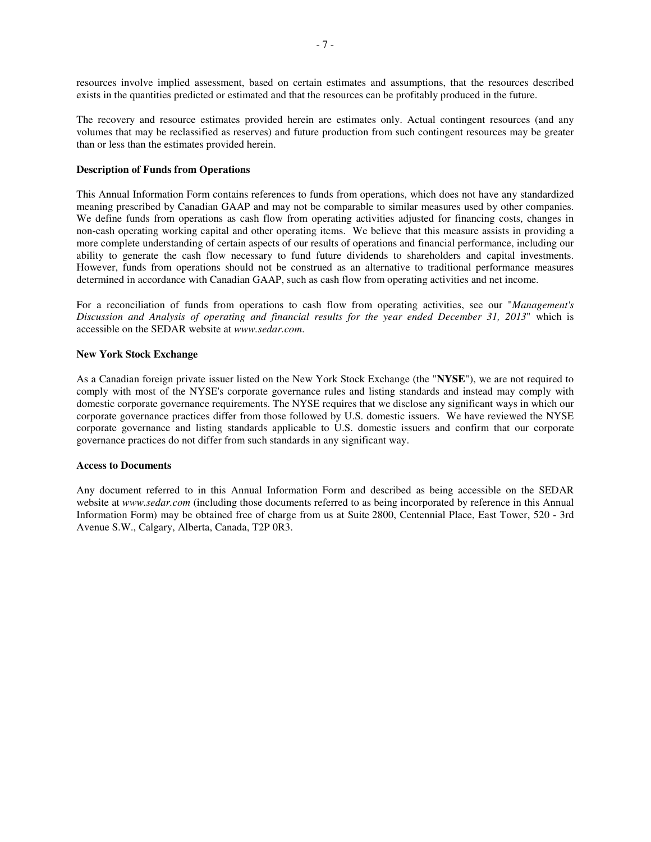resources involve implied assessment, based on certain estimates and assumptions, that the resources described exists in the quantities predicted or estimated and that the resources can be profitably produced in the future.

The recovery and resource estimates provided herein are estimates only. Actual contingent resources (and any volumes that may be reclassified as reserves) and future production from such contingent resources may be greater than or less than the estimates provided herein.

#### **Description of Funds from Operations**

This Annual Information Form contains references to funds from operations, which does not have any standardized meaning prescribed by Canadian GAAP and may not be comparable to similar measures used by other companies. We define funds from operations as cash flow from operating activities adjusted for financing costs, changes in non-cash operating working capital and other operating items. We believe that this measure assists in providing a more complete understanding of certain aspects of our results of operations and financial performance, including our ability to generate the cash flow necessary to fund future dividends to shareholders and capital investments. However, funds from operations should not be construed as an alternative to traditional performance measures determined in accordance with Canadian GAAP, such as cash flow from operating activities and net income.

For a reconciliation of funds from operations to cash flow from operating activities, see our "*Management's Discussion and Analysis of operating and financial results for the year ended December 31, 2013*" which is accessible on the SEDAR website at *www.sedar.com*.

#### **New York Stock Exchange**

As a Canadian foreign private issuer listed on the New York Stock Exchange (the "**NYSE**"), we are not required to comply with most of the NYSE's corporate governance rules and listing standards and instead may comply with domestic corporate governance requirements. The NYSE requires that we disclose any significant ways in which our corporate governance practices differ from those followed by U.S. domestic issuers. We have reviewed the NYSE corporate governance and listing standards applicable to U.S. domestic issuers and confirm that our corporate governance practices do not differ from such standards in any significant way.

#### **Access to Documents**

Any document referred to in this Annual Information Form and described as being accessible on the SEDAR website at *www.sedar.com* (including those documents referred to as being incorporated by reference in this Annual Information Form) may be obtained free of charge from us at Suite 2800, Centennial Place, East Tower, 520 - 3rd Avenue S.W., Calgary, Alberta, Canada, T2P 0R3.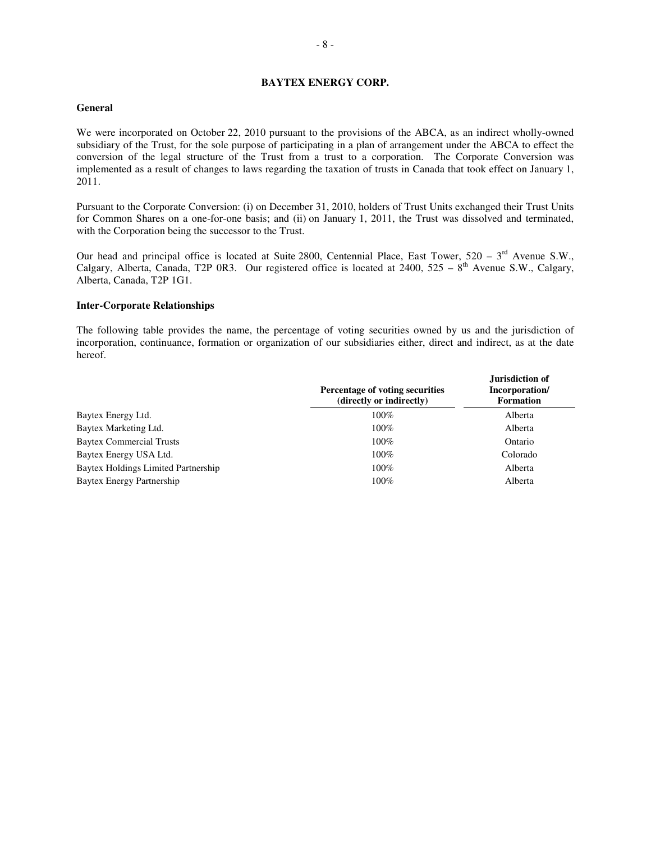# **BAYTEX ENERGY CORP.**

#### **General**

We were incorporated on October 22, 2010 pursuant to the provisions of the ABCA, as an indirect wholly-owned subsidiary of the Trust, for the sole purpose of participating in a plan of arrangement under the ABCA to effect the conversion of the legal structure of the Trust from a trust to a corporation. The Corporate Conversion was implemented as a result of changes to laws regarding the taxation of trusts in Canada that took effect on January 1, 2011.

Pursuant to the Corporate Conversion: (i) on December 31, 2010, holders of Trust Units exchanged their Trust Units for Common Shares on a one-for-one basis; and (ii) on January 1, 2011, the Trust was dissolved and terminated, with the Corporation being the successor to the Trust.

Our head and principal office is located at Suite 2800, Centennial Place, East Tower,  $520 - 3<sup>rd</sup>$  Avenue S.W., Calgary, Alberta, Canada, T2P 0R3. Our registered office is located at 2400,  $525 - 8^{th}$  Avenue S.W., Calgary, Alberta, Canada, T2P 1G1.

#### **Inter-Corporate Relationships**

The following table provides the name, the percentage of voting securities owned by us and the jurisdiction of incorporation, continuance, formation or organization of our subsidiaries either, direct and indirect, as at the date hereof.

|                                     | Percentage of voting securities<br>(directly or indirectly) | Jurisdiction of<br>Incorporation/<br><b>Formation</b> |
|-------------------------------------|-------------------------------------------------------------|-------------------------------------------------------|
| Baytex Energy Ltd.                  | $100\%$                                                     | Alberta                                               |
| Baytex Marketing Ltd.               | $100\%$                                                     | Alberta                                               |
| <b>Baytex Commercial Trusts</b>     | $100\%$                                                     | Ontario                                               |
| Baytex Energy USA Ltd.              | $100\%$                                                     | Colorado                                              |
| Baytex Holdings Limited Partnership | $100\%$                                                     | Alberta                                               |
| Baytex Energy Partnership           | $100\%$                                                     | Alberta                                               |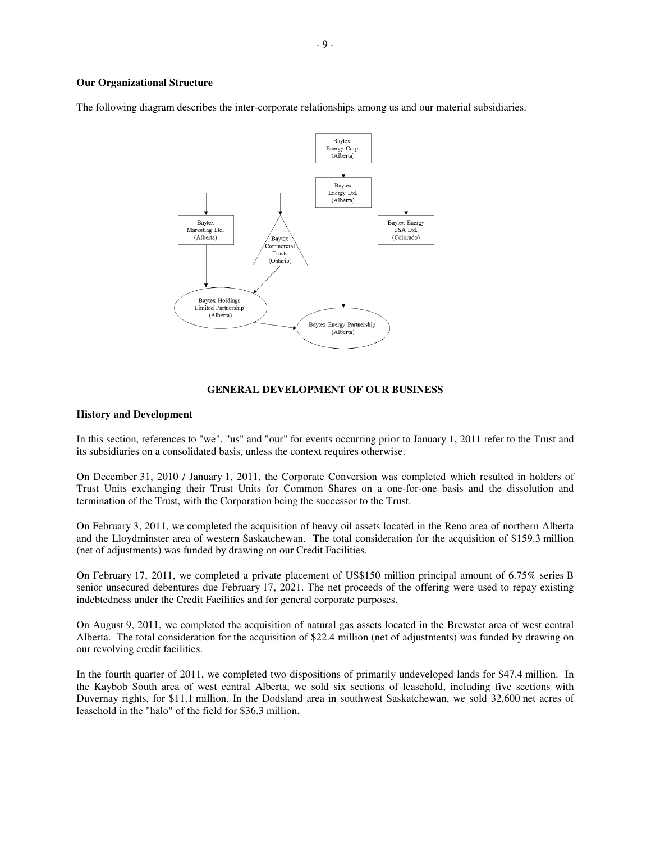#### **Our Organizational Structure**

The following diagram describes the inter-corporate relationships among us and our material subsidiaries.



#### **GENERAL DEVELOPMENT OF OUR BUSINESS**

#### **History and Development**

In this section, references to "we", "us" and "our" for events occurring prior to January 1, 2011 refer to the Trust and its subsidiaries on a consolidated basis, unless the context requires otherwise.

On December 31, 2010 / January 1, 2011, the Corporate Conversion was completed which resulted in holders of Trust Units exchanging their Trust Units for Common Shares on a one-for-one basis and the dissolution and termination of the Trust, with the Corporation being the successor to the Trust.

On February 3, 2011, we completed the acquisition of heavy oil assets located in the Reno area of northern Alberta and the Lloydminster area of western Saskatchewan. The total consideration for the acquisition of \$159.3 million (net of adjustments) was funded by drawing on our Credit Facilities.

On February 17, 2011, we completed a private placement of US\$150 million principal amount of 6.75% series B senior unsecured debentures due February 17, 2021. The net proceeds of the offering were used to repay existing indebtedness under the Credit Facilities and for general corporate purposes.

On August 9, 2011, we completed the acquisition of natural gas assets located in the Brewster area of west central Alberta. The total consideration for the acquisition of \$22.4 million (net of adjustments) was funded by drawing on our revolving credit facilities.

In the fourth quarter of 2011, we completed two dispositions of primarily undeveloped lands for \$47.4 million. In the Kaybob South area of west central Alberta, we sold six sections of leasehold, including five sections with Duvernay rights, for \$11.1 million. In the Dodsland area in southwest Saskatchewan, we sold 32,600 net acres of leasehold in the "halo" of the field for \$36.3 million.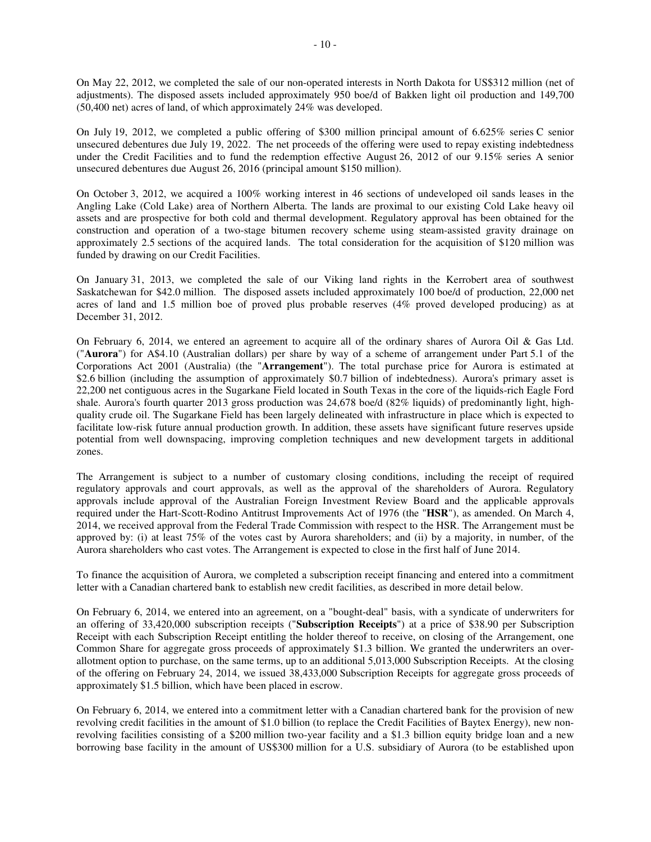On May 22, 2012, we completed the sale of our non-operated interests in North Dakota for US\$312 million (net of adjustments). The disposed assets included approximately 950 boe/d of Bakken light oil production and 149,700 (50,400 net) acres of land, of which approximately 24% was developed.

On July 19, 2012, we completed a public offering of \$300 million principal amount of 6.625% series C senior unsecured debentures due July 19, 2022. The net proceeds of the offering were used to repay existing indebtedness under the Credit Facilities and to fund the redemption effective August 26, 2012 of our 9.15% series A senior unsecured debentures due August 26, 2016 (principal amount \$150 million).

On October 3, 2012, we acquired a 100% working interest in 46 sections of undeveloped oil sands leases in the Angling Lake (Cold Lake) area of Northern Alberta. The lands are proximal to our existing Cold Lake heavy oil assets and are prospective for both cold and thermal development. Regulatory approval has been obtained for the construction and operation of a two-stage bitumen recovery scheme using steam-assisted gravity drainage on approximately 2.5 sections of the acquired lands. The total consideration for the acquisition of \$120 million was funded by drawing on our Credit Facilities.

On January 31, 2013, we completed the sale of our Viking land rights in the Kerrobert area of southwest Saskatchewan for \$42.0 million. The disposed assets included approximately 100 boe/d of production, 22,000 net acres of land and 1.5 million boe of proved plus probable reserves (4% proved developed producing) as at December 31, 2012.

On February 6, 2014, we entered an agreement to acquire all of the ordinary shares of Aurora Oil & Gas Ltd. ("**Aurora**") for A\$4.10 (Australian dollars) per share by way of a scheme of arrangement under Part 5.1 of the Corporations Act 2001 (Australia) (the "**Arrangement**"). The total purchase price for Aurora is estimated at \$2.6 billion (including the assumption of approximately \$0.7 billion of indebtedness). Aurora's primary asset is 22,200 net contiguous acres in the Sugarkane Field located in South Texas in the core of the liquids-rich Eagle Ford shale. Aurora's fourth quarter 2013 gross production was 24,678 boe/d (82% liquids) of predominantly light, highquality crude oil. The Sugarkane Field has been largely delineated with infrastructure in place which is expected to facilitate low-risk future annual production growth. In addition, these assets have significant future reserves upside potential from well downspacing, improving completion techniques and new development targets in additional zones.

The Arrangement is subject to a number of customary closing conditions, including the receipt of required regulatory approvals and court approvals, as well as the approval of the shareholders of Aurora. Regulatory approvals include approval of the Australian Foreign Investment Review Board and the applicable approvals required under the Hart-Scott-Rodino Antitrust Improvements Act of 1976 (the "**HSR**"), as amended. On March 4, 2014, we received approval from the Federal Trade Commission with respect to the HSR. The Arrangement must be approved by: (i) at least 75% of the votes cast by Aurora shareholders; and (ii) by a majority, in number, of the Aurora shareholders who cast votes. The Arrangement is expected to close in the first half of June 2014.

To finance the acquisition of Aurora, we completed a subscription receipt financing and entered into a commitment letter with a Canadian chartered bank to establish new credit facilities, as described in more detail below.

On February 6, 2014, we entered into an agreement, on a "bought-deal" basis, with a syndicate of underwriters for an offering of 33,420,000 subscription receipts ("**Subscription Receipts**") at a price of \$38.90 per Subscription Receipt with each Subscription Receipt entitling the holder thereof to receive, on closing of the Arrangement, one Common Share for aggregate gross proceeds of approximately \$1.3 billion. We granted the underwriters an overallotment option to purchase, on the same terms, up to an additional 5,013,000 Subscription Receipts. At the closing of the offering on February 24, 2014, we issued 38,433,000 Subscription Receipts for aggregate gross proceeds of approximately \$1.5 billion, which have been placed in escrow.

On February 6, 2014, we entered into a commitment letter with a Canadian chartered bank for the provision of new revolving credit facilities in the amount of \$1.0 billion (to replace the Credit Facilities of Baytex Energy), new nonrevolving facilities consisting of a \$200 million two-year facility and a \$1.3 billion equity bridge loan and a new borrowing base facility in the amount of US\$300 million for a U.S. subsidiary of Aurora (to be established upon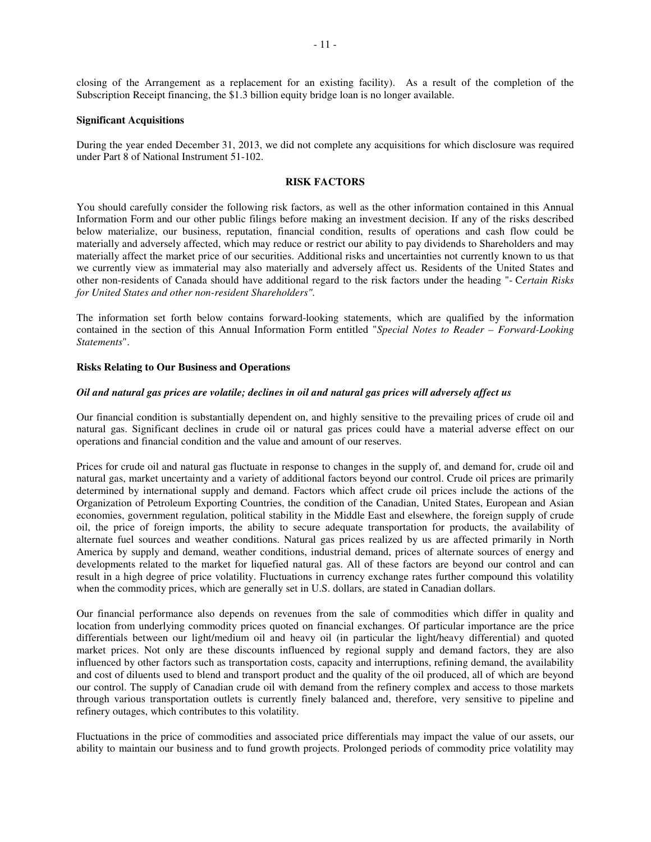closing of the Arrangement as a replacement for an existing facility). As a result of the completion of the Subscription Receipt financing, the \$1.3 billion equity bridge loan is no longer available.

#### **Significant Acquisitions**

During the year ended December 31, 2013, we did not complete any acquisitions for which disclosure was required under Part 8 of National Instrument 51-102.

#### **RISK FACTORS**

You should carefully consider the following risk factors, as well as the other information contained in this Annual Information Form and our other public filings before making an investment decision. If any of the risks described below materialize, our business, reputation, financial condition, results of operations and cash flow could be materially and adversely affected, which may reduce or restrict our ability to pay dividends to Shareholders and may materially affect the market price of our securities. Additional risks and uncertainties not currently known to us that we currently view as immaterial may also materially and adversely affect us. Residents of the United States and other non-residents of Canada should have additional regard to the risk factors under the heading "- C*ertain Risks for United States and other non-resident Shareholders".*

The information set forth below contains forward-looking statements, which are qualified by the information contained in the section of this Annual Information Form entitled "*Special Notes to Reader – Forward-Looking Statements*".

#### **Risks Relating to Our Business and Operations**

#### *Oil and natural gas prices are volatile; declines in oil and natural gas prices will adversely affect us*

Our financial condition is substantially dependent on, and highly sensitive to the prevailing prices of crude oil and natural gas. Significant declines in crude oil or natural gas prices could have a material adverse effect on our operations and financial condition and the value and amount of our reserves.

Prices for crude oil and natural gas fluctuate in response to changes in the supply of, and demand for, crude oil and natural gas, market uncertainty and a variety of additional factors beyond our control. Crude oil prices are primarily determined by international supply and demand. Factors which affect crude oil prices include the actions of the Organization of Petroleum Exporting Countries, the condition of the Canadian, United States, European and Asian economies, government regulation, political stability in the Middle East and elsewhere, the foreign supply of crude oil, the price of foreign imports, the ability to secure adequate transportation for products, the availability of alternate fuel sources and weather conditions. Natural gas prices realized by us are affected primarily in North America by supply and demand, weather conditions, industrial demand, prices of alternate sources of energy and developments related to the market for liquefied natural gas. All of these factors are beyond our control and can result in a high degree of price volatility. Fluctuations in currency exchange rates further compound this volatility when the commodity prices, which are generally set in U.S. dollars, are stated in Canadian dollars.

Our financial performance also depends on revenues from the sale of commodities which differ in quality and location from underlying commodity prices quoted on financial exchanges. Of particular importance are the price differentials between our light/medium oil and heavy oil (in particular the light/heavy differential) and quoted market prices. Not only are these discounts influenced by regional supply and demand factors, they are also influenced by other factors such as transportation costs, capacity and interruptions, refining demand, the availability and cost of diluents used to blend and transport product and the quality of the oil produced, all of which are beyond our control. The supply of Canadian crude oil with demand from the refinery complex and access to those markets through various transportation outlets is currently finely balanced and, therefore, very sensitive to pipeline and refinery outages, which contributes to this volatility.

Fluctuations in the price of commodities and associated price differentials may impact the value of our assets, our ability to maintain our business and to fund growth projects. Prolonged periods of commodity price volatility may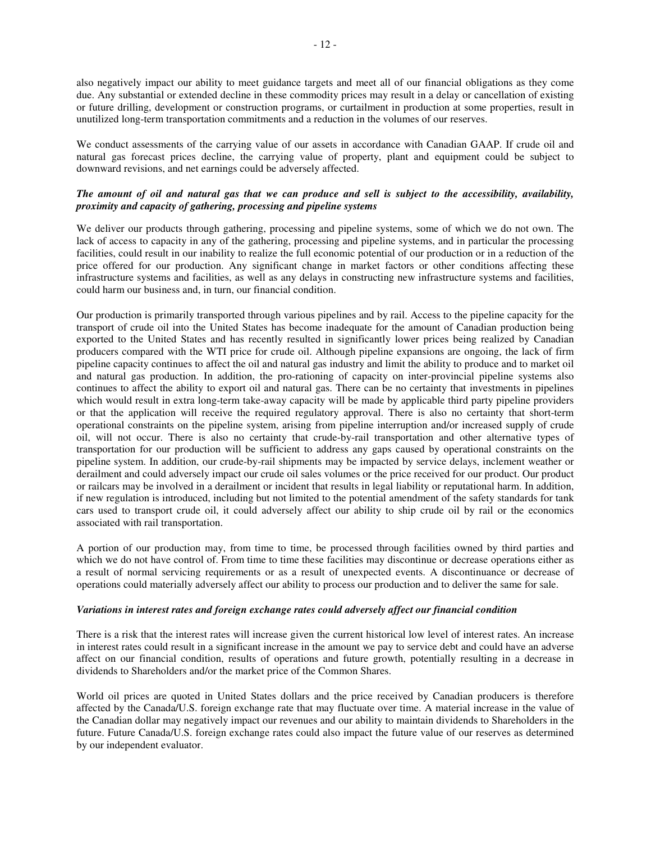also negatively impact our ability to meet guidance targets and meet all of our financial obligations as they come due. Any substantial or extended decline in these commodity prices may result in a delay or cancellation of existing or future drilling, development or construction programs, or curtailment in production at some properties, result in unutilized long-term transportation commitments and a reduction in the volumes of our reserves.

We conduct assessments of the carrying value of our assets in accordance with Canadian GAAP. If crude oil and natural gas forecast prices decline, the carrying value of property, plant and equipment could be subject to downward revisions, and net earnings could be adversely affected.

# *The amount of oil and natural gas that we can produce and sell is subject to the accessibility, availability, proximity and capacity of gathering, processing and pipeline systems*

We deliver our products through gathering, processing and pipeline systems, some of which we do not own. The lack of access to capacity in any of the gathering, processing and pipeline systems, and in particular the processing facilities, could result in our inability to realize the full economic potential of our production or in a reduction of the price offered for our production. Any significant change in market factors or other conditions affecting these infrastructure systems and facilities, as well as any delays in constructing new infrastructure systems and facilities, could harm our business and, in turn, our financial condition.

Our production is primarily transported through various pipelines and by rail. Access to the pipeline capacity for the transport of crude oil into the United States has become inadequate for the amount of Canadian production being exported to the United States and has recently resulted in significantly lower prices being realized by Canadian producers compared with the WTI price for crude oil. Although pipeline expansions are ongoing, the lack of firm pipeline capacity continues to affect the oil and natural gas industry and limit the ability to produce and to market oil and natural gas production. In addition, the pro-rationing of capacity on inter-provincial pipeline systems also continues to affect the ability to export oil and natural gas. There can be no certainty that investments in pipelines which would result in extra long-term take-away capacity will be made by applicable third party pipeline providers or that the application will receive the required regulatory approval. There is also no certainty that short-term operational constraints on the pipeline system, arising from pipeline interruption and/or increased supply of crude oil, will not occur. There is also no certainty that crude-by-rail transportation and other alternative types of transportation for our production will be sufficient to address any gaps caused by operational constraints on the pipeline system. In addition, our crude-by-rail shipments may be impacted by service delays, inclement weather or derailment and could adversely impact our crude oil sales volumes or the price received for our product. Our product or railcars may be involved in a derailment or incident that results in legal liability or reputational harm. In addition, if new regulation is introduced, including but not limited to the potential amendment of the safety standards for tank cars used to transport crude oil, it could adversely affect our ability to ship crude oil by rail or the economics associated with rail transportation.

A portion of our production may, from time to time, be processed through facilities owned by third parties and which we do not have control of. From time to time these facilities may discontinue or decrease operations either as a result of normal servicing requirements or as a result of unexpected events. A discontinuance or decrease of operations could materially adversely affect our ability to process our production and to deliver the same for sale.

# *Variations in interest rates and foreign exchange rates could adversely affect our financial condition*

There is a risk that the interest rates will increase given the current historical low level of interest rates. An increase in interest rates could result in a significant increase in the amount we pay to service debt and could have an adverse affect on our financial condition, results of operations and future growth, potentially resulting in a decrease in dividends to Shareholders and/or the market price of the Common Shares.

World oil prices are quoted in United States dollars and the price received by Canadian producers is therefore affected by the Canada/U.S. foreign exchange rate that may fluctuate over time. A material increase in the value of the Canadian dollar may negatively impact our revenues and our ability to maintain dividends to Shareholders in the future. Future Canada/U.S. foreign exchange rates could also impact the future value of our reserves as determined by our independent evaluator.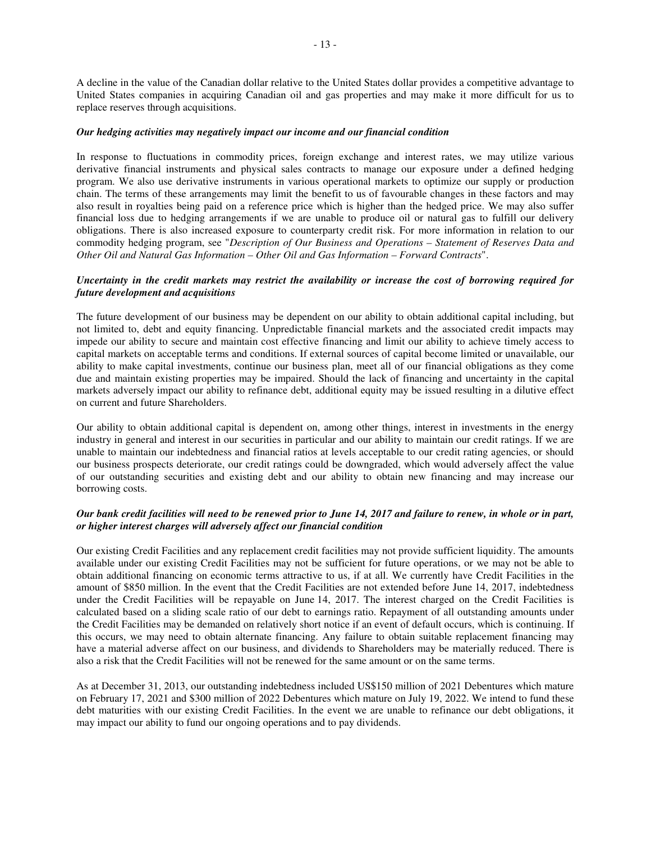A decline in the value of the Canadian dollar relative to the United States dollar provides a competitive advantage to United States companies in acquiring Canadian oil and gas properties and may make it more difficult for us to replace reserves through acquisitions.

#### *Our hedging activities may negatively impact our income and our financial condition*

In response to fluctuations in commodity prices, foreign exchange and interest rates, we may utilize various derivative financial instruments and physical sales contracts to manage our exposure under a defined hedging program. We also use derivative instruments in various operational markets to optimize our supply or production chain. The terms of these arrangements may limit the benefit to us of favourable changes in these factors and may also result in royalties being paid on a reference price which is higher than the hedged price. We may also suffer financial loss due to hedging arrangements if we are unable to produce oil or natural gas to fulfill our delivery obligations. There is also increased exposure to counterparty credit risk. For more information in relation to our commodity hedging program, see "*Description of Our Business and Operations – Statement of Reserves Data and Other Oil and Natural Gas Information – Other Oil and Gas Information – Forward Contracts*".

#### *Uncertainty in the credit markets may restrict the availability or increase the cost of borrowing required for future development and acquisitions*

The future development of our business may be dependent on our ability to obtain additional capital including, but not limited to, debt and equity financing. Unpredictable financial markets and the associated credit impacts may impede our ability to secure and maintain cost effective financing and limit our ability to achieve timely access to capital markets on acceptable terms and conditions. If external sources of capital become limited or unavailable, our ability to make capital investments, continue our business plan, meet all of our financial obligations as they come due and maintain existing properties may be impaired. Should the lack of financing and uncertainty in the capital markets adversely impact our ability to refinance debt, additional equity may be issued resulting in a dilutive effect on current and future Shareholders.

Our ability to obtain additional capital is dependent on, among other things, interest in investments in the energy industry in general and interest in our securities in particular and our ability to maintain our credit ratings. If we are unable to maintain our indebtedness and financial ratios at levels acceptable to our credit rating agencies, or should our business prospects deteriorate, our credit ratings could be downgraded, which would adversely affect the value of our outstanding securities and existing debt and our ability to obtain new financing and may increase our borrowing costs.

# *Our bank credit facilities will need to be renewed prior to June 14, 2017 and failure to renew, in whole or in part, or higher interest charges will adversely affect our financial condition*

Our existing Credit Facilities and any replacement credit facilities may not provide sufficient liquidity. The amounts available under our existing Credit Facilities may not be sufficient for future operations, or we may not be able to obtain additional financing on economic terms attractive to us, if at all. We currently have Credit Facilities in the amount of \$850 million. In the event that the Credit Facilities are not extended before June 14, 2017, indebtedness under the Credit Facilities will be repayable on June 14, 2017. The interest charged on the Credit Facilities is calculated based on a sliding scale ratio of our debt to earnings ratio. Repayment of all outstanding amounts under the Credit Facilities may be demanded on relatively short notice if an event of default occurs, which is continuing. If this occurs, we may need to obtain alternate financing. Any failure to obtain suitable replacement financing may have a material adverse affect on our business, and dividends to Shareholders may be materially reduced. There is also a risk that the Credit Facilities will not be renewed for the same amount or on the same terms.

As at December 31, 2013, our outstanding indebtedness included US\$150 million of 2021 Debentures which mature on February 17, 2021 and \$300 million of 2022 Debentures which mature on July 19, 2022. We intend to fund these debt maturities with our existing Credit Facilities. In the event we are unable to refinance our debt obligations, it may impact our ability to fund our ongoing operations and to pay dividends.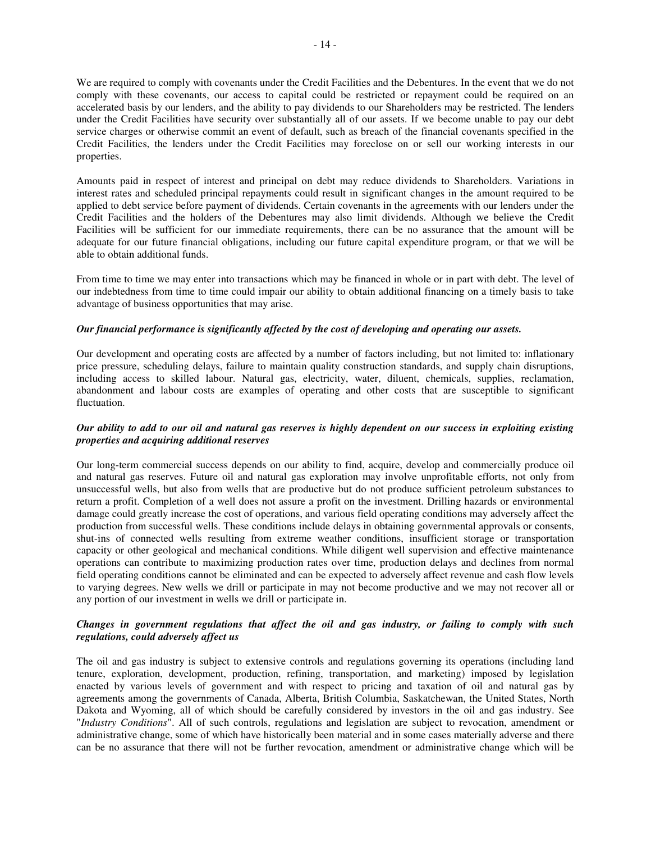We are required to comply with covenants under the Credit Facilities and the Debentures. In the event that we do not comply with these covenants, our access to capital could be restricted or repayment could be required on an accelerated basis by our lenders, and the ability to pay dividends to our Shareholders may be restricted. The lenders under the Credit Facilities have security over substantially all of our assets. If we become unable to pay our debt service charges or otherwise commit an event of default, such as breach of the financial covenants specified in the Credit Facilities, the lenders under the Credit Facilities may foreclose on or sell our working interests in our properties.

Amounts paid in respect of interest and principal on debt may reduce dividends to Shareholders. Variations in interest rates and scheduled principal repayments could result in significant changes in the amount required to be applied to debt service before payment of dividends. Certain covenants in the agreements with our lenders under the Credit Facilities and the holders of the Debentures may also limit dividends. Although we believe the Credit Facilities will be sufficient for our immediate requirements, there can be no assurance that the amount will be adequate for our future financial obligations, including our future capital expenditure program, or that we will be able to obtain additional funds.

From time to time we may enter into transactions which may be financed in whole or in part with debt. The level of our indebtedness from time to time could impair our ability to obtain additional financing on a timely basis to take advantage of business opportunities that may arise.

# *Our financial performance is significantly affected by the cost of developing and operating our assets.*

Our development and operating costs are affected by a number of factors including, but not limited to: inflationary price pressure, scheduling delays, failure to maintain quality construction standards, and supply chain disruptions, including access to skilled labour. Natural gas, electricity, water, diluent, chemicals, supplies, reclamation, abandonment and labour costs are examples of operating and other costs that are susceptible to significant fluctuation.

# *Our ability to add to our oil and natural gas reserves is highly dependent on our success in exploiting existing properties and acquiring additional reserves*

Our long-term commercial success depends on our ability to find, acquire, develop and commercially produce oil and natural gas reserves. Future oil and natural gas exploration may involve unprofitable efforts, not only from unsuccessful wells, but also from wells that are productive but do not produce sufficient petroleum substances to return a profit. Completion of a well does not assure a profit on the investment. Drilling hazards or environmental damage could greatly increase the cost of operations, and various field operating conditions may adversely affect the production from successful wells. These conditions include delays in obtaining governmental approvals or consents, shut-ins of connected wells resulting from extreme weather conditions, insufficient storage or transportation capacity or other geological and mechanical conditions. While diligent well supervision and effective maintenance operations can contribute to maximizing production rates over time, production delays and declines from normal field operating conditions cannot be eliminated and can be expected to adversely affect revenue and cash flow levels to varying degrees. New wells we drill or participate in may not become productive and we may not recover all or any portion of our investment in wells we drill or participate in.

# *Changes in government regulations that affect the oil and gas industry, or failing to comply with such regulations, could adversely affect us*

The oil and gas industry is subject to extensive controls and regulations governing its operations (including land tenure, exploration, development, production, refining, transportation, and marketing) imposed by legislation enacted by various levels of government and with respect to pricing and taxation of oil and natural gas by agreements among the governments of Canada, Alberta, British Columbia, Saskatchewan, the United States, North Dakota and Wyoming, all of which should be carefully considered by investors in the oil and gas industry. See "*Industry Conditions*". All of such controls, regulations and legislation are subject to revocation, amendment or administrative change, some of which have historically been material and in some cases materially adverse and there can be no assurance that there will not be further revocation, amendment or administrative change which will be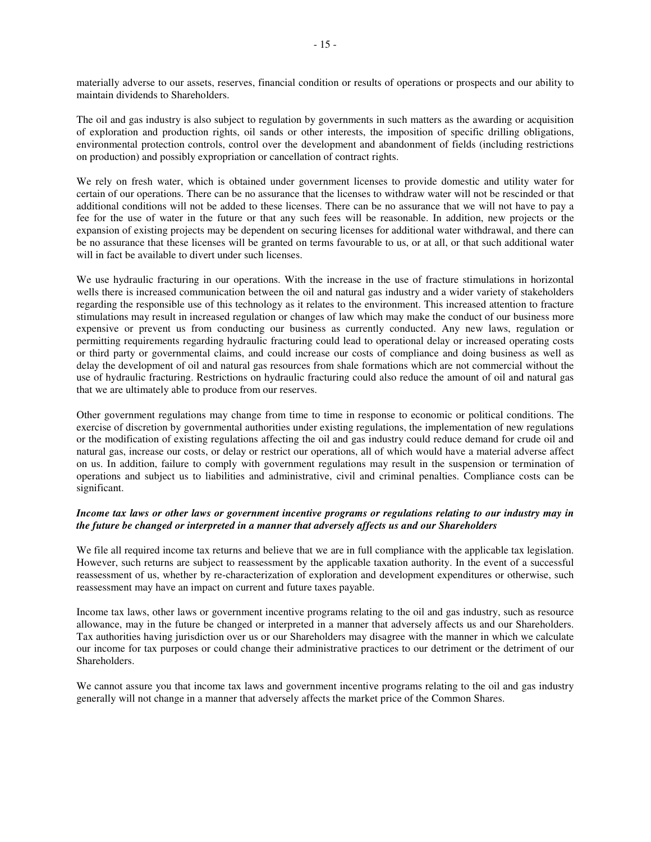materially adverse to our assets, reserves, financial condition or results of operations or prospects and our ability to maintain dividends to Shareholders.

The oil and gas industry is also subject to regulation by governments in such matters as the awarding or acquisition of exploration and production rights, oil sands or other interests, the imposition of specific drilling obligations, environmental protection controls, control over the development and abandonment of fields (including restrictions on production) and possibly expropriation or cancellation of contract rights.

We rely on fresh water, which is obtained under government licenses to provide domestic and utility water for certain of our operations. There can be no assurance that the licenses to withdraw water will not be rescinded or that additional conditions will not be added to these licenses. There can be no assurance that we will not have to pay a fee for the use of water in the future or that any such fees will be reasonable. In addition, new projects or the expansion of existing projects may be dependent on securing licenses for additional water withdrawal, and there can be no assurance that these licenses will be granted on terms favourable to us, or at all, or that such additional water will in fact be available to divert under such licenses.

We use hydraulic fracturing in our operations. With the increase in the use of fracture stimulations in horizontal wells there is increased communication between the oil and natural gas industry and a wider variety of stakeholders regarding the responsible use of this technology as it relates to the environment. This increased attention to fracture stimulations may result in increased regulation or changes of law which may make the conduct of our business more expensive or prevent us from conducting our business as currently conducted. Any new laws, regulation or permitting requirements regarding hydraulic fracturing could lead to operational delay or increased operating costs or third party or governmental claims, and could increase our costs of compliance and doing business as well as delay the development of oil and natural gas resources from shale formations which are not commercial without the use of hydraulic fracturing. Restrictions on hydraulic fracturing could also reduce the amount of oil and natural gas that we are ultimately able to produce from our reserves.

Other government regulations may change from time to time in response to economic or political conditions. The exercise of discretion by governmental authorities under existing regulations, the implementation of new regulations or the modification of existing regulations affecting the oil and gas industry could reduce demand for crude oil and natural gas, increase our costs, or delay or restrict our operations, all of which would have a material adverse affect on us. In addition, failure to comply with government regulations may result in the suspension or termination of operations and subject us to liabilities and administrative, civil and criminal penalties. Compliance costs can be significant.

# *Income tax laws or other laws or government incentive programs or regulations relating to our industry may in the future be changed or interpreted in a manner that adversely affects us and our Shareholders*

We file all required income tax returns and believe that we are in full compliance with the applicable tax legislation. However, such returns are subject to reassessment by the applicable taxation authority. In the event of a successful reassessment of us, whether by re-characterization of exploration and development expenditures or otherwise, such reassessment may have an impact on current and future taxes payable.

Income tax laws, other laws or government incentive programs relating to the oil and gas industry, such as resource allowance, may in the future be changed or interpreted in a manner that adversely affects us and our Shareholders. Tax authorities having jurisdiction over us or our Shareholders may disagree with the manner in which we calculate our income for tax purposes or could change their administrative practices to our detriment or the detriment of our Shareholders.

We cannot assure you that income tax laws and government incentive programs relating to the oil and gas industry generally will not change in a manner that adversely affects the market price of the Common Shares.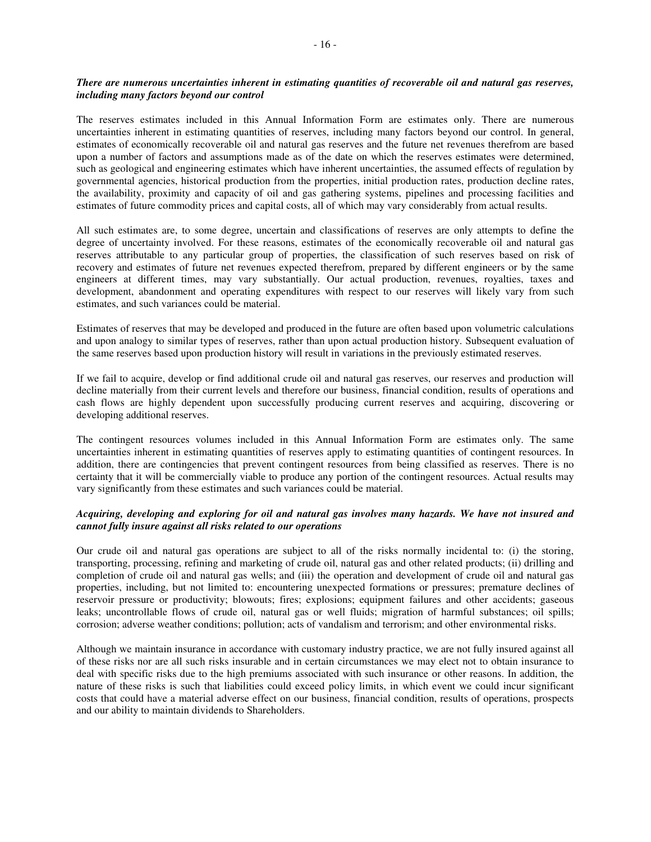# *There are numerous uncertainties inherent in estimating quantities of recoverable oil and natural gas reserves, including many factors beyond our control*

The reserves estimates included in this Annual Information Form are estimates only. There are numerous uncertainties inherent in estimating quantities of reserves, including many factors beyond our control. In general, estimates of economically recoverable oil and natural gas reserves and the future net revenues therefrom are based upon a number of factors and assumptions made as of the date on which the reserves estimates were determined, such as geological and engineering estimates which have inherent uncertainties, the assumed effects of regulation by governmental agencies, historical production from the properties, initial production rates, production decline rates, the availability, proximity and capacity of oil and gas gathering systems, pipelines and processing facilities and estimates of future commodity prices and capital costs, all of which may vary considerably from actual results.

All such estimates are, to some degree, uncertain and classifications of reserves are only attempts to define the degree of uncertainty involved. For these reasons, estimates of the economically recoverable oil and natural gas reserves attributable to any particular group of properties, the classification of such reserves based on risk of recovery and estimates of future net revenues expected therefrom, prepared by different engineers or by the same engineers at different times, may vary substantially. Our actual production, revenues, royalties, taxes and development, abandonment and operating expenditures with respect to our reserves will likely vary from such estimates, and such variances could be material.

Estimates of reserves that may be developed and produced in the future are often based upon volumetric calculations and upon analogy to similar types of reserves, rather than upon actual production history. Subsequent evaluation of the same reserves based upon production history will result in variations in the previously estimated reserves.

If we fail to acquire, develop or find additional crude oil and natural gas reserves, our reserves and production will decline materially from their current levels and therefore our business, financial condition, results of operations and cash flows are highly dependent upon successfully producing current reserves and acquiring, discovering or developing additional reserves.

The contingent resources volumes included in this Annual Information Form are estimates only. The same uncertainties inherent in estimating quantities of reserves apply to estimating quantities of contingent resources. In addition, there are contingencies that prevent contingent resources from being classified as reserves. There is no certainty that it will be commercially viable to produce any portion of the contingent resources. Actual results may vary significantly from these estimates and such variances could be material.

# *Acquiring, developing and exploring for oil and natural gas involves many hazards. We have not insured and cannot fully insure against all risks related to our operations*

Our crude oil and natural gas operations are subject to all of the risks normally incidental to: (i) the storing, transporting, processing, refining and marketing of crude oil, natural gas and other related products; (ii) drilling and completion of crude oil and natural gas wells; and (iii) the operation and development of crude oil and natural gas properties, including, but not limited to: encountering unexpected formations or pressures; premature declines of reservoir pressure or productivity; blowouts; fires; explosions; equipment failures and other accidents; gaseous leaks; uncontrollable flows of crude oil, natural gas or well fluids; migration of harmful substances; oil spills; corrosion; adverse weather conditions; pollution; acts of vandalism and terrorism; and other environmental risks.

Although we maintain insurance in accordance with customary industry practice, we are not fully insured against all of these risks nor are all such risks insurable and in certain circumstances we may elect not to obtain insurance to deal with specific risks due to the high premiums associated with such insurance or other reasons. In addition, the nature of these risks is such that liabilities could exceed policy limits, in which event we could incur significant costs that could have a material adverse effect on our business, financial condition, results of operations, prospects and our ability to maintain dividends to Shareholders.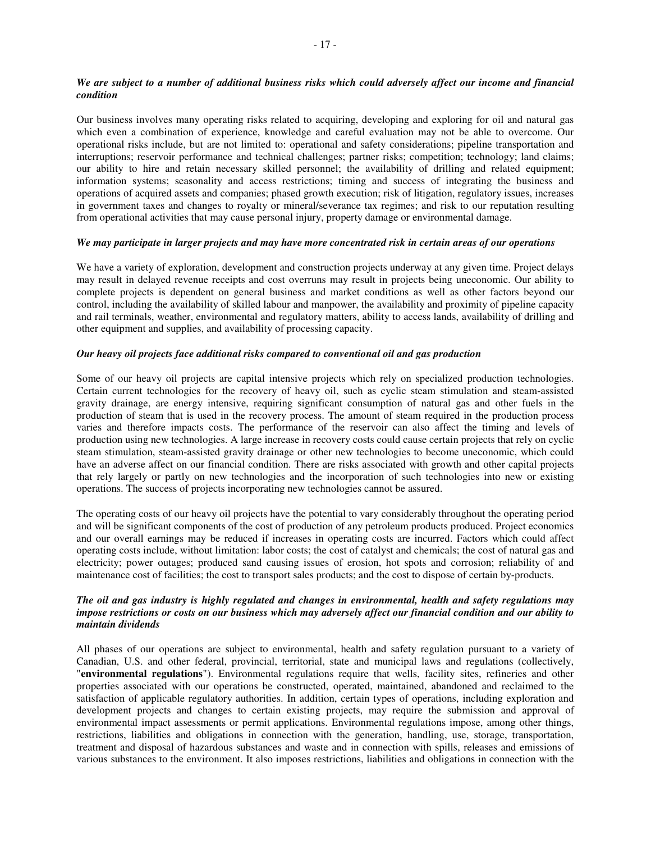# *We are subject to a number of additional business risks which could adversely affect our income and financial condition*

Our business involves many operating risks related to acquiring, developing and exploring for oil and natural gas which even a combination of experience, knowledge and careful evaluation may not be able to overcome. Our operational risks include, but are not limited to: operational and safety considerations; pipeline transportation and interruptions; reservoir performance and technical challenges; partner risks; competition; technology; land claims; our ability to hire and retain necessary skilled personnel; the availability of drilling and related equipment; information systems; seasonality and access restrictions; timing and success of integrating the business and operations of acquired assets and companies; phased growth execution; risk of litigation, regulatory issues, increases in government taxes and changes to royalty or mineral/severance tax regimes; and risk to our reputation resulting from operational activities that may cause personal injury, property damage or environmental damage.

#### *We may participate in larger projects and may have more concentrated risk in certain areas of our operations*

We have a variety of exploration, development and construction projects underway at any given time. Project delays may result in delayed revenue receipts and cost overruns may result in projects being uneconomic. Our ability to complete projects is dependent on general business and market conditions as well as other factors beyond our control, including the availability of skilled labour and manpower, the availability and proximity of pipeline capacity and rail terminals, weather, environmental and regulatory matters, ability to access lands, availability of drilling and other equipment and supplies, and availability of processing capacity.

# *Our heavy oil projects face additional risks compared to conventional oil and gas production*

Some of our heavy oil projects are capital intensive projects which rely on specialized production technologies. Certain current technologies for the recovery of heavy oil, such as cyclic steam stimulation and steam-assisted gravity drainage, are energy intensive, requiring significant consumption of natural gas and other fuels in the production of steam that is used in the recovery process. The amount of steam required in the production process varies and therefore impacts costs. The performance of the reservoir can also affect the timing and levels of production using new technologies. A large increase in recovery costs could cause certain projects that rely on cyclic steam stimulation, steam-assisted gravity drainage or other new technologies to become uneconomic, which could have an adverse affect on our financial condition. There are risks associated with growth and other capital projects that rely largely or partly on new technologies and the incorporation of such technologies into new or existing operations. The success of projects incorporating new technologies cannot be assured.

The operating costs of our heavy oil projects have the potential to vary considerably throughout the operating period and will be significant components of the cost of production of any petroleum products produced. Project economics and our overall earnings may be reduced if increases in operating costs are incurred. Factors which could affect operating costs include, without limitation: labor costs; the cost of catalyst and chemicals; the cost of natural gas and electricity; power outages; produced sand causing issues of erosion, hot spots and corrosion; reliability of and maintenance cost of facilities; the cost to transport sales products; and the cost to dispose of certain by-products.

# *The oil and gas industry is highly regulated and changes in environmental, health and safety regulations may impose restrictions or costs on our business which may adversely affect our financial condition and our ability to maintain dividends*

All phases of our operations are subject to environmental, health and safety regulation pursuant to a variety of Canadian, U.S. and other federal, provincial, territorial, state and municipal laws and regulations (collectively, "**environmental regulations**"). Environmental regulations require that wells, facility sites, refineries and other properties associated with our operations be constructed, operated, maintained, abandoned and reclaimed to the satisfaction of applicable regulatory authorities. In addition, certain types of operations, including exploration and development projects and changes to certain existing projects, may require the submission and approval of environmental impact assessments or permit applications. Environmental regulations impose, among other things, restrictions, liabilities and obligations in connection with the generation, handling, use, storage, transportation, treatment and disposal of hazardous substances and waste and in connection with spills, releases and emissions of various substances to the environment. It also imposes restrictions, liabilities and obligations in connection with the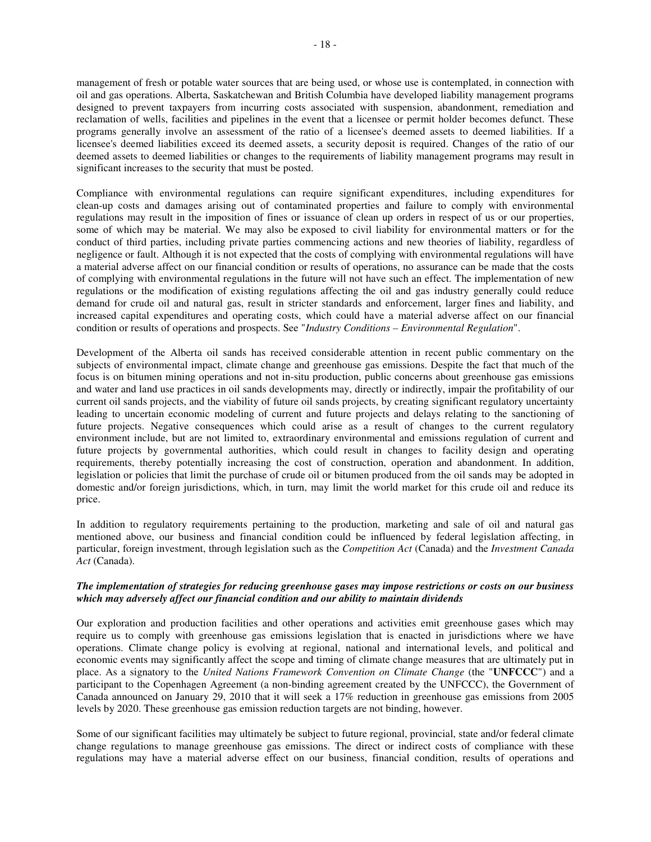management of fresh or potable water sources that are being used, or whose use is contemplated, in connection with oil and gas operations. Alberta, Saskatchewan and British Columbia have developed liability management programs designed to prevent taxpayers from incurring costs associated with suspension, abandonment, remediation and reclamation of wells, facilities and pipelines in the event that a licensee or permit holder becomes defunct. These programs generally involve an assessment of the ratio of a licensee's deemed assets to deemed liabilities. If a licensee's deemed liabilities exceed its deemed assets, a security deposit is required. Changes of the ratio of our deemed assets to deemed liabilities or changes to the requirements of liability management programs may result in significant increases to the security that must be posted.

Compliance with environmental regulations can require significant expenditures, including expenditures for clean-up costs and damages arising out of contaminated properties and failure to comply with environmental regulations may result in the imposition of fines or issuance of clean up orders in respect of us or our properties, some of which may be material. We may also be exposed to civil liability for environmental matters or for the conduct of third parties, including private parties commencing actions and new theories of liability, regardless of negligence or fault. Although it is not expected that the costs of complying with environmental regulations will have a material adverse affect on our financial condition or results of operations, no assurance can be made that the costs of complying with environmental regulations in the future will not have such an effect. The implementation of new regulations or the modification of existing regulations affecting the oil and gas industry generally could reduce demand for crude oil and natural gas, result in stricter standards and enforcement, larger fines and liability, and increased capital expenditures and operating costs, which could have a material adverse affect on our financial condition or results of operations and prospects. See "*Industry Conditions – Environmental Regulation*".

Development of the Alberta oil sands has received considerable attention in recent public commentary on the subjects of environmental impact, climate change and greenhouse gas emissions. Despite the fact that much of the focus is on bitumen mining operations and not in-situ production, public concerns about greenhouse gas emissions and water and land use practices in oil sands developments may, directly or indirectly, impair the profitability of our current oil sands projects, and the viability of future oil sands projects, by creating significant regulatory uncertainty leading to uncertain economic modeling of current and future projects and delays relating to the sanctioning of future projects. Negative consequences which could arise as a result of changes to the current regulatory environment include, but are not limited to, extraordinary environmental and emissions regulation of current and future projects by governmental authorities, which could result in changes to facility design and operating requirements, thereby potentially increasing the cost of construction, operation and abandonment. In addition, legislation or policies that limit the purchase of crude oil or bitumen produced from the oil sands may be adopted in domestic and/or foreign jurisdictions, which, in turn, may limit the world market for this crude oil and reduce its price.

In addition to regulatory requirements pertaining to the production, marketing and sale of oil and natural gas mentioned above, our business and financial condition could be influenced by federal legislation affecting, in particular, foreign investment, through legislation such as the *Competition Act* (Canada) and the *Investment Canada Act* (Canada).

# *The implementation of strategies for reducing greenhouse gases may impose restrictions or costs on our business which may adversely affect our financial condition and our ability to maintain dividends*

Our exploration and production facilities and other operations and activities emit greenhouse gases which may require us to comply with greenhouse gas emissions legislation that is enacted in jurisdictions where we have operations. Climate change policy is evolving at regional, national and international levels, and political and economic events may significantly affect the scope and timing of climate change measures that are ultimately put in place. As a signatory to the *United Nations Framework Convention on Climate Change* (the "**UNFCCC**") and a participant to the Copenhagen Agreement (a non-binding agreement created by the UNFCCC), the Government of Canada announced on January 29, 2010 that it will seek a 17% reduction in greenhouse gas emissions from 2005 levels by 2020. These greenhouse gas emission reduction targets are not binding, however.

Some of our significant facilities may ultimately be subject to future regional, provincial, state and/or federal climate change regulations to manage greenhouse gas emissions. The direct or indirect costs of compliance with these regulations may have a material adverse effect on our business, financial condition, results of operations and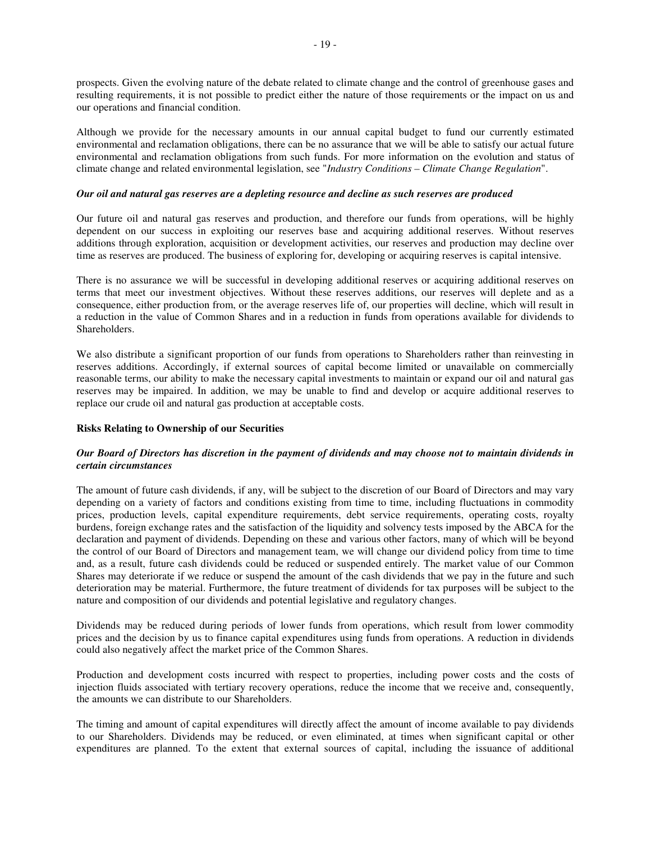prospects. Given the evolving nature of the debate related to climate change and the control of greenhouse gases and resulting requirements, it is not possible to predict either the nature of those requirements or the impact on us and our operations and financial condition.

Although we provide for the necessary amounts in our annual capital budget to fund our currently estimated environmental and reclamation obligations, there can be no assurance that we will be able to satisfy our actual future environmental and reclamation obligations from such funds. For more information on the evolution and status of climate change and related environmental legislation, see "*Industry Conditions – Climate Change Regulation*".

# *Our oil and natural gas reserves are a depleting resource and decline as such reserves are produced*

Our future oil and natural gas reserves and production, and therefore our funds from operations, will be highly dependent on our success in exploiting our reserves base and acquiring additional reserves. Without reserves additions through exploration, acquisition or development activities, our reserves and production may decline over time as reserves are produced. The business of exploring for, developing or acquiring reserves is capital intensive.

There is no assurance we will be successful in developing additional reserves or acquiring additional reserves on terms that meet our investment objectives. Without these reserves additions, our reserves will deplete and as a consequence, either production from, or the average reserves life of, our properties will decline, which will result in a reduction in the value of Common Shares and in a reduction in funds from operations available for dividends to Shareholders.

We also distribute a significant proportion of our funds from operations to Shareholders rather than reinvesting in reserves additions. Accordingly, if external sources of capital become limited or unavailable on commercially reasonable terms, our ability to make the necessary capital investments to maintain or expand our oil and natural gas reserves may be impaired. In addition, we may be unable to find and develop or acquire additional reserves to replace our crude oil and natural gas production at acceptable costs.

# **Risks Relating to Ownership of our Securities**

# *Our Board of Directors has discretion in the payment of dividends and may choose not to maintain dividends in certain circumstances*

The amount of future cash dividends, if any, will be subject to the discretion of our Board of Directors and may vary depending on a variety of factors and conditions existing from time to time, including fluctuations in commodity prices, production levels, capital expenditure requirements, debt service requirements, operating costs, royalty burdens, foreign exchange rates and the satisfaction of the liquidity and solvency tests imposed by the ABCA for the declaration and payment of dividends. Depending on these and various other factors, many of which will be beyond the control of our Board of Directors and management team, we will change our dividend policy from time to time and, as a result, future cash dividends could be reduced or suspended entirely. The market value of our Common Shares may deteriorate if we reduce or suspend the amount of the cash dividends that we pay in the future and such deterioration may be material. Furthermore, the future treatment of dividends for tax purposes will be subject to the nature and composition of our dividends and potential legislative and regulatory changes.

Dividends may be reduced during periods of lower funds from operations, which result from lower commodity prices and the decision by us to finance capital expenditures using funds from operations. A reduction in dividends could also negatively affect the market price of the Common Shares.

Production and development costs incurred with respect to properties, including power costs and the costs of injection fluids associated with tertiary recovery operations, reduce the income that we receive and, consequently, the amounts we can distribute to our Shareholders.

The timing and amount of capital expenditures will directly affect the amount of income available to pay dividends to our Shareholders. Dividends may be reduced, or even eliminated, at times when significant capital or other expenditures are planned. To the extent that external sources of capital, including the issuance of additional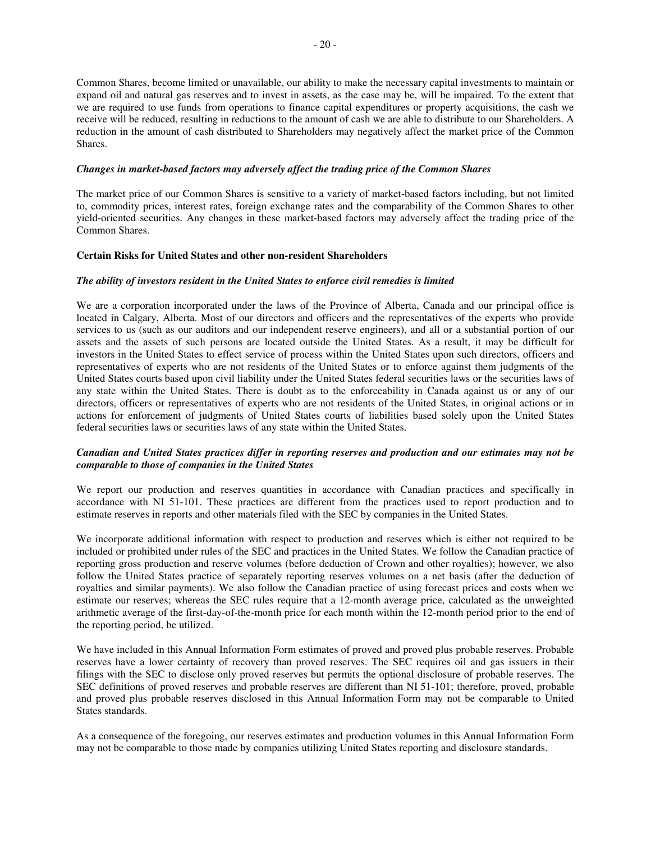Common Shares, become limited or unavailable, our ability to make the necessary capital investments to maintain or expand oil and natural gas reserves and to invest in assets, as the case may be, will be impaired. To the extent that we are required to use funds from operations to finance capital expenditures or property acquisitions, the cash we receive will be reduced, resulting in reductions to the amount of cash we are able to distribute to our Shareholders. A reduction in the amount of cash distributed to Shareholders may negatively affect the market price of the Common Shares.

#### *Changes in market-based factors may adversely affect the trading price of the Common Shares*

The market price of our Common Shares is sensitive to a variety of market-based factors including, but not limited to, commodity prices, interest rates, foreign exchange rates and the comparability of the Common Shares to other yield-oriented securities. Any changes in these market-based factors may adversely affect the trading price of the Common Shares.

#### **Certain Risks for United States and other non-resident Shareholders**

#### *The ability of investors resident in the United States to enforce civil remedies is limited*

We are a corporation incorporated under the laws of the Province of Alberta, Canada and our principal office is located in Calgary, Alberta. Most of our directors and officers and the representatives of the experts who provide services to us (such as our auditors and our independent reserve engineers), and all or a substantial portion of our assets and the assets of such persons are located outside the United States. As a result, it may be difficult for investors in the United States to effect service of process within the United States upon such directors, officers and representatives of experts who are not residents of the United States or to enforce against them judgments of the United States courts based upon civil liability under the United States federal securities laws or the securities laws of any state within the United States. There is doubt as to the enforceability in Canada against us or any of our directors, officers or representatives of experts who are not residents of the United States, in original actions or in actions for enforcement of judgments of United States courts of liabilities based solely upon the United States federal securities laws or securities laws of any state within the United States.

# *Canadian and United States practices differ in reporting reserves and production and our estimates may not be comparable to those of companies in the United States*

We report our production and reserves quantities in accordance with Canadian practices and specifically in accordance with NI 51-101. These practices are different from the practices used to report production and to estimate reserves in reports and other materials filed with the SEC by companies in the United States.

We incorporate additional information with respect to production and reserves which is either not required to be included or prohibited under rules of the SEC and practices in the United States. We follow the Canadian practice of reporting gross production and reserve volumes (before deduction of Crown and other royalties); however, we also follow the United States practice of separately reporting reserves volumes on a net basis (after the deduction of royalties and similar payments). We also follow the Canadian practice of using forecast prices and costs when we estimate our reserves; whereas the SEC rules require that a 12-month average price, calculated as the unweighted arithmetic average of the first-day-of-the-month price for each month within the 12-month period prior to the end of the reporting period, be utilized.

We have included in this Annual Information Form estimates of proved and proved plus probable reserves. Probable reserves have a lower certainty of recovery than proved reserves. The SEC requires oil and gas issuers in their filings with the SEC to disclose only proved reserves but permits the optional disclosure of probable reserves. The SEC definitions of proved reserves and probable reserves are different than NI 51-101; therefore, proved, probable and proved plus probable reserves disclosed in this Annual Information Form may not be comparable to United States standards.

As a consequence of the foregoing, our reserves estimates and production volumes in this Annual Information Form may not be comparable to those made by companies utilizing United States reporting and disclosure standards.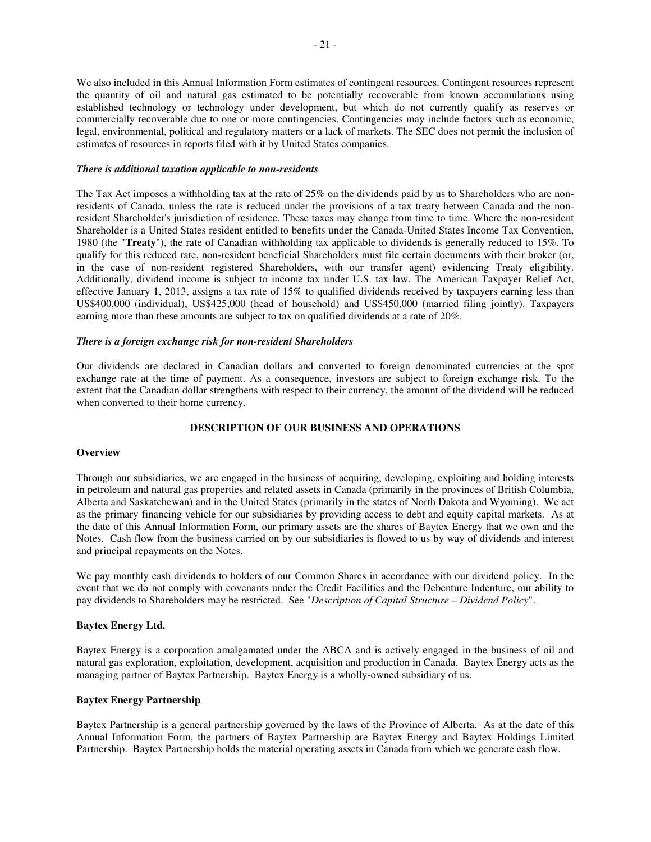We also included in this Annual Information Form estimates of contingent resources. Contingent resources represent the quantity of oil and natural gas estimated to be potentially recoverable from known accumulations using established technology or technology under development, but which do not currently qualify as reserves or commercially recoverable due to one or more contingencies. Contingencies may include factors such as economic, legal, environmental, political and regulatory matters or a lack of markets. The SEC does not permit the inclusion of estimates of resources in reports filed with it by United States companies.

#### *There is additional taxation applicable to non-residents*

The Tax Act imposes a withholding tax at the rate of 25% on the dividends paid by us to Shareholders who are nonresidents of Canada, unless the rate is reduced under the provisions of a tax treaty between Canada and the nonresident Shareholder's jurisdiction of residence. These taxes may change from time to time. Where the non-resident Shareholder is a United States resident entitled to benefits under the Canada-United States Income Tax Convention, 1980 (the "**Treaty**"), the rate of Canadian withholding tax applicable to dividends is generally reduced to 15%. To qualify for this reduced rate, non-resident beneficial Shareholders must file certain documents with their broker (or, in the case of non-resident registered Shareholders, with our transfer agent) evidencing Treaty eligibility. Additionally, dividend income is subject to income tax under U.S. tax law. The American Taxpayer Relief Act, effective January 1, 2013, assigns a tax rate of 15% to qualified dividends received by taxpayers earning less than US\$400,000 (individual), US\$425,000 (head of household) and US\$450,000 (married filing jointly). Taxpayers earning more than these amounts are subject to tax on qualified dividends at a rate of 20%.

#### *There is a foreign exchange risk for non-resident Shareholders*

Our dividends are declared in Canadian dollars and converted to foreign denominated currencies at the spot exchange rate at the time of payment. As a consequence, investors are subject to foreign exchange risk. To the extent that the Canadian dollar strengthens with respect to their currency, the amount of the dividend will be reduced when converted to their home currency.

#### **DESCRIPTION OF OUR BUSINESS AND OPERATIONS**

#### **Overview**

Through our subsidiaries, we are engaged in the business of acquiring, developing, exploiting and holding interests in petroleum and natural gas properties and related assets in Canada (primarily in the provinces of British Columbia, Alberta and Saskatchewan) and in the United States (primarily in the states of North Dakota and Wyoming). We act as the primary financing vehicle for our subsidiaries by providing access to debt and equity capital markets. As at the date of this Annual Information Form, our primary assets are the shares of Baytex Energy that we own and the Notes. Cash flow from the business carried on by our subsidiaries is flowed to us by way of dividends and interest and principal repayments on the Notes.

We pay monthly cash dividends to holders of our Common Shares in accordance with our dividend policy. In the event that we do not comply with covenants under the Credit Facilities and the Debenture Indenture, our ability to pay dividends to Shareholders may be restricted. See "*Description of Capital Structure – Dividend Policy*".

# **Baytex Energy Ltd.**

Baytex Energy is a corporation amalgamated under the ABCA and is actively engaged in the business of oil and natural gas exploration, exploitation, development, acquisition and production in Canada. Baytex Energy acts as the managing partner of Baytex Partnership. Baytex Energy is a wholly-owned subsidiary of us.

#### **Baytex Energy Partnership**

Baytex Partnership is a general partnership governed by the laws of the Province of Alberta. As at the date of this Annual Information Form, the partners of Baytex Partnership are Baytex Energy and Baytex Holdings Limited Partnership. Baytex Partnership holds the material operating assets in Canada from which we generate cash flow.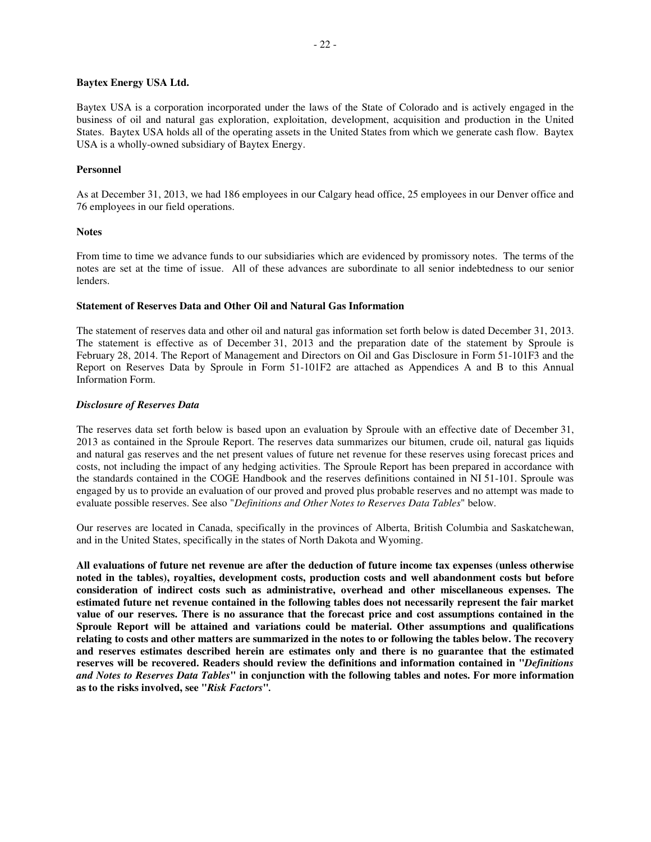#### **Baytex Energy USA Ltd.**

Baytex USA is a corporation incorporated under the laws of the State of Colorado and is actively engaged in the business of oil and natural gas exploration, exploitation, development, acquisition and production in the United States. Baytex USA holds all of the operating assets in the United States from which we generate cash flow. Baytex USA is a wholly-owned subsidiary of Baytex Energy.

#### **Personnel**

As at December 31, 2013, we had 186 employees in our Calgary head office, 25 employees in our Denver office and 76 employees in our field operations.

#### **Notes**

From time to time we advance funds to our subsidiaries which are evidenced by promissory notes. The terms of the notes are set at the time of issue. All of these advances are subordinate to all senior indebtedness to our senior lenders.

#### **Statement of Reserves Data and Other Oil and Natural Gas Information**

The statement of reserves data and other oil and natural gas information set forth below is dated December 31, 2013. The statement is effective as of December 31, 2013 and the preparation date of the statement by Sproule is February 28, 2014. The Report of Management and Directors on Oil and Gas Disclosure in Form 51-101F3 and the Report on Reserves Data by Sproule in Form 51-101F2 are attached as Appendices A and B to this Annual Information Form.

#### *Disclosure of Reserves Data*

The reserves data set forth below is based upon an evaluation by Sproule with an effective date of December 31, 2013 as contained in the Sproule Report. The reserves data summarizes our bitumen, crude oil, natural gas liquids and natural gas reserves and the net present values of future net revenue for these reserves using forecast prices and costs, not including the impact of any hedging activities. The Sproule Report has been prepared in accordance with the standards contained in the COGE Handbook and the reserves definitions contained in NI 51-101. Sproule was engaged by us to provide an evaluation of our proved and proved plus probable reserves and no attempt was made to evaluate possible reserves. See also "*Definitions and Other Notes to Reserves Data Tables*" below.

Our reserves are located in Canada, specifically in the provinces of Alberta, British Columbia and Saskatchewan, and in the United States, specifically in the states of North Dakota and Wyoming.

**All evaluations of future net revenue are after the deduction of future income tax expenses (unless otherwise noted in the tables), royalties, development costs, production costs and well abandonment costs but before consideration of indirect costs such as administrative, overhead and other miscellaneous expenses. The estimated future net revenue contained in the following tables does not necessarily represent the fair market value of our reserves. There is no assurance that the forecast price and cost assumptions contained in the Sproule Report will be attained and variations could be material. Other assumptions and qualifications relating to costs and other matters are summarized in the notes to or following the tables below. The recovery and reserves estimates described herein are estimates only and there is no guarantee that the estimated reserves will be recovered. Readers should review the definitions and information contained in "***Definitions and Notes to Reserves Data Tables***" in conjunction with the following tables and notes. For more information as to the risks involved, see "***Risk Factors***"***.*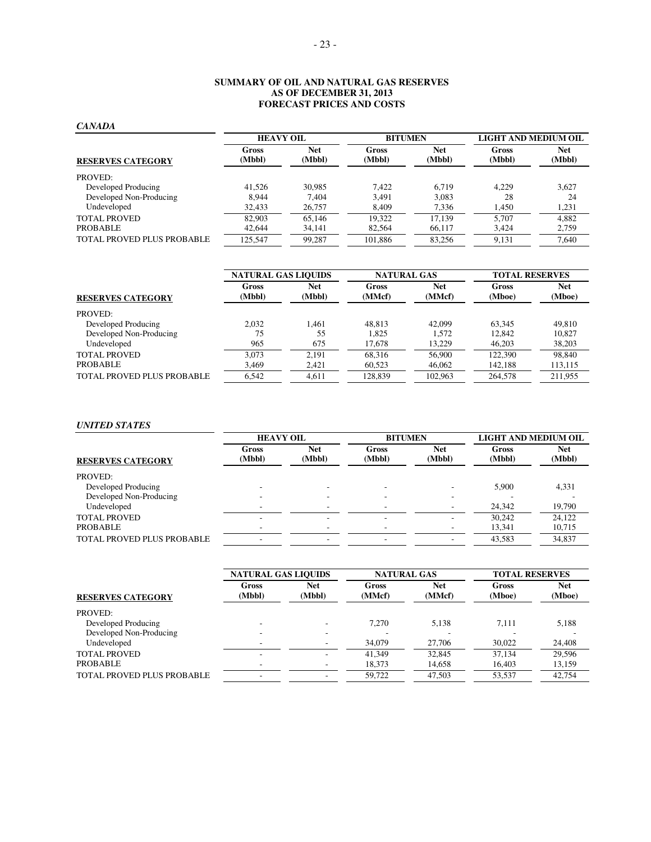#### **SUMMARY OF OIL AND NATURAL GAS RESERVES AS OF DECEMBER 31, 2013 FORECAST PRICES AND COSTS**

# *CANADA*

|                            | <b>HEAVY OIL</b> |                      | <b>BITUMEN</b>  |                      | LIGHT AND MEDIUM OIL |                      |
|----------------------------|------------------|----------------------|-----------------|----------------------|----------------------|----------------------|
| <b>RESERVES CATEGORY</b>   | Gross<br>(Mbbl)  | <b>Net</b><br>(Mbbl) | Gross<br>(Mbbl) | <b>Net</b><br>(Mbbl) | Gross<br>(Mbbl)      | <b>Net</b><br>(Mbbl) |
| PROVED:                    |                  |                      |                 |                      |                      |                      |
| Developed Producing        | 41.526           | 30.985               | 7.422           | 6.719                | 4.229                | 3,627                |
| Developed Non-Producing    | 8.944            | 7.404                | 3.491           | 3.083                | 28                   | 24                   |
| Undeveloped                | 32.433           | 26,757               | 8.409           | 7.336                | 1.450                | 1,231                |
| TOTAL PROVED               | 82.903           | 65.146               | 19.322          | 17.139               | 5.707                | 4,882                |
| <b>PROBABLE</b>            | 42,644           | 34.141               | 82.564          | 66.117               | 3,424                | 2,759                |
| TOTAL PROVED PLUS PROBABLE | 125,547          | 99.287               | 101.886         | 83.256               | 9.131                | 7.640                |

|                            | <b>NATURAL GAS LIQUIDS</b> |                      | <b>NATURAL GAS</b> |                      | <b>TOTAL RESERVES</b> |                      |
|----------------------------|----------------------------|----------------------|--------------------|----------------------|-----------------------|----------------------|
| <b>RESERVES CATEGORY</b>   | Gross<br>(Mbbl)            | <b>Net</b><br>(Mbbl) | Gross<br>(MMcf)    | <b>Net</b><br>(MMcf) | Gross<br>(Mboe)       | <b>Net</b><br>(Mboe) |
| PROVED:                    |                            |                      |                    |                      |                       |                      |
| Developed Producing        | 2.032                      | 1.461                | 48.813             | 42,099               | 63.345                | 49,810               |
| Developed Non-Producing    | 75                         | 55                   | 1.825              | 1.572                | 12.842                | 10,827               |
| Undeveloped                | 965                        | 675                  | 17.678             | 13,229               | 46,203                | 38,203               |
| <b>TOTAL PROVED</b>        | 3.073                      | 2.191                | 68.316             | 56,900               | 122,390               | 98.840               |
| <b>PROBABLE</b>            | 3.469                      | 2.421                | 60.523             | 46,062               | 142.188               | 113,115              |
| TOTAL PROVED PLUS PROBABLE | 6.542                      | 4.611                | 128.839            | 102.963              | 264,578               | 211.955              |

# *UNITED STATES*

| <b>RESERVES CATEGORY</b>   | <b>HEAVY OIL</b> |                      | <b>BITUMEN</b>  |                      | <b>LIGHT AND MEDIUM OIL</b> |                      |
|----------------------------|------------------|----------------------|-----------------|----------------------|-----------------------------|----------------------|
|                            | Gross<br>(Mbbl)  | <b>Net</b><br>(Mbbl) | Gross<br>(Mbbl) | <b>Net</b><br>(Mbbl) | Gross<br>(Mbbl)             | <b>Net</b><br>(Mbbl) |
| PROVED:                    |                  |                      |                 |                      |                             |                      |
| Developed Producing        |                  |                      |                 |                      | 5.900                       | 4,331                |
| Developed Non-Producing    |                  |                      |                 |                      |                             |                      |
| Undeveloped                |                  |                      |                 |                      | 24.342                      | 19,790               |
| <b>TOTAL PROVED</b>        |                  |                      |                 |                      | 30.242                      | 24.122               |
| <b>PROBABLE</b>            |                  |                      |                 |                      | 13.341                      | 10,715               |
| TOTAL PROVED PLUS PROBABLE |                  |                      |                 |                      | 43,583                      | 34,837               |

|                            | <b>NATURAL GAS LIQUIDS</b> |                      | <b>NATURAL GAS</b> |                      | <b>TOTAL RESERVES</b> |                      |
|----------------------------|----------------------------|----------------------|--------------------|----------------------|-----------------------|----------------------|
| <b>RESERVES CATEGORY</b>   | Gross<br>(Mbbl)            | <b>Net</b><br>(Mbbl) | Gross<br>(MMcf)    | <b>Net</b><br>(MMcf) | Gross<br>(Mboe)       | <b>Net</b><br>(Mboe) |
| PROVED:                    |                            |                      |                    |                      |                       |                      |
| Developed Producing        |                            |                      | 7.270              | 5.138                | 7.111                 | 5,188                |
| Developed Non-Producing    |                            |                      |                    |                      |                       |                      |
| Undeveloped                |                            |                      | 34,079             | 27,706               | 30.022                | 24,408               |
| <b>TOTAL PROVED</b>        |                            |                      | 41.349             | 32.845               | 37.134                | 29.596               |
| <b>PROBABLE</b>            |                            |                      | 18,373             | 14,658               | 16.403                | 13,159               |
| TOTAL PROVED PLUS PROBABLE |                            |                      | 59.722             | 47,503               | 53,537                | 42,754               |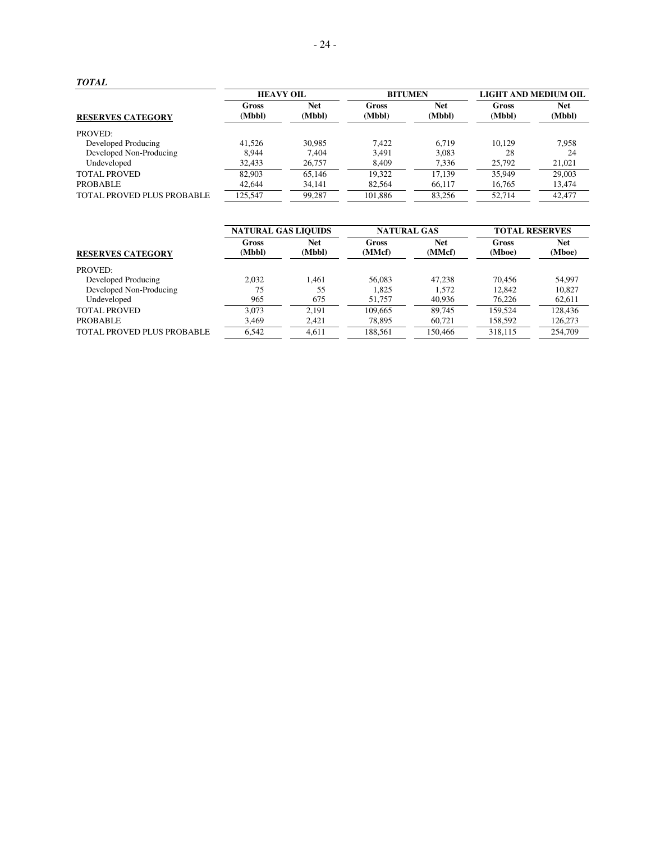# *TOTAL*

|                            | <b>HEAVY OIL</b> |                      | <b>BITUMEN</b>  |                      | LIGHT AND MEDIUM OIL |                      |
|----------------------------|------------------|----------------------|-----------------|----------------------|----------------------|----------------------|
| <b>RESERVES CATEGORY</b>   | Gross<br>(Mbbl)  | <b>Net</b><br>(Mbbl) | Gross<br>(Mbbl) | <b>Net</b><br>(Mbbl) | Gross<br>(Mbbl)      | <b>Net</b><br>(Mbbl) |
| PROVED:                    |                  |                      |                 |                      |                      |                      |
| Developed Producing        | 41.526           | 30.985               | 7.422           | 6.719                | 10.129               | 7,958                |
| Developed Non-Producing    | 8.944            | 7.404                | 3.491           | 3,083                | 28                   | 24                   |
| Undeveloped                | 32.433           | 26,757               | 8.409           | 7,336                | 25.792               | 21,021               |
| TOTAL PROVED               | 82,903           | 65.146               | 19.322          | 17.139               | 35.949               | 29,003               |
| <b>PROBABLE</b>            | 42,644           | 34.141               | 82.564          | 66,117               | 16,765               | 13,474               |
| TOTAL PROVED PLUS PROBABLE | 125.547          | 99,287               | 101.886         | 83.256               | 52.714               | 42,477               |

|                            | <b>NATURAL GAS LIQUIDS</b> |                      | <b>NATURAL GAS</b> |                      | <b>TOTAL RESERVES</b> |                      |
|----------------------------|----------------------------|----------------------|--------------------|----------------------|-----------------------|----------------------|
| <b>RESERVES CATEGORY</b>   | Gross<br>(Mbbl)            | <b>Net</b><br>(Mbbl) | Gross<br>(MMcf)    | <b>Net</b><br>(MMcf) | Gross<br>(Mboe)       | <b>Net</b><br>(Mboe) |
| PROVED:                    |                            |                      |                    |                      |                       |                      |
| Developed Producing        | 2.032                      | 1.461                | 56,083             | 47.238               | 70.456                | 54.997               |
| Developed Non-Producing    | 75                         | 55                   | 1.825              | 1.572                | 12.842                | 10.827               |
| Undeveloped                | 965                        | 675                  | 51.757             | 40.936               | 76.226                | 62,611               |
| <b>TOTAL PROVED</b>        | 3.073                      | 2.191                | 109.665            | 89.745               | 159.524               | 128.436              |
| <b>PROBABLE</b>            | 3,469                      | 2.421                | 78,895             | 60.721               | 158.592               | 126,273              |
| TOTAL PROVED PLUS PROBABLE | 6,542                      | 4,611                | 188,561            | 150.466              | 318.115               | 254,709              |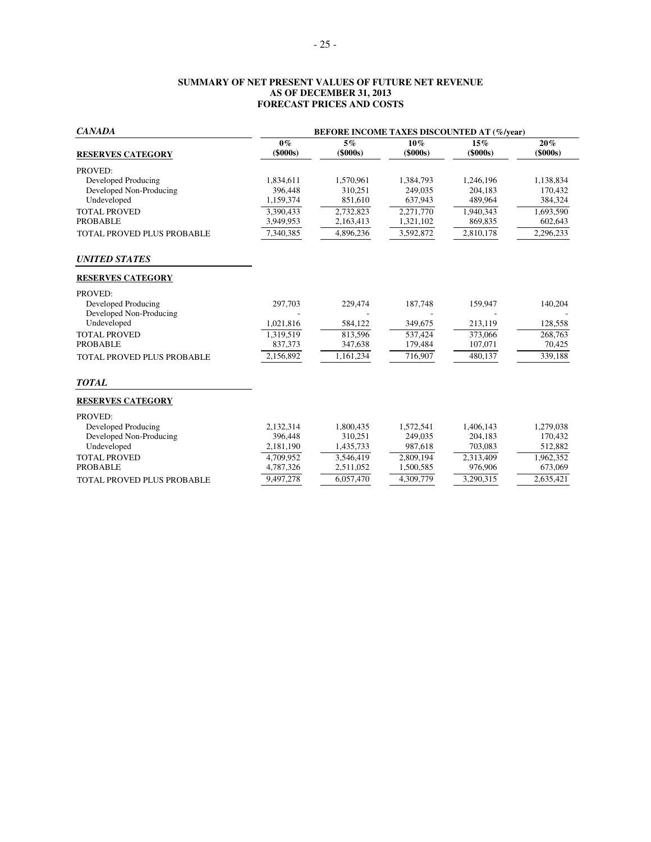#### **SUMMARY OF NET PRESENT VALUES OF FUTURE NET REVENUE AS OF DECEMBER 31, 2013 FORECAST PRICES AND COSTS**

| <b>CANADA</b>              | <b>BEFORE INCOME TAXES DISCOUNTED AT (%/year)</b> |                      |                          |                       |                       |  |  |  |
|----------------------------|---------------------------------------------------|----------------------|--------------------------|-----------------------|-----------------------|--|--|--|
| <b>RESERVES CATEGORY</b>   | $0\%$<br>$($ \$000s $)$                           | 5%<br>$($ \$000s $)$ | $10\%$<br>$($ \$000s $)$ | 15%<br>$($ \$000s $)$ | 20%<br>$($ \$000s $)$ |  |  |  |
| PROVED:                    |                                                   |                      |                          |                       |                       |  |  |  |
| Developed Producing        | 1,834,611                                         | 1,570,961            | 1,384,793                | 1,246,196             | 1,138,834             |  |  |  |
| Developed Non-Producing    | 396,448                                           | 310,251              | 249,035                  | 204,183               | 170,432               |  |  |  |
| Undeveloped                | 1,159,374                                         | 851,610              | 637,943                  | 489,964               | 384,324               |  |  |  |
| <b>TOTAL PROVED</b>        | 3,390,433                                         | 2,732,823            | 2,271,770                | 1,940,343             | 1,693,590             |  |  |  |
| <b>PROBABLE</b>            | 3,949,953                                         | 2,163,413            | 1,321,102                | 869,835               | 602,643               |  |  |  |
| TOTAL PROVED PLUS PROBABLE | 7,340,385                                         | 4,896,236            | 3,592,872                | 2,810,178             | 2,296,233             |  |  |  |
| <b>UNITED STATES</b>       |                                                   |                      |                          |                       |                       |  |  |  |
| <b>RESERVES CATEGORY</b>   |                                                   |                      |                          |                       |                       |  |  |  |
| PROVED:                    |                                                   |                      |                          |                       |                       |  |  |  |
| Developed Producing        | 297,703                                           | 229,474              | 187,748                  | 159,947               | 140,204               |  |  |  |
| Developed Non-Producing    |                                                   |                      |                          |                       |                       |  |  |  |
| Undeveloped                | 1,021,816                                         | 584,122              | 349,675                  | 213,119               | 128,558               |  |  |  |
| <b>TOTAL PROVED</b>        | 1,319,519                                         | 813,596              | 537.424                  | 373,066               | 268,763               |  |  |  |
| <b>PROBABLE</b>            | 837,373                                           | 347,638              | 179,484                  | 107,071               | 70,425                |  |  |  |
| TOTAL PROVED PLUS PROBABLE | 2,156,892                                         | 1,161,234            | 716.907                  | 480.137               | 339,188               |  |  |  |
| <b>TOTAL</b>               |                                                   |                      |                          |                       |                       |  |  |  |
| <b>RESERVES CATEGORY</b>   |                                                   |                      |                          |                       |                       |  |  |  |
| PROVED:                    |                                                   |                      |                          |                       |                       |  |  |  |
| Developed Producing        | 2,132,314                                         | 1,800,435            | 1,572,541                | 1.406.143             | 1,279,038             |  |  |  |
| Developed Non-Producing    | 396,448                                           | 310,251              | 249,035                  | 204,183               | 170,432               |  |  |  |
| Undeveloped                | 2,181,190                                         | 1,435,733            | 987,618                  | 703,083               | 512,882               |  |  |  |
| <b>TOTAL PROVED</b>        | 4,709,952                                         | 3,546,419            | 2,809,194                | 2,313,409             | 1,962,352             |  |  |  |
| <b>PROBABLE</b>            | 4,787,326                                         | 2,511,052            | 1,500,585                | 976,906               | 673,069               |  |  |  |
| TOTAL PROVED PLUS PROBABLE | 9,497,278                                         | 6,057,470            | 4,309,779                | 3,290,315             | 2,635,421             |  |  |  |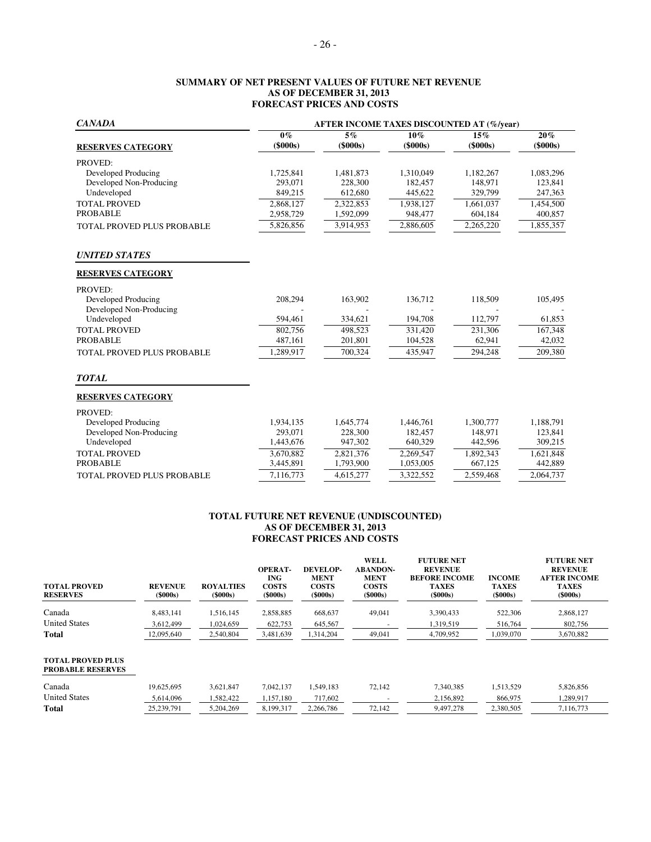#### **SUMMARY OF NET PRESENT VALUES OF FUTURE NET REVENUE AS OF DECEMBER 31, 2013 FORECAST PRICES AND COSTS**

| <b>CANADA</b>                     | <b>AFTER INCOME TAXES DISCOUNTED AT (%/year)</b> |                      |                    |                          |                       |  |  |  |
|-----------------------------------|--------------------------------------------------|----------------------|--------------------|--------------------------|-----------------------|--|--|--|
| <b>RESERVES CATEGORY</b>          | $0\%$<br>$($ \$000s $)$                          | 5%<br>$($ \$000s $)$ | $10\%$<br>(\$000s) | $15\%$<br>$($ \$000s $)$ | 20%<br>$($ \$000s $)$ |  |  |  |
| PROVED:                           |                                                  |                      |                    |                          |                       |  |  |  |
| Developed Producing               | 1,725,841                                        | 1,481,873            | 1,310,049          | 1,182,267                | 1,083,296             |  |  |  |
| Developed Non-Producing           | 293,071                                          | 228,300              | 182,457            | 148,971                  | 123,841               |  |  |  |
| Undeveloped                       | 849,215                                          | 612,680              | 445,622            | 329,799                  | 247,363               |  |  |  |
| <b>TOTAL PROVED</b>               | 2,868,127                                        | 2,322,853            | 1,938,127          | 1,661,037                | 1,454,500             |  |  |  |
| <b>PROBABLE</b>                   | 2,958,729                                        | 1,592,099            | 948,477            | 604,184                  | 400,857               |  |  |  |
| <b>TOTAL PROVED PLUS PROBABLE</b> | 5,826,856                                        | 3,914,953            | 2,886,605          | 2,265,220                | 1,855,357             |  |  |  |
| <b>UNITED STATES</b>              |                                                  |                      |                    |                          |                       |  |  |  |
| <b>RESERVES CATEGORY</b>          |                                                  |                      |                    |                          |                       |  |  |  |
| PROVED:                           |                                                  |                      |                    |                          |                       |  |  |  |
| Developed Producing               | 208,294                                          | 163,902              | 136,712            | 118,509                  | 105,495               |  |  |  |
| Developed Non-Producing           |                                                  |                      |                    |                          |                       |  |  |  |
| Undeveloped                       | 594,461                                          | 334,621              | 194,708            | 112,797                  | 61,853                |  |  |  |
| <b>TOTAL PROVED</b>               | 802,756                                          | 498,523              | 331,420            | 231,306                  | 167,348               |  |  |  |
| <b>PROBABLE</b>                   | 487,161                                          | 201,801              | 104,528            | 62,941                   | 42,032                |  |  |  |
| TOTAL PROVED PLUS PROBABLE        | 1,289,917                                        | 700,324              | 435,947            | 294,248                  | 209,380               |  |  |  |
| <b>TOTAL</b>                      |                                                  |                      |                    |                          |                       |  |  |  |
| <b>RESERVES CATEGORY</b>          |                                                  |                      |                    |                          |                       |  |  |  |
| PROVED:                           |                                                  |                      |                    |                          |                       |  |  |  |
| Developed Producing               | 1,934,135                                        | 1,645,774            | 1,446,761          | 1,300,777                | 1,188,791             |  |  |  |
| Developed Non-Producing           | 293,071                                          | 228,300              | 182,457            | 148,971                  | 123,841               |  |  |  |
| Undeveloped                       | 1,443,676                                        | 947,302              | 640,329            | 442,596                  | 309,215               |  |  |  |
| <b>TOTAL PROVED</b>               | 3,670,882                                        | 2,821,376            | 2,269,547          | 1,892,343                | 1,621,848             |  |  |  |
| <b>PROBABLE</b>                   | 3,445,891                                        | 1,793,900            | 1,053,005          | 667,125                  | 442,889               |  |  |  |
| <b>TOTAL PROVED PLUS PROBABLE</b> | 7.116.773                                        | 4.615.277            | 3,322,552          | 2.559.468                | 2,064,737             |  |  |  |

#### **TOTAL FUTURE NET REVENUE (UNDISCOUNTED) AS OF DECEMBER 31, 2013 FORECAST PRICES AND COSTS**

| <b>TOTAL PROVED</b><br><b>RESERVES</b>               | <b>REVENUE</b><br>$(\$000s)$ | <b>ROYALTIES</b><br>$($ \$000s $)$ | <b>OPERAT-</b><br><b>ING</b><br><b>COSTS</b><br>(\$000s) | DEVELOP-<br><b>MENT</b><br><b>COSTS</b><br>$($ \$000s $)$ | WELL<br><b>ABANDON-</b><br><b>MENT</b><br><b>COSTS</b><br>$($ \$000s $)$ | <b>FUTURE NET</b><br><b>REVENUE</b><br><b>BEFORE INCOME</b><br><b>TAXES</b><br>$(\$000s)$ | <b>INCOME</b><br><b>TAXES</b><br>(\$000s) | <b>FUTURE NET</b><br><b>REVENUE</b><br><b>AFTER INCOME</b><br><b>TAXES</b><br>$($ \$000s $)$ |
|------------------------------------------------------|------------------------------|------------------------------------|----------------------------------------------------------|-----------------------------------------------------------|--------------------------------------------------------------------------|-------------------------------------------------------------------------------------------|-------------------------------------------|----------------------------------------------------------------------------------------------|
| Canada                                               | 8.483.141                    | 1,516,145                          | 2,858,885                                                | 668,637                                                   | 49,041                                                                   | 3.390.433                                                                                 | 522,306                                   | 2,868,127                                                                                    |
| <b>United States</b>                                 | 3.612.499                    | 1.024.659                          | 622,753                                                  | 645,567                                                   |                                                                          | 1.319.519                                                                                 | 516.764                                   | 802.756                                                                                      |
| Total                                                | 12.095.640                   | 2,540,804                          | 3,481,639                                                | 1,314,204                                                 | 49,041                                                                   | 4,709,952                                                                                 | 1,039,070                                 | 3,670,882                                                                                    |
| <b>TOTAL PROVED PLUS</b><br><b>PROBABLE RESERVES</b> |                              |                                    |                                                          |                                                           |                                                                          |                                                                                           |                                           |                                                                                              |
| Canada                                               | 19.625.695                   | 3.621.847                          | 7.042.137                                                | 1.549.183                                                 | 72,142                                                                   | 7.340.385                                                                                 | 1,513,529                                 | 5,826,856                                                                                    |
| <b>United States</b>                                 | 5,614,096                    | 1,582,422                          | 1,157,180                                                | 717,602                                                   |                                                                          | 2,156,892                                                                                 | 866,975                                   | 1,289,917                                                                                    |
| Total                                                | 25,239,791                   | 5,204,269                          | 8,199,317                                                | 2,266,786                                                 | 72,142                                                                   | 9,497,278                                                                                 | 2,380,505                                 | 7,116,773                                                                                    |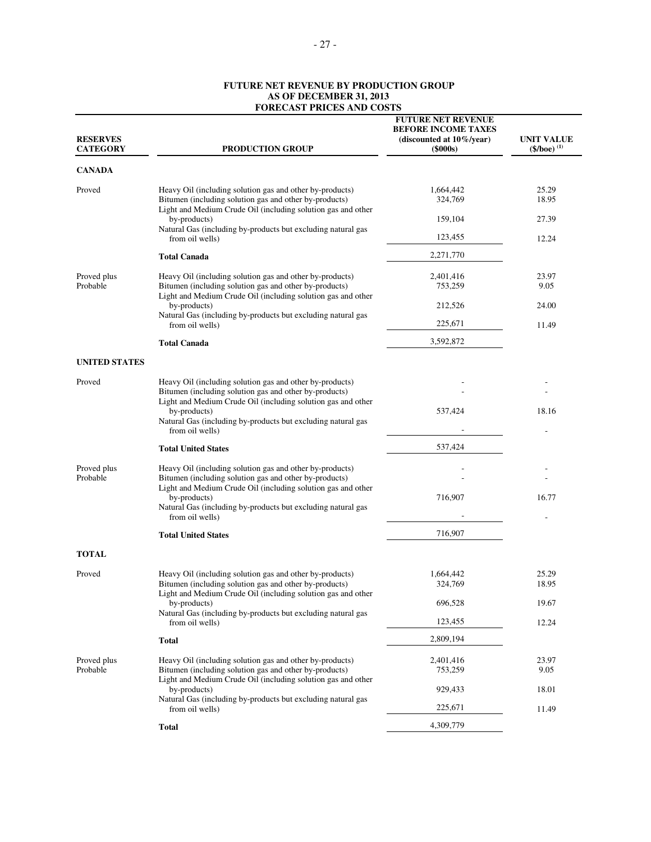#### **FUTURE NET REVENUE BY PRODUCTION GROUP AS OF DECEMBER 31, 2013 FORECAST PRICES AND COSTS**

| <b>RESERVES</b><br><b>CATEGORY</b> | <b>PRODUCTION GROUP</b>                                                                                                                                                            | <b>FUTURE NET REVENUE</b><br><b>BEFORE INCOME TAXES</b><br>(discounted at 10%/year)<br>$($ \$000s $)$ | <b>UNIT VALUE</b><br>$$/boe$$ <sup>(1)</sup> |
|------------------------------------|------------------------------------------------------------------------------------------------------------------------------------------------------------------------------------|-------------------------------------------------------------------------------------------------------|----------------------------------------------|
| <b>CANADA</b>                      |                                                                                                                                                                                    |                                                                                                       |                                              |
| Proved                             | Heavy Oil (including solution gas and other by-products)<br>Bitumen (including solution gas and other by-products)<br>Light and Medium Crude Oil (including solution gas and other | 1,664,442<br>324,769                                                                                  | 25.29<br>18.95                               |
|                                    | by-products)<br>Natural Gas (including by-products but excluding natural gas                                                                                                       | 159,104                                                                                               | 27.39                                        |
|                                    | from oil wells)                                                                                                                                                                    | 123,455                                                                                               | 12.24                                        |
|                                    | <b>Total Canada</b>                                                                                                                                                                | 2,271,770                                                                                             |                                              |
| Proved plus<br>Probable            | Heavy Oil (including solution gas and other by-products)<br>Bitumen (including solution gas and other by-products)<br>Light and Medium Crude Oil (including solution gas and other | 2,401,416<br>753,259                                                                                  | 23.97<br>9.05                                |
|                                    | by-products)<br>Natural Gas (including by-products but excluding natural gas                                                                                                       | 212,526                                                                                               | 24.00                                        |
|                                    | from oil wells)                                                                                                                                                                    | 225,671                                                                                               | 11.49                                        |
|                                    | <b>Total Canada</b>                                                                                                                                                                | 3,592,872                                                                                             |                                              |
| <b>UNITED STATES</b>               |                                                                                                                                                                                    |                                                                                                       |                                              |
| Proved                             | Heavy Oil (including solution gas and other by-products)<br>Bitumen (including solution gas and other by-products)<br>Light and Medium Crude Oil (including solution gas and other |                                                                                                       |                                              |
|                                    | by-products)<br>Natural Gas (including by-products but excluding natural gas<br>from oil wells)                                                                                    | 537,424                                                                                               | 18.16                                        |
|                                    | <b>Total United States</b>                                                                                                                                                         | 537,424                                                                                               |                                              |
| Proved plus<br>Probable            | Heavy Oil (including solution gas and other by-products)<br>Bitumen (including solution gas and other by-products)<br>Light and Medium Crude Oil (including solution gas and other |                                                                                                       |                                              |
|                                    | by-products)<br>Natural Gas (including by-products but excluding natural gas<br>from oil wells)                                                                                    | 716,907                                                                                               | 16.77                                        |
|                                    | <b>Total United States</b>                                                                                                                                                         | 716,907                                                                                               |                                              |
| <b>TOTAL</b>                       |                                                                                                                                                                                    |                                                                                                       |                                              |
| Proved                             | Heavy Oil (including solution gas and other by-products)<br>Bitumen (including solution gas and other by-products)                                                                 | 1,664,442<br>324,769                                                                                  | 25.29<br>18.95                               |
|                                    | Light and Medium Crude Oil (including solution gas and other<br>by-products)                                                                                                       | 696,528                                                                                               | 19.67                                        |
|                                    | Natural Gas (including by-products but excluding natural gas<br>from oil wells)                                                                                                    | 123,455                                                                                               | 12.24                                        |
|                                    | <b>Total</b>                                                                                                                                                                       | 2,809,194                                                                                             |                                              |
| Proved plus<br>Probable            | Heavy Oil (including solution gas and other by-products)<br>Bitumen (including solution gas and other by-products)<br>Light and Medium Crude Oil (including solution gas and other | 2,401,416<br>753,259                                                                                  | 23.97<br>9.05                                |
|                                    | by-products)<br>Natural Gas (including by-products but excluding natural gas                                                                                                       | 929,433                                                                                               | 18.01                                        |
|                                    | from oil wells)                                                                                                                                                                    | 225,671                                                                                               | 11.49                                        |
|                                    | <b>Total</b>                                                                                                                                                                       | 4,309,779                                                                                             |                                              |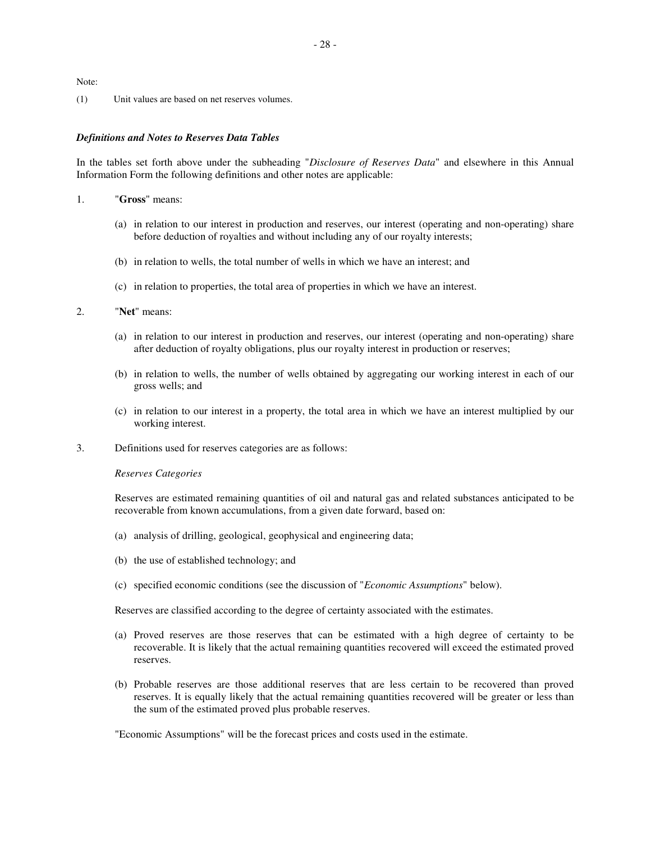Note:

(1) Unit values are based on net reserves volumes.

#### *Definitions and Notes to Reserves Data Tables*

In the tables set forth above under the subheading "*Disclosure of Reserves Data*" and elsewhere in this Annual Information Form the following definitions and other notes are applicable:

- 1. "**Gross**" means:
	- (a) in relation to our interest in production and reserves, our interest (operating and non-operating) share before deduction of royalties and without including any of our royalty interests;
	- (b) in relation to wells, the total number of wells in which we have an interest; and
	- (c) in relation to properties, the total area of properties in which we have an interest.
- 2. "**Net**" means:
	- (a) in relation to our interest in production and reserves, our interest (operating and non-operating) share after deduction of royalty obligations, plus our royalty interest in production or reserves;
	- (b) in relation to wells, the number of wells obtained by aggregating our working interest in each of our gross wells; and
	- (c) in relation to our interest in a property, the total area in which we have an interest multiplied by our working interest.
- 3. Definitions used for reserves categories are as follows:

#### *Reserves Categories*

Reserves are estimated remaining quantities of oil and natural gas and related substances anticipated to be recoverable from known accumulations, from a given date forward, based on:

- (a) analysis of drilling, geological, geophysical and engineering data;
- (b) the use of established technology; and
- (c) specified economic conditions (see the discussion of "*Economic Assumptions*" below).

Reserves are classified according to the degree of certainty associated with the estimates.

- (a) Proved reserves are those reserves that can be estimated with a high degree of certainty to be recoverable. It is likely that the actual remaining quantities recovered will exceed the estimated proved reserves.
- (b) Probable reserves are those additional reserves that are less certain to be recovered than proved reserves. It is equally likely that the actual remaining quantities recovered will be greater or less than the sum of the estimated proved plus probable reserves.

"Economic Assumptions" will be the forecast prices and costs used in the estimate.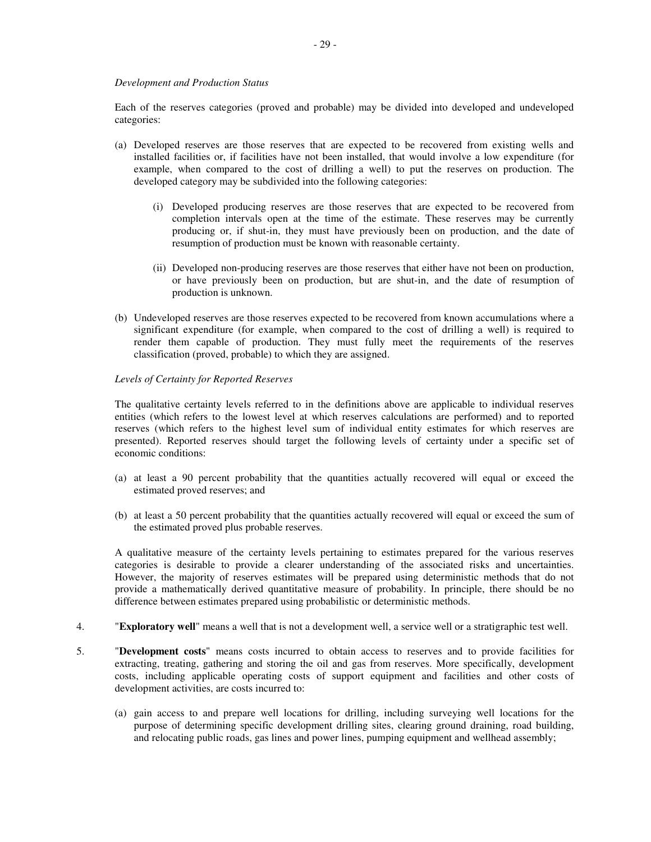#### *Development and Production Status*

Each of the reserves categories (proved and probable) may be divided into developed and undeveloped categories:

- (a) Developed reserves are those reserves that are expected to be recovered from existing wells and installed facilities or, if facilities have not been installed, that would involve a low expenditure (for example, when compared to the cost of drilling a well) to put the reserves on production. The developed category may be subdivided into the following categories:
	- (i) Developed producing reserves are those reserves that are expected to be recovered from completion intervals open at the time of the estimate. These reserves may be currently producing or, if shut-in, they must have previously been on production, and the date of resumption of production must be known with reasonable certainty.
	- (ii) Developed non-producing reserves are those reserves that either have not been on production, or have previously been on production, but are shut-in, and the date of resumption of production is unknown.
- (b) Undeveloped reserves are those reserves expected to be recovered from known accumulations where a significant expenditure (for example, when compared to the cost of drilling a well) is required to render them capable of production. They must fully meet the requirements of the reserves classification (proved, probable) to which they are assigned.

# *Levels of Certainty for Reported Reserves*

The qualitative certainty levels referred to in the definitions above are applicable to individual reserves entities (which refers to the lowest level at which reserves calculations are performed) and to reported reserves (which refers to the highest level sum of individual entity estimates for which reserves are presented). Reported reserves should target the following levels of certainty under a specific set of economic conditions:

- (a) at least a 90 percent probability that the quantities actually recovered will equal or exceed the estimated proved reserves; and
- (b) at least a 50 percent probability that the quantities actually recovered will equal or exceed the sum of the estimated proved plus probable reserves.

A qualitative measure of the certainty levels pertaining to estimates prepared for the various reserves categories is desirable to provide a clearer understanding of the associated risks and uncertainties. However, the majority of reserves estimates will be prepared using deterministic methods that do not provide a mathematically derived quantitative measure of probability. In principle, there should be no difference between estimates prepared using probabilistic or deterministic methods.

- 4. "**Exploratory well**" means a well that is not a development well, a service well or a stratigraphic test well.
- 5. "**Development costs**" means costs incurred to obtain access to reserves and to provide facilities for extracting, treating, gathering and storing the oil and gas from reserves. More specifically, development costs, including applicable operating costs of support equipment and facilities and other costs of development activities, are costs incurred to:
	- (a) gain access to and prepare well locations for drilling, including surveying well locations for the purpose of determining specific development drilling sites, clearing ground draining, road building, and relocating public roads, gas lines and power lines, pumping equipment and wellhead assembly;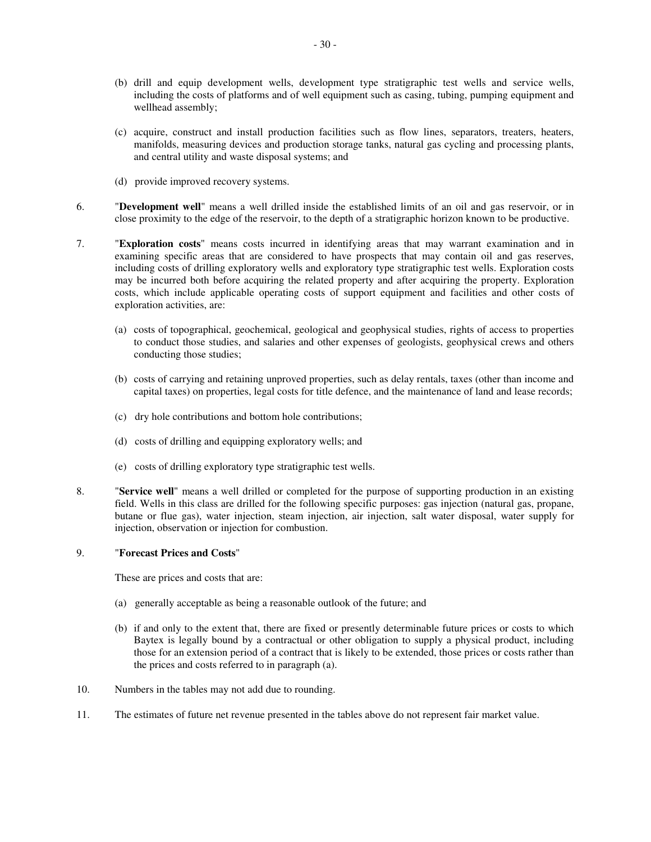- (b) drill and equip development wells, development type stratigraphic test wells and service wells, including the costs of platforms and of well equipment such as casing, tubing, pumping equipment and wellhead assembly;
- (c) acquire, construct and install production facilities such as flow lines, separators, treaters, heaters, manifolds, measuring devices and production storage tanks, natural gas cycling and processing plants, and central utility and waste disposal systems; and
- (d) provide improved recovery systems.
- 6. "**Development well**" means a well drilled inside the established limits of an oil and gas reservoir, or in close proximity to the edge of the reservoir, to the depth of a stratigraphic horizon known to be productive.
- 7. "**Exploration costs**" means costs incurred in identifying areas that may warrant examination and in examining specific areas that are considered to have prospects that may contain oil and gas reserves, including costs of drilling exploratory wells and exploratory type stratigraphic test wells. Exploration costs may be incurred both before acquiring the related property and after acquiring the property. Exploration costs, which include applicable operating costs of support equipment and facilities and other costs of exploration activities, are:
	- (a) costs of topographical, geochemical, geological and geophysical studies, rights of access to properties to conduct those studies, and salaries and other expenses of geologists, geophysical crews and others conducting those studies;
	- (b) costs of carrying and retaining unproved properties, such as delay rentals, taxes (other than income and capital taxes) on properties, legal costs for title defence, and the maintenance of land and lease records;
	- (c) dry hole contributions and bottom hole contributions;
	- (d) costs of drilling and equipping exploratory wells; and
	- (e) costs of drilling exploratory type stratigraphic test wells.
- 8. "**Service well**" means a well drilled or completed for the purpose of supporting production in an existing field. Wells in this class are drilled for the following specific purposes: gas injection (natural gas, propane, butane or flue gas), water injection, steam injection, air injection, salt water disposal, water supply for injection, observation or injection for combustion.

#### 9. "**Forecast Prices and Costs**"

These are prices and costs that are:

- (a) generally acceptable as being a reasonable outlook of the future; and
- (b) if and only to the extent that, there are fixed or presently determinable future prices or costs to which Baytex is legally bound by a contractual or other obligation to supply a physical product, including those for an extension period of a contract that is likely to be extended, those prices or costs rather than the prices and costs referred to in paragraph (a).
- 10. Numbers in the tables may not add due to rounding.
- 11. The estimates of future net revenue presented in the tables above do not represent fair market value.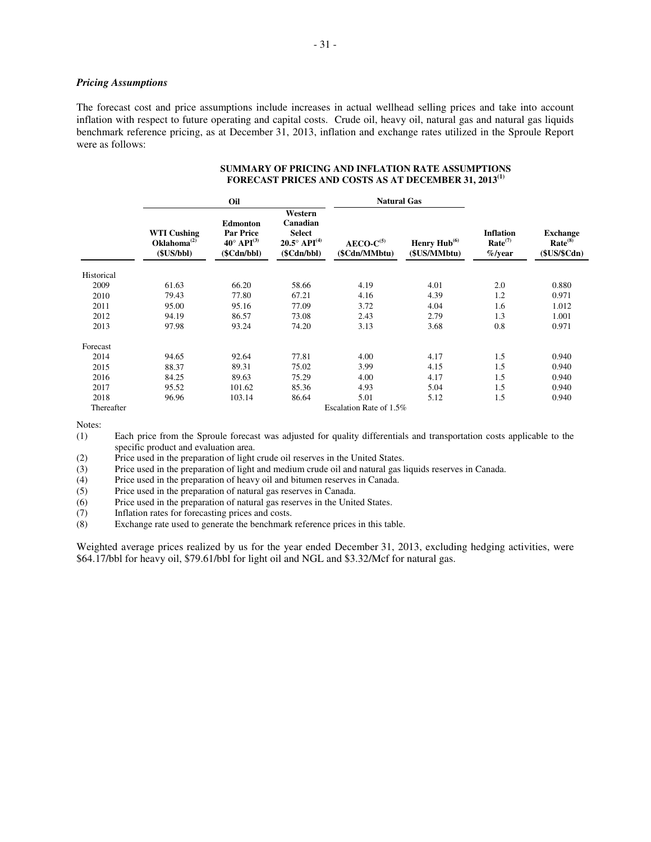# *Pricing Assumptions*

The forecast cost and price assumptions include increases in actual wellhead selling prices and take into account inflation with respect to future operating and capital costs. Crude oil, heavy oil, natural gas and natural gas liquids benchmark reference pricing, as at December 31, 2013, inflation and exchange rates utilized in the Sproule Report were as follows:

|            | Oil                                                        |                                                                                    | <b>Natural Gas</b>                                                                      |                              |                                   |                                                       |                                                      |
|------------|------------------------------------------------------------|------------------------------------------------------------------------------------|-----------------------------------------------------------------------------------------|------------------------------|-----------------------------------|-------------------------------------------------------|------------------------------------------------------|
|            | <b>WTI Cushing</b><br>Oklahoma <sup>(2)</sup><br>(SUS/bbl) | <b>Edmonton</b><br><b>Par Price</b><br>$40^\circ$ API <sup>(3)</sup><br>(SCdn/bbl) | Western<br>Canadian<br><b>Select</b><br>$20.5^{\circ}$ API <sup>(4)</sup><br>(SCdn/bbl) | $AECO-C(5)$<br>(\$Cdn/MMbtu) | Henry $Hub^{(6)}$<br>(\$US/MMbtu) | <b>Inflation</b><br>Rate <sup>(7)</sup><br>$\%$ /year | <b>Exchange</b><br>Rate <sup>(8)</sup><br>(SUS/SCdn) |
| Historical |                                                            |                                                                                    |                                                                                         |                              |                                   |                                                       |                                                      |
| 2009       | 61.63                                                      | 66.20                                                                              | 58.66                                                                                   | 4.19                         | 4.01                              | 2.0                                                   | 0.880                                                |
| 2010       | 79.43                                                      | 77.80                                                                              | 67.21                                                                                   | 4.16                         | 4.39                              | 1.2                                                   | 0.971                                                |
| 2011       | 95.00                                                      | 95.16                                                                              | 77.09                                                                                   | 3.72                         | 4.04                              | 1.6                                                   | 1.012                                                |
| 2012       | 94.19                                                      | 86.57                                                                              | 73.08                                                                                   | 2.43                         | 2.79                              | 1.3                                                   | 1.001                                                |
| 2013       | 97.98                                                      | 93.24                                                                              | 74.20                                                                                   | 3.13                         | 3.68                              | 0.8                                                   | 0.971                                                |
| Forecast   |                                                            |                                                                                    |                                                                                         |                              |                                   |                                                       |                                                      |
| 2014       | 94.65                                                      | 92.64                                                                              | 77.81                                                                                   | 4.00                         | 4.17                              | 1.5                                                   | 0.940                                                |
| 2015       | 88.37                                                      | 89.31                                                                              | 75.02                                                                                   | 3.99                         | 4.15                              | 1.5                                                   | 0.940                                                |
| 2016       | 84.25                                                      | 89.63                                                                              | 75.29                                                                                   | 4.00                         | 4.17                              | 1.5                                                   | 0.940                                                |
| 2017       | 95.52                                                      | 101.62                                                                             | 85.36                                                                                   | 4.93                         | 5.04                              | 1.5                                                   | 0.940                                                |
| 2018       | 96.96                                                      | 103.14                                                                             | 86.64                                                                                   | 5.01                         | 5.12                              | 1.5                                                   | 0.940                                                |
| Thereafter |                                                            |                                                                                    |                                                                                         | Escalation Rate of 1.5%      |                                   |                                                       |                                                      |

# **SUMMARY OF PRICING AND INFLATION RATE ASSUMPTIONS FORECAST PRICES AND COSTS AS AT DECEMBER 31, 2013(1)**

Notes:

(1) Each price from the Sproule forecast was adjusted for quality differentials and transportation costs applicable to the specific product and evaluation area.

(2) Price used in the preparation of light crude oil reserves in the United States.<br>(3) Price used in the preparation of light and medium crude oil and natural gas l

(3) Price used in the preparation of light and medium crude oil and natural gas liquids reserves in Canada.<br>(4) Price used in the preparation of heavy oil and bitumen reserves in Canada.

Price used in the preparation of heavy oil and bitumen reserves in Canada.

(5) Price used in the preparation of natural gas reserves in Canada.

(6) Price used in the preparation of natural gas reserves in the United States.

(7) Inflation rates for forecasting prices and costs.

(8) Exchange rate used to generate the benchmark reference prices in this table.

Weighted average prices realized by us for the year ended December 31, 2013, excluding hedging activities, were \$64.17/bbl for heavy oil, \$79.61/bbl for light oil and NGL and \$3.32/Mcf for natural gas.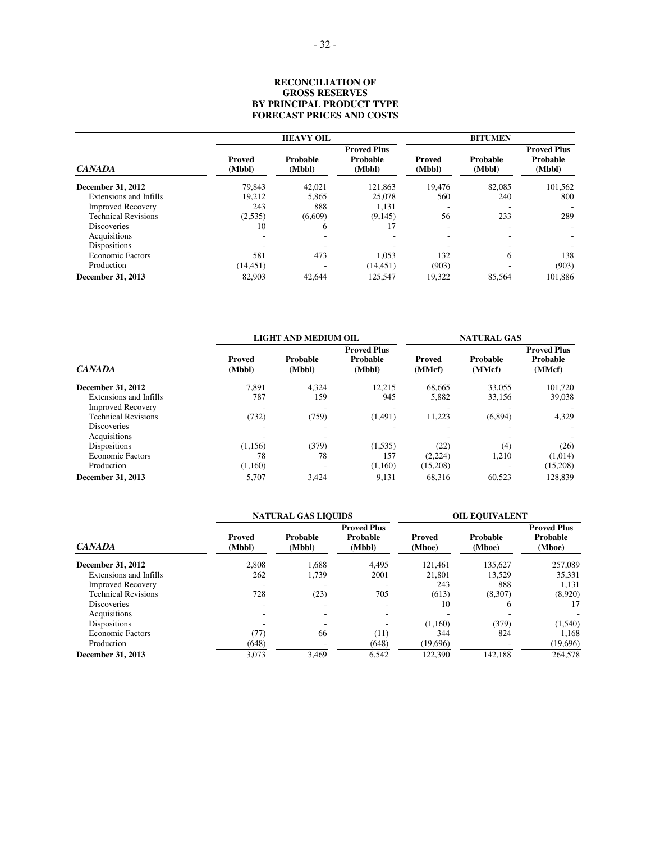#### **RECONCILIATION OF GROSS RESERVES BY PRINCIPAL PRODUCT TYPE FORECAST PRICES AND COSTS**

|                            |                         | <b>HEAVY OIL</b>   |                                          | <b>BITUMEN</b>           |                    |                                          |  |
|----------------------------|-------------------------|--------------------|------------------------------------------|--------------------------|--------------------|------------------------------------------|--|
| <b>CANADA</b>              | <b>Proved</b><br>(Mbbl) | Probable<br>(Mbbl) | <b>Proved Plus</b><br>Probable<br>(Mbbl) | Proved<br>(Mbbl)         | Probable<br>(Mbbl) | <b>Proved Plus</b><br>Probable<br>(Mbbl) |  |
| <b>December 31, 2012</b>   | 79.843                  | 42.021             | 121.863                                  | 19.476                   | 82,085             | 101.562                                  |  |
| Extensions and Infills     | 19,212                  | 5.865              | 25,078                                   | 560                      | 240                | 800                                      |  |
| <b>Improved Recovery</b>   | 243                     | 888                | 1.131                                    |                          |                    |                                          |  |
| <b>Technical Revisions</b> | (2,535)                 | (6,609)            | (9,145)                                  | 56                       | 233                | 289                                      |  |
| <b>Discoveries</b>         | 10                      | 6                  | 17                                       | $\overline{\phantom{a}}$ |                    | $\overline{\phantom{a}}$                 |  |
| Acquisitions               |                         |                    |                                          |                          |                    |                                          |  |
| <b>Dispositions</b>        |                         |                    |                                          |                          |                    |                                          |  |
| <b>Economic Factors</b>    | 581                     | 473                | 1.053                                    | 132                      | 6                  | 138                                      |  |
| Production                 | (14, 451)               | -                  | (14, 451)                                | (903)                    |                    | (903)                                    |  |
| December 31, 2013          | 82,903                  | 42,644             | 125,547                                  | 19,322                   | 85,564             | 101,886                                  |  |

|                            |                         | LIGHT AND MEDIUM OIL |                                          | <b>NATURAL GAS</b>      |                    |                                          |
|----------------------------|-------------------------|----------------------|------------------------------------------|-------------------------|--------------------|------------------------------------------|
| <b>CANADA</b>              | <b>Proved</b><br>(Mbbl) | Probable<br>(Mbbl)   | <b>Proved Plus</b><br>Probable<br>(Mbbl) | <b>Proved</b><br>(MMcf) | Probable<br>(MMcf) | <b>Proved Plus</b><br>Probable<br>(MMcf) |
| <b>December 31, 2012</b>   | 7,891                   | 4,324                | 12.215                                   | 68,665                  | 33,055             | 101,720                                  |
| Extensions and Infills     | 787                     | 159                  | 945                                      | 5,882                   | 33,156             | 39,038                                   |
| <b>Improved Recovery</b>   |                         |                      |                                          |                         |                    |                                          |
| <b>Technical Revisions</b> | (732)                   | (759)                | (1, 491)                                 | 11,223                  | (6,894)            | 4,329                                    |
| <b>Discoveries</b>         |                         |                      |                                          |                         |                    |                                          |
| Acquisitions               |                         |                      |                                          |                         |                    |                                          |
| <b>Dispositions</b>        | (1,156)                 | (379)                | (1,535)                                  | (22)                    | (4)                | (26)                                     |
| <b>Economic Factors</b>    | 78                      | 78                   | 157                                      | (2,224)                 | 1.210              | (1,014)                                  |
| Production                 | (1,160)                 |                      | (1,160)                                  | (15,208)                |                    | (15,208)                                 |
| December 31, 2013          | 5,707                   | 3,424                | 9,131                                    | 68,316                  | 60,523             | 128,839                                  |

|                            |                         | <b>NATURAL GAS LIQUIDS</b> |                                          | <b>OIL EQUIVALENT</b>   |                    |                                          |
|----------------------------|-------------------------|----------------------------|------------------------------------------|-------------------------|--------------------|------------------------------------------|
| <b>CANADA</b>              | <b>Proved</b><br>(Mbbl) | Probable<br>(Mbbl)         | <b>Proved Plus</b><br>Probable<br>(Mbbl) | <b>Proved</b><br>(Mboe) | Probable<br>(Mboe) | <b>Proved Plus</b><br>Probable<br>(Mboe) |
| December 31, 2012          | 2.808                   | 1,688                      | 4.495                                    | 121.461                 | 135.627            | 257,089                                  |
| Extensions and Infills     | 262                     | 1,739                      | 2001                                     | 21.801                  | 13,529             | 35,331                                   |
| <b>Improved Recovery</b>   |                         |                            |                                          | 243                     | 888                | 1,131                                    |
| <b>Technical Revisions</b> | 728                     | (23)                       | 705                                      | (613)                   | (8,307)            | (8,920)                                  |
| <b>Discoveries</b>         |                         | -                          | ۰                                        | 10                      | 6                  | 17                                       |
| Acquisitions               |                         |                            |                                          |                         |                    |                                          |
| <b>Dispositions</b>        |                         | -                          |                                          | (1,160)                 | (379)              | (1,540)                                  |
| <b>Economic Factors</b>    | (77)                    | 66                         | (11)                                     | 344                     | 824                | 1,168                                    |
| Production                 | (648)                   |                            | (648)                                    | (19,696)                |                    | (19,696)                                 |
| December 31, 2013          | 3,073                   | 3,469                      | 6,542                                    | 122,390                 | 142,188            | 264,578                                  |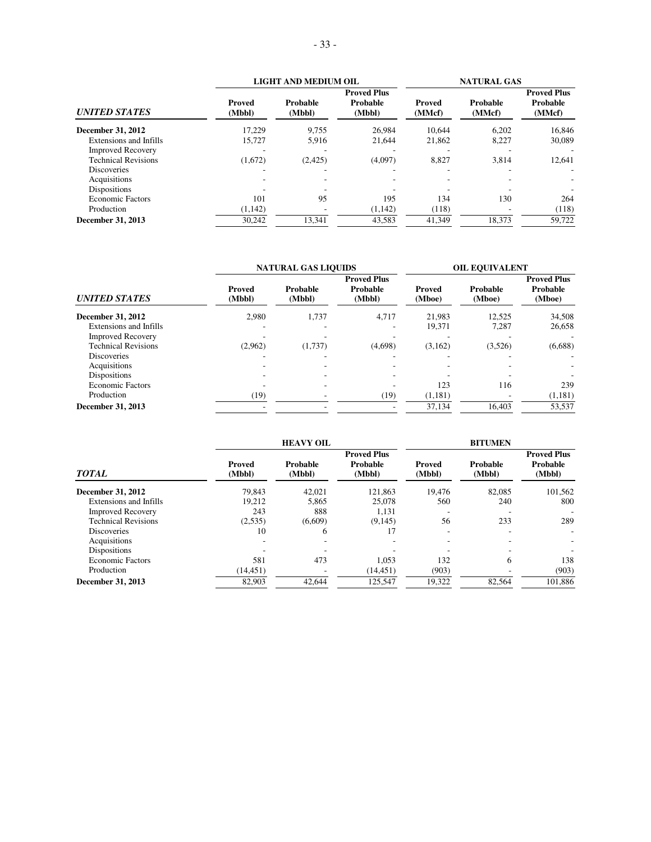|                            |                         | <b>LIGHT AND MEDIUM OIL</b> |                                          | <b>NATURAL GAS</b>      |                    |                                          |
|----------------------------|-------------------------|-----------------------------|------------------------------------------|-------------------------|--------------------|------------------------------------------|
| <b>UNITED STATES</b>       | <b>Proved</b><br>(Mbbl) | Probable<br>(Mbbl)          | <b>Proved Plus</b><br>Probable<br>(Mbbl) | <b>Proved</b><br>(MMcf) | Probable<br>(MMcf) | <b>Proved Plus</b><br>Probable<br>(MMcf) |
| <b>December 31, 2012</b>   | 17.229                  | 9.755                       | 26.984                                   | 10.644                  | 6.202              | 16,846                                   |
| Extensions and Infills     | 15,727                  | 5,916                       | 21,644                                   | 21,862                  | 8,227              | 30.089                                   |
| <b>Improved Recovery</b>   |                         |                             |                                          |                         |                    |                                          |
| <b>Technical Revisions</b> | (1,672)                 | (2, 425)                    | (4,097)                                  | 8,827                   | 3,814              | 12,641                                   |
| <b>Discoveries</b>         |                         |                             |                                          |                         |                    |                                          |
| Acquisitions               | ٠                       |                             |                                          |                         |                    | Ξ.                                       |
| <b>Dispositions</b>        | -                       |                             |                                          |                         |                    |                                          |
| <b>Economic Factors</b>    | 101                     | 95                          | 195                                      | 134                     | 130                | 264                                      |
| Production                 | (1,142)                 |                             | (1,142)                                  | (118)                   |                    | (118)                                    |
| December 31, 2013          | 30.242                  | 13.341                      | 43.583                                   | 41.349                  | 18.373             | 59.722                                   |

|                            |                         | <b>NATURAL GAS LIQUIDS</b> |                                          | <b>OIL EQUIVALENT</b> |                    |                                          |
|----------------------------|-------------------------|----------------------------|------------------------------------------|-----------------------|--------------------|------------------------------------------|
| <b>UNITED STATES</b>       | <b>Proved</b><br>(Mbbl) | Probable<br>(Mbbl)         | <b>Proved Plus</b><br>Probable<br>(Mbbl) | Proved<br>(Mboe)      | Probable<br>(Mboe) | <b>Proved Plus</b><br>Probable<br>(Mboe) |
| <b>December 31, 2012</b>   | 2.980                   | 1,737                      | 4,717                                    | 21.983                | 12.525             | 34,508                                   |
| Extensions and Infills     |                         | ۰                          |                                          | 19.371                | 7.287              | 26,658                                   |
| <b>Improved Recovery</b>   |                         |                            |                                          |                       |                    |                                          |
| <b>Technical Revisions</b> | (2,962)                 | (1,737)                    | (4,698)                                  | (3,162)               | (3,526)            | (6,688)                                  |
| <b>Discoveries</b>         |                         |                            |                                          |                       |                    | $\sim$                                   |
| Acquisitions               |                         |                            |                                          |                       |                    |                                          |
| <b>Dispositions</b>        | -                       | -                          |                                          |                       |                    |                                          |
| <b>Economic Factors</b>    |                         |                            |                                          | 123                   | 116                | 239                                      |
| Production                 | (19)                    |                            | (19)                                     | (1,181)               |                    | (1,181)                                  |
| December 31, 2013          |                         |                            |                                          | 37.134                | 16.403             | 53,537                                   |

|                            |                         | <b>HEAVY OIL</b>   |                                          | <b>BITUMEN</b>          |                    |                                          |  |
|----------------------------|-------------------------|--------------------|------------------------------------------|-------------------------|--------------------|------------------------------------------|--|
| <b>TOTAL</b>               | <b>Proved</b><br>(Mbbl) | Probable<br>(Mbbl) | <b>Proved Plus</b><br>Probable<br>(Mbbl) | <b>Proved</b><br>(Mbbl) | Probable<br>(Mbbl) | <b>Proved Plus</b><br>Probable<br>(Mbbl) |  |
| <b>December 31, 2012</b>   | 79.843                  | 42.021             | 121,863                                  | 19.476                  | 82,085             | 101.562                                  |  |
| Extensions and Infills     | 19,212                  | 5.865              | 25,078                                   | 560                     | 240                | 800                                      |  |
| <b>Improved Recovery</b>   | 243                     | 888                | 1.131                                    |                         |                    |                                          |  |
| <b>Technical Revisions</b> | (2,535)                 | (6,609)            | (9,145)                                  | 56                      | 233                | 289                                      |  |
| <b>Discoveries</b>         | 10                      | <sub>0</sub>       | 17                                       |                         |                    |                                          |  |
| Acquisitions               |                         |                    |                                          |                         |                    |                                          |  |
| Dispositions               |                         |                    |                                          |                         |                    |                                          |  |
| <b>Economic Factors</b>    | 581                     | 473                | 1.053                                    | 132                     | 6                  | 138                                      |  |
| Production                 | (14, 451)               | ۰                  | (14, 451)                                | (903)                   |                    | (903)                                    |  |
| December 31, 2013          | 82,903                  | 42.644             | 125.547                                  | 19,322                  | 82,564             | 101.886                                  |  |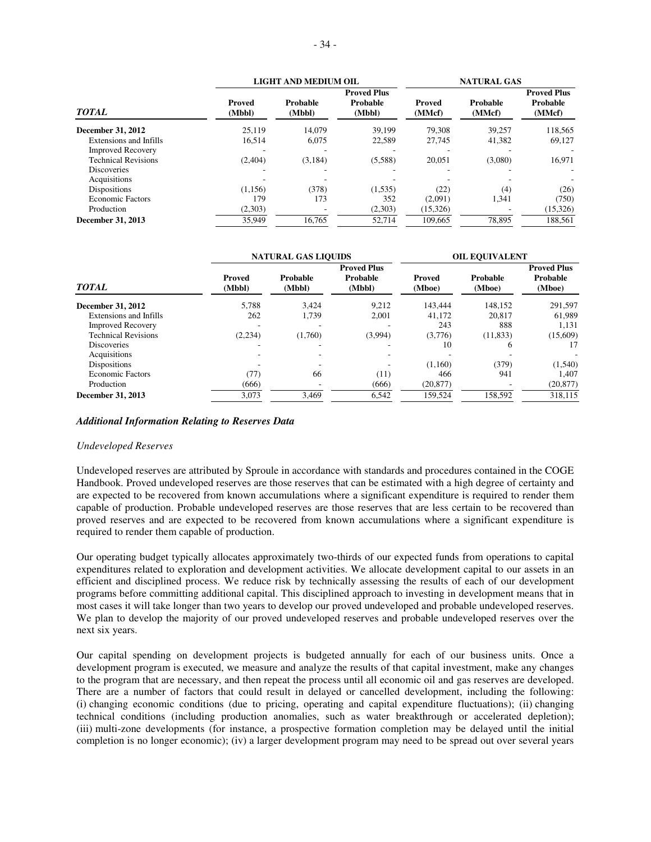|                            |                  | LIGHT AND MEDIUM OIL |                                          | <b>NATURAL GAS</b> |                    |                                          |
|----------------------------|------------------|----------------------|------------------------------------------|--------------------|--------------------|------------------------------------------|
| <b>TOTAL</b>               | Proved<br>(Mbbl) | Probable<br>(Mbbl)   | <b>Proved Plus</b><br>Probable<br>(Mbbl) | Proved<br>(MMcf)   | Probable<br>(MMcf) | <b>Proved Plus</b><br>Probable<br>(MMcf) |
| December 31, 2012          | 25.119           | 14.079               | 39.199                                   | 79.308             | 39.257             | 118.565                                  |
| Extensions and Infills     | 16,514           | 6.075                | 22,589                                   | 27,745             | 41,382             | 69,127                                   |
| <b>Improved Recovery</b>   |                  |                      |                                          |                    |                    |                                          |
| <b>Technical Revisions</b> | (2,404)          | (3, 184)             | (5,588)                                  | 20,051             | (3,080)            | 16,971                                   |
| <b>Discoveries</b>         |                  |                      |                                          |                    |                    |                                          |
| Acquisitions               |                  |                      |                                          |                    |                    |                                          |
| Dispositions               | (1,156)          | (378)                | (1,535)                                  | (22)               | (4)                | (26)                                     |
| <b>Economic Factors</b>    | 179              | 173                  | 352                                      | (2,091)            | 1,341              | (750)                                    |
| Production                 | (2,303)          |                      | (2,303)                                  | (15,326)           |                    | (15,326)                                 |
| December 31, 2013          | 35,949           | 16.765               | 52.714                                   | 109,665            | 78.895             | 188.561                                  |

|                            |                  | <b>NATURAL GAS LIQUIDS</b> |                                          | <b>OIL EQUIVALENT</b>   |                    |                                          |
|----------------------------|------------------|----------------------------|------------------------------------------|-------------------------|--------------------|------------------------------------------|
| <b>TOTAL</b>               | Proved<br>(Mbbl) | Probable<br>(Mbbl)         | <b>Proved Plus</b><br>Probable<br>(Mbbl) | <b>Proved</b><br>(Mboe) | Probable<br>(Mboe) | <b>Proved Plus</b><br>Probable<br>(Mboe) |
| December 31, 2012          | 5.788            | 3,424                      | 9.212                                    | 143.444                 | 148.152            | 291.597                                  |
| Extensions and Infills     | 262              | 1,739                      | 2,001                                    | 41,172                  | 20,817             | 61,989                                   |
| <b>Improved Recovery</b>   |                  |                            |                                          | 243                     | 888                | 1,131                                    |
| <b>Technical Revisions</b> | (2,234)          | (1,760)                    | (3,994)                                  | (3,776)                 | (11, 833)          | (15,609)                                 |
| <b>Discoveries</b>         |                  |                            |                                          | 10                      | 6                  | 17                                       |
| Acquisitions               |                  |                            |                                          |                         |                    |                                          |
| <b>Dispositions</b>        |                  |                            |                                          | (1,160)                 | (379)              | (1,540)                                  |
| <b>Economic Factors</b>    | (77)             | 66                         | (11)                                     | 466                     | 941                | 1.407                                    |
| Production                 | (666)            |                            | (666)                                    | (20, 877)               |                    | (20, 877)                                |
| <b>December 31, 2013</b>   | 3,073            | 3,469                      | 6,542                                    | 159.524                 | 158.592            | 318.115                                  |

#### *Additional Information Relating to Reserves Data*

#### *Undeveloped Reserves*

Undeveloped reserves are attributed by Sproule in accordance with standards and procedures contained in the COGE Handbook. Proved undeveloped reserves are those reserves that can be estimated with a high degree of certainty and are expected to be recovered from known accumulations where a significant expenditure is required to render them capable of production. Probable undeveloped reserves are those reserves that are less certain to be recovered than proved reserves and are expected to be recovered from known accumulations where a significant expenditure is required to render them capable of production.

Our operating budget typically allocates approximately two-thirds of our expected funds from operations to capital expenditures related to exploration and development activities. We allocate development capital to our assets in an efficient and disciplined process. We reduce risk by technically assessing the results of each of our development programs before committing additional capital. This disciplined approach to investing in development means that in most cases it will take longer than two years to develop our proved undeveloped and probable undeveloped reserves. We plan to develop the majority of our proved undeveloped reserves and probable undeveloped reserves over the next six years.

Our capital spending on development projects is budgeted annually for each of our business units. Once a development program is executed, we measure and analyze the results of that capital investment, make any changes to the program that are necessary, and then repeat the process until all economic oil and gas reserves are developed. There are a number of factors that could result in delayed or cancelled development, including the following: (i) changing economic conditions (due to pricing, operating and capital expenditure fluctuations); (ii) changing technical conditions (including production anomalies, such as water breakthrough or accelerated depletion); (iii) multi-zone developments (for instance, a prospective formation completion may be delayed until the initial completion is no longer economic); (iv) a larger development program may need to be spread out over several years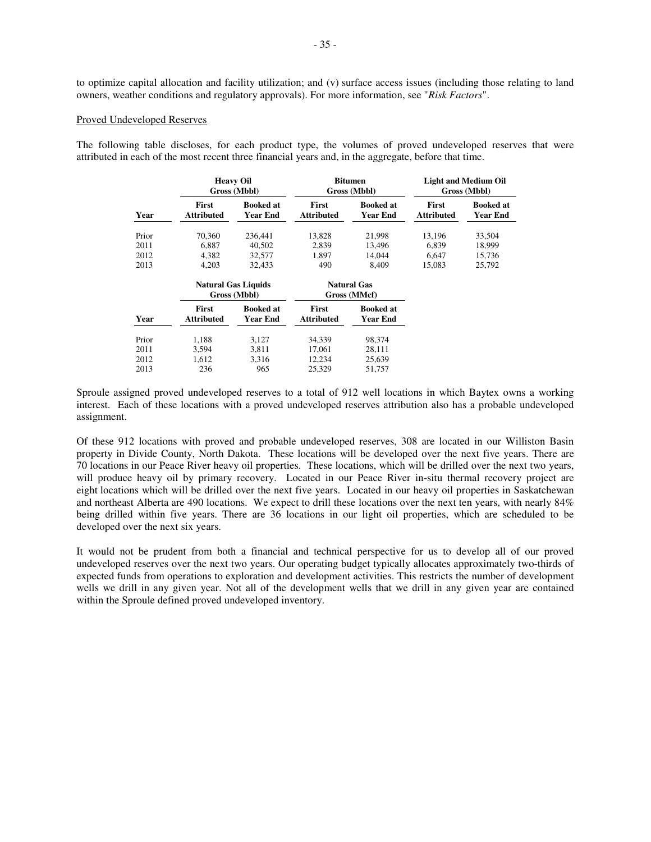to optimize capital allocation and facility utilization; and (v) surface access issues (including those relating to land owners, weather conditions and regulatory approvals). For more information, see "*Risk Factors*".

#### Proved Undeveloped Reserves

The following table discloses, for each product type, the volumes of proved undeveloped reserves that were attributed in each of the most recent three financial years and, in the aggregate, before that time.

|       |                                   | <b>Heavy Oil</b><br>Gross (Mbbl)           |                                   | <b>Bitumen</b><br>Gross (Mbbl)      |                                   | <b>Light and Medium Oil</b><br>Gross (Mbbl) |  |
|-------|-----------------------------------|--------------------------------------------|-----------------------------------|-------------------------------------|-----------------------------------|---------------------------------------------|--|
| Year  | <b>First</b><br><b>Attributed</b> | <b>Booked at</b><br>Year End               | <b>First</b><br><b>Attributed</b> | <b>Booked at</b><br><b>Year End</b> | <b>First</b><br><b>Attributed</b> | <b>Booked at</b><br><b>Year End</b>         |  |
| Prior | 70,360                            | 236,441                                    | 13,828                            | 21,998                              | 13,196                            | 33,504                                      |  |
| 2011  | 6.887                             | 40,502                                     | 2,839                             | 13,496                              | 6,839                             | 18,999                                      |  |
| 2012  | 4.382                             | 32,577                                     | 1.897                             | 14.044                              | 6.647                             | 15,736                                      |  |
| 2013  | 4,203                             | 32,433                                     | 490                               | 8,409                               | 15,083                            | 25,792                                      |  |
|       |                                   | <b>Natural Gas Liquids</b><br>Gross (Mbbl) |                                   | <b>Natural Gas</b><br>Gross (MMcf)  |                                   |                                             |  |
| Year  | <b>First</b><br><b>Attributed</b> | <b>Booked at</b><br>Year End               | <b>First</b><br><b>Attributed</b> | <b>Booked at</b><br><b>Year End</b> |                                   |                                             |  |
| Prior | 1,188                             | 3,127                                      | 34,339                            | 98,374                              |                                   |                                             |  |
| 2011  | 3,594                             | 3,811                                      | 17,061                            | 28,111                              |                                   |                                             |  |
| 2012  | 1,612                             | 3,316                                      | 12,234                            | 25,639                              |                                   |                                             |  |
| 2013  | 236                               | 965                                        | 25,329                            | 51,757                              |                                   |                                             |  |

Sproule assigned proved undeveloped reserves to a total of 912 well locations in which Baytex owns a working interest. Each of these locations with a proved undeveloped reserves attribution also has a probable undeveloped assignment.

Of these 912 locations with proved and probable undeveloped reserves, 308 are located in our Williston Basin property in Divide County, North Dakota. These locations will be developed over the next five years. There are 70 locations in our Peace River heavy oil properties. These locations, which will be drilled over the next two years, will produce heavy oil by primary recovery. Located in our Peace River in-situ thermal recovery project are eight locations which will be drilled over the next five years. Located in our heavy oil properties in Saskatchewan and northeast Alberta are 490 locations. We expect to drill these locations over the next ten years, with nearly 84% being drilled within five years. There are 36 locations in our light oil properties, which are scheduled to be developed over the next six years.

It would not be prudent from both a financial and technical perspective for us to develop all of our proved undeveloped reserves over the next two years. Our operating budget typically allocates approximately two-thirds of expected funds from operations to exploration and development activities. This restricts the number of development wells we drill in any given year. Not all of the development wells that we drill in any given year are contained within the Sproule defined proved undeveloped inventory.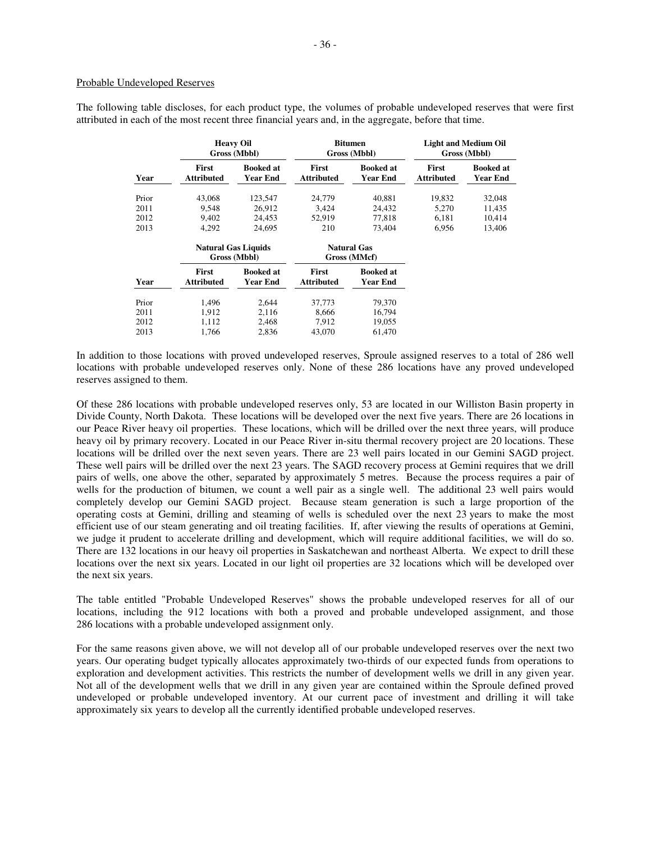#### Probable Undeveloped Reserves

The following table discloses, for each product type, the volumes of probable undeveloped reserves that were first attributed in each of the most recent three financial years and, in the aggregate, before that time.

|       |                            | <b>Heavy Oil</b><br>Gross (Mbbl)           |                            | <b>Bitumen</b><br>Gross (Mbbl)      |                            | <b>Light and Medium Oil</b><br>Gross (Mbbl) |  |
|-------|----------------------------|--------------------------------------------|----------------------------|-------------------------------------|----------------------------|---------------------------------------------|--|
| Year  | First<br><b>Attributed</b> | <b>Booked at</b><br>Year End               | First<br><b>Attributed</b> | <b>Booked at</b><br><b>Year End</b> | First<br><b>Attributed</b> | <b>Booked at</b><br><b>Year End</b>         |  |
| Prior | 43,068                     | 123,547                                    | 24,779                     | 40,881                              | 19,832                     | 32,048                                      |  |
| 2011  | 9,548                      | 26,912                                     | 3,424                      | 24,432                              | 5,270                      | 11,435                                      |  |
| 2012  | 9,402                      | 24,453                                     | 52.919                     | 77,818                              | 6,181                      | 10,414                                      |  |
| 2013  | 4,292                      | 24,695                                     | 210                        | 73,404                              | 6,956                      | 13,406                                      |  |
|       |                            | <b>Natural Gas Liquids</b><br>Gross (Mbbl) |                            | <b>Natural Gas</b><br>Gross (MMcf)  |                            |                                             |  |
| Year  | First<br><b>Attributed</b> | <b>Booked at</b><br>Year End               | First<br><b>Attributed</b> | <b>Booked at</b><br><b>Year End</b> |                            |                                             |  |
| Prior | 1,496                      | 2,644                                      | 37,773                     | 79,370                              |                            |                                             |  |
| 2011  | 1.912                      | 2,116                                      | 8,666                      | 16,794                              |                            |                                             |  |
| 2012  | 1,112                      | 2,468                                      | 7,912                      | 19,055                              |                            |                                             |  |
| 2013  | 1,766                      | 2,836                                      | 43,070                     | 61,470                              |                            |                                             |  |

In addition to those locations with proved undeveloped reserves, Sproule assigned reserves to a total of 286 well locations with probable undeveloped reserves only. None of these 286 locations have any proved undeveloped reserves assigned to them.

Of these 286 locations with probable undeveloped reserves only, 53 are located in our Williston Basin property in Divide County, North Dakota. These locations will be developed over the next five years. There are 26 locations in our Peace River heavy oil properties. These locations, which will be drilled over the next three years, will produce heavy oil by primary recovery. Located in our Peace River in-situ thermal recovery project are 20 locations. These locations will be drilled over the next seven years. There are 23 well pairs located in our Gemini SAGD project. These well pairs will be drilled over the next 23 years. The SAGD recovery process at Gemini requires that we drill pairs of wells, one above the other, separated by approximately 5 metres. Because the process requires a pair of wells for the production of bitumen, we count a well pair as a single well. The additional 23 well pairs would completely develop our Gemini SAGD project. Because steam generation is such a large proportion of the operating costs at Gemini, drilling and steaming of wells is scheduled over the next 23 years to make the most efficient use of our steam generating and oil treating facilities. If, after viewing the results of operations at Gemini, we judge it prudent to accelerate drilling and development, which will require additional facilities, we will do so. There are 132 locations in our heavy oil properties in Saskatchewan and northeast Alberta. We expect to drill these locations over the next six years. Located in our light oil properties are 32 locations which will be developed over the next six years.

The table entitled "Probable Undeveloped Reserves" shows the probable undeveloped reserves for all of our locations, including the 912 locations with both a proved and probable undeveloped assignment, and those 286 locations with a probable undeveloped assignment only.

For the same reasons given above, we will not develop all of our probable undeveloped reserves over the next two years. Our operating budget typically allocates approximately two-thirds of our expected funds from operations to exploration and development activities. This restricts the number of development wells we drill in any given year. Not all of the development wells that we drill in any given year are contained within the Sproule defined proved undeveloped or probable undeveloped inventory. At our current pace of investment and drilling it will take approximately six years to develop all the currently identified probable undeveloped reserves.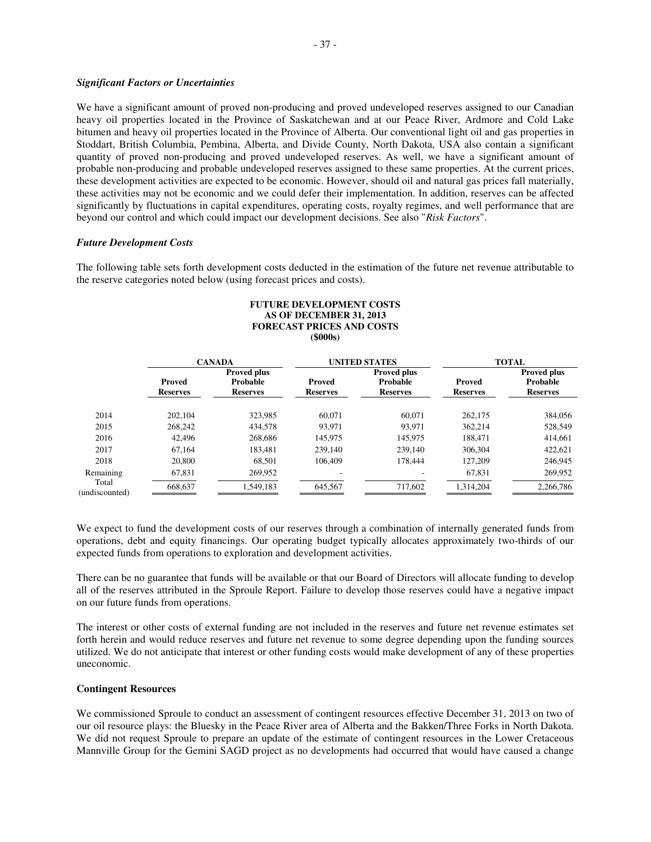## *Significant Factors or Uncertainties*

We have a significant amount of proved non-producing and proved undeveloped reserves assigned to our Canadian heavy oil properties located in the Province of Saskatchewan and at our Peace River, Ardmore and Cold Lake bitumen and heavy oil properties located in the Province of Alberta. Our conventional light oil and gas properties in Stoddart, British Columbia, Pembina, Alberta, and Divide County, North Dakota, USA also contain a significant quantity of proved non-producing and proved undeveloped reserves. As well, we have a significant amount of probable non-producing and probable undeveloped reserves assigned to these same properties. At the current prices, these development activities are expected to be economic. However, should oil and natural gas prices fall materially, these activities may not be economic and we could defer their implementation. In addition, reserves can be affected significantly by fluctuations in capital expenditures, operating costs, royalty regimes, and well performance that are beyond our control and which could impact our development decisions. See also "*Risk Factors*".

# *Future Development Costs*

The following table sets forth development costs deducted in the estimation of the future net revenue attributable to the reserve categories noted below (using forecast prices and costs).

#### **FUTURE DEVELOPMENT COSTS AS OF DECEMBER 31, 2013 FORECAST PRICES AND COSTS (\$000s)**

|                         | <b>CANADA</b>             |                                                   | <b>UNITED STATES</b>             |                                                   |                                  | <b>TOTAL</b>                                      |  |
|-------------------------|---------------------------|---------------------------------------------------|----------------------------------|---------------------------------------------------|----------------------------------|---------------------------------------------------|--|
|                         | Proved<br><b>Reserves</b> | <b>Proved plus</b><br>Probable<br><b>Reserves</b> | <b>Proved</b><br><b>Reserves</b> | <b>Proved plus</b><br>Probable<br><b>Reserves</b> | <b>Proved</b><br><b>Reserves</b> | <b>Proved plus</b><br>Probable<br><b>Reserves</b> |  |
| 2014                    | 202.104                   | 323,985                                           | 60.071                           | 60,071                                            | 262,175                          | 384,056                                           |  |
| 2015                    | 268,242                   | 434,578                                           | 93.971                           | 93.971                                            | 362,214                          | 528,549                                           |  |
| 2016                    | 42,496                    | 268,686                                           | 145,975                          | 145.975                                           | 188.471                          | 414,661                                           |  |
| 2017                    | 67.164                    | 183.481                                           | 239,140                          | 239,140                                           | 306.304                          | 422,621                                           |  |
| 2018                    | 20,800                    | 68.501                                            | 106.409                          | 178,444                                           | 127,209                          | 246,945                                           |  |
| Remaining               | 67,831                    | 269,952                                           |                                  |                                                   | 67,831                           | 269,952                                           |  |
| Total<br>(undiscounted) | 668,637                   | 1,549,183                                         | 645,567                          | 717,602                                           | 1,314,204                        | 2,266,786                                         |  |

We expect to fund the development costs of our reserves through a combination of internally generated funds from operations, debt and equity financings. Our operating budget typically allocates approximately two-thirds of our expected funds from operations to exploration and development activities.

There can be no guarantee that funds will be available or that our Board of Directors will allocate funding to develop all of the reserves attributed in the Sproule Report. Failure to develop those reserves could have a negative impact on our future funds from operations.

The interest or other costs of external funding are not included in the reserves and future net revenue estimates set forth herein and would reduce reserves and future net revenue to some degree depending upon the funding sources utilized. We do not anticipate that interest or other funding costs would make development of any of these properties uneconomic.

# **Contingent Resources**

We commissioned Sproule to conduct an assessment of contingent resources effective December 31, 2013 on two of our oil resource plays: the Bluesky in the Peace River area of Alberta and the Bakken/Three Forks in North Dakota. We did not request Sproule to prepare an update of the estimate of contingent resources in the Lower Cretaceous Mannville Group for the Gemini SAGD project as no developments had occurred that would have caused a change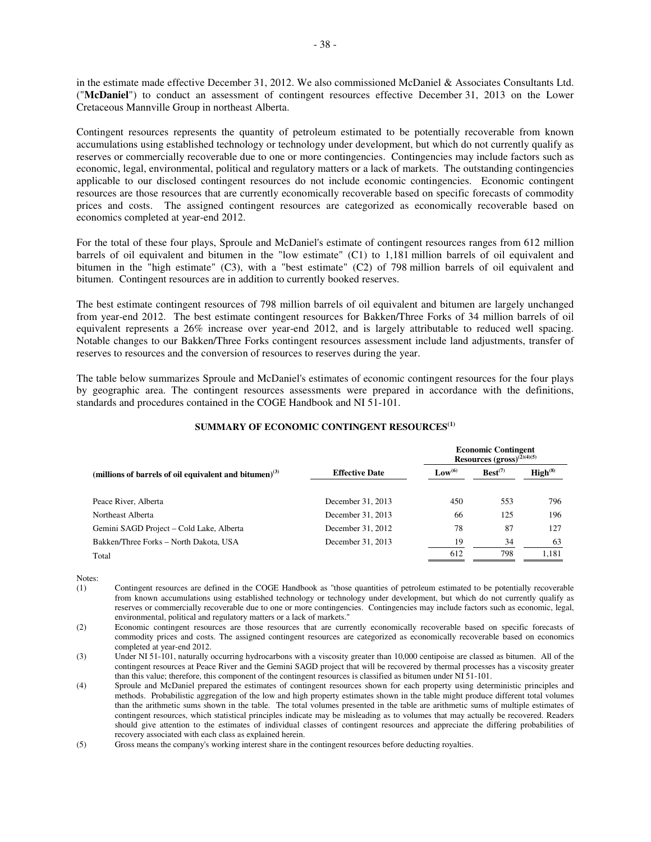in the estimate made effective December 31, 2012. We also commissioned McDaniel & Associates Consultants Ltd. ("**McDaniel**") to conduct an assessment of contingent resources effective December 31, 2013 on the Lower Cretaceous Mannville Group in northeast Alberta.

Contingent resources represents the quantity of petroleum estimated to be potentially recoverable from known accumulations using established technology or technology under development, but which do not currently qualify as reserves or commercially recoverable due to one or more contingencies. Contingencies may include factors such as economic, legal, environmental, political and regulatory matters or a lack of markets. The outstanding contingencies applicable to our disclosed contingent resources do not include economic contingencies. Economic contingent resources are those resources that are currently economically recoverable based on specific forecasts of commodity prices and costs. The assigned contingent resources are categorized as economically recoverable based on economics completed at year-end 2012.

For the total of these four plays, Sproule and McDaniel's estimate of contingent resources ranges from 612 million barrels of oil equivalent and bitumen in the "low estimate" (C1) to 1,181 million barrels of oil equivalent and bitumen in the "high estimate" (C3), with a "best estimate" (C2) of 798 million barrels of oil equivalent and bitumen. Contingent resources are in addition to currently booked reserves.

The best estimate contingent resources of 798 million barrels of oil equivalent and bitumen are largely unchanged from year-end 2012. The best estimate contingent resources for Bakken/Three Forks of 34 million barrels of oil equivalent represents a 26% increase over year-end 2012, and is largely attributable to reduced well spacing. Notable changes to our Bakken/Three Forks contingent resources assessment include land adjustments, transfer of reserves to resources and the conversion of resources to reserves during the year.

The table below summarizes Sproule and McDaniel's estimates of economic contingent resources for the four plays by geographic area. The contingent resources assessments were prepared in accordance with the definitions, standards and procedures contained in the COGE Handbook and NI 51-101.

### **SUMMARY OF ECONOMIC CONTINGENT RESOURCES(1)**

|                                                           |                       |                    | <b>Economic Contingent</b><br>Resources $(gross)^{(\bar{2})(4)(5)}$ |                     |  |
|-----------------------------------------------------------|-----------------------|--------------------|---------------------------------------------------------------------|---------------------|--|
| (millions of barrels of oil equivalent and bitumen) $(3)$ | <b>Effective Date</b> | Low <sup>(6)</sup> | $Best^{(7)}$                                                        | High <sup>(8)</sup> |  |
| Peace River, Alberta                                      | December 31, 2013     | 450                | 553                                                                 | 796                 |  |
| Northeast Alberta                                         | December 31, 2013     | 66                 | 125                                                                 | 196                 |  |
| Gemini SAGD Project – Cold Lake, Alberta                  | December 31, 2012     | 78                 | 87                                                                  | 127                 |  |
| Bakken/Three Forks - North Dakota, USA                    | December 31, 2013     | 19                 | 34                                                                  | 63                  |  |
| Total                                                     |                       | 612                | 798                                                                 | 1.181               |  |

Notes:

- (1) Contingent resources are defined in the COGE Handbook as "those quantities of petroleum estimated to be potentially recoverable from known accumulations using established technology or technology under development, but which do not currently qualify as reserves or commercially recoverable due to one or more contingencies. Contingencies may include factors such as economic, legal, environmental, political and regulatory matters or a lack of markets."
- (2) Economic contingent resources are those resources that are currently economically recoverable based on specific forecasts of commodity prices and costs. The assigned contingent resources are categorized as economically recoverable based on economics completed at year-end 2012.
- (3) Under NI 51-101, naturally occurring hydrocarbons with a viscosity greater than 10,000 centipoise are classed as bitumen. All of the contingent resources at Peace River and the Gemini SAGD project that will be recovered by thermal processes has a viscosity greater than this value; therefore, this component of the contingent resources is classified as bitumen under NI 51-101.
- (4) Sproule and McDaniel prepared the estimates of contingent resources shown for each property using deterministic principles and methods. Probabilistic aggregation of the low and high property estimates shown in the table might produce different total volumes than the arithmetic sums shown in the table. The total volumes presented in the table are arithmetic sums of multiple estimates of contingent resources, which statistical principles indicate may be misleading as to volumes that may actually be recovered. Readers should give attention to the estimates of individual classes of contingent resources and appreciate the differing probabilities of recovery associated with each class as explained herein.
- (5) Gross means the company's working interest share in the contingent resources before deducting royalties.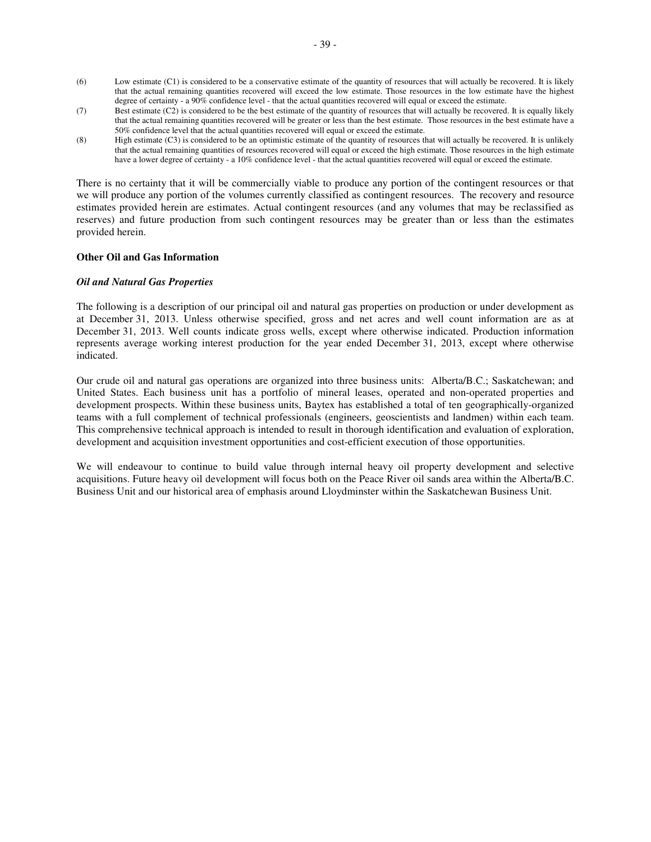- (6) Low estimate (C1) is considered to be a conservative estimate of the quantity of resources that will actually be recovered. It is likely that the actual remaining quantities recovered will exceed the low estimate. Those resources in the low estimate have the highest degree of certainty - a 90% confidence level - that the actual quantities recovered will equal or exceed the estimate.
- (7) Best estimate (C2) is considered to be the best estimate of the quantity of resources that will actually be recovered. It is equally likely that the actual remaining quantities recovered will be greater or less than the best estimate. Those resources in the best estimate have a 50% confidence level that the actual quantities recovered will equal or exceed the estimate.
- (8) High estimate (C3) is considered to be an optimistic estimate of the quantity of resources that will actually be recovered. It is unlikely that the actual remaining quantities of resources recovered will equal or exceed the high estimate. Those resources in the high estimate have a lower degree of certainty - a 10% confidence level - that the actual quantities recovered will equal or exceed the estimate.

There is no certainty that it will be commercially viable to produce any portion of the contingent resources or that we will produce any portion of the volumes currently classified as contingent resources. The recovery and resource estimates provided herein are estimates. Actual contingent resources (and any volumes that may be reclassified as reserves) and future production from such contingent resources may be greater than or less than the estimates provided herein.

### **Other Oil and Gas Information**

### *Oil and Natural Gas Properties*

The following is a description of our principal oil and natural gas properties on production or under development as at December 31, 2013. Unless otherwise specified, gross and net acres and well count information are as at December 31, 2013. Well counts indicate gross wells, except where otherwise indicated. Production information represents average working interest production for the year ended December 31, 2013, except where otherwise indicated.

Our crude oil and natural gas operations are organized into three business units: Alberta/B.C.; Saskatchewan; and United States. Each business unit has a portfolio of mineral leases, operated and non-operated properties and development prospects. Within these business units, Baytex has established a total of ten geographically-organized teams with a full complement of technical professionals (engineers, geoscientists and landmen) within each team. This comprehensive technical approach is intended to result in thorough identification and evaluation of exploration, development and acquisition investment opportunities and cost-efficient execution of those opportunities.

We will endeavour to continue to build value through internal heavy oil property development and selective acquisitions. Future heavy oil development will focus both on the Peace River oil sands area within the Alberta/B.C. Business Unit and our historical area of emphasis around Lloydminster within the Saskatchewan Business Unit.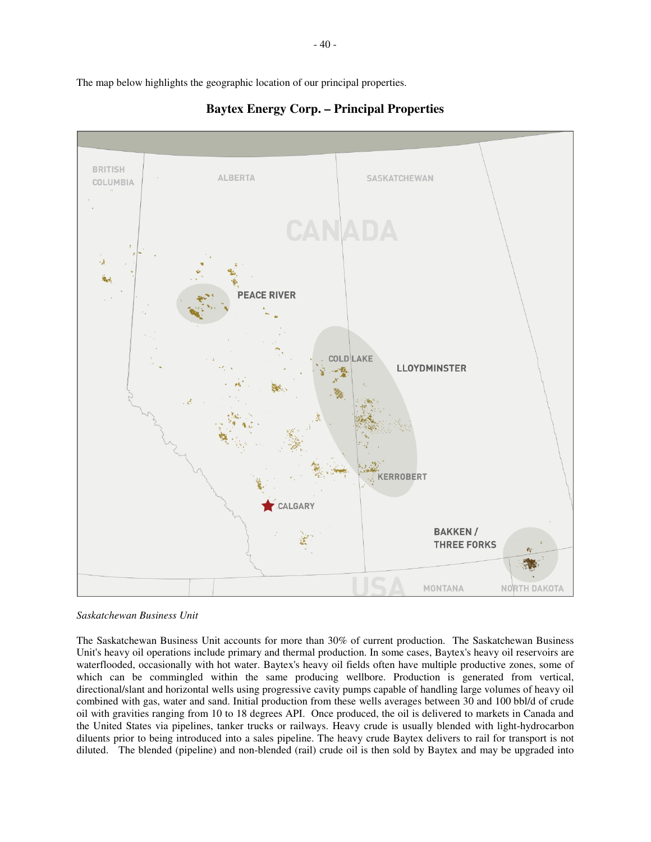The map below highlights the geographic location of our principal properties.



**Baytex Energy Corp. – Principal Properties** 

The Saskatchewan Business Unit accounts for more than 30% of current production. The Saskatchewan Business Unit's heavy oil operations include primary and thermal production. In some cases, Baytex's heavy oil reservoirs are waterflooded, occasionally with hot water. Baytex's heavy oil fields often have multiple productive zones, some of which can be commingled within the same producing wellbore. Production is generated from vertical, directional/slant and horizontal wells using progressive cavity pumps capable of handling large volumes of heavy oil combined with gas, water and sand. Initial production from these wells averages between 30 and 100 bbl/d of crude oil with gravities ranging from 10 to 18 degrees API. Once produced, the oil is delivered to markets in Canada and the United States via pipelines, tanker trucks or railways. Heavy crude is usually blended with light-hydrocarbon diluents prior to being introduced into a sales pipeline. The heavy crude Baytex delivers to rail for transport is not diluted. The blended (pipeline) and non-blended (rail) crude oil is then sold by Baytex and may be upgraded into

*Saskatchewan Business Unit*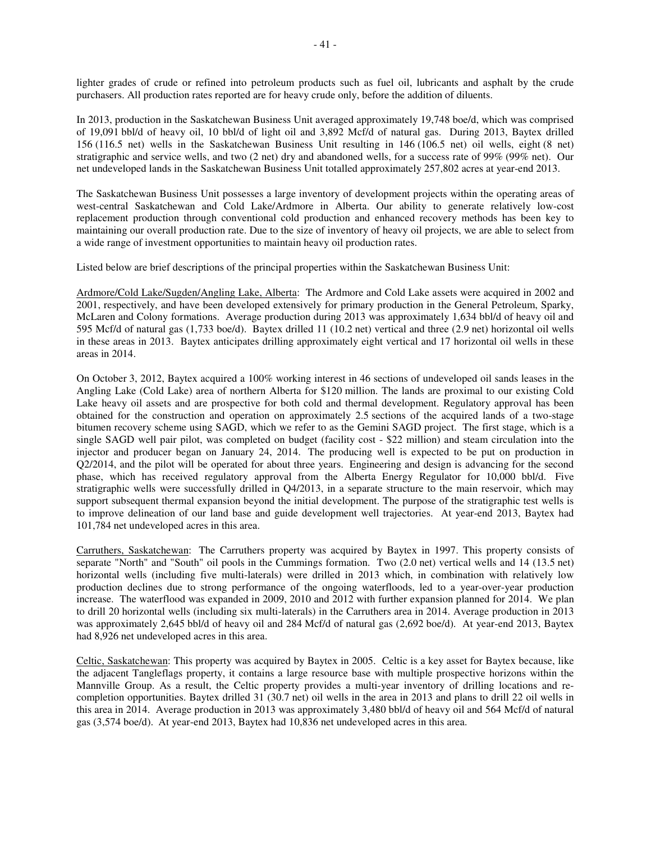lighter grades of crude or refined into petroleum products such as fuel oil, lubricants and asphalt by the crude purchasers. All production rates reported are for heavy crude only, before the addition of diluents.

In 2013, production in the Saskatchewan Business Unit averaged approximately 19,748 boe/d, which was comprised of 19,091 bbl/d of heavy oil, 10 bbl/d of light oil and 3,892 Mcf/d of natural gas. During 2013, Baytex drilled 156 (116.5 net) wells in the Saskatchewan Business Unit resulting in 146 (106.5 net) oil wells, eight (8 net) stratigraphic and service wells, and two (2 net) dry and abandoned wells, for a success rate of 99% (99% net). Our net undeveloped lands in the Saskatchewan Business Unit totalled approximately 257,802 acres at year-end 2013.

The Saskatchewan Business Unit possesses a large inventory of development projects within the operating areas of west-central Saskatchewan and Cold Lake/Ardmore in Alberta. Our ability to generate relatively low-cost replacement production through conventional cold production and enhanced recovery methods has been key to maintaining our overall production rate. Due to the size of inventory of heavy oil projects, we are able to select from a wide range of investment opportunities to maintain heavy oil production rates.

Listed below are brief descriptions of the principal properties within the Saskatchewan Business Unit:

Ardmore/Cold Lake/Sugden/Angling Lake, Alberta: The Ardmore and Cold Lake assets were acquired in 2002 and 2001, respectively, and have been developed extensively for primary production in the General Petroleum, Sparky, McLaren and Colony formations. Average production during 2013 was approximately 1,634 bbl/d of heavy oil and 595 Mcf/d of natural gas (1,733 boe/d). Baytex drilled 11 (10.2 net) vertical and three (2.9 net) horizontal oil wells in these areas in 2013. Baytex anticipates drilling approximately eight vertical and 17 horizontal oil wells in these areas in 2014.

On October 3, 2012, Baytex acquired a 100% working interest in 46 sections of undeveloped oil sands leases in the Angling Lake (Cold Lake) area of northern Alberta for \$120 million. The lands are proximal to our existing Cold Lake heavy oil assets and are prospective for both cold and thermal development. Regulatory approval has been obtained for the construction and operation on approximately 2.5 sections of the acquired lands of a two-stage bitumen recovery scheme using SAGD, which we refer to as the Gemini SAGD project. The first stage, which is a single SAGD well pair pilot, was completed on budget (facility cost - \$22 million) and steam circulation into the injector and producer began on January 24, 2014. The producing well is expected to be put on production in Q2/2014, and the pilot will be operated for about three years. Engineering and design is advancing for the second phase, which has received regulatory approval from the Alberta Energy Regulator for 10,000 bbl/d. Five stratigraphic wells were successfully drilled in Q4/2013, in a separate structure to the main reservoir, which may support subsequent thermal expansion beyond the initial development. The purpose of the stratigraphic test wells is to improve delineation of our land base and guide development well trajectories. At year-end 2013, Baytex had 101,784 net undeveloped acres in this area.

Carruthers, Saskatchewan: The Carruthers property was acquired by Baytex in 1997. This property consists of separate "North" and "South" oil pools in the Cummings formation. Two (2.0 net) vertical wells and 14 (13.5 net) horizontal wells (including five multi-laterals) were drilled in 2013 which, in combination with relatively low production declines due to strong performance of the ongoing waterfloods, led to a year-over-year production increase. The waterflood was expanded in 2009, 2010 and 2012 with further expansion planned for 2014. We plan to drill 20 horizontal wells (including six multi-laterals) in the Carruthers area in 2014. Average production in 2013 was approximately 2,645 bbl/d of heavy oil and 284 Mcf/d of natural gas (2,692 boe/d). At year-end 2013, Baytex had 8,926 net undeveloped acres in this area.

Celtic, Saskatchewan: This property was acquired by Baytex in 2005. Celtic is a key asset for Baytex because, like the adjacent Tangleflags property, it contains a large resource base with multiple prospective horizons within the Mannville Group. As a result, the Celtic property provides a multi-year inventory of drilling locations and recompletion opportunities. Baytex drilled 31 (30.7 net) oil wells in the area in 2013 and plans to drill 22 oil wells in this area in 2014. Average production in 2013 was approximately 3,480 bbl/d of heavy oil and 564 Mcf/d of natural gas (3,574 boe/d). At year-end 2013, Baytex had 10,836 net undeveloped acres in this area.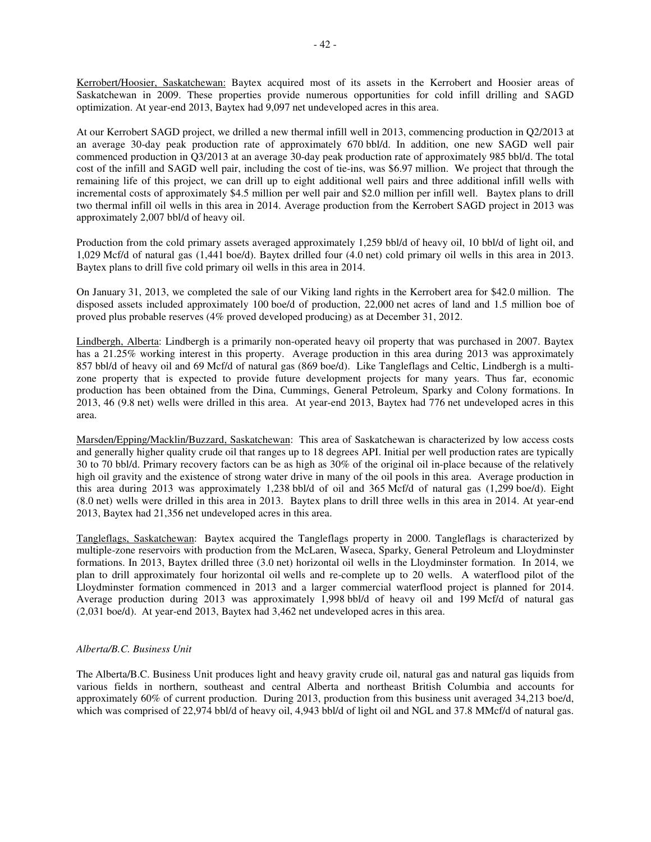Kerrobert/Hoosier, Saskatchewan: Baytex acquired most of its assets in the Kerrobert and Hoosier areas of Saskatchewan in 2009. These properties provide numerous opportunities for cold infill drilling and SAGD optimization. At year-end 2013, Baytex had 9,097 net undeveloped acres in this area.

At our Kerrobert SAGD project, we drilled a new thermal infill well in 2013, commencing production in Q2/2013 at an average 30-day peak production rate of approximately 670 bbl/d. In addition, one new SAGD well pair commenced production in Q3/2013 at an average 30-day peak production rate of approximately 985 bbl/d. The total cost of the infill and SAGD well pair, including the cost of tie-ins, was \$6.97 million. We project that through the remaining life of this project, we can drill up to eight additional well pairs and three additional infill wells with incremental costs of approximately \$4.5 million per well pair and \$2.0 million per infill well. Baytex plans to drill two thermal infill oil wells in this area in 2014. Average production from the Kerrobert SAGD project in 2013 was approximately 2,007 bbl/d of heavy oil.

Production from the cold primary assets averaged approximately 1,259 bbl/d of heavy oil, 10 bbl/d of light oil, and 1,029 Mcf/d of natural gas (1,441 boe/d). Baytex drilled four (4.0 net) cold primary oil wells in this area in 2013. Baytex plans to drill five cold primary oil wells in this area in 2014.

On January 31, 2013, we completed the sale of our Viking land rights in the Kerrobert area for \$42.0 million. The disposed assets included approximately 100 boe/d of production, 22,000 net acres of land and 1.5 million boe of proved plus probable reserves (4% proved developed producing) as at December 31, 2012.

Lindbergh, Alberta: Lindbergh is a primarily non-operated heavy oil property that was purchased in 2007. Baytex has a 21.25% working interest in this property. Average production in this area during 2013 was approximately 857 bbl/d of heavy oil and 69 Mcf/d of natural gas (869 boe/d). Like Tangleflags and Celtic, Lindbergh is a multizone property that is expected to provide future development projects for many years. Thus far, economic production has been obtained from the Dina, Cummings, General Petroleum, Sparky and Colony formations. In 2013, 46 (9.8 net) wells were drilled in this area. At year-end 2013, Baytex had 776 net undeveloped acres in this area.

Marsden/Epping/Macklin/Buzzard, Saskatchewan: This area of Saskatchewan is characterized by low access costs and generally higher quality crude oil that ranges up to 18 degrees API. Initial per well production rates are typically 30 to 70 bbl/d. Primary recovery factors can be as high as 30% of the original oil in-place because of the relatively high oil gravity and the existence of strong water drive in many of the oil pools in this area. Average production in this area during 2013 was approximately 1,238 bbl/d of oil and 365 Mcf/d of natural gas (1,299 boe/d). Eight (8.0 net) wells were drilled in this area in 2013. Baytex plans to drill three wells in this area in 2014. At year-end 2013, Baytex had 21,356 net undeveloped acres in this area.

Tangleflags, Saskatchewan: Baytex acquired the Tangleflags property in 2000. Tangleflags is characterized by multiple-zone reservoirs with production from the McLaren, Waseca, Sparky, General Petroleum and Lloydminster formations. In 2013, Baytex drilled three (3.0 net) horizontal oil wells in the Lloydminster formation. In 2014, we plan to drill approximately four horizontal oil wells and re-complete up to 20 wells. A waterflood pilot of the Lloydminster formation commenced in 2013 and a larger commercial waterflood project is planned for 2014. Average production during 2013 was approximately 1,998 bbl/d of heavy oil and 199 Mcf/d of natural gas (2,031 boe/d). At year-end 2013, Baytex had 3,462 net undeveloped acres in this area.

# *Alberta/B.C. Business Unit*

The Alberta/B.C. Business Unit produces light and heavy gravity crude oil, natural gas and natural gas liquids from various fields in northern, southeast and central Alberta and northeast British Columbia and accounts for approximately 60% of current production. During 2013, production from this business unit averaged 34,213 boe/d, which was comprised of 22,974 bbl/d of heavy oil, 4,943 bbl/d of light oil and NGL and 37.8 MMcf/d of natural gas.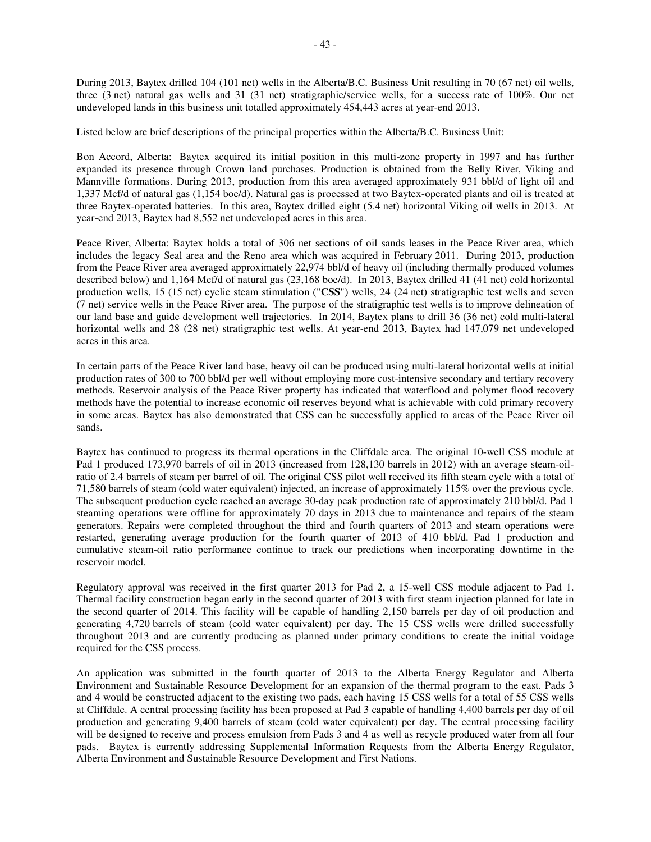During 2013, Baytex drilled 104 (101 net) wells in the Alberta/B.C. Business Unit resulting in 70 (67 net) oil wells, three (3 net) natural gas wells and 31 (31 net) stratigraphic/service wells, for a success rate of 100%. Our net undeveloped lands in this business unit totalled approximately 454,443 acres at year-end 2013.

Listed below are brief descriptions of the principal properties within the Alberta/B.C. Business Unit:

Bon Accord, Alberta: Baytex acquired its initial position in this multi-zone property in 1997 and has further expanded its presence through Crown land purchases. Production is obtained from the Belly River, Viking and Mannville formations. During 2013, production from this area averaged approximately 931 bbl/d of light oil and 1,337 Mcf/d of natural gas (1,154 boe/d). Natural gas is processed at two Baytex-operated plants and oil is treated at three Baytex-operated batteries. In this area, Baytex drilled eight (5.4 net) horizontal Viking oil wells in 2013. At year-end 2013, Baytex had 8,552 net undeveloped acres in this area.

Peace River, Alberta: Baytex holds a total of 306 net sections of oil sands leases in the Peace River area, which includes the legacy Seal area and the Reno area which was acquired in February 2011. During 2013, production from the Peace River area averaged approximately 22,974 bbl/d of heavy oil (including thermally produced volumes described below) and 1,164 Mcf/d of natural gas (23,168 boe/d). In 2013, Baytex drilled 41 (41 net) cold horizontal production wells, 15 (15 net) cyclic steam stimulation ("**CSS**") wells, 24 (24 net) stratigraphic test wells and seven (7 net) service wells in the Peace River area. The purpose of the stratigraphic test wells is to improve delineation of our land base and guide development well trajectories. In 2014, Baytex plans to drill 36 (36 net) cold multi-lateral horizontal wells and 28 (28 net) stratigraphic test wells. At year-end 2013, Baytex had 147,079 net undeveloped acres in this area.

In certain parts of the Peace River land base, heavy oil can be produced using multi-lateral horizontal wells at initial production rates of 300 to 700 bbl/d per well without employing more cost-intensive secondary and tertiary recovery methods. Reservoir analysis of the Peace River property has indicated that waterflood and polymer flood recovery methods have the potential to increase economic oil reserves beyond what is achievable with cold primary recovery in some areas. Baytex has also demonstrated that CSS can be successfully applied to areas of the Peace River oil sands.

Baytex has continued to progress its thermal operations in the Cliffdale area. The original 10-well CSS module at Pad 1 produced 173,970 barrels of oil in 2013 (increased from 128,130 barrels in 2012) with an average steam-oilratio of 2.4 barrels of steam per barrel of oil. The original CSS pilot well received its fifth steam cycle with a total of 71,580 barrels of steam (cold water equivalent) injected, an increase of approximately 115% over the previous cycle. The subsequent production cycle reached an average 30-day peak production rate of approximately 210 bbl/d. Pad 1 steaming operations were offline for approximately 70 days in 2013 due to maintenance and repairs of the steam generators. Repairs were completed throughout the third and fourth quarters of 2013 and steam operations were restarted, generating average production for the fourth quarter of 2013 of 410 bbl/d. Pad 1 production and cumulative steam-oil ratio performance continue to track our predictions when incorporating downtime in the reservoir model.

Regulatory approval was received in the first quarter 2013 for Pad 2, a 15-well CSS module adjacent to Pad 1. Thermal facility construction began early in the second quarter of 2013 with first steam injection planned for late in the second quarter of 2014. This facility will be capable of handling 2,150 barrels per day of oil production and generating 4,720 barrels of steam (cold water equivalent) per day. The 15 CSS wells were drilled successfully throughout 2013 and are currently producing as planned under primary conditions to create the initial voidage required for the CSS process.

An application was submitted in the fourth quarter of 2013 to the Alberta Energy Regulator and Alberta Environment and Sustainable Resource Development for an expansion of the thermal program to the east. Pads 3 and 4 would be constructed adjacent to the existing two pads, each having 15 CSS wells for a total of 55 CSS wells at Cliffdale. A central processing facility has been proposed at Pad 3 capable of handling 4,400 barrels per day of oil production and generating 9,400 barrels of steam (cold water equivalent) per day. The central processing facility will be designed to receive and process emulsion from Pads 3 and 4 as well as recycle produced water from all four pads. Baytex is currently addressing Supplemental Information Requests from the Alberta Energy Regulator, Alberta Environment and Sustainable Resource Development and First Nations.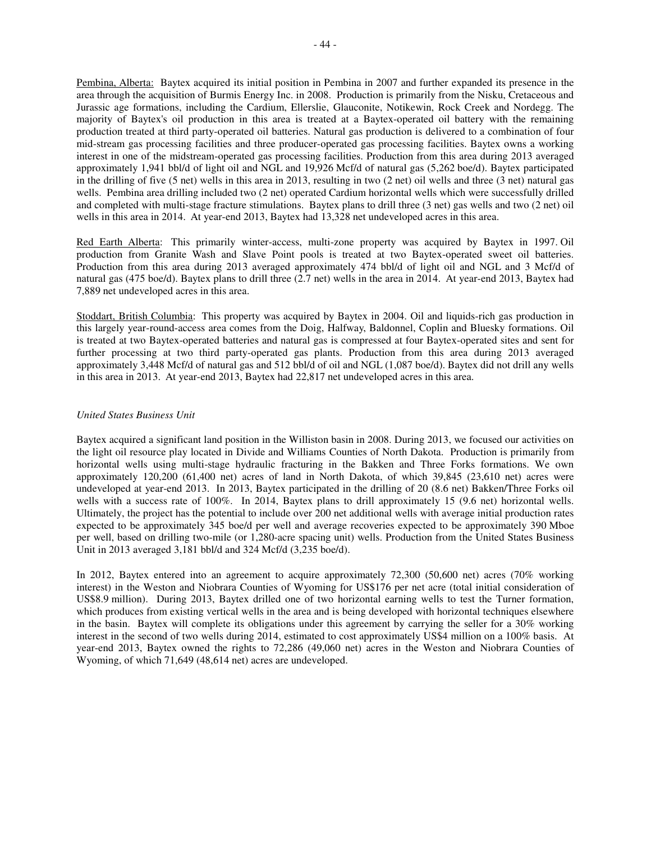Pembina, Alberta: Baytex acquired its initial position in Pembina in 2007 and further expanded its presence in the area through the acquisition of Burmis Energy Inc. in 2008. Production is primarily from the Nisku, Cretaceous and Jurassic age formations, including the Cardium, Ellerslie, Glauconite, Notikewin, Rock Creek and Nordegg. The majority of Baytex's oil production in this area is treated at a Baytex-operated oil battery with the remaining production treated at third party-operated oil batteries. Natural gas production is delivered to a combination of four mid-stream gas processing facilities and three producer-operated gas processing facilities. Baytex owns a working interest in one of the midstream-operated gas processing facilities. Production from this area during 2013 averaged approximately 1,941 bbl/d of light oil and NGL and 19,926 Mcf/d of natural gas (5,262 boe/d). Baytex participated in the drilling of five (5 net) wells in this area in 2013, resulting in two (2 net) oil wells and three (3 net) natural gas wells. Pembina area drilling included two (2 net) operated Cardium horizontal wells which were successfully drilled and completed with multi-stage fracture stimulations. Baytex plans to drill three (3 net) gas wells and two (2 net) oil wells in this area in 2014. At year-end 2013, Baytex had 13,328 net undeveloped acres in this area.

Red Earth Alberta: This primarily winter-access, multi-zone property was acquired by Baytex in 1997. Oil production from Granite Wash and Slave Point pools is treated at two Baytex-operated sweet oil batteries. Production from this area during 2013 averaged approximately 474 bbl/d of light oil and NGL and 3 Mcf/d of natural gas (475 boe/d). Baytex plans to drill three (2.7 net) wells in the area in 2014. At year-end 2013, Baytex had 7,889 net undeveloped acres in this area.

Stoddart, British Columbia: This property was acquired by Baytex in 2004. Oil and liquids-rich gas production in this largely year-round-access area comes from the Doig, Halfway, Baldonnel, Coplin and Bluesky formations. Oil is treated at two Baytex-operated batteries and natural gas is compressed at four Baytex-operated sites and sent for further processing at two third party-operated gas plants. Production from this area during 2013 averaged approximately 3,448 Mcf/d of natural gas and 512 bbl/d of oil and NGL (1,087 boe/d). Baytex did not drill any wells in this area in 2013. At year-end 2013, Baytex had 22,817 net undeveloped acres in this area.

### *United States Business Unit*

Baytex acquired a significant land position in the Williston basin in 2008. During 2013, we focused our activities on the light oil resource play located in Divide and Williams Counties of North Dakota. Production is primarily from horizontal wells using multi-stage hydraulic fracturing in the Bakken and Three Forks formations. We own approximately 120,200 (61,400 net) acres of land in North Dakota, of which 39,845 (23,610 net) acres were undeveloped at year-end 2013. In 2013, Baytex participated in the drilling of 20 (8.6 net) Bakken/Three Forks oil wells with a success rate of 100%. In 2014, Baytex plans to drill approximately 15 (9.6 net) horizontal wells. Ultimately, the project has the potential to include over 200 net additional wells with average initial production rates expected to be approximately 345 boe/d per well and average recoveries expected to be approximately 390 Mboe per well, based on drilling two-mile (or 1,280-acre spacing unit) wells. Production from the United States Business Unit in 2013 averaged 3,181 bbl/d and 324 Mcf/d (3,235 boe/d).

In 2012, Baytex entered into an agreement to acquire approximately 72,300 (50,600 net) acres (70% working interest) in the Weston and Niobrara Counties of Wyoming for US\$176 per net acre (total initial consideration of US\$8.9 million). During 2013, Baytex drilled one of two horizontal earning wells to test the Turner formation, which produces from existing vertical wells in the area and is being developed with horizontal techniques elsewhere in the basin. Baytex will complete its obligations under this agreement by carrying the seller for a 30% working interest in the second of two wells during 2014, estimated to cost approximately US\$4 million on a 100% basis. At year-end 2013, Baytex owned the rights to 72,286 (49,060 net) acres in the Weston and Niobrara Counties of Wyoming, of which 71,649 (48,614 net) acres are undeveloped.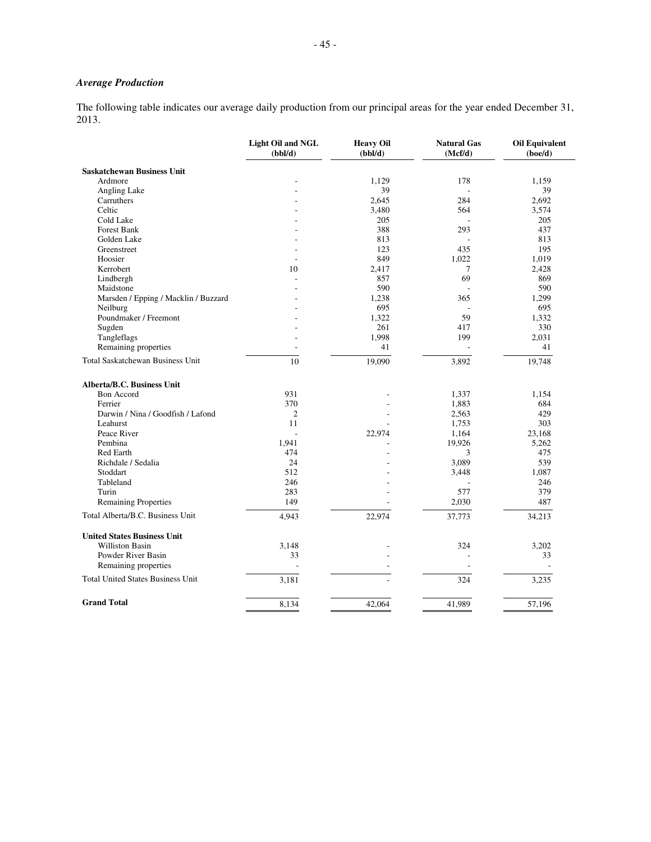# *Average Production*

The following table indicates our average daily production from our principal areas for the year ended December 31, 2013.

|                                          | <b>Light Oil and NGL</b><br>(bbl/d) | <b>Heavy Oil</b><br>(bbl/d) | <b>Natural Gas</b><br>(Mcf/d) | <b>Oil Equivalent</b><br>(boe/d) |
|------------------------------------------|-------------------------------------|-----------------------------|-------------------------------|----------------------------------|
| <b>Saskatchewan Business Unit</b>        |                                     |                             |                               |                                  |
| Ardmore                                  |                                     | 1,129                       | 178                           | 1,159                            |
| Angling Lake                             |                                     | 39                          |                               | 39                               |
| Carruthers                               |                                     | 2,645                       | 284                           | 2,692                            |
| Celtic                                   |                                     | 3,480                       | 564                           | 3,574                            |
| Cold Lake                                |                                     | 205                         |                               | 205                              |
| <b>Forest Bank</b>                       |                                     | 388                         | 293                           | 437                              |
| Golden Lake                              |                                     | 813                         |                               | 813                              |
| Greenstreet                              |                                     | 123                         | 435                           | 195                              |
| Hoosier                                  |                                     | 849                         | 1,022                         | 1,019                            |
| Kerrobert                                | 10                                  | 2,417                       | 7                             | 2,428                            |
| Lindbergh                                |                                     | 857                         | 69                            | 869                              |
| Maidstone                                |                                     | 590                         | J.                            | 590                              |
| Marsden / Epping / Macklin / Buzzard     |                                     | 1,238                       | 365                           | 1,299                            |
| Neilburg                                 |                                     | 695                         |                               | 695                              |
| Poundmaker / Freemont                    |                                     | 1,322                       | 59                            | 1,332                            |
| Sugden                                   |                                     | 261                         | 417                           | 330                              |
| Tangleflags                              |                                     | 1,998                       | 199                           | 2,031                            |
| Remaining properties                     |                                     | 41                          |                               | 41                               |
| <b>Total Saskatchewan Business Unit</b>  | 10                                  | 19,090                      | 3,892                         | 19,748                           |
| <b>Alberta/B.C. Business Unit</b>        |                                     |                             |                               |                                  |
| <b>Bon Accord</b>                        | 931                                 |                             | 1,337                         | 1.154                            |
| Ferrier                                  | 370                                 |                             | 1,883                         | 684                              |
| Darwin / Nina / Goodfish / Lafond        | $\overline{2}$                      |                             | 2,563                         | 429                              |
| Leahurst                                 | 11                                  |                             | 1,753                         | 303                              |
| Peace River                              |                                     | 22,974                      | 1,164                         | 23,168                           |
| Pembina                                  | 1,941                               |                             | 19,926                        | 5,262                            |
| Red Earth                                | 474                                 |                             | 3                             | 475                              |
| Richdale / Sedalia                       | 24                                  |                             | 3,089                         | 539                              |
| Stoddart                                 | 512                                 |                             | 3,448                         | 1.087                            |
| Tableland                                | 246                                 |                             |                               | 246                              |
| Turin                                    | 283                                 |                             | 577                           | 379                              |
| <b>Remaining Properties</b>              | 149                                 |                             | 2,030                         | 487                              |
| Total Alberta/B.C. Business Unit         | 4,943                               | 22,974                      | 37,773                        | 34,213                           |
| <b>United States Business Unit</b>       |                                     |                             |                               |                                  |
| <b>Williston Basin</b>                   | 3,148                               |                             | 324                           | 3,202                            |
| Powder River Basin                       | 33                                  |                             |                               | 33                               |
| Remaining properties                     |                                     |                             |                               |                                  |
| <b>Total United States Business Unit</b> | 3,181                               |                             | 324                           | 3,235                            |
|                                          |                                     |                             |                               |                                  |
| <b>Grand Total</b>                       | 8,134                               | 42,064                      | 41,989                        | 57,196                           |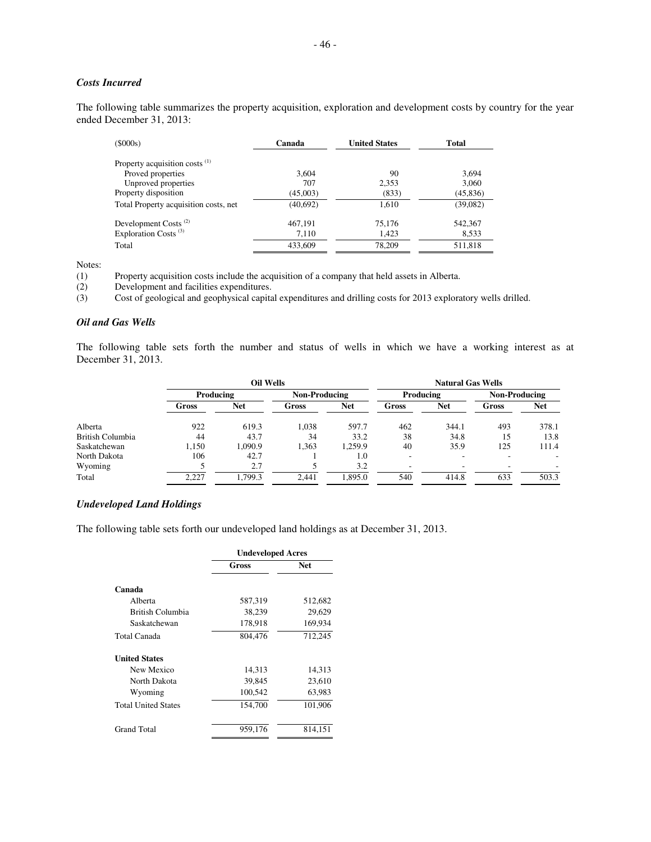# *Costs Incurred*

The following table summarizes the property acquisition, exploration and development costs by country for the year ended December 31, 2013:

| (5000s)                                   | Canada   | <b>United States</b> | <b>Total</b> |  |
|-------------------------------------------|----------|----------------------|--------------|--|
| Property acquisition costs <sup>(1)</sup> |          |                      |              |  |
| Proved properties                         | 3.604    | 90                   | 3.694        |  |
| Unproved properties                       | 707      | 2,353                | 3,060        |  |
| Property disposition                      | (45,003) | (833)                | (45, 836)    |  |
| Total Property acquisition costs, net     | (40,692) | 1,610                | (39,082)     |  |
| Development Costs <sup>(2)</sup>          | 467.191  | 75.176               | 542,367      |  |
| Exploration Costs <sup>(3)</sup>          | 7,110    | 1,423                | 8,533        |  |
| Total                                     | 433,609  | 78.209               | 511.818      |  |

Notes:

(1) Property acquisition costs include the acquisition of a company that held assets in Alberta.

(2) Development and facilities expenditures.<br>
(3) Cost of geological and geophysical capital

Cost of geological and geophysical capital expenditures and drilling costs for 2013 exploratory wells drilled.

# *Oil and Gas Wells*

The following table sets forth the number and status of wells in which we have a working interest as at December 31, 2013.

|                  | <b>Oil Wells</b> |            |                      |            | <b>Natural Gas Wells</b> |            |                      |            |
|------------------|------------------|------------|----------------------|------------|--------------------------|------------|----------------------|------------|
|                  | Producing        |            | <b>Non-Producing</b> |            | Producing                |            | <b>Non-Producing</b> |            |
|                  | Gross            | <b>Net</b> | Gross                | <b>Net</b> | Gross                    | <b>Net</b> | Gross                | <b>Net</b> |
| Alberta          | 922              | 619.3      | 1.038                | 597.7      | 462                      | 344.1      | 493                  | 378.1      |
| British Columbia | 44               | 43.7       | 34                   | 33.2       | 38                       | 34.8       | 15                   | 13.8       |
| Saskatchewan     | 1.150            | 1.090.9    | 1.363                | 1.259.9    | 40                       | 35.9       | 125                  | 111.4      |
| North Dakota     | 106              | 42.7       |                      | 1.0        | -                        |            |                      |            |
| Wyoming          |                  | 2.7        |                      | 3.2        | -                        |            |                      |            |
| Total            | 2.227            | 1.799.3    | 2.441                | 1.895.0    | 540                      | 414.8      | 633                  | 503.3      |

### *Undeveloped Land Holdings*

The following table sets forth our undeveloped land holdings as at December 31, 2013.

|                            | <b>Undeveloped Acres</b> |            |  |  |
|----------------------------|--------------------------|------------|--|--|
|                            | Gross                    | <b>Net</b> |  |  |
| Canada                     |                          |            |  |  |
| Alberta                    | 587,319                  | 512,682    |  |  |
| British Columbia           | 38,239                   | 29,629     |  |  |
| Saskatchewan               | 178,918                  | 169,934    |  |  |
| Total Canada               | 804,476                  | 712,245    |  |  |
| <b>United States</b>       |                          |            |  |  |
| New Mexico                 | 14,313                   | 14,313     |  |  |
| North Dakota               | 39,845                   | 23,610     |  |  |
| Wyoming                    | 100,542                  | 63,983     |  |  |
| <b>Total United States</b> | 154,700                  | 101.906    |  |  |
| Grand Total                | 959.176                  | 814.151    |  |  |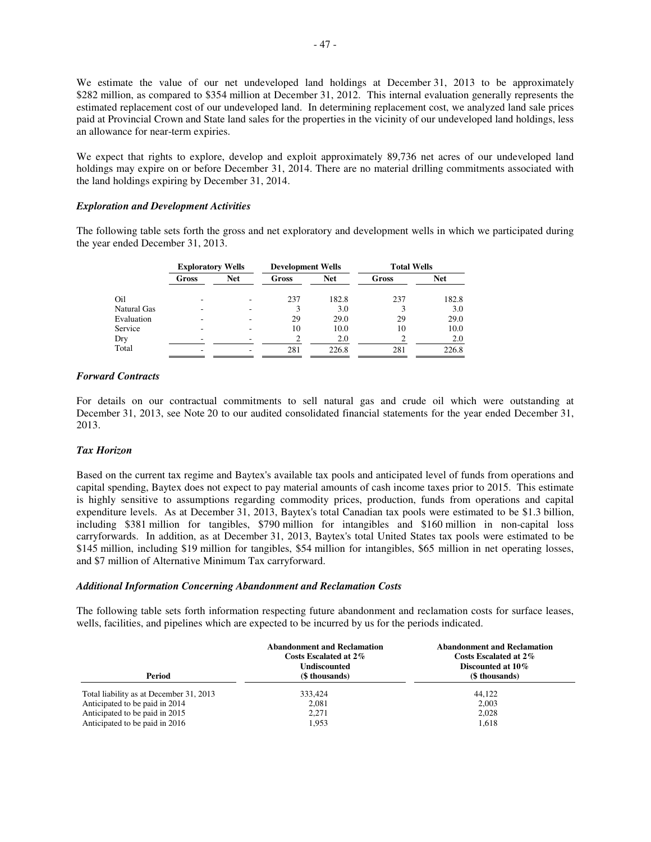We estimate the value of our net undeveloped land holdings at December 31, 2013 to be approximately \$282 million, as compared to \$354 million at December 31, 2012. This internal evaluation generally represents the estimated replacement cost of our undeveloped land. In determining replacement cost, we analyzed land sale prices paid at Provincial Crown and State land sales for the properties in the vicinity of our undeveloped land holdings, less an allowance for near-term expiries.

We expect that rights to explore, develop and exploit approximately 89,736 net acres of our undeveloped land holdings may expire on or before December 31, 2014. There are no material drilling commitments associated with the land holdings expiring by December 31, 2014.

#### *Exploration and Development Activities*

The following table sets forth the gross and net exploratory and development wells in which we participated during the year ended December 31, 2013.

| <b>Exploratory Wells</b> |            | <b>Development Wells</b> |            | <b>Total Wells</b> |            |
|--------------------------|------------|--------------------------|------------|--------------------|------------|
| Gross                    | <b>Net</b> | Gross                    | <b>Net</b> | Gross              | <b>Net</b> |
| ۰                        |            | 237                      | 182.8      | 237                | 182.8      |
| ۰                        | ۰          | 3                        | 3.0        |                    | 3.0        |
|                          |            | 29                       | 29.0       | 29                 | 29.0       |
| ۰                        |            | 10                       | 10.0       | 10                 | 10.0       |
| ۰                        |            |                          | 2.0        |                    | 2.0        |
|                          |            | 281                      | 226.8      | 281                | 226.8      |
|                          |            |                          |            |                    |            |

#### *Forward Contracts*

For details on our contractual commitments to sell natural gas and crude oil which were outstanding at December 31, 2013, see Note 20 to our audited consolidated financial statements for the year ended December 31, 2013.

# *Tax Horizon*

Based on the current tax regime and Baytex's available tax pools and anticipated level of funds from operations and capital spending, Baytex does not expect to pay material amounts of cash income taxes prior to 2015. This estimate is highly sensitive to assumptions regarding commodity prices, production, funds from operations and capital expenditure levels. As at December 31, 2013, Baytex's total Canadian tax pools were estimated to be \$1.3 billion, including \$381 million for tangibles, \$790 million for intangibles and \$160 million in non-capital loss carryforwards. In addition, as at December 31, 2013, Baytex's total United States tax pools were estimated to be \$145 million, including \$19 million for tangibles, \$54 million for intangibles, \$65 million in net operating losses, and \$7 million of Alternative Minimum Tax carryforward.

### *Additional Information Concerning Abandonment and Reclamation Costs*

The following table sets forth information respecting future abandonment and reclamation costs for surface leases, wells, facilities, and pipelines which are expected to be incurred by us for the periods indicated.

| Period                                  | <b>Abandonment and Reclamation</b><br>Costs Escalated at 2\%<br><b>Undiscounted</b><br>(\$ thousands) | <b>Abandonment and Reclamation</b><br>Costs Escalated at 2%<br>Discounted at 10%<br>(\$ thousands) |  |  |
|-----------------------------------------|-------------------------------------------------------------------------------------------------------|----------------------------------------------------------------------------------------------------|--|--|
| Total liability as at December 31, 2013 | 333.424                                                                                               | 44.122                                                                                             |  |  |
| Anticipated to be paid in 2014          | 2,081                                                                                                 | 2.003                                                                                              |  |  |
| Anticipated to be paid in 2015          | 2,271                                                                                                 | 2,028                                                                                              |  |  |
| Anticipated to be paid in 2016          | 1.953                                                                                                 | 1,618                                                                                              |  |  |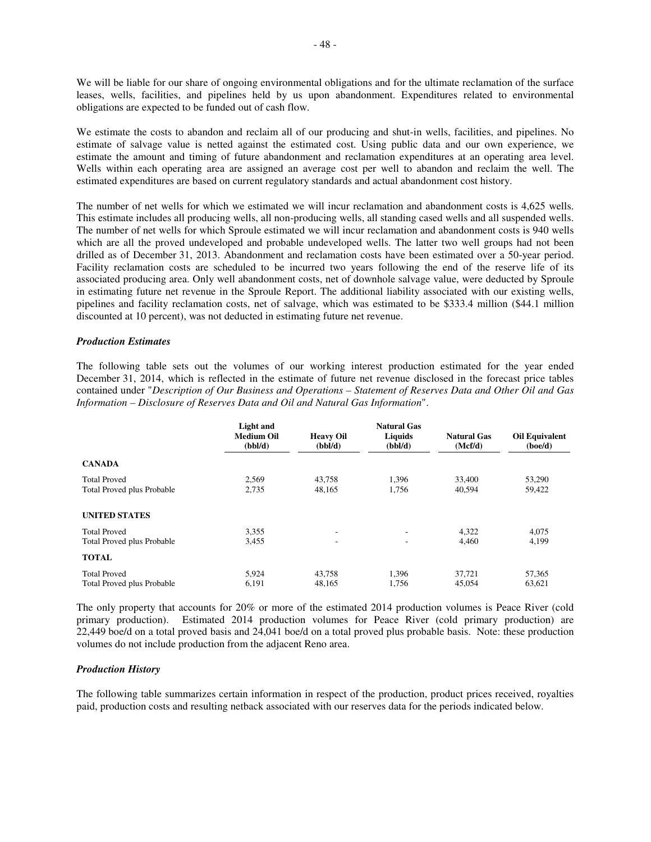We will be liable for our share of ongoing environmental obligations and for the ultimate reclamation of the surface leases, wells, facilities, and pipelines held by us upon abandonment. Expenditures related to environmental obligations are expected to be funded out of cash flow.

We estimate the costs to abandon and reclaim all of our producing and shut-in wells, facilities, and pipelines. No estimate of salvage value is netted against the estimated cost. Using public data and our own experience, we estimate the amount and timing of future abandonment and reclamation expenditures at an operating area level. Wells within each operating area are assigned an average cost per well to abandon and reclaim the well. The estimated expenditures are based on current regulatory standards and actual abandonment cost history.

The number of net wells for which we estimated we will incur reclamation and abandonment costs is 4,625 wells. This estimate includes all producing wells, all non-producing wells, all standing cased wells and all suspended wells. The number of net wells for which Sproule estimated we will incur reclamation and abandonment costs is 940 wells which are all the proved undeveloped and probable undeveloped wells. The latter two well groups had not been drilled as of December 31, 2013. Abandonment and reclamation costs have been estimated over a 50-year period. Facility reclamation costs are scheduled to be incurred two years following the end of the reserve life of its associated producing area. Only well abandonment costs, net of downhole salvage value, were deducted by Sproule in estimating future net revenue in the Sproule Report. The additional liability associated with our existing wells, pipelines and facility reclamation costs, net of salvage, which was estimated to be \$333.4 million (\$44.1 million discounted at 10 percent), was not deducted in estimating future net revenue.

#### *Production Estimates*

The following table sets out the volumes of our working interest production estimated for the year ended December 31, 2014, which is reflected in the estimate of future net revenue disclosed in the forecast price tables contained under "*Description of Our Business and Operations – Statement of Reserves Data and Other Oil and Gas Information – Disclosure of Reserves Data and Oil and Natural Gas Information*".

|                                                   | Light and<br><b>Medium Oil</b><br>(bbl/d) | <b>Heavy Oil</b><br>(bbl/d)                          | <b>Natural Gas</b><br>Liquids<br>(bbl/d) | <b>Natural Gas</b><br>(Mcf/d) | <b>Oil Equivalent</b><br>(boe/d) |
|---------------------------------------------------|-------------------------------------------|------------------------------------------------------|------------------------------------------|-------------------------------|----------------------------------|
| <b>CANADA</b>                                     |                                           |                                                      |                                          |                               |                                  |
| <b>Total Proved</b><br>Total Proved plus Probable | 2,569<br>2,735                            | 43,758<br>48,165                                     | 1.396<br>1,756                           | 33,400<br>40,594              | 53,290<br>59,422                 |
| <b>UNITED STATES</b>                              |                                           |                                                      |                                          |                               |                                  |
| <b>Total Proved</b><br>Total Proved plus Probable | 3,355<br>3,455                            | $\overline{\phantom{a}}$<br>$\overline{\phantom{a}}$ | $\overline{\phantom{a}}$                 | 4,322<br>4,460                | 4,075<br>4,199                   |
| <b>TOTAL</b>                                      |                                           |                                                      |                                          |                               |                                  |
| <b>Total Proved</b><br>Total Proved plus Probable | 5,924<br>6,191                            | 43,758<br>48,165                                     | 1,396<br>1,756                           | 37,721<br>45,054              | 57,365<br>63,621                 |

The only property that accounts for 20% or more of the estimated 2014 production volumes is Peace River (cold primary production). Estimated 2014 production volumes for Peace River (cold primary production) are 22,449 boe/d on a total proved basis and 24,041 boe/d on a total proved plus probable basis. Note: these production volumes do not include production from the adjacent Reno area.

#### *Production History*

The following table summarizes certain information in respect of the production, product prices received, royalties paid, production costs and resulting netback associated with our reserves data for the periods indicated below.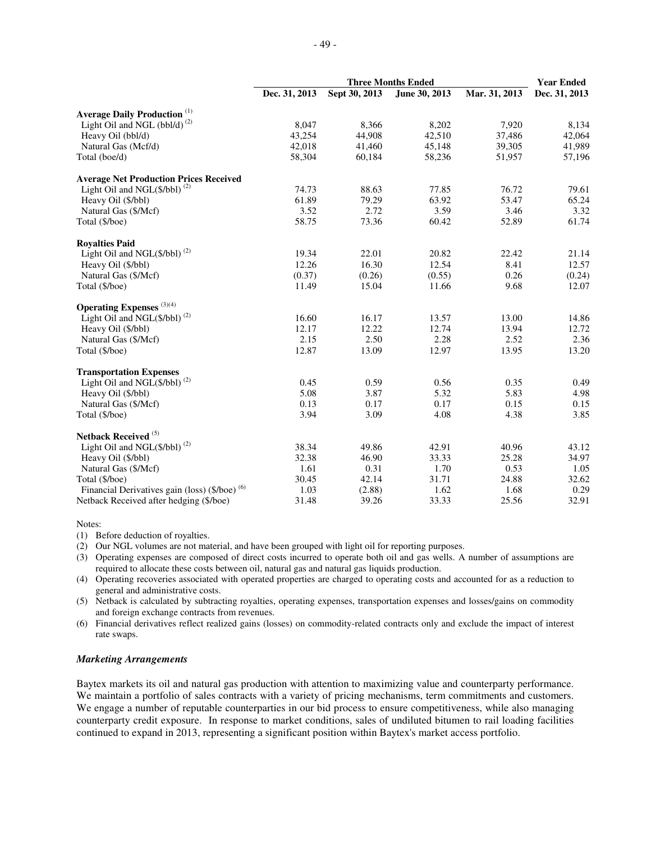|                                                                         | <b>Three Months Ended</b> |               |               |               | <b>Year Ended</b> |
|-------------------------------------------------------------------------|---------------------------|---------------|---------------|---------------|-------------------|
|                                                                         | Dec. 31, 2013             | Sept 30, 2013 | June 30, 2013 | Mar. 31, 2013 | Dec. 31, 2013     |
| <b>Average Daily Production</b> <sup>(1)</sup>                          |                           |               |               |               |                   |
| Light Oil and NGL $(bbI/d)$ <sup>(2)</sup>                              | 8.047                     | 8,366         | 8,202         | 7,920         | 8,134             |
| Heavy Oil (bbl/d)                                                       | 43,254                    | 44,908        | 42,510        | 37,486        | 42,064            |
| Natural Gas (Mcf/d)                                                     | 42,018                    | 41,460        | 45,148        | 39,305        | 41,989            |
| Total (boe/d)                                                           | 58,304                    | 60,184        | 58,236        | 51,957        | 57,196            |
| <b>Average Net Production Prices Received</b>                           |                           |               |               |               |                   |
| Light Oil and NGL(\$/bbl) <sup>(2)</sup>                                | 74.73                     | 88.63         | 77.85         | 76.72         | 79.61             |
| Heavy Oil (\$/bbl)                                                      | 61.89                     | 79.29         | 63.92         | 53.47         | 65.24             |
| Natural Gas (\$/Mcf)                                                    | 3.52                      | 2.72          | 3.59          | 3.46          | 3.32              |
| Total (\$/boe)                                                          | 58.75                     | 73.36         | 60.42         | 52.89         | 61.74             |
| <b>Royalties Paid</b>                                                   |                           |               |               |               |                   |
| Light Oil and NGL(\$/bbl) <sup>(2)</sup>                                | 19.34                     | 22.01         | 20.82         | 22.42         | 21.14             |
| Heavy Oil (\$/bbl)                                                      | 12.26                     | 16.30         | 12.54         | 8.41          | 12.57             |
| Natural Gas (\$/Mcf)                                                    | (0.37)                    | (0.26)        | (0.55)        | 0.26          | (0.24)            |
| Total (\$/boe)                                                          | 11.49                     | 15.04         | 11.66         | 9.68          | 12.07             |
| <b>Operating Expenses</b> (3)(4)                                        |                           |               |               |               |                   |
| Light Oil and NGL(\$/bbl) <sup>(2)</sup>                                | 16.60                     | 16.17         | 13.57         | 13.00         | 14.86             |
| Heavy Oil (\$/bbl)                                                      | 12.17                     | 12.22         | 12.74         | 13.94         | 12.72             |
| Natural Gas (\$/Mcf)                                                    | 2.15                      | 2.50          | 2.28          | 2.52          | 2.36              |
| Total (\$/boe)                                                          | 12.87                     | 13.09         | 12.97         | 13.95         | 13.20             |
| <b>Transportation Expenses</b>                                          |                           |               |               |               |                   |
| Light Oil and NGL $(\frac{6}{bbl})^{(2)}$                               | 0.45                      | 0.59          | 0.56          | 0.35          | 0.49              |
| Heavy Oil (\$/bbl)                                                      | 5.08                      | 3.87          | 5.32          | 5.83          | 4.98              |
| Natural Gas (\$/Mcf)                                                    | 0.13                      | 0.17          | 0.17          | 0.15          | 0.15              |
| Total (\$/boe)                                                          | 3.94                      | 3.09          | 4.08          | 4.38          | 3.85              |
| Netback Received <sup>(5)</sup>                                         |                           |               |               |               |                   |
| Light Oil and NGL $(\frac{\text{S}}{\text{b}})^{(2)}$                   | 38.34                     | 49.86         | 42.91         | 40.96         | 43.12             |
| Heavy Oil (\$/bbl)                                                      | 32.38                     | 46.90         | 33.33         | 25.28         | 34.97             |
| Natural Gas (\$/Mcf)                                                    | 1.61                      | 0.31          | 1.70          | 0.53          | 1.05              |
| Total (\$/boe)                                                          | 30.45                     | 42.14         | 31.71         | 24.88         | 32.62             |
| Financial Derivatives gain (loss) $(\frac{5}{b} \cdot \frac{1}{c})$ (6) | 1.03                      | (2.88)        | 1.62          | 1.68          | 0.29              |
| Netback Received after hedging (\$/boe)                                 | 31.48                     | 39.26         | 33.33         | 25.56         | 32.91             |

Notes:

(1) Before deduction of royalties.

(2) Our NGL volumes are not material, and have been grouped with light oil for reporting purposes.

(3) Operating expenses are composed of direct costs incurred to operate both oil and gas wells. A number of assumptions are required to allocate these costs between oil, natural gas and natural gas liquids production.

(4) Operating recoveries associated with operated properties are charged to operating costs and accounted for as a reduction to general and administrative costs.

(5) Netback is calculated by subtracting royalties, operating expenses, transportation expenses and losses/gains on commodity and foreign exchange contracts from revenues.

(6) Financial derivatives reflect realized gains (losses) on commodity-related contracts only and exclude the impact of interest rate swaps.

#### *Marketing Arrangements*

Baytex markets its oil and natural gas production with attention to maximizing value and counterparty performance. We maintain a portfolio of sales contracts with a variety of pricing mechanisms, term commitments and customers. We engage a number of reputable counterparties in our bid process to ensure competitiveness, while also managing counterparty credit exposure. In response to market conditions, sales of undiluted bitumen to rail loading facilities continued to expand in 2013, representing a significant position within Baytex's market access portfolio.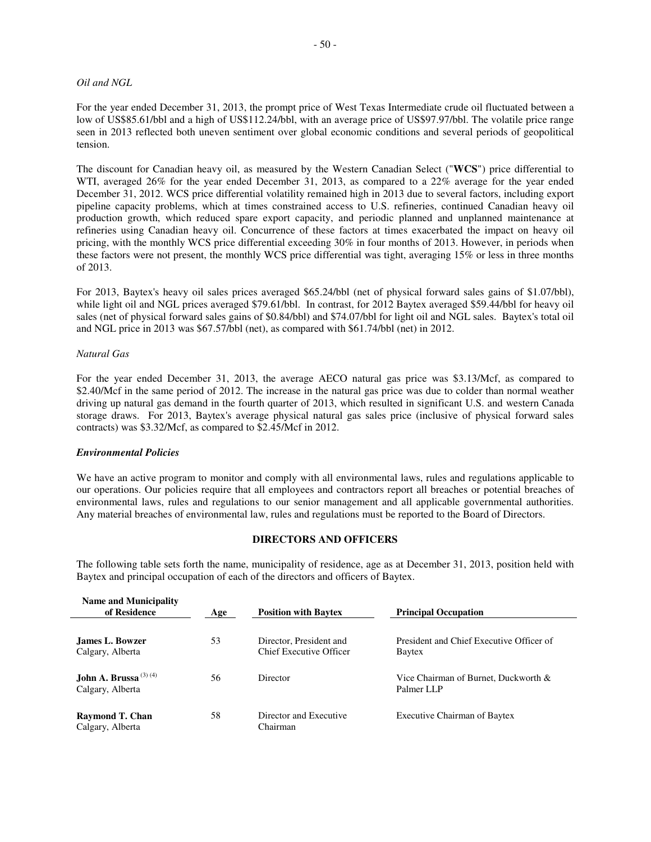#### *Oil and NGL*

For the year ended December 31, 2013, the prompt price of West Texas Intermediate crude oil fluctuated between a low of US\$85.61/bbl and a high of US\$112.24/bbl, with an average price of US\$97.97/bbl. The volatile price range seen in 2013 reflected both uneven sentiment over global economic conditions and several periods of geopolitical tension.

The discount for Canadian heavy oil, as measured by the Western Canadian Select ("**WCS**") price differential to WTI, averaged 26% for the year ended December 31, 2013, as compared to a 22% average for the year ended December 31, 2012. WCS price differential volatility remained high in 2013 due to several factors, including export pipeline capacity problems, which at times constrained access to U.S. refineries, continued Canadian heavy oil production growth, which reduced spare export capacity, and periodic planned and unplanned maintenance at refineries using Canadian heavy oil. Concurrence of these factors at times exacerbated the impact on heavy oil pricing, with the monthly WCS price differential exceeding 30% in four months of 2013. However, in periods when these factors were not present, the monthly WCS price differential was tight, averaging 15% or less in three months of 2013.

For 2013, Baytex's heavy oil sales prices averaged \$65.24/bbl (net of physical forward sales gains of \$1.07/bbl), while light oil and NGL prices averaged \$79.61/bbl. In contrast, for 2012 Baytex averaged \$59.44/bbl for heavy oil sales (net of physical forward sales gains of \$0.84/bbl) and \$74.07/bbl for light oil and NGL sales. Baytex's total oil and NGL price in 2013 was \$67.57/bbl (net), as compared with \$61.74/bbl (net) in 2012.

### *Natural Gas*

For the year ended December 31, 2013, the average AECO natural gas price was \$3.13/Mcf, as compared to \$2.40/Mcf in the same period of 2012. The increase in the natural gas price was due to colder than normal weather driving up natural gas demand in the fourth quarter of 2013, which resulted in significant U.S. and western Canada storage draws. For 2013, Baytex's average physical natural gas sales price (inclusive of physical forward sales contracts) was \$3.32/Mcf, as compared to \$2.45/Mcf in 2012.

### *Environmental Policies*

We have an active program to monitor and comply with all environmental laws, rules and regulations applicable to our operations. Our policies require that all employees and contractors report all breaches or potential breaches of environmental laws, rules and regulations to our senior management and all applicable governmental authorities. Any material breaches of environmental law, rules and regulations must be reported to the Board of Directors.

## **DIRECTORS AND OFFICERS**

The following table sets forth the name, municipality of residence, age as at December 31, 2013, position held with Baytex and principal occupation of each of the directors and officers of Baytex.

| <b>Name and Municipality</b><br>of Residence                | Age | <b>Position with Baytex</b>                        | <b>Principal Occupation</b>                        |
|-------------------------------------------------------------|-----|----------------------------------------------------|----------------------------------------------------|
| James L. Bowzer<br>Calgary, Alberta                         | 53  | Director, President and<br>Chief Executive Officer | President and Chief Executive Officer of<br>Baytex |
| <b>John A. Brussa</b> $^{(3)}$ $^{(4)}$<br>Calgary, Alberta | 56  | Director                                           | Vice Chairman of Burnet, Duckworth &<br>Palmer LLP |
| Raymond T. Chan<br>Calgary, Alberta                         | 58  | Director and Executive<br>Chairman                 | Executive Chairman of Baytex                       |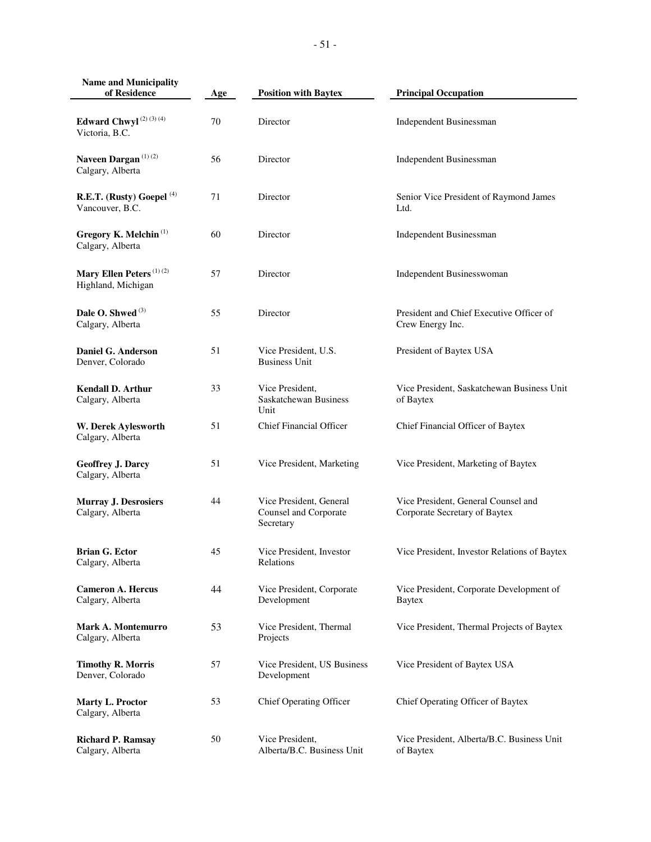| <b>Name and Municipality</b><br>of Residence              | Age | <b>Position with Baytex</b>                                   | <b>Principal Occupation</b>                                          |
|-----------------------------------------------------------|-----|---------------------------------------------------------------|----------------------------------------------------------------------|
| Edward Chwyl <sup>(2)(3)(4)</sup><br>Victoria, B.C.       | 70  | Director                                                      | Independent Businessman                                              |
| Naveen Dargan <sup>(1)(2)</sup><br>Calgary, Alberta       | 56  | Director                                                      | Independent Businessman                                              |
| R.E.T. (Rusty) Goepel <sup>(4)</sup><br>Vancouver, B.C.   | 71  | Director                                                      | Senior Vice President of Raymond James<br>Ltd.                       |
| Gregory K. Melchin <sup>(1)</sup><br>Calgary, Alberta     | 60  | Director                                                      | <b>Independent Businessman</b>                                       |
| Mary Ellen Peters <sup>(1)(2)</sup><br>Highland, Michigan | 57  | Director                                                      | Independent Businesswoman                                            |
| Dale O. Shwed <sup>(3)</sup><br>Calgary, Alberta          | 55  | Director                                                      | President and Chief Executive Officer of<br>Crew Energy Inc.         |
| Daniel G. Anderson<br>Denver, Colorado                    | 51  | Vice President, U.S.<br><b>Business Unit</b>                  | President of Baytex USA                                              |
| <b>Kendall D. Arthur</b><br>Calgary, Alberta              | 33  | Vice President,<br>Saskatchewan Business<br>Unit              | Vice President, Saskatchewan Business Unit<br>of Baytex              |
| W. Derek Aylesworth<br>Calgary, Alberta                   | 51  | <b>Chief Financial Officer</b>                                | Chief Financial Officer of Baytex                                    |
| <b>Geoffrey J. Darcy</b><br>Calgary, Alberta              | 51  | Vice President, Marketing                                     | Vice President, Marketing of Baytex                                  |
| <b>Murray J. Desrosiers</b><br>Calgary, Alberta           | 44  | Vice President, General<br>Counsel and Corporate<br>Secretary | Vice President, General Counsel and<br>Corporate Secretary of Baytex |
| <b>Brian G. Ector</b><br>Calgary, Alberta                 | 45  | Vice President, Investor<br>Relations                         | Vice President, Investor Relations of Baytex                         |
| <b>Cameron A. Hercus</b><br>Calgary, Alberta              | 44  | Vice President, Corporate<br>Development                      | Vice President, Corporate Development of<br>Baytex                   |
| <b>Mark A. Montemurro</b><br>Calgary, Alberta             | 53  | Vice President, Thermal<br>Projects                           | Vice President, Thermal Projects of Baytex                           |
| <b>Timothy R. Morris</b><br>Denver, Colorado              | 57  | Vice President, US Business<br>Development                    | Vice President of Baytex USA                                         |
| <b>Marty L. Proctor</b><br>Calgary, Alberta               | 53  | Chief Operating Officer                                       | Chief Operating Officer of Baytex                                    |
| <b>Richard P. Ramsay</b><br>Calgary, Alberta              | 50  | Vice President,<br>Alberta/B.C. Business Unit                 | Vice President, Alberta/B.C. Business Unit<br>of Baytex              |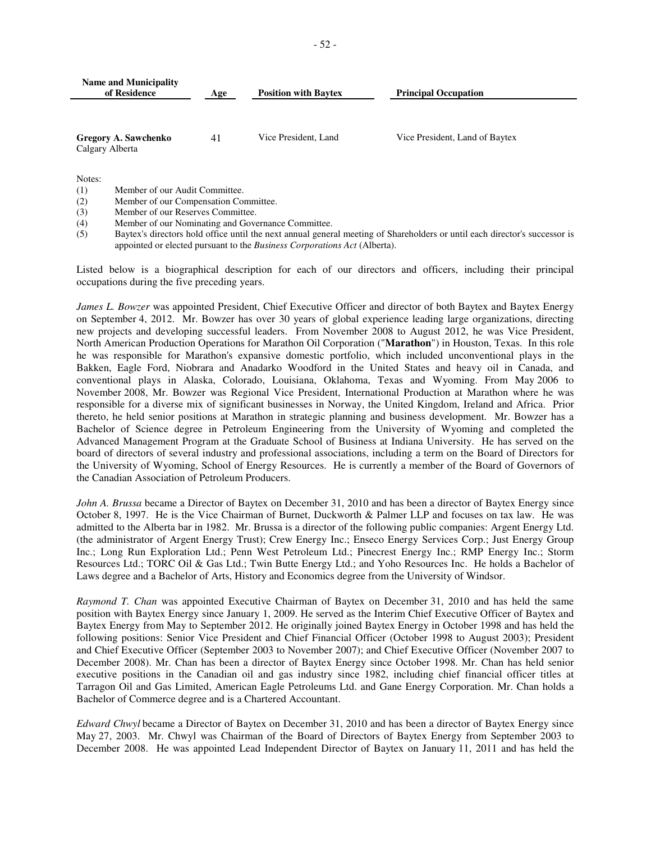| <b>Name and Municipality</b><br>of Residence   | Age | <b>Position with Baytex</b> | <b>Principal Occupation</b>    |
|------------------------------------------------|-----|-----------------------------|--------------------------------|
| <b>Gregory A. Sawchenko</b><br>Calgary Alberta | 41  | Vice President, Land        | Vice President, Land of Baytex |

Notes:

- (1) Member of our Audit Committee.
- (2) Member of our Compensation Committee.
- (3) Member of our Reserves Committee.
- (4) Member of our Nominating and Governance Committee.
- (5) Baytex's directors hold office until the next annual general meeting of Shareholders or until each director's successor is appointed or elected pursuant to the *Business Corporations Act* (Alberta).

Listed below is a biographical description for each of our directors and officers, including their principal occupations during the five preceding years.

*James L. Bowzer* was appointed President, Chief Executive Officer and director of both Baytex and Baytex Energy on September 4, 2012. Mr. Bowzer has over 30 years of global experience leading large organizations, directing new projects and developing successful leaders. From November 2008 to August 2012, he was Vice President, North American Production Operations for Marathon Oil Corporation ("**Marathon**") in Houston, Texas. In this role he was responsible for Marathon's expansive domestic portfolio, which included unconventional plays in the Bakken, Eagle Ford, Niobrara and Anadarko Woodford in the United States and heavy oil in Canada, and conventional plays in Alaska, Colorado, Louisiana, Oklahoma, Texas and Wyoming. From May 2006 to November 2008, Mr. Bowzer was Regional Vice President, International Production at Marathon where he was responsible for a diverse mix of significant businesses in Norway, the United Kingdom, Ireland and Africa. Prior thereto, he held senior positions at Marathon in strategic planning and business development. Mr. Bowzer has a Bachelor of Science degree in Petroleum Engineering from the University of Wyoming and completed the Advanced Management Program at the Graduate School of Business at Indiana University. He has served on the board of directors of several industry and professional associations, including a term on the Board of Directors for the University of Wyoming, School of Energy Resources. He is currently a member of the Board of Governors of the Canadian Association of Petroleum Producers.

*John A. Brussa* became a Director of Baytex on December 31, 2010 and has been a director of Baytex Energy since October 8, 1997. He is the Vice Chairman of Burnet, Duckworth & Palmer LLP and focuses on tax law. He was admitted to the Alberta bar in 1982. Mr. Brussa is a director of the following public companies: Argent Energy Ltd. (the administrator of Argent Energy Trust); Crew Energy Inc.; Enseco Energy Services Corp.; Just Energy Group Inc.; Long Run Exploration Ltd.; Penn West Petroleum Ltd.; Pinecrest Energy Inc.; RMP Energy Inc.; Storm Resources Ltd.; TORC Oil & Gas Ltd.; Twin Butte Energy Ltd.; and Yoho Resources Inc. He holds a Bachelor of Laws degree and a Bachelor of Arts, History and Economics degree from the University of Windsor.

*Raymond T. Chan* was appointed Executive Chairman of Baytex on December 31, 2010 and has held the same position with Baytex Energy since January 1, 2009. He served as the Interim Chief Executive Officer of Baytex and Baytex Energy from May to September 2012. He originally joined Baytex Energy in October 1998 and has held the following positions: Senior Vice President and Chief Financial Officer (October 1998 to August 2003); President and Chief Executive Officer (September 2003 to November 2007); and Chief Executive Officer (November 2007 to December 2008). Mr. Chan has been a director of Baytex Energy since October 1998. Mr. Chan has held senior executive positions in the Canadian oil and gas industry since 1982, including chief financial officer titles at Tarragon Oil and Gas Limited, American Eagle Petroleums Ltd. and Gane Energy Corporation. Mr. Chan holds a Bachelor of Commerce degree and is a Chartered Accountant.

*Edward Chwyl* became a Director of Baytex on December 31, 2010 and has been a director of Baytex Energy since May 27, 2003. Mr. Chwyl was Chairman of the Board of Directors of Baytex Energy from September 2003 to December 2008. He was appointed Lead Independent Director of Baytex on January 11, 2011 and has held the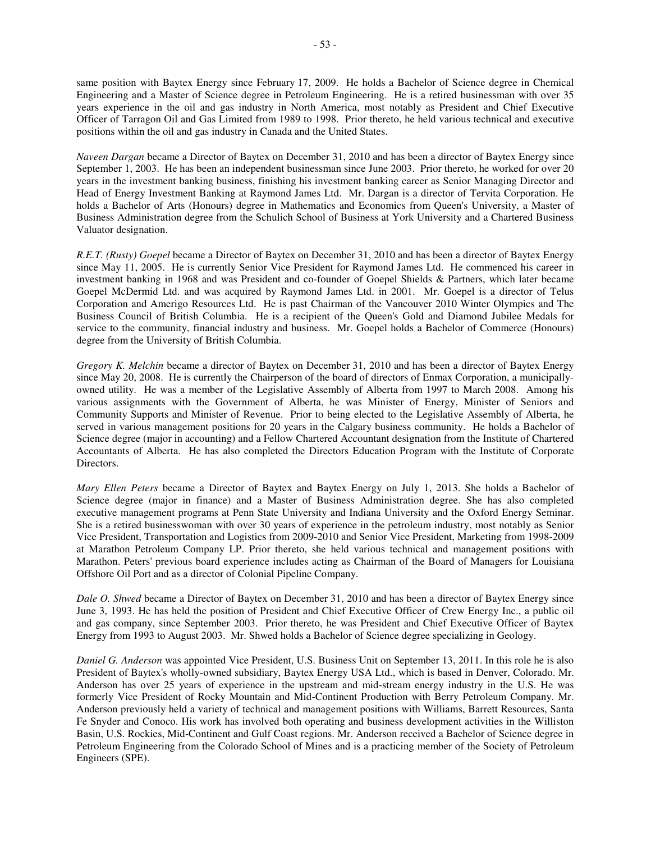same position with Baytex Energy since February 17, 2009. He holds a Bachelor of Science degree in Chemical Engineering and a Master of Science degree in Petroleum Engineering. He is a retired businessman with over 35 years experience in the oil and gas industry in North America, most notably as President and Chief Executive Officer of Tarragon Oil and Gas Limited from 1989 to 1998. Prior thereto, he held various technical and executive positions within the oil and gas industry in Canada and the United States.

*Naveen Dargan* became a Director of Baytex on December 31, 2010 and has been a director of Baytex Energy since September 1, 2003. He has been an independent businessman since June 2003. Prior thereto, he worked for over 20 years in the investment banking business, finishing his investment banking career as Senior Managing Director and Head of Energy Investment Banking at Raymond James Ltd. Mr. Dargan is a director of Tervita Corporation. He holds a Bachelor of Arts (Honours) degree in Mathematics and Economics from Queen's University, a Master of Business Administration degree from the Schulich School of Business at York University and a Chartered Business Valuator designation.

*R.E.T. (Rusty) Goepel* became a Director of Baytex on December 31, 2010 and has been a director of Baytex Energy since May 11, 2005. He is currently Senior Vice President for Raymond James Ltd. He commenced his career in investment banking in 1968 and was President and co-founder of Goepel Shields & Partners, which later became Goepel McDermid Ltd. and was acquired by Raymond James Ltd. in 2001. Mr. Goepel is a director of Telus Corporation and Amerigo Resources Ltd. He is past Chairman of the Vancouver 2010 Winter Olympics and The Business Council of British Columbia. He is a recipient of the Queen's Gold and Diamond Jubilee Medals for service to the community, financial industry and business. Mr. Goepel holds a Bachelor of Commerce (Honours) degree from the University of British Columbia.

*Gregory K. Melchin* became a director of Baytex on December 31, 2010 and has been a director of Baytex Energy since May 20, 2008. He is currently the Chairperson of the board of directors of Enmax Corporation, a municipallyowned utility. He was a member of the Legislative Assembly of Alberta from 1997 to March 2008. Among his various assignments with the Government of Alberta, he was Minister of Energy, Minister of Seniors and Community Supports and Minister of Revenue. Prior to being elected to the Legislative Assembly of Alberta, he served in various management positions for 20 years in the Calgary business community. He holds a Bachelor of Science degree (major in accounting) and a Fellow Chartered Accountant designation from the Institute of Chartered Accountants of Alberta. He has also completed the Directors Education Program with the Institute of Corporate Directors.

*Mary Ellen Peters* became a Director of Baytex and Baytex Energy on July 1, 2013. She holds a Bachelor of Science degree (major in finance) and a Master of Business Administration degree. She has also completed executive management programs at Penn State University and Indiana University and the Oxford Energy Seminar. She is a retired businesswoman with over 30 years of experience in the petroleum industry, most notably as Senior Vice President, Transportation and Logistics from 2009-2010 and Senior Vice President, Marketing from 1998-2009 at Marathon Petroleum Company LP. Prior thereto, she held various technical and management positions with Marathon. Peters' previous board experience includes acting as Chairman of the Board of Managers for Louisiana Offshore Oil Port and as a director of Colonial Pipeline Company.

*Dale O. Shwed* became a Director of Baytex on December 31, 2010 and has been a director of Baytex Energy since June 3, 1993. He has held the position of President and Chief Executive Officer of Crew Energy Inc., a public oil and gas company, since September 2003. Prior thereto, he was President and Chief Executive Officer of Baytex Energy from 1993 to August 2003. Mr. Shwed holds a Bachelor of Science degree specializing in Geology.

*Daniel G. Anderson* was appointed Vice President, U.S. Business Unit on September 13, 2011. In this role he is also President of Baytex's wholly-owned subsidiary, Baytex Energy USA Ltd., which is based in Denver, Colorado. Mr. Anderson has over 25 years of experience in the upstream and mid-stream energy industry in the U.S. He was formerly Vice President of Rocky Mountain and Mid-Continent Production with Berry Petroleum Company. Mr. Anderson previously held a variety of technical and management positions with Williams, Barrett Resources, Santa Fe Snyder and Conoco. His work has involved both operating and business development activities in the Williston Basin, U.S. Rockies, Mid-Continent and Gulf Coast regions. Mr. Anderson received a Bachelor of Science degree in Petroleum Engineering from the Colorado School of Mines and is a practicing member of the Society of Petroleum Engineers (SPE).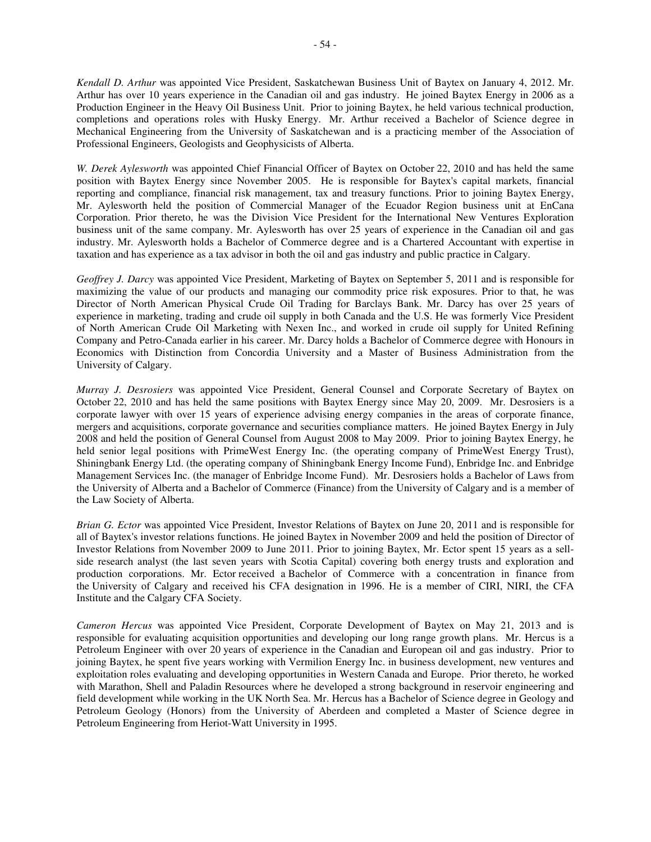*Kendall D. Arthur* was appointed Vice President, Saskatchewan Business Unit of Baytex on January 4, 2012. Mr. Arthur has over 10 years experience in the Canadian oil and gas industry. He joined Baytex Energy in 2006 as a Production Engineer in the Heavy Oil Business Unit. Prior to joining Baytex, he held various technical production, completions and operations roles with Husky Energy. Mr. Arthur received a Bachelor of Science degree in Mechanical Engineering from the University of Saskatchewan and is a practicing member of the Association of Professional Engineers, Geologists and Geophysicists of Alberta.

*W. Derek Aylesworth* was appointed Chief Financial Officer of Baytex on October 22, 2010 and has held the same position with Baytex Energy since November 2005. He is responsible for Baytex's capital markets, financial reporting and compliance, financial risk management, tax and treasury functions. Prior to joining Baytex Energy, Mr. Aylesworth held the position of Commercial Manager of the Ecuador Region business unit at EnCana Corporation. Prior thereto, he was the Division Vice President for the International New Ventures Exploration business unit of the same company. Mr. Aylesworth has over 25 years of experience in the Canadian oil and gas industry. Mr. Aylesworth holds a Bachelor of Commerce degree and is a Chartered Accountant with expertise in taxation and has experience as a tax advisor in both the oil and gas industry and public practice in Calgary.

*Geoffrey J. Darcy* was appointed Vice President, Marketing of Baytex on September 5, 2011 and is responsible for maximizing the value of our products and managing our commodity price risk exposures. Prior to that, he was Director of North American Physical Crude Oil Trading for Barclays Bank. Mr. Darcy has over 25 years of experience in marketing, trading and crude oil supply in both Canada and the U.S. He was formerly Vice President of North American Crude Oil Marketing with Nexen Inc., and worked in crude oil supply for United Refining Company and Petro-Canada earlier in his career. Mr. Darcy holds a Bachelor of Commerce degree with Honours in Economics with Distinction from Concordia University and a Master of Business Administration from the University of Calgary.

*Murray J. Desrosiers* was appointed Vice President, General Counsel and Corporate Secretary of Baytex on October 22, 2010 and has held the same positions with Baytex Energy since May 20, 2009. Mr. Desrosiers is a corporate lawyer with over 15 years of experience advising energy companies in the areas of corporate finance, mergers and acquisitions, corporate governance and securities compliance matters. He joined Baytex Energy in July 2008 and held the position of General Counsel from August 2008 to May 2009. Prior to joining Baytex Energy, he held senior legal positions with PrimeWest Energy Inc. (the operating company of PrimeWest Energy Trust), Shiningbank Energy Ltd. (the operating company of Shiningbank Energy Income Fund), Enbridge Inc. and Enbridge Management Services Inc. (the manager of Enbridge Income Fund). Mr. Desrosiers holds a Bachelor of Laws from the University of Alberta and a Bachelor of Commerce (Finance) from the University of Calgary and is a member of the Law Society of Alberta.

*Brian G. Ector* was appointed Vice President, Investor Relations of Baytex on June 20, 2011 and is responsible for all of Baytex's investor relations functions. He joined Baytex in November 2009 and held the position of Director of Investor Relations from November 2009 to June 2011. Prior to joining Baytex, Mr. Ector spent 15 years as a sellside research analyst (the last seven years with Scotia Capital) covering both energy trusts and exploration and production corporations. Mr. Ector received a Bachelor of Commerce with a concentration in finance from the University of Calgary and received his CFA designation in 1996. He is a member of CIRI, NIRI, the CFA Institute and the Calgary CFA Society.

*Cameron Hercus* was appointed Vice President, Corporate Development of Baytex on May 21, 2013 and is responsible for evaluating acquisition opportunities and developing our long range growth plans. Mr. Hercus is a Petroleum Engineer with over 20 years of experience in the Canadian and European oil and gas industry. Prior to joining Baytex, he spent five years working with Vermilion Energy Inc. in business development, new ventures and exploitation roles evaluating and developing opportunities in Western Canada and Europe. Prior thereto, he worked with Marathon, Shell and Paladin Resources where he developed a strong background in reservoir engineering and field development while working in the UK North Sea. Mr. Hercus has a Bachelor of Science degree in Geology and Petroleum Geology (Honors) from the University of Aberdeen and completed a Master of Science degree in Petroleum Engineering from Heriot-Watt University in 1995.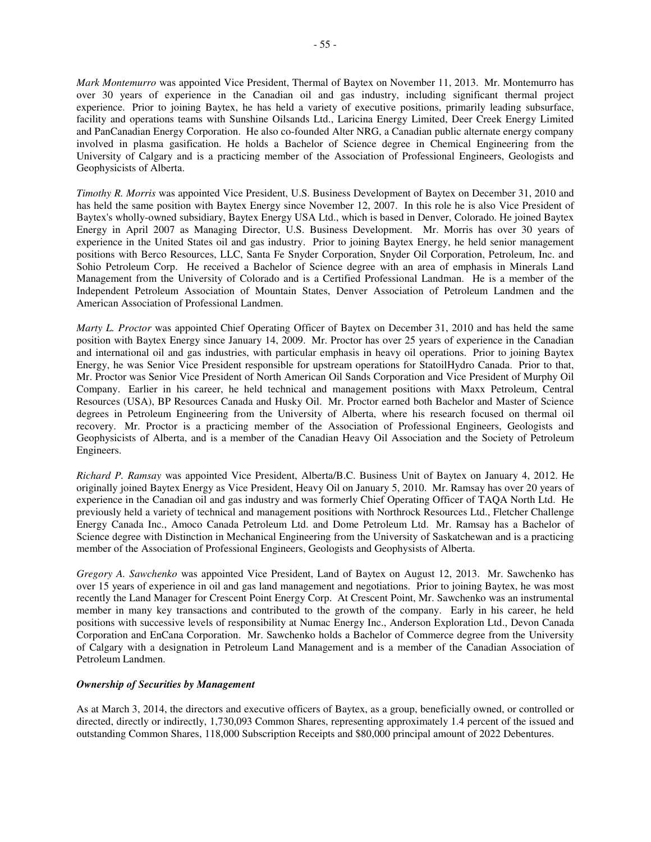*Mark Montemurro* was appointed Vice President, Thermal of Baytex on November 11, 2013. Mr. Montemurro has over 30 years of experience in the Canadian oil and gas industry, including significant thermal project experience. Prior to joining Baytex, he has held a variety of executive positions, primarily leading subsurface, facility and operations teams with Sunshine Oilsands Ltd., Laricina Energy Limited, Deer Creek Energy Limited and PanCanadian Energy Corporation. He also co-founded Alter NRG, a Canadian public alternate energy company involved in plasma gasification. He holds a Bachelor of Science degree in Chemical Engineering from the University of Calgary and is a practicing member of the Association of Professional Engineers, Geologists and Geophysicists of Alberta.

*Timothy R. Morris* was appointed Vice President, U.S. Business Development of Baytex on December 31, 2010 and has held the same position with Baytex Energy since November 12, 2007. In this role he is also Vice President of Baytex's wholly-owned subsidiary, Baytex Energy USA Ltd., which is based in Denver, Colorado. He joined Baytex Energy in April 2007 as Managing Director, U.S. Business Development. Mr. Morris has over 30 years of experience in the United States oil and gas industry. Prior to joining Baytex Energy, he held senior management positions with Berco Resources, LLC, Santa Fe Snyder Corporation, Snyder Oil Corporation, Petroleum, Inc. and Sohio Petroleum Corp. He received a Bachelor of Science degree with an area of emphasis in Minerals Land Management from the University of Colorado and is a Certified Professional Landman. He is a member of the Independent Petroleum Association of Mountain States, Denver Association of Petroleum Landmen and the American Association of Professional Landmen.

*Marty L. Proctor* was appointed Chief Operating Officer of Baytex on December 31, 2010 and has held the same position with Baytex Energy since January 14, 2009. Mr. Proctor has over 25 years of experience in the Canadian and international oil and gas industries, with particular emphasis in heavy oil operations. Prior to joining Baytex Energy, he was Senior Vice President responsible for upstream operations for StatoilHydro Canada. Prior to that, Mr. Proctor was Senior Vice President of North American Oil Sands Corporation and Vice President of Murphy Oil Company. Earlier in his career, he held technical and management positions with Maxx Petroleum, Central Resources (USA), BP Resources Canada and Husky Oil. Mr. Proctor earned both Bachelor and Master of Science degrees in Petroleum Engineering from the University of Alberta, where his research focused on thermal oil recovery. Mr. Proctor is a practicing member of the Association of Professional Engineers, Geologists and Geophysicists of Alberta, and is a member of the Canadian Heavy Oil Association and the Society of Petroleum Engineers.

*Richard P. Ramsay* was appointed Vice President, Alberta/B.C. Business Unit of Baytex on January 4, 2012. He originally joined Baytex Energy as Vice President, Heavy Oil on January 5, 2010. Mr. Ramsay has over 20 years of experience in the Canadian oil and gas industry and was formerly Chief Operating Officer of TAQA North Ltd. He previously held a variety of technical and management positions with Northrock Resources Ltd., Fletcher Challenge Energy Canada Inc., Amoco Canada Petroleum Ltd. and Dome Petroleum Ltd. Mr. Ramsay has a Bachelor of Science degree with Distinction in Mechanical Engineering from the University of Saskatchewan and is a practicing member of the Association of Professional Engineers, Geologists and Geophysists of Alberta.

*Gregory A. Sawchenko* was appointed Vice President, Land of Baytex on August 12, 2013. Mr. Sawchenko has over 15 years of experience in oil and gas land management and negotiations. Prior to joining Baytex, he was most recently the Land Manager for Crescent Point Energy Corp. At Crescent Point, Mr. Sawchenko was an instrumental member in many key transactions and contributed to the growth of the company. Early in his career, he held positions with successive levels of responsibility at Numac Energy Inc., Anderson Exploration Ltd., Devon Canada Corporation and EnCana Corporation. Mr. Sawchenko holds a Bachelor of Commerce degree from the University of Calgary with a designation in Petroleum Land Management and is a member of the Canadian Association of Petroleum Landmen.

### *Ownership of Securities by Management*

As at March 3, 2014, the directors and executive officers of Baytex, as a group, beneficially owned, or controlled or directed, directly or indirectly, 1,730,093 Common Shares, representing approximately 1.4 percent of the issued and outstanding Common Shares, 118,000 Subscription Receipts and \$80,000 principal amount of 2022 Debentures.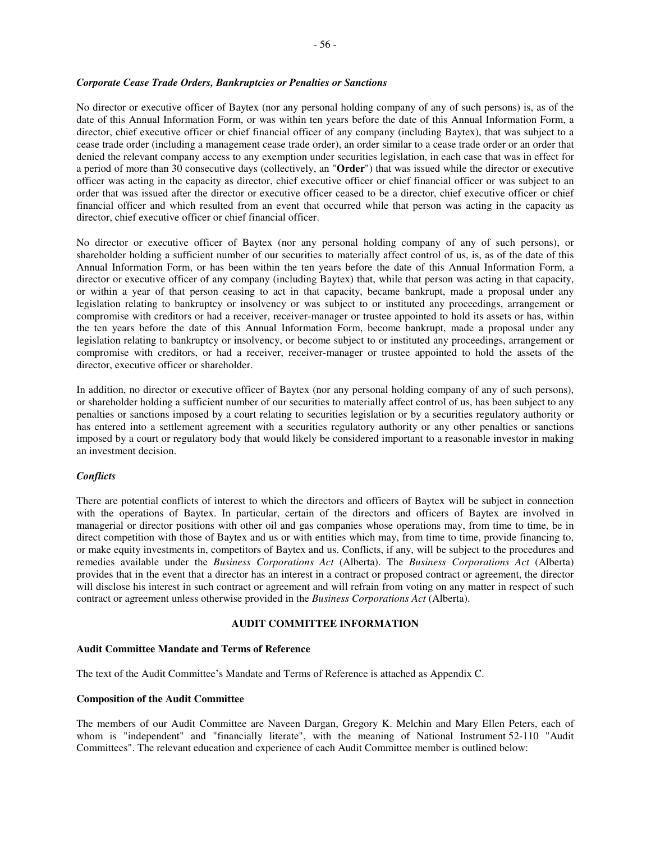# *Corporate Cease Trade Orders, Bankruptcies or Penalties or Sanctions*

No director or executive officer of Baytex (nor any personal holding company of any of such persons) is, as of the date of this Annual Information Form, or was within ten years before the date of this Annual Information Form, a director, chief executive officer or chief financial officer of any company (including Baytex), that was subject to a cease trade order (including a management cease trade order), an order similar to a cease trade order or an order that denied the relevant company access to any exemption under securities legislation, in each case that was in effect for a period of more than 30 consecutive days (collectively, an "**Order**") that was issued while the director or executive officer was acting in the capacity as director, chief executive officer or chief financial officer or was subject to an order that was issued after the director or executive officer ceased to be a director, chief executive officer or chief financial officer and which resulted from an event that occurred while that person was acting in the capacity as director, chief executive officer or chief financial officer.

No director or executive officer of Baytex (nor any personal holding company of any of such persons), or shareholder holding a sufficient number of our securities to materially affect control of us, is, as of the date of this Annual Information Form, or has been within the ten years before the date of this Annual Information Form, a director or executive officer of any company (including Baytex) that, while that person was acting in that capacity, or within a year of that person ceasing to act in that capacity, became bankrupt, made a proposal under any legislation relating to bankruptcy or insolvency or was subject to or instituted any proceedings, arrangement or compromise with creditors or had a receiver, receiver-manager or trustee appointed to hold its assets or has, within the ten years before the date of this Annual Information Form, become bankrupt, made a proposal under any legislation relating to bankruptcy or insolvency, or become subject to or instituted any proceedings, arrangement or compromise with creditors, or had a receiver, receiver-manager or trustee appointed to hold the assets of the director, executive officer or shareholder.

In addition, no director or executive officer of Baytex (nor any personal holding company of any of such persons), or shareholder holding a sufficient number of our securities to materially affect control of us, has been subject to any penalties or sanctions imposed by a court relating to securities legislation or by a securities regulatory authority or has entered into a settlement agreement with a securities regulatory authority or any other penalties or sanctions imposed by a court or regulatory body that would likely be considered important to a reasonable investor in making an investment decision.

### *Conflicts*

There are potential conflicts of interest to which the directors and officers of Baytex will be subject in connection with the operations of Baytex. In particular, certain of the directors and officers of Baytex are involved in managerial or director positions with other oil and gas companies whose operations may, from time to time, be in direct competition with those of Baytex and us or with entities which may, from time to time, provide financing to, or make equity investments in, competitors of Baytex and us. Conflicts, if any, will be subject to the procedures and remedies available under the *Business Corporations Act* (Alberta). The *Business Corporations Act* (Alberta) provides that in the event that a director has an interest in a contract or proposed contract or agreement, the director will disclose his interest in such contract or agreement and will refrain from voting on any matter in respect of such contract or agreement unless otherwise provided in the *Business Corporations Act* (Alberta).

# **AUDIT COMMITTEE INFORMATION**

# **Audit Committee Mandate and Terms of Reference**

The text of the Audit Committee's Mandate and Terms of Reference is attached as Appendix C.

#### **Composition of the Audit Committee**

The members of our Audit Committee are Naveen Dargan, Gregory K. Melchin and Mary Ellen Peters, each of whom is "independent" and "financially literate", with the meaning of National Instrument 52-110 "Audit Committees". The relevant education and experience of each Audit Committee member is outlined below: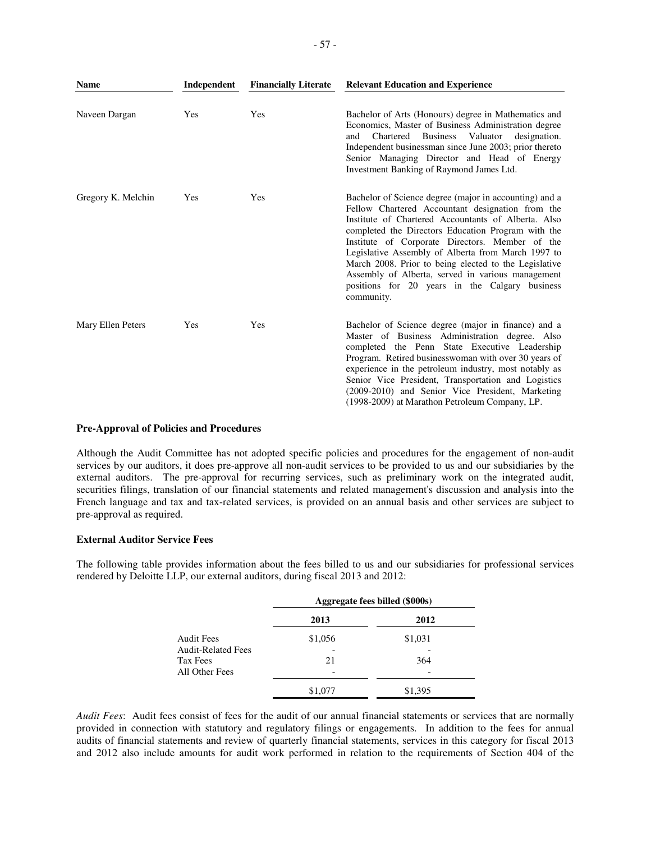| <b>Name</b>        | Independent | <b>Financially Literate</b> | <b>Relevant Education and Experience</b>                                                                                                                                                                                                                                                                                                                                                                                                                                                                       |
|--------------------|-------------|-----------------------------|----------------------------------------------------------------------------------------------------------------------------------------------------------------------------------------------------------------------------------------------------------------------------------------------------------------------------------------------------------------------------------------------------------------------------------------------------------------------------------------------------------------|
| Naveen Dargan      | Yes         | Yes                         | Bachelor of Arts (Honours) degree in Mathematics and<br>Economics, Master of Business Administration degree<br>Valuator<br>Chartered Business<br>designation.<br>and<br>Independent businessman since June 2003; prior thereto<br>Senior Managing Director and Head of Energy<br>Investment Banking of Raymond James Ltd.                                                                                                                                                                                      |
| Gregory K. Melchin | Yes         | Yes                         | Bachelor of Science degree (major in accounting) and a<br>Fellow Chartered Accountant designation from the<br>Institute of Chartered Accountants of Alberta. Also<br>completed the Directors Education Program with the<br>Institute of Corporate Directors. Member of the<br>Legislative Assembly of Alberta from March 1997 to<br>March 2008. Prior to being elected to the Legislative<br>Assembly of Alberta, served in various management<br>positions for 20 years in the Calgary business<br>community. |
| Mary Ellen Peters  | Yes         | Yes                         | Bachelor of Science degree (major in finance) and a<br>Master of Business Administration degree. Also<br>completed the Penn State Executive Leadership<br>Program. Retired businesswoman with over 30 years of<br>experience in the petroleum industry, most notably as<br>Senior Vice President, Transportation and Logistics<br>(2009-2010) and Senior Vice President, Marketing<br>(1998-2009) at Marathon Petroleum Company, LP.                                                                           |

#### **Pre-Approval of Policies and Procedures**

Although the Audit Committee has not adopted specific policies and procedures for the engagement of non-audit services by our auditors, it does pre-approve all non-audit services to be provided to us and our subsidiaries by the external auditors. The pre-approval for recurring services, such as preliminary work on the integrated audit, securities filings, translation of our financial statements and related management's discussion and analysis into the French language and tax and tax-related services, is provided on an annual basis and other services are subject to pre-approval as required.

#### **External Auditor Service Fees**

The following table provides information about the fees billed to us and our subsidiaries for professional services rendered by Deloitte LLP, our external auditors, during fiscal 2013 and 2012:

|                           | Aggregate fees billed (\$000s) |         |  |  |
|---------------------------|--------------------------------|---------|--|--|
|                           | 2013                           | 2012    |  |  |
| Audit Fees                | \$1,056                        | \$1,031 |  |  |
| <b>Audit-Related Fees</b> |                                |         |  |  |
| Tax Fees                  | 21                             | 364     |  |  |
| All Other Fees            |                                |         |  |  |
|                           | \$1,077                        | \$1,395 |  |  |

*Audit Fees*: Audit fees consist of fees for the audit of our annual financial statements or services that are normally provided in connection with statutory and regulatory filings or engagements. In addition to the fees for annual audits of financial statements and review of quarterly financial statements, services in this category for fiscal 2013 and 2012 also include amounts for audit work performed in relation to the requirements of Section 404 of the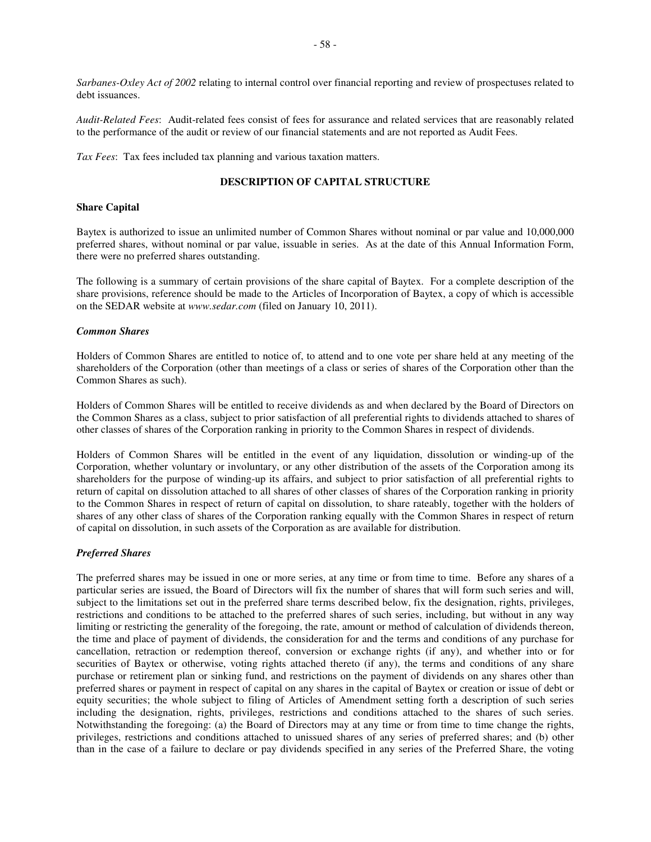*Sarbanes-Oxley Act of 2002* relating to internal control over financial reporting and review of prospectuses related to debt issuances.

*Audit-Related Fees*: Audit-related fees consist of fees for assurance and related services that are reasonably related to the performance of the audit or review of our financial statements and are not reported as Audit Fees.

*Tax Fees*: Tax fees included tax planning and various taxation matters.

### **DESCRIPTION OF CAPITAL STRUCTURE**

#### **Share Capital**

Baytex is authorized to issue an unlimited number of Common Shares without nominal or par value and 10,000,000 preferred shares, without nominal or par value, issuable in series. As at the date of this Annual Information Form, there were no preferred shares outstanding.

The following is a summary of certain provisions of the share capital of Baytex. For a complete description of the share provisions, reference should be made to the Articles of Incorporation of Baytex, a copy of which is accessible on the SEDAR website at *www.sedar.com* (filed on January 10, 2011).

#### *Common Shares*

Holders of Common Shares are entitled to notice of, to attend and to one vote per share held at any meeting of the shareholders of the Corporation (other than meetings of a class or series of shares of the Corporation other than the Common Shares as such).

Holders of Common Shares will be entitled to receive dividends as and when declared by the Board of Directors on the Common Shares as a class, subject to prior satisfaction of all preferential rights to dividends attached to shares of other classes of shares of the Corporation ranking in priority to the Common Shares in respect of dividends.

Holders of Common Shares will be entitled in the event of any liquidation, dissolution or winding-up of the Corporation, whether voluntary or involuntary, or any other distribution of the assets of the Corporation among its shareholders for the purpose of winding-up its affairs, and subject to prior satisfaction of all preferential rights to return of capital on dissolution attached to all shares of other classes of shares of the Corporation ranking in priority to the Common Shares in respect of return of capital on dissolution, to share rateably, together with the holders of shares of any other class of shares of the Corporation ranking equally with the Common Shares in respect of return of capital on dissolution, in such assets of the Corporation as are available for distribution.

### *Preferred Shares*

The preferred shares may be issued in one or more series, at any time or from time to time. Before any shares of a particular series are issued, the Board of Directors will fix the number of shares that will form such series and will, subject to the limitations set out in the preferred share terms described below, fix the designation, rights, privileges, restrictions and conditions to be attached to the preferred shares of such series, including, but without in any way limiting or restricting the generality of the foregoing, the rate, amount or method of calculation of dividends thereon, the time and place of payment of dividends, the consideration for and the terms and conditions of any purchase for cancellation, retraction or redemption thereof, conversion or exchange rights (if any), and whether into or for securities of Baytex or otherwise, voting rights attached thereto (if any), the terms and conditions of any share purchase or retirement plan or sinking fund, and restrictions on the payment of dividends on any shares other than preferred shares or payment in respect of capital on any shares in the capital of Baytex or creation or issue of debt or equity securities; the whole subject to filing of Articles of Amendment setting forth a description of such series including the designation, rights, privileges, restrictions and conditions attached to the shares of such series. Notwithstanding the foregoing: (a) the Board of Directors may at any time or from time to time change the rights, privileges, restrictions and conditions attached to unissued shares of any series of preferred shares; and (b) other than in the case of a failure to declare or pay dividends specified in any series of the Preferred Share, the voting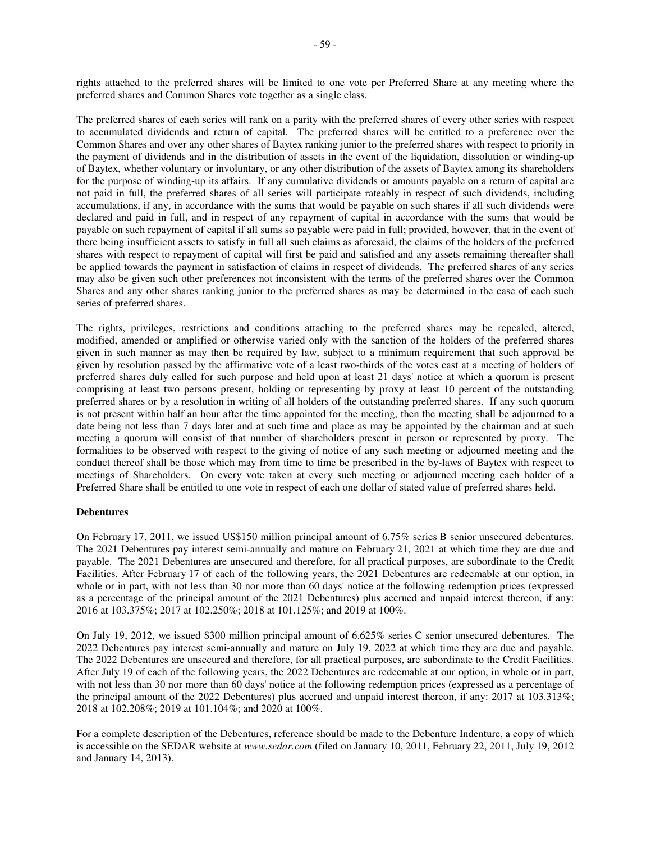rights attached to the preferred shares will be limited to one vote per Preferred Share at any meeting where the preferred shares and Common Shares vote together as a single class.

The preferred shares of each series will rank on a parity with the preferred shares of every other series with respect to accumulated dividends and return of capital. The preferred shares will be entitled to a preference over the Common Shares and over any other shares of Baytex ranking junior to the preferred shares with respect to priority in the payment of dividends and in the distribution of assets in the event of the liquidation, dissolution or winding-up of Baytex, whether voluntary or involuntary, or any other distribution of the assets of Baytex among its shareholders for the purpose of winding-up its affairs. If any cumulative dividends or amounts payable on a return of capital are not paid in full, the preferred shares of all series will participate rateably in respect of such dividends, including accumulations, if any, in accordance with the sums that would be payable on such shares if all such dividends were declared and paid in full, and in respect of any repayment of capital in accordance with the sums that would be payable on such repayment of capital if all sums so payable were paid in full; provided, however, that in the event of there being insufficient assets to satisfy in full all such claims as aforesaid, the claims of the holders of the preferred shares with respect to repayment of capital will first be paid and satisfied and any assets remaining thereafter shall be applied towards the payment in satisfaction of claims in respect of dividends. The preferred shares of any series may also be given such other preferences not inconsistent with the terms of the preferred shares over the Common Shares and any other shares ranking junior to the preferred shares as may be determined in the case of each such series of preferred shares.

The rights, privileges, restrictions and conditions attaching to the preferred shares may be repealed, altered, modified, amended or amplified or otherwise varied only with the sanction of the holders of the preferred shares given in such manner as may then be required by law, subject to a minimum requirement that such approval be given by resolution passed by the affirmative vote of a least two-thirds of the votes cast at a meeting of holders of preferred shares duly called for such purpose and held upon at least 21 days' notice at which a quorum is present comprising at least two persons present, holding or representing by proxy at least 10 percent of the outstanding preferred shares or by a resolution in writing of all holders of the outstanding preferred shares. If any such quorum is not present within half an hour after the time appointed for the meeting, then the meeting shall be adjourned to a date being not less than 7 days later and at such time and place as may be appointed by the chairman and at such meeting a quorum will consist of that number of shareholders present in person or represented by proxy. The formalities to be observed with respect to the giving of notice of any such meeting or adjourned meeting and the conduct thereof shall be those which may from time to time be prescribed in the by-laws of Baytex with respect to meetings of Shareholders. On every vote taken at every such meeting or adjourned meeting each holder of a Preferred Share shall be entitled to one vote in respect of each one dollar of stated value of preferred shares held.

### **Debentures**

On February 17, 2011, we issued US\$150 million principal amount of 6.75% series B senior unsecured debentures. The 2021 Debentures pay interest semi-annually and mature on February 21, 2021 at which time they are due and payable. The 2021 Debentures are unsecured and therefore, for all practical purposes, are subordinate to the Credit Facilities. After February 17 of each of the following years, the 2021 Debentures are redeemable at our option, in whole or in part, with not less than 30 nor more than 60 days' notice at the following redemption prices (expressed as a percentage of the principal amount of the 2021 Debentures) plus accrued and unpaid interest thereon, if any: 2016 at 103.375%; 2017 at 102.250%; 2018 at 101.125%; and 2019 at 100%.

On July 19, 2012, we issued \$300 million principal amount of 6.625% series C senior unsecured debentures. The 2022 Debentures pay interest semi-annually and mature on July 19, 2022 at which time they are due and payable. The 2022 Debentures are unsecured and therefore, for all practical purposes, are subordinate to the Credit Facilities. After July 19 of each of the following years, the 2022 Debentures are redeemable at our option, in whole or in part, with not less than 30 nor more than 60 days' notice at the following redemption prices (expressed as a percentage of the principal amount of the 2022 Debentures) plus accrued and unpaid interest thereon, if any: 2017 at 103.313%; 2018 at 102.208%; 2019 at 101.104%; and 2020 at 100%.

For a complete description of the Debentures, reference should be made to the Debenture Indenture, a copy of which is accessible on the SEDAR website at *www.sedar.com* (filed on January 10, 2011, February 22, 2011, July 19, 2012 and January 14, 2013).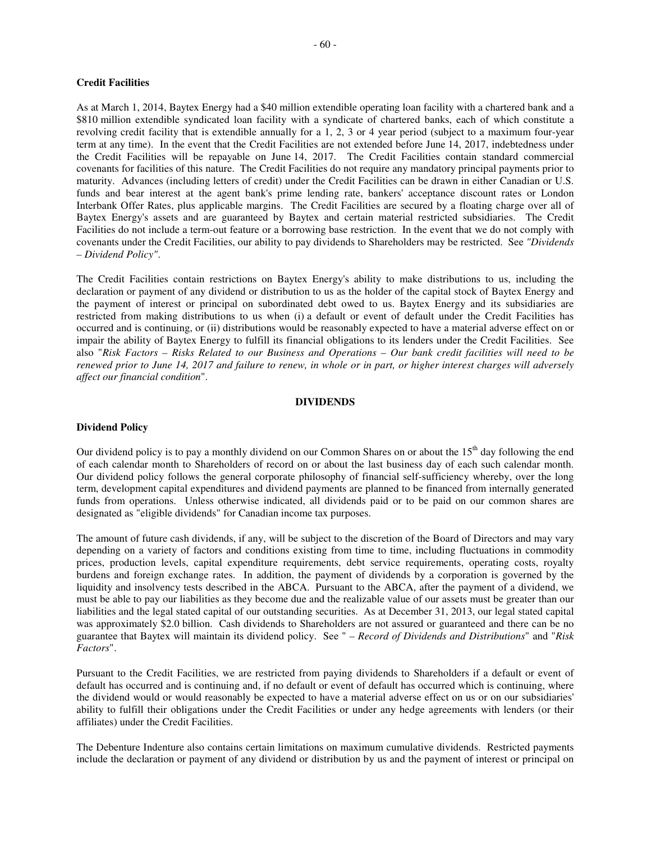### **Credit Facilities**

As at March 1, 2014, Baytex Energy had a \$40 million extendible operating loan facility with a chartered bank and a \$810 million extendible syndicated loan facility with a syndicate of chartered banks, each of which constitute a revolving credit facility that is extendible annually for a 1, 2, 3 or 4 year period (subject to a maximum four-year term at any time). In the event that the Credit Facilities are not extended before June 14, 2017, indebtedness under the Credit Facilities will be repayable on June 14, 2017. The Credit Facilities contain standard commercial covenants for facilities of this nature. The Credit Facilities do not require any mandatory principal payments prior to maturity. Advances (including letters of credit) under the Credit Facilities can be drawn in either Canadian or U.S. funds and bear interest at the agent bank's prime lending rate, bankers' acceptance discount rates or London Interbank Offer Rates, plus applicable margins. The Credit Facilities are secured by a floating charge over all of Baytex Energy's assets and are guaranteed by Baytex and certain material restricted subsidiaries. The Credit Facilities do not include a term-out feature or a borrowing base restriction. In the event that we do not comply with covenants under the Credit Facilities, our ability to pay dividends to Shareholders may be restricted. See *"Dividends – Dividend Policy"*.

The Credit Facilities contain restrictions on Baytex Energy's ability to make distributions to us, including the declaration or payment of any dividend or distribution to us as the holder of the capital stock of Baytex Energy and the payment of interest or principal on subordinated debt owed to us. Baytex Energy and its subsidiaries are restricted from making distributions to us when (i) a default or event of default under the Credit Facilities has occurred and is continuing, or (ii) distributions would be reasonably expected to have a material adverse effect on or impair the ability of Baytex Energy to fulfill its financial obligations to its lenders under the Credit Facilities. See also "*Risk Factors – Risks Related to our Business and Operations – Our bank credit facilities will need to be renewed prior to June 14, 2017 and failure to renew, in whole or in part, or higher interest charges will adversely affect our financial condition*".

### **DIVIDENDS**

# **Dividend Policy**

Our dividend policy is to pay a monthly dividend on our Common Shares on or about the  $15<sup>th</sup>$  day following the end of each calendar month to Shareholders of record on or about the last business day of each such calendar month. Our dividend policy follows the general corporate philosophy of financial self-sufficiency whereby, over the long term, development capital expenditures and dividend payments are planned to be financed from internally generated funds from operations. Unless otherwise indicated, all dividends paid or to be paid on our common shares are designated as "eligible dividends" for Canadian income tax purposes.

The amount of future cash dividends, if any, will be subject to the discretion of the Board of Directors and may vary depending on a variety of factors and conditions existing from time to time, including fluctuations in commodity prices, production levels, capital expenditure requirements, debt service requirements, operating costs, royalty burdens and foreign exchange rates. In addition, the payment of dividends by a corporation is governed by the liquidity and insolvency tests described in the ABCA. Pursuant to the ABCA, after the payment of a dividend, we must be able to pay our liabilities as they become due and the realizable value of our assets must be greater than our liabilities and the legal stated capital of our outstanding securities. As at December 31, 2013, our legal stated capital was approximately \$2.0 billion. Cash dividends to Shareholders are not assured or guaranteed and there can be no guarantee that Baytex will maintain its dividend policy. See " *– Record of Dividends and Distributions*" and "*Risk Factors*".

Pursuant to the Credit Facilities, we are restricted from paying dividends to Shareholders if a default or event of default has occurred and is continuing and, if no default or event of default has occurred which is continuing, where the dividend would or would reasonably be expected to have a material adverse effect on us or on our subsidiaries' ability to fulfill their obligations under the Credit Facilities or under any hedge agreements with lenders (or their affiliates) under the Credit Facilities.

The Debenture Indenture also contains certain limitations on maximum cumulative dividends. Restricted payments include the declaration or payment of any dividend or distribution by us and the payment of interest or principal on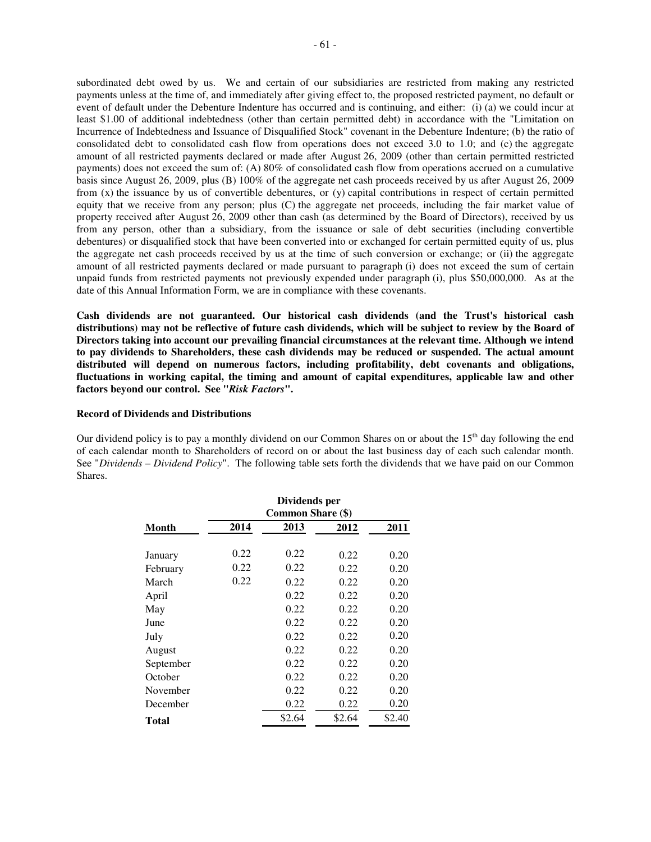subordinated debt owed by us. We and certain of our subsidiaries are restricted from making any restricted payments unless at the time of, and immediately after giving effect to, the proposed restricted payment, no default or event of default under the Debenture Indenture has occurred and is continuing, and either: (i) (a) we could incur at least \$1.00 of additional indebtedness (other than certain permitted debt) in accordance with the "Limitation on Incurrence of Indebtedness and Issuance of Disqualified Stock" covenant in the Debenture Indenture; (b) the ratio of consolidated debt to consolidated cash flow from operations does not exceed 3.0 to 1.0; and (c) the aggregate amount of all restricted payments declared or made after August 26, 2009 (other than certain permitted restricted payments) does not exceed the sum of: (A) 80% of consolidated cash flow from operations accrued on a cumulative basis since August 26, 2009, plus (B) 100% of the aggregate net cash proceeds received by us after August 26, 2009 from (x) the issuance by us of convertible debentures, or (y) capital contributions in respect of certain permitted equity that we receive from any person; plus (C) the aggregate net proceeds, including the fair market value of property received after August 26, 2009 other than cash (as determined by the Board of Directors), received by us from any person, other than a subsidiary, from the issuance or sale of debt securities (including convertible debentures) or disqualified stock that have been converted into or exchanged for certain permitted equity of us, plus the aggregate net cash proceeds received by us at the time of such conversion or exchange; or (ii) the aggregate amount of all restricted payments declared or made pursuant to paragraph (i) does not exceed the sum of certain unpaid funds from restricted payments not previously expended under paragraph (i), plus \$50,000,000. As at the date of this Annual Information Form, we are in compliance with these covenants.

**Cash dividends are not guaranteed. Our historical cash dividends (and the Trust's historical cash distributions) may not be reflective of future cash dividends, which will be subject to review by the Board of Directors taking into account our prevailing financial circumstances at the relevant time. Although we intend to pay dividends to Shareholders, these cash dividends may be reduced or suspended. The actual amount distributed will depend on numerous factors, including profitability, debt covenants and obligations, fluctuations in working capital, the timing and amount of capital expenditures, applicable law and other factors beyond our control. See "***Risk Factors***".**

### **Record of Dividends and Distributions**

Our dividend policy is to pay a monthly dividend on our Common Shares on or about the 15<sup>th</sup> day following the end of each calendar month to Shareholders of record on or about the last business day of each such calendar month. See "*Dividends – Dividend Policy*". The following table sets forth the dividends that we have paid on our Common Shares.

|           |                          | Dividends per |        |        |  |  |  |  |
|-----------|--------------------------|---------------|--------|--------|--|--|--|--|
|           | <b>Common Share (\$)</b> |               |        |        |  |  |  |  |
| Month     | 2014                     | 2013          | 2012   | 2011   |  |  |  |  |
|           | 0.22                     | 0.22          |        |        |  |  |  |  |
| January   |                          |               | 0.22   | 0.20   |  |  |  |  |
| February  | 0.22                     | 0.22          | 0.22   | 0.20   |  |  |  |  |
| March     | 0.22                     | 0.22          | 0.22   | 0.20   |  |  |  |  |
| April     |                          | 0.22          | 0.22   | 0.20   |  |  |  |  |
| May       |                          | 0.22          | 0.22   | 0.20   |  |  |  |  |
| June      |                          | 0.22          | 0.22   | 0.20   |  |  |  |  |
| July      |                          | 0.22          | 0.22   | 0.20   |  |  |  |  |
| August    |                          | 0.22          | 0.22   | 0.20   |  |  |  |  |
| September |                          | 0.22          | 0.22   | 0.20   |  |  |  |  |
| October   |                          | 0.22          | 0.22   | 0.20   |  |  |  |  |
| November  |                          | 0.22          | 0.22   | 0.20   |  |  |  |  |
| December  |                          | 0.22          | 0.22   | 0.20   |  |  |  |  |
| Total     |                          | \$2.64        | \$2.64 | \$2.40 |  |  |  |  |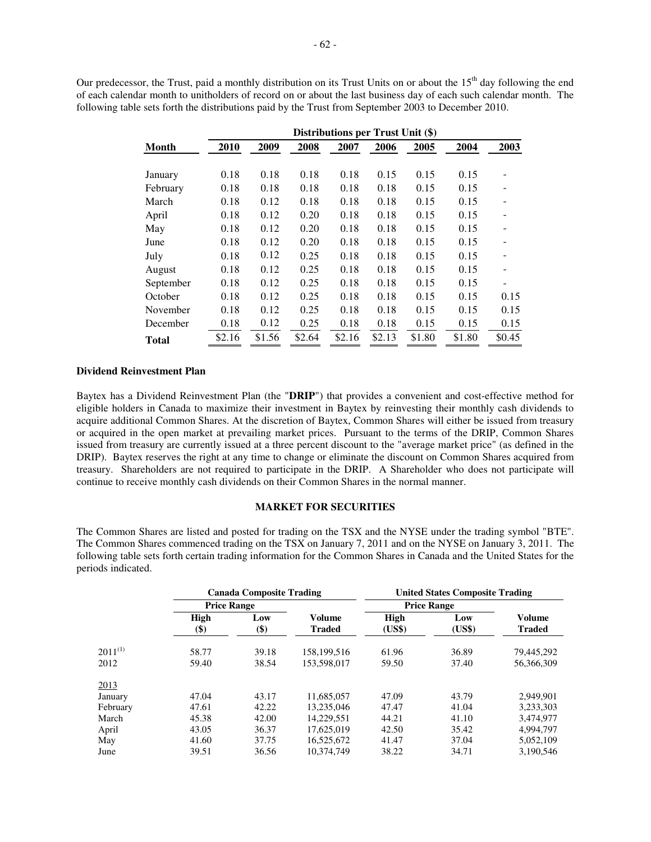Our predecessor, the Trust, paid a monthly distribution on its Trust Units on or about the 15<sup>th</sup> day following the end of each calendar month to unitholders of record on or about the last business day of each such calendar month. The following table sets forth the distributions paid by the Trust from September 2003 to December 2010.

|           | Distributions per Trust Unit (\$) |        |        |        |        |        |        |        |  |
|-----------|-----------------------------------|--------|--------|--------|--------|--------|--------|--------|--|
| Month     | 2010                              | 2009   | 2008   | 2007   | 2006   | 2005   | 2004   | 2003   |  |
|           |                                   |        |        |        |        |        |        |        |  |
| January   | 0.18                              | 0.18   | 0.18   | 0.18   | 0.15   | 0.15   | 0.15   |        |  |
| February  | 0.18                              | 0.18   | 0.18   | 0.18   | 0.18   | 0.15   | 0.15   |        |  |
| March     | 0.18                              | 0.12   | 0.18   | 0.18   | 0.18   | 0.15   | 0.15   |        |  |
| April     | 0.18                              | 0.12   | 0.20   | 0.18   | 0.18   | 0.15   | 0.15   |        |  |
| May       | 0.18                              | 0.12   | 0.20   | 0.18   | 0.18   | 0.15   | 0.15   |        |  |
| June      | 0.18                              | 0.12   | 0.20   | 0.18   | 0.18   | 0.15   | 0.15   |        |  |
| July      | 0.18                              | 0.12   | 0.25   | 0.18   | 0.18   | 0.15   | 0.15   |        |  |
| August    | 0.18                              | 0.12   | 0.25   | 0.18   | 0.18   | 0.15   | 0.15   |        |  |
| September | 0.18                              | 0.12   | 0.25   | 0.18   | 0.18   | 0.15   | 0.15   |        |  |
| October   | 0.18                              | 0.12   | 0.25   | 0.18   | 0.18   | 0.15   | 0.15   | 0.15   |  |
| November  | 0.18                              | 0.12   | 0.25   | 0.18   | 0.18   | 0.15   | 0.15   | 0.15   |  |
| December  | 0.18                              | 0.12   | 0.25   | 0.18   | 0.18   | 0.15   | 0.15   | 0.15   |  |
| Total     | \$2.16                            | \$1.56 | \$2.64 | \$2.16 | \$2.13 | \$1.80 | \$1.80 | \$0.45 |  |

# **Dividend Reinvestment Plan**

Baytex has a Dividend Reinvestment Plan (the "**DRIP**") that provides a convenient and cost-effective method for eligible holders in Canada to maximize their investment in Baytex by reinvesting their monthly cash dividends to acquire additional Common Shares. At the discretion of Baytex, Common Shares will either be issued from treasury or acquired in the open market at prevailing market prices. Pursuant to the terms of the DRIP, Common Shares issued from treasury are currently issued at a three percent discount to the "average market price" (as defined in the DRIP). Baytex reserves the right at any time to change or eliminate the discount on Common Shares acquired from treasury. Shareholders are not required to participate in the DRIP. A Shareholder who does not participate will continue to receive monthly cash dividends on their Common Shares in the normal manner.

### **MARKET FOR SECURITIES**

The Common Shares are listed and posted for trading on the TSX and the NYSE under the trading symbol "BTE". The Common Shares commenced trading on the TSX on January 7, 2011 and on the NYSE on January 3, 2011. The following table sets forth certain trading information for the Common Shares in Canada and the United States for the periods indicated.

|              |                    | <b>Canada Composite Trading</b>  |                         |                    | <b>United States Composite Trading</b> |                         |  |
|--------------|--------------------|----------------------------------|-------------------------|--------------------|----------------------------------------|-------------------------|--|
|              | <b>Price Range</b> |                                  |                         | <b>Price Range</b> |                                        |                         |  |
|              | High<br>\$)        | Low<br>$\left( \text{\$}\right)$ | Volume<br><b>Traded</b> | High<br>(US\$)     | Low<br>(US\$)                          | Volume<br><b>Traded</b> |  |
| $2011^{(1)}$ | 58.77              | 39.18                            | 158,199,516             | 61.96              | 36.89                                  | 79,445,292              |  |
| 2012         | 59.40              | 38.54                            | 153,598,017             | 59.50              | 37.40                                  | 56,366,309              |  |
| 2013         |                    |                                  |                         |                    |                                        |                         |  |
| January      | 47.04              | 43.17                            | 11.685.057              | 47.09              | 43.79                                  | 2.949.901               |  |
| February     | 47.61              | 42.22                            | 13.235.046              | 47.47              | 41.04                                  | 3,233,303               |  |
| March        | 45.38              | 42.00                            | 14.229.551              | 44.21              | 41.10                                  | 3,474,977               |  |
| April        | 43.05              | 36.37                            | 17,625,019              | 42.50              | 35.42                                  | 4.994.797               |  |
| May          | 41.60              | 37.75                            | 16.525.672              | 41.47              | 37.04                                  | 5,052,109               |  |
| June         | 39.51              | 36.56                            | 10.374.749              | 38.22              | 34.71                                  | 3,190,546               |  |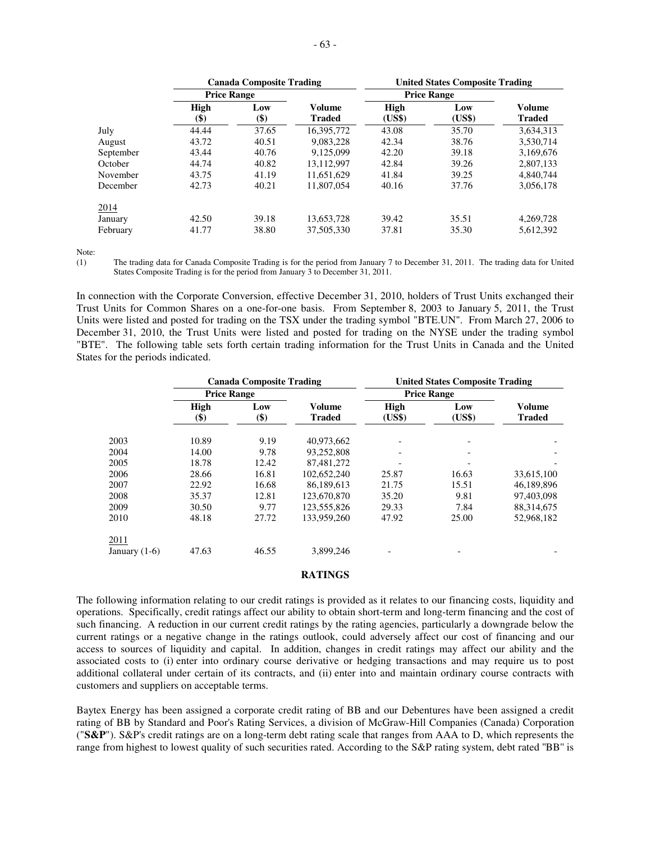|           |                                    | <b>Canada Composite Trading</b> |                         |                       | <b>United States Composite Trading</b> |                         |
|-----------|------------------------------------|---------------------------------|-------------------------|-----------------------|----------------------------------------|-------------------------|
|           | <b>Price Range</b>                 |                                 |                         |                       | <b>Price Range</b>                     |                         |
|           | High<br>$\left( \mathsf{S}\right)$ | Low<br>\$)                      | Volume<br><b>Traded</b> | <b>High</b><br>(US\$) | Low<br>(US\$)                          | Volume<br><b>Traded</b> |
| July      | 44.44                              | 37.65                           | 16.395.772              | 43.08                 | 35.70                                  | 3,634,313               |
| August    | 43.72                              | 40.51                           | 9.083.228               | 42.34                 | 38.76                                  | 3,530,714               |
| September | 43.44                              | 40.76                           | 9.125.099               | 42.20                 | 39.18                                  | 3,169,676               |
| October   | 44.74                              | 40.82                           | 13.112.997              | 42.84                 | 39.26                                  | 2.807.133               |
| November  | 43.75                              | 41.19                           | 11.651.629              | 41.84                 | 39.25                                  | 4.840.744               |
| December  | 42.73                              | 40.21                           | 11,807,054              | 40.16                 | 37.76                                  | 3,056,178               |
| 2014      |                                    |                                 |                         |                       |                                        |                         |
| January   | 42.50                              | 39.18                           | 13.653.728              | 39.42                 | 35.51                                  | 4.269.728               |
| February  | 41.77                              | 38.80                           | 37,505,330              | 37.81                 | 35.30                                  | 5.612.392               |

Note:

(1) The trading data for Canada Composite Trading is for the period from January 7 to December 31, 2011. The trading data for United States Composite Trading is for the period from January 3 to December 31, 2011.

In connection with the Corporate Conversion, effective December 31, 2010, holders of Trust Units exchanged their Trust Units for Common Shares on a one-for-one basis. From September 8, 2003 to January 5, 2011, the Trust Units were listed and posted for trading on the TSX under the trading symbol "BTE.UN". From March 27, 2006 to December 31, 2010, the Trust Units were listed and posted for trading on the NYSE under the trading symbol "BTE". The following table sets forth certain trading information for the Trust Units in Canada and the United States for the periods indicated.

|               |                     | <b>Canada Composite Trading</b>  |                         | <b>United States Composite Trading</b> |                |                         |
|---------------|---------------------|----------------------------------|-------------------------|----------------------------------------|----------------|-------------------------|
|               | <b>Price Range</b>  |                                  |                         | <b>Price Range</b>                     |                |                         |
|               | <b>High</b><br>(\$) | Low<br>$\left( \text{\$}\right)$ | Volume<br><b>Traded</b> | <b>High</b><br>(US\$)                  | Low<br>$(US*)$ | Volume<br><b>Traded</b> |
| 2003          | 10.89               | 9.19                             | 40,973,662              |                                        |                |                         |
| 2004          | 14.00               | 9.78                             | 93.252.808              |                                        |                |                         |
| 2005          | 18.78               | 12.42                            | 87,481,272              |                                        |                |                         |
| 2006          | 28.66               | 16.81                            | 102,652,240             | 25.87                                  | 16.63          | 33,615,100              |
| 2007          | 22.92               | 16.68                            | 86.189.613              | 21.75                                  | 15.51          | 46,189,896              |
| 2008          | 35.37               | 12.81                            | 123,670,870             | 35.20                                  | 9.81           | 97,403,098              |
| 2009          | 30.50               | 9.77                             | 123,555,826             | 29.33                                  | 7.84           | 88, 314, 675            |
| 2010          | 48.18               | 27.72                            | 133,959,260             | 47.92                                  | 25.00          | 52,968,182              |
| 2011          |                     |                                  |                         |                                        |                |                         |
| January (1-6) | 47.63               | 46.55                            | 3,899,246               |                                        |                |                         |
|               |                     |                                  |                         |                                        |                |                         |

#### **RATINGS**

The following information relating to our credit ratings is provided as it relates to our financing costs, liquidity and operations. Specifically, credit ratings affect our ability to obtain short-term and long-term financing and the cost of such financing. A reduction in our current credit ratings by the rating agencies, particularly a downgrade below the current ratings or a negative change in the ratings outlook, could adversely affect our cost of financing and our access to sources of liquidity and capital. In addition, changes in credit ratings may affect our ability and the associated costs to (i) enter into ordinary course derivative or hedging transactions and may require us to post additional collateral under certain of its contracts, and (ii) enter into and maintain ordinary course contracts with customers and suppliers on acceptable terms.

Baytex Energy has been assigned a corporate credit rating of BB and our Debentures have been assigned a credit rating of BB by Standard and Poor's Rating Services, a division of McGraw-Hill Companies (Canada) Corporation ("**S&P**"). S&P's credit ratings are on a long-term debt rating scale that ranges from AAA to D, which represents the range from highest to lowest quality of such securities rated. According to the S&P rating system, debt rated "BB" is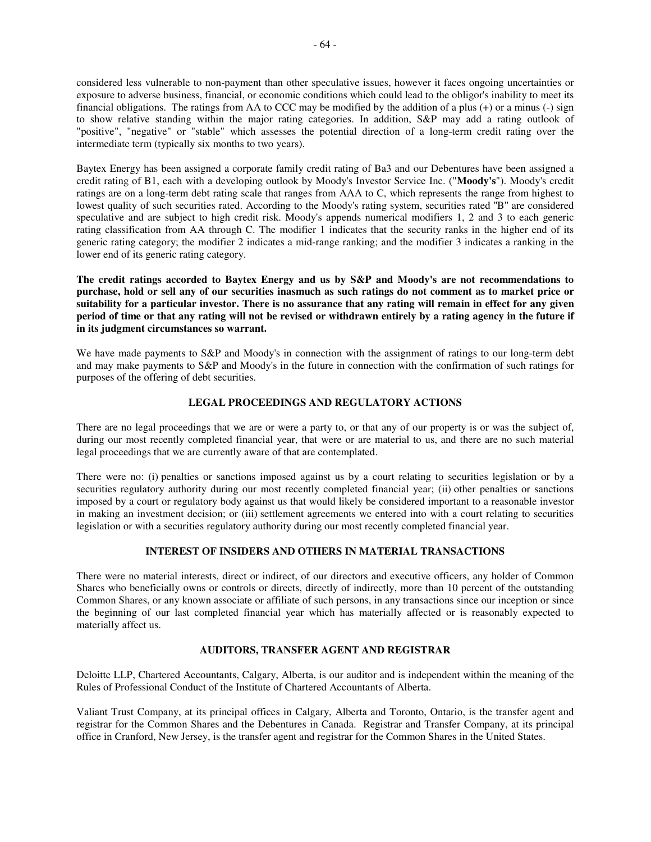considered less vulnerable to non-payment than other speculative issues, however it faces ongoing uncertainties or exposure to adverse business, financial, or economic conditions which could lead to the obligor's inability to meet its financial obligations. The ratings from AA to CCC may be modified by the addition of a plus  $(+)$  or a minus  $(-)$  sign to show relative standing within the major rating categories. In addition, S&P may add a rating outlook of "positive", "negative" or "stable" which assesses the potential direction of a long-term credit rating over the intermediate term (typically six months to two years).

Baytex Energy has been assigned a corporate family credit rating of Ba3 and our Debentures have been assigned a credit rating of B1, each with a developing outlook by Moody's Investor Service Inc. ("**Moody's**"). Moody's credit ratings are on a long-term debt rating scale that ranges from AAA to C, which represents the range from highest to lowest quality of such securities rated. According to the Moody's rating system, securities rated ''B'' are considered speculative and are subject to high credit risk. Moody's appends numerical modifiers 1, 2 and 3 to each generic rating classification from AA through C. The modifier 1 indicates that the security ranks in the higher end of its generic rating category; the modifier 2 indicates a mid-range ranking; and the modifier 3 indicates a ranking in the lower end of its generic rating category.

**The credit ratings accorded to Baytex Energy and us by S&P and Moody's are not recommendations to purchase, hold or sell any of our securities inasmuch as such ratings do not comment as to market price or suitability for a particular investor. There is no assurance that any rating will remain in effect for any given period of time or that any rating will not be revised or withdrawn entirely by a rating agency in the future if in its judgment circumstances so warrant.** 

We have made payments to S&P and Moody's in connection with the assignment of ratings to our long-term debt and may make payments to S&P and Moody's in the future in connection with the confirmation of such ratings for purposes of the offering of debt securities.

# **LEGAL PROCEEDINGS AND REGULATORY ACTIONS**

There are no legal proceedings that we are or were a party to, or that any of our property is or was the subject of, during our most recently completed financial year, that were or are material to us, and there are no such material legal proceedings that we are currently aware of that are contemplated.

There were no: (i) penalties or sanctions imposed against us by a court relating to securities legislation or by a securities regulatory authority during our most recently completed financial year; (ii) other penalties or sanctions imposed by a court or regulatory body against us that would likely be considered important to a reasonable investor in making an investment decision; or (iii) settlement agreements we entered into with a court relating to securities legislation or with a securities regulatory authority during our most recently completed financial year.

## **INTEREST OF INSIDERS AND OTHERS IN MATERIAL TRANSACTIONS**

There were no material interests, direct or indirect, of our directors and executive officers, any holder of Common Shares who beneficially owns or controls or directs, directly of indirectly, more than 10 percent of the outstanding Common Shares, or any known associate or affiliate of such persons, in any transactions since our inception or since the beginning of our last completed financial year which has materially affected or is reasonably expected to materially affect us.

# **AUDITORS, TRANSFER AGENT AND REGISTRAR**

Deloitte LLP, Chartered Accountants, Calgary, Alberta, is our auditor and is independent within the meaning of the Rules of Professional Conduct of the Institute of Chartered Accountants of Alberta.

Valiant Trust Company, at its principal offices in Calgary, Alberta and Toronto, Ontario, is the transfer agent and registrar for the Common Shares and the Debentures in Canada. Registrar and Transfer Company, at its principal office in Cranford, New Jersey, is the transfer agent and registrar for the Common Shares in the United States.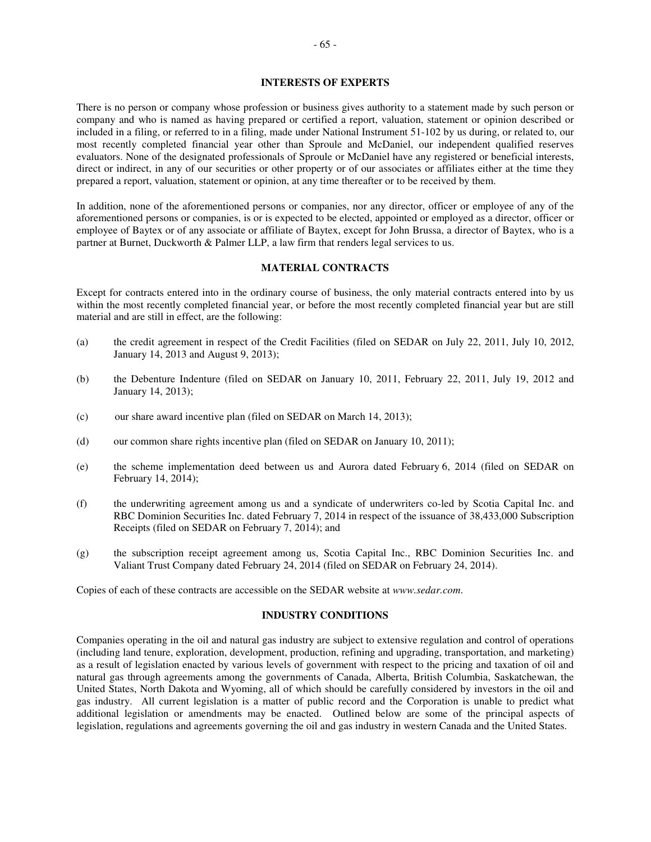# **INTERESTS OF EXPERTS**

There is no person or company whose profession or business gives authority to a statement made by such person or company and who is named as having prepared or certified a report, valuation, statement or opinion described or included in a filing, or referred to in a filing, made under National Instrument 51-102 by us during, or related to, our most recently completed financial year other than Sproule and McDaniel, our independent qualified reserves evaluators. None of the designated professionals of Sproule or McDaniel have any registered or beneficial interests, direct or indirect, in any of our securities or other property or of our associates or affiliates either at the time they prepared a report, valuation, statement or opinion, at any time thereafter or to be received by them.

In addition, none of the aforementioned persons or companies, nor any director, officer or employee of any of the aforementioned persons or companies, is or is expected to be elected, appointed or employed as a director, officer or employee of Baytex or of any associate or affiliate of Baytex, except for John Brussa, a director of Baytex, who is a partner at Burnet, Duckworth & Palmer LLP, a law firm that renders legal services to us.

# **MATERIAL CONTRACTS**

Except for contracts entered into in the ordinary course of business, the only material contracts entered into by us within the most recently completed financial year, or before the most recently completed financial year but are still material and are still in effect, are the following:

- (a) the credit agreement in respect of the Credit Facilities (filed on SEDAR on July 22, 2011, July 10, 2012, January 14, 2013 and August 9, 2013);
- (b) the Debenture Indenture (filed on SEDAR on January 10, 2011, February 22, 2011, July 19, 2012 and January 14, 2013);
- (c) our share award incentive plan (filed on SEDAR on March 14, 2013);
- (d) our common share rights incentive plan (filed on SEDAR on January 10, 2011);
- (e) the scheme implementation deed between us and Aurora dated February 6, 2014 (filed on SEDAR on February 14, 2014);
- (f) the underwriting agreement among us and a syndicate of underwriters co-led by Scotia Capital Inc. and RBC Dominion Securities Inc. dated February 7, 2014 in respect of the issuance of 38,433,000 Subscription Receipts (filed on SEDAR on February 7, 2014); and
- (g) the subscription receipt agreement among us, Scotia Capital Inc., RBC Dominion Securities Inc. and Valiant Trust Company dated February 24, 2014 (filed on SEDAR on February 24, 2014).

Copies of each of these contracts are accessible on the SEDAR website at *www.sedar.com*.

## **INDUSTRY CONDITIONS**

Companies operating in the oil and natural gas industry are subject to extensive regulation and control of operations (including land tenure, exploration, development, production, refining and upgrading, transportation, and marketing) as a result of legislation enacted by various levels of government with respect to the pricing and taxation of oil and natural gas through agreements among the governments of Canada, Alberta, British Columbia, Saskatchewan, the United States, North Dakota and Wyoming, all of which should be carefully considered by investors in the oil and gas industry. All current legislation is a matter of public record and the Corporation is unable to predict what additional legislation or amendments may be enacted. Outlined below are some of the principal aspects of legislation, regulations and agreements governing the oil and gas industry in western Canada and the United States.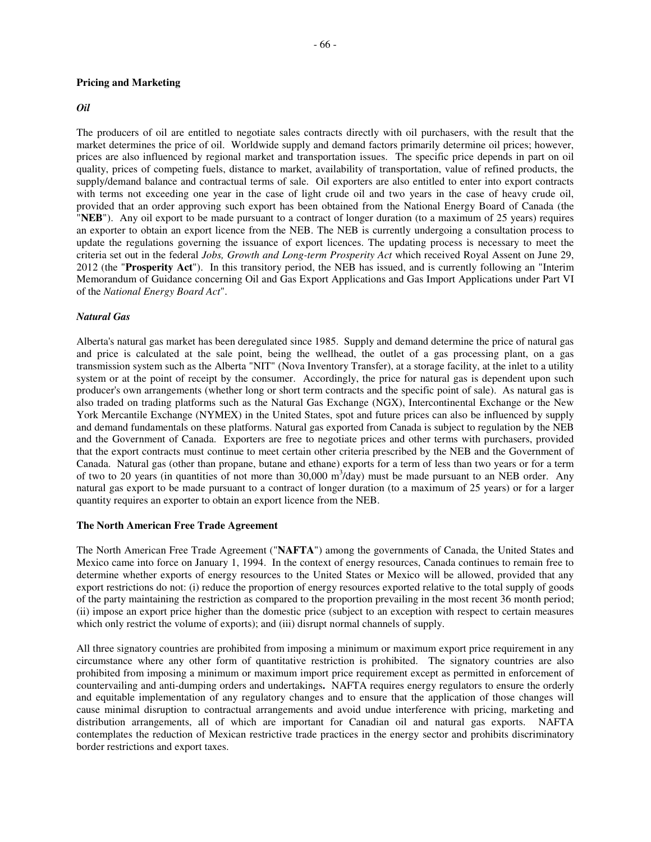# **Pricing and Marketing**

#### *Oil*

The producers of oil are entitled to negotiate sales contracts directly with oil purchasers, with the result that the market determines the price of oil. Worldwide supply and demand factors primarily determine oil prices; however, prices are also influenced by regional market and transportation issues. The specific price depends in part on oil quality, prices of competing fuels, distance to market, availability of transportation, value of refined products, the supply/demand balance and contractual terms of sale. Oil exporters are also entitled to enter into export contracts with terms not exceeding one year in the case of light crude oil and two years in the case of heavy crude oil, provided that an order approving such export has been obtained from the National Energy Board of Canada (the "**NEB**"). Any oil export to be made pursuant to a contract of longer duration (to a maximum of 25 years) requires an exporter to obtain an export licence from the NEB. The NEB is currently undergoing a consultation process to update the regulations governing the issuance of export licences. The updating process is necessary to meet the criteria set out in the federal *Jobs, Growth and Long-term Prosperity Act* which received Royal Assent on June 29, 2012 (the "**Prosperity Act**"). In this transitory period, the NEB has issued, and is currently following an "Interim Memorandum of Guidance concerning Oil and Gas Export Applications and Gas Import Applications under Part VI of the *National Energy Board Act*".

#### *Natural Gas*

Alberta's natural gas market has been deregulated since 1985. Supply and demand determine the price of natural gas and price is calculated at the sale point, being the wellhead, the outlet of a gas processing plant, on a gas transmission system such as the Alberta "NIT" (Nova Inventory Transfer), at a storage facility, at the inlet to a utility system or at the point of receipt by the consumer. Accordingly, the price for natural gas is dependent upon such producer's own arrangements (whether long or short term contracts and the specific point of sale). As natural gas is also traded on trading platforms such as the Natural Gas Exchange (NGX), Intercontinental Exchange or the New York Mercantile Exchange (NYMEX) in the United States, spot and future prices can also be influenced by supply and demand fundamentals on these platforms. Natural gas exported from Canada is subject to regulation by the NEB and the Government of Canada. Exporters are free to negotiate prices and other terms with purchasers, provided that the export contracts must continue to meet certain other criteria prescribed by the NEB and the Government of Canada. Natural gas (other than propane, butane and ethane) exports for a term of less than two years or for a term of two to 20 years (in quantities of not more than  $30,000 \text{ m}^3/\text{day}$ ) must be made pursuant to an NEB order. Any natural gas export to be made pursuant to a contract of longer duration (to a maximum of 25 years) or for a larger quantity requires an exporter to obtain an export licence from the NEB.

## **The North American Free Trade Agreement**

The North American Free Trade Agreement ("**NAFTA**") among the governments of Canada, the United States and Mexico came into force on January 1, 1994. In the context of energy resources, Canada continues to remain free to determine whether exports of energy resources to the United States or Mexico will be allowed, provided that any export restrictions do not: (i) reduce the proportion of energy resources exported relative to the total supply of goods of the party maintaining the restriction as compared to the proportion prevailing in the most recent 36 month period; (ii) impose an export price higher than the domestic price (subject to an exception with respect to certain measures which only restrict the volume of exports); and (iii) disrupt normal channels of supply.

All three signatory countries are prohibited from imposing a minimum or maximum export price requirement in any circumstance where any other form of quantitative restriction is prohibited. The signatory countries are also prohibited from imposing a minimum or maximum import price requirement except as permitted in enforcement of countervailing and anti-dumping orders and undertakings**.** NAFTA requires energy regulators to ensure the orderly and equitable implementation of any regulatory changes and to ensure that the application of those changes will cause minimal disruption to contractual arrangements and avoid undue interference with pricing, marketing and distribution arrangements, all of which are important for Canadian oil and natural gas exports.NAFTA contemplates the reduction of Mexican restrictive trade practices in the energy sector and prohibits discriminatory border restrictions and export taxes.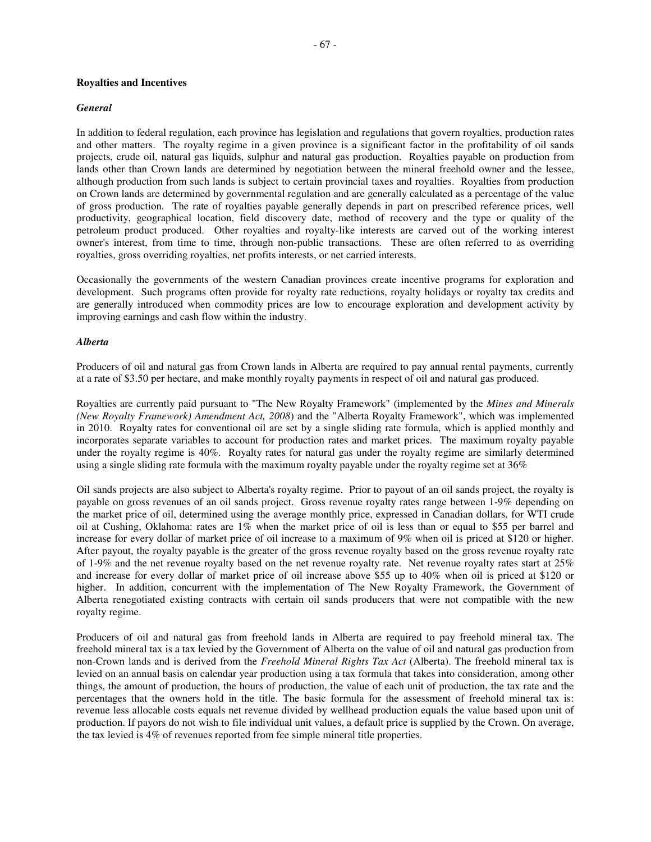#### **Royalties and Incentives**

#### *General*

In addition to federal regulation, each province has legislation and regulations that govern royalties, production rates and other matters. The royalty regime in a given province is a significant factor in the profitability of oil sands projects, crude oil, natural gas liquids, sulphur and natural gas production. Royalties payable on production from lands other than Crown lands are determined by negotiation between the mineral freehold owner and the lessee, although production from such lands is subject to certain provincial taxes and royalties. Royalties from production on Crown lands are determined by governmental regulation and are generally calculated as a percentage of the value of gross production. The rate of royalties payable generally depends in part on prescribed reference prices, well productivity, geographical location, field discovery date, method of recovery and the type or quality of the petroleum product produced. Other royalties and royalty-like interests are carved out of the working interest owner's interest, from time to time, through non-public transactions. These are often referred to as overriding royalties, gross overriding royalties, net profits interests, or net carried interests.

Occasionally the governments of the western Canadian provinces create incentive programs for exploration and development. Such programs often provide for royalty rate reductions, royalty holidays or royalty tax credits and are generally introduced when commodity prices are low to encourage exploration and development activity by improving earnings and cash flow within the industry.

#### *Alberta*

Producers of oil and natural gas from Crown lands in Alberta are required to pay annual rental payments, currently at a rate of \$3.50 per hectare, and make monthly royalty payments in respect of oil and natural gas produced.

Royalties are currently paid pursuant to "The New Royalty Framework" (implemented by the *Mines and Minerals (New Royalty Framework) Amendment Act, 2008*) and the "Alberta Royalty Framework", which was implemented in 2010. Royalty rates for conventional oil are set by a single sliding rate formula, which is applied monthly and incorporates separate variables to account for production rates and market prices. The maximum royalty payable under the royalty regime is 40%. Royalty rates for natural gas under the royalty regime are similarly determined using a single sliding rate formula with the maximum royalty payable under the royalty regime set at 36%

Oil sands projects are also subject to Alberta's royalty regime. Prior to payout of an oil sands project, the royalty is payable on gross revenues of an oil sands project. Gross revenue royalty rates range between 1-9% depending on the market price of oil, determined using the average monthly price, expressed in Canadian dollars, for WTI crude oil at Cushing, Oklahoma: rates are 1% when the market price of oil is less than or equal to \$55 per barrel and increase for every dollar of market price of oil increase to a maximum of 9% when oil is priced at \$120 or higher. After payout, the royalty payable is the greater of the gross revenue royalty based on the gross revenue royalty rate of 1-9% and the net revenue royalty based on the net revenue royalty rate. Net revenue royalty rates start at 25% and increase for every dollar of market price of oil increase above \$55 up to 40% when oil is priced at \$120 or higher. In addition, concurrent with the implementation of The New Royalty Framework, the Government of Alberta renegotiated existing contracts with certain oil sands producers that were not compatible with the new royalty regime.

Producers of oil and natural gas from freehold lands in Alberta are required to pay freehold mineral tax. The freehold mineral tax is a tax levied by the Government of Alberta on the value of oil and natural gas production from non-Crown lands and is derived from the *Freehold Mineral Rights Tax Act* (Alberta). The freehold mineral tax is levied on an annual basis on calendar year production using a tax formula that takes into consideration, among other things, the amount of production, the hours of production, the value of each unit of production, the tax rate and the percentages that the owners hold in the title. The basic formula for the assessment of freehold mineral tax is: revenue less allocable costs equals net revenue divided by wellhead production equals the value based upon unit of production. If payors do not wish to file individual unit values, a default price is supplied by the Crown. On average, the tax levied is 4% of revenues reported from fee simple mineral title properties.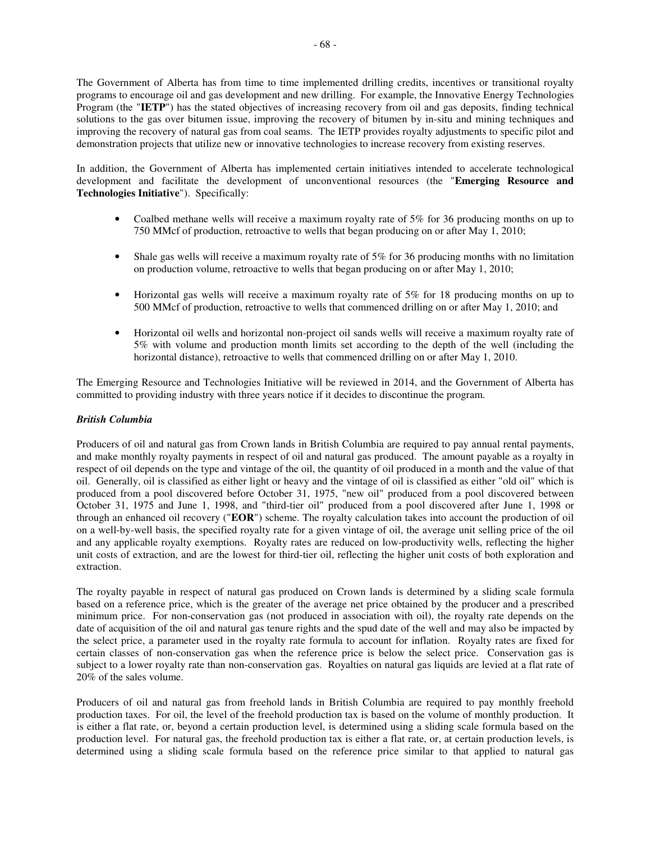The Government of Alberta has from time to time implemented drilling credits, incentives or transitional royalty programs to encourage oil and gas development and new drilling. For example, the Innovative Energy Technologies Program (the "**IETP**") has the stated objectives of increasing recovery from oil and gas deposits, finding technical solutions to the gas over bitumen issue, improving the recovery of bitumen by in-situ and mining techniques and improving the recovery of natural gas from coal seams. The IETP provides royalty adjustments to specific pilot and demonstration projects that utilize new or innovative technologies to increase recovery from existing reserves.

In addition, the Government of Alberta has implemented certain initiatives intended to accelerate technological development and facilitate the development of unconventional resources (the "**Emerging Resource and Technologies Initiative**"). Specifically:

- Coalbed methane wells will receive a maximum royalty rate of 5% for 36 producing months on up to 750 MMcf of production, retroactive to wells that began producing on or after May 1, 2010;
- Shale gas wells will receive a maximum royalty rate of 5% for 36 producing months with no limitation on production volume, retroactive to wells that began producing on or after May 1, 2010;
- Horizontal gas wells will receive a maximum royalty rate of 5% for 18 producing months on up to 500 MMcf of production, retroactive to wells that commenced drilling on or after May 1, 2010; and
- Horizontal oil wells and horizontal non-project oil sands wells will receive a maximum royalty rate of 5% with volume and production month limits set according to the depth of the well (including the horizontal distance), retroactive to wells that commenced drilling on or after May 1, 2010.

The Emerging Resource and Technologies Initiative will be reviewed in 2014, and the Government of Alberta has committed to providing industry with three years notice if it decides to discontinue the program.

## *British Columbia*

Producers of oil and natural gas from Crown lands in British Columbia are required to pay annual rental payments, and make monthly royalty payments in respect of oil and natural gas produced. The amount payable as a royalty in respect of oil depends on the type and vintage of the oil, the quantity of oil produced in a month and the value of that oil. Generally, oil is classified as either light or heavy and the vintage of oil is classified as either "old oil" which is produced from a pool discovered before October 31, 1975, "new oil" produced from a pool discovered between October 31, 1975 and June 1, 1998, and "third-tier oil" produced from a pool discovered after June 1, 1998 or through an enhanced oil recovery ("**EOR**") scheme. The royalty calculation takes into account the production of oil on a well-by-well basis, the specified royalty rate for a given vintage of oil, the average unit selling price of the oil and any applicable royalty exemptions. Royalty rates are reduced on low-productivity wells, reflecting the higher unit costs of extraction, and are the lowest for third-tier oil, reflecting the higher unit costs of both exploration and extraction.

The royalty payable in respect of natural gas produced on Crown lands is determined by a sliding scale formula based on a reference price, which is the greater of the average net price obtained by the producer and a prescribed minimum price. For non-conservation gas (not produced in association with oil), the royalty rate depends on the date of acquisition of the oil and natural gas tenure rights and the spud date of the well and may also be impacted by the select price, a parameter used in the royalty rate formula to account for inflation. Royalty rates are fixed for certain classes of non-conservation gas when the reference price is below the select price. Conservation gas is subject to a lower royalty rate than non-conservation gas. Royalties on natural gas liquids are levied at a flat rate of 20% of the sales volume.

Producers of oil and natural gas from freehold lands in British Columbia are required to pay monthly freehold production taxes. For oil, the level of the freehold production tax is based on the volume of monthly production. It is either a flat rate, or, beyond a certain production level, is determined using a sliding scale formula based on the production level. For natural gas, the freehold production tax is either a flat rate, or, at certain production levels, is determined using a sliding scale formula based on the reference price similar to that applied to natural gas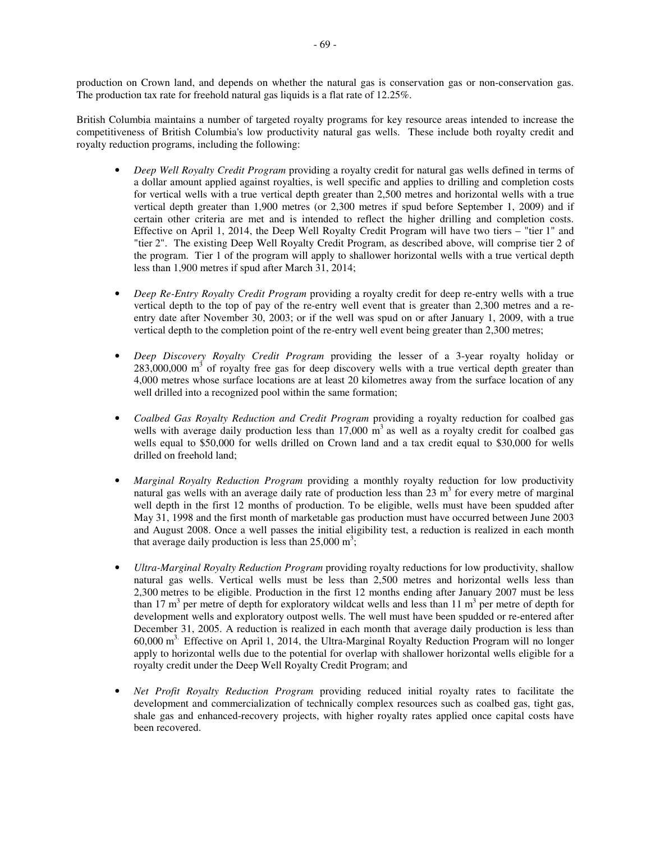production on Crown land, and depends on whether the natural gas is conservation gas or non-conservation gas. The production tax rate for freehold natural gas liquids is a flat rate of 12.25%.

British Columbia maintains a number of targeted royalty programs for key resource areas intended to increase the competitiveness of British Columbia's low productivity natural gas wells. These include both royalty credit and royalty reduction programs, including the following:

- *Deep Well Royalty Credit Program* providing a royalty credit for natural gas wells defined in terms of a dollar amount applied against royalties, is well specific and applies to drilling and completion costs for vertical wells with a true vertical depth greater than 2,500 metres and horizontal wells with a true vertical depth greater than 1,900 metres (or 2,300 metres if spud before September 1, 2009) and if certain other criteria are met and is intended to reflect the higher drilling and completion costs. Effective on April 1, 2014, the Deep Well Royalty Credit Program will have two tiers – "tier 1" and "tier 2". The existing Deep Well Royalty Credit Program, as described above, will comprise tier 2 of the program. Tier 1 of the program will apply to shallower horizontal wells with a true vertical depth less than 1,900 metres if spud after March 31, 2014;
- *Deep Re-Entry Royalty Credit Program* providing a royalty credit for deep re-entry wells with a true vertical depth to the top of pay of the re-entry well event that is greater than 2,300 metres and a reentry date after November 30, 2003; or if the well was spud on or after January 1, 2009, with a true vertical depth to the completion point of the re-entry well event being greater than 2,300 metres;
- *Deep Discovery Royalty Credit Program* providing the lesser of a 3-year royalty holiday or  $283,000,000$  m<sup>3</sup> of royalty free gas for deep discovery wells with a true vertical depth greater than 4,000 metres whose surface locations are at least 20 kilometres away from the surface location of any well drilled into a recognized pool within the same formation;
- *Coalbed Gas Royalty Reduction and Credit Program* providing a royalty reduction for coalbed gas wells with average daily production less than  $17,000 \text{ m}^3$  as well as a royalty credit for coalbed gas wells equal to \$50,000 for wells drilled on Crown land and a tax credit equal to \$30,000 for wells drilled on freehold land;
- *Marginal Royalty Reduction Program* providing a monthly royalty reduction for low productivity natural gas wells with an average daily rate of production less than  $23 \text{ m}^3$  for every metre of marginal well depth in the first 12 months of production. To be eligible, wells must have been spudded after May 31, 1998 and the first month of marketable gas production must have occurred between June 2003 and August 2008. Once a well passes the initial eligibility test, a reduction is realized in each month that average daily production is less than  $25,000 \text{ m}^3$ ;
- *Ultra-Marginal Royalty Reduction Program* providing royalty reductions for low productivity, shallow natural gas wells. Vertical wells must be less than 2,500 metres and horizontal wells less than 2,300 metres to be eligible. Production in the first 12 months ending after January 2007 must be less than 17  $m<sup>3</sup>$  per metre of depth for exploratory wildcat wells and less than 11  $m<sup>3</sup>$  per metre of depth for development wells and exploratory outpost wells. The well must have been spudded or re-entered after December 31, 2005. A reduction is realized in each month that average daily production is less than  $60,000$  m<sup>3.</sup> Effective on April 1, 2014, the Ultra-Marginal Royalty Reduction Program will no longer apply to horizontal wells due to the potential for overlap with shallower horizontal wells eligible for a royalty credit under the Deep Well Royalty Credit Program; and
- *Net Profit Royalty Reduction Program* providing reduced initial royalty rates to facilitate the development and commercialization of technically complex resources such as coalbed gas, tight gas, shale gas and enhanced-recovery projects, with higher royalty rates applied once capital costs have been recovered.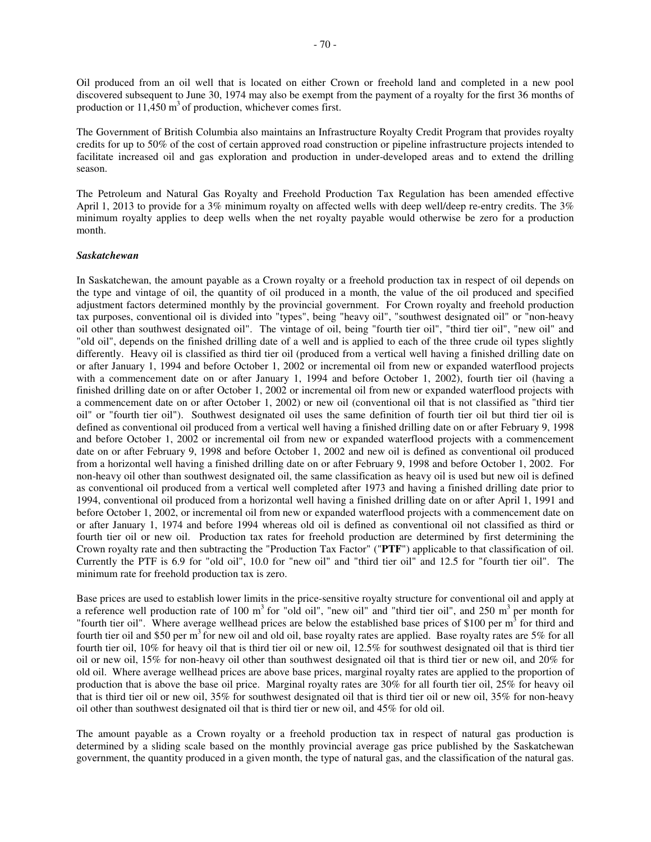Oil produced from an oil well that is located on either Crown or freehold land and completed in a new pool discovered subsequent to June 30, 1974 may also be exempt from the payment of a royalty for the first 36 months of production or  $11,450 \text{ m}^3$  of production, whichever comes first.

The Government of British Columbia also maintains an Infrastructure Royalty Credit Program that provides royalty credits for up to 50% of the cost of certain approved road construction or pipeline infrastructure projects intended to facilitate increased oil and gas exploration and production in under-developed areas and to extend the drilling season.

The Petroleum and Natural Gas Royalty and Freehold Production Tax Regulation has been amended effective April 1, 2013 to provide for a 3% minimum royalty on affected wells with deep well/deep re-entry credits. The 3% minimum royalty applies to deep wells when the net royalty payable would otherwise be zero for a production month.

### *Saskatchewan*

In Saskatchewan, the amount payable as a Crown royalty or a freehold production tax in respect of oil depends on the type and vintage of oil, the quantity of oil produced in a month, the value of the oil produced and specified adjustment factors determined monthly by the provincial government. For Crown royalty and freehold production tax purposes, conventional oil is divided into "types", being "heavy oil", "southwest designated oil" or "non-heavy oil other than southwest designated oil". The vintage of oil, being "fourth tier oil", "third tier oil", "new oil" and "old oil", depends on the finished drilling date of a well and is applied to each of the three crude oil types slightly differently. Heavy oil is classified as third tier oil (produced from a vertical well having a finished drilling date on or after January 1, 1994 and before October 1, 2002 or incremental oil from new or expanded waterflood projects with a commencement date on or after January 1, 1994 and before October 1, 2002), fourth tier oil (having a finished drilling date on or after October 1, 2002 or incremental oil from new or expanded waterflood projects with a commencement date on or after October 1, 2002) or new oil (conventional oil that is not classified as "third tier oil" or "fourth tier oil"). Southwest designated oil uses the same definition of fourth tier oil but third tier oil is defined as conventional oil produced from a vertical well having a finished drilling date on or after February 9, 1998 and before October 1, 2002 or incremental oil from new or expanded waterflood projects with a commencement date on or after February 9, 1998 and before October 1, 2002 and new oil is defined as conventional oil produced from a horizontal well having a finished drilling date on or after February 9, 1998 and before October 1, 2002. For non-heavy oil other than southwest designated oil, the same classification as heavy oil is used but new oil is defined as conventional oil produced from a vertical well completed after 1973 and having a finished drilling date prior to 1994, conventional oil produced from a horizontal well having a finished drilling date on or after April 1, 1991 and before October 1, 2002, or incremental oil from new or expanded waterflood projects with a commencement date on or after January 1, 1974 and before 1994 whereas old oil is defined as conventional oil not classified as third or fourth tier oil or new oil. Production tax rates for freehold production are determined by first determining the Crown royalty rate and then subtracting the "Production Tax Factor" ("**PTF**") applicable to that classification of oil. Currently the PTF is 6.9 for "old oil", 10.0 for "new oil" and "third tier oil" and 12.5 for "fourth tier oil". The minimum rate for freehold production tax is zero.

Base prices are used to establish lower limits in the price-sensitive royalty structure for conventional oil and apply at a reference well production rate of 100 m<sup>3</sup> for "old oil", "new oil" and "third tier oil", and 250 m<sup>3</sup> per month for "fourth tier oil". Where average wellhead prices are below the established base prices of \$100 per  $m<sup>3</sup>$  for third and fourth tier oil and \$50 per  $m<sup>3</sup>$  for new oil and old oil, base royalty rates are applied. Base royalty rates are 5% for all fourth tier oil, 10% for heavy oil that is third tier oil or new oil, 12.5% for southwest designated oil that is third tier oil or new oil, 15% for non-heavy oil other than southwest designated oil that is third tier or new oil, and 20% for old oil. Where average wellhead prices are above base prices, marginal royalty rates are applied to the proportion of production that is above the base oil price. Marginal royalty rates are 30% for all fourth tier oil, 25% for heavy oil that is third tier oil or new oil, 35% for southwest designated oil that is third tier oil or new oil, 35% for non-heavy oil other than southwest designated oil that is third tier or new oil, and 45% for old oil.

The amount payable as a Crown royalty or a freehold production tax in respect of natural gas production is determined by a sliding scale based on the monthly provincial average gas price published by the Saskatchewan government, the quantity produced in a given month, the type of natural gas, and the classification of the natural gas.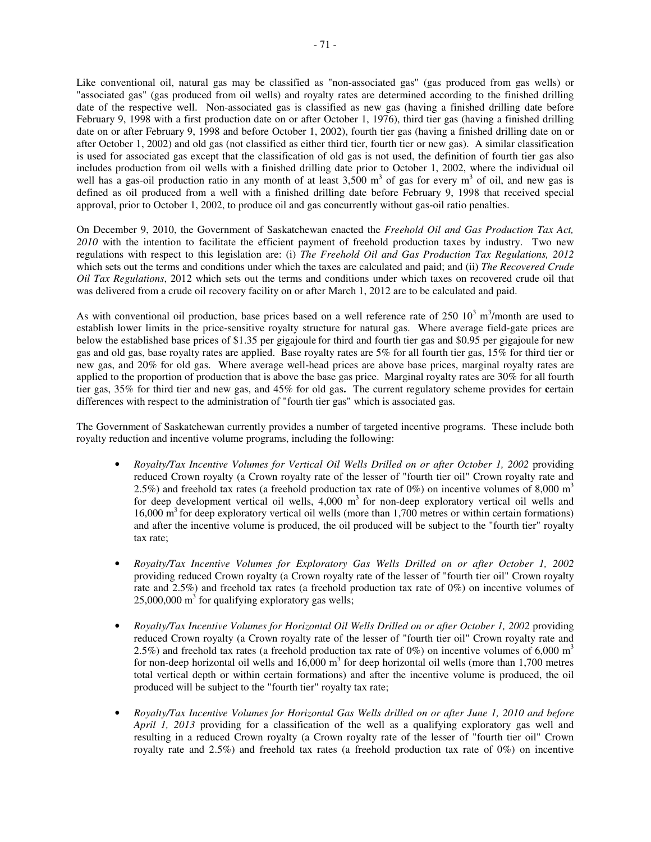Like conventional oil, natural gas may be classified as "non-associated gas" (gas produced from gas wells) or "associated gas" (gas produced from oil wells) and royalty rates are determined according to the finished drilling date of the respective well. Non-associated gas is classified as new gas (having a finished drilling date before February 9, 1998 with a first production date on or after October 1, 1976), third tier gas (having a finished drilling date on or after February 9, 1998 and before October 1, 2002), fourth tier gas (having a finished drilling date on or after October 1, 2002) and old gas (not classified as either third tier, fourth tier or new gas). A similar classification is used for associated gas except that the classification of old gas is not used, the definition of fourth tier gas also includes production from oil wells with a finished drilling date prior to October 1, 2002, where the individual oil well has a gas-oil production ratio in any month of at least  $3,500 \text{ m}^3$  of gas for every m<sup>3</sup> of oil, and new gas is defined as oil produced from a well with a finished drilling date before February 9, 1998 that received special approval, prior to October 1, 2002, to produce oil and gas concurrently without gas-oil ratio penalties.

On December 9, 2010, the Government of Saskatchewan enacted the *Freehold Oil and Gas Production Tax Act, 2010* with the intention to facilitate the efficient payment of freehold production taxes by industry. Two new regulations with respect to this legislation are: (i) *The Freehold Oil and Gas Production Tax Regulations, 2012* which sets out the terms and conditions under which the taxes are calculated and paid; and (ii) *The Recovered Crude Oil Tax Regulations*, 2012 which sets out the terms and conditions under which taxes on recovered crude oil that was delivered from a crude oil recovery facility on or after March 1, 2012 are to be calculated and paid.

As with conventional oil production, base prices based on a well reference rate of  $250 \ 10^3 \ \text{m}^3/\text{month}$  are used to establish lower limits in the price-sensitive royalty structure for natural gas. Where average field-gate prices are below the established base prices of \$1.35 per gigajoule for third and fourth tier gas and \$0.95 per gigajoule for new gas and old gas, base royalty rates are applied. Base royalty rates are 5% for all fourth tier gas, 15% for third tier or new gas, and 20% for old gas. Where average well-head prices are above base prices, marginal royalty rates are applied to the proportion of production that is above the base gas price. Marginal royalty rates are 30% for all fourth tier gas, 35% for third tier and new gas, and 45% for old gas**.** The current regulatory scheme provides for **c**ertain differences with respect to the administration of "fourth tier gas" which is associated gas.

The Government of Saskatchewan currently provides a number of targeted incentive programs. These include both royalty reduction and incentive volume programs, including the following:

- *Royalty/Tax Incentive Volumes for Vertical Oil Wells Drilled on or after October 1, 2002* providing reduced Crown royalty (a Crown royalty rate of the lesser of "fourth tier oil" Crown royalty rate and 2.5%) and freehold tax rates (a freehold production tax rate of 0%) on incentive volumes of 8,000  $m<sup>3</sup>$ for deep development vertical oil wells,  $4,000 \text{ m}^3$  for non-deep exploratory vertical oil wells and  $16,000 \text{ m}^3$  for deep exploratory vertical oil wells (more than 1,700 metres or within certain formations) and after the incentive volume is produced, the oil produced will be subject to the "fourth tier" royalty tax rate;
- *Royalty/Tax Incentive Volumes for Exploratory Gas Wells Drilled on or after October 1, 2002*  providing reduced Crown royalty (a Crown royalty rate of the lesser of "fourth tier oil" Crown royalty rate and 2.5%) and freehold tax rates (a freehold production tax rate of 0%) on incentive volumes of 25,000,000  $m<sup>3</sup>$  for qualifying exploratory gas wells;
- *Royalty/Tax Incentive Volumes for Horizontal Oil Wells Drilled on or after October 1, 2002* providing reduced Crown royalty (a Crown royalty rate of the lesser of "fourth tier oil" Crown royalty rate and 2.5%) and freehold tax rates (a freehold production tax rate of 0%) on incentive volumes of 6,000  $m<sup>3</sup>$ for non-deep horizontal oil wells and  $16,000 \text{ m}^3$  for deep horizontal oil wells (more than 1,700 metres total vertical depth or within certain formations) and after the incentive volume is produced, the oil produced will be subject to the "fourth tier" royalty tax rate;
- *Royalty/Tax Incentive Volumes for Horizontal Gas Wells drilled on or after June 1, 2010 and before April 1, 2013* providing for a classification of the well as a qualifying exploratory gas well and resulting in a reduced Crown royalty (a Crown royalty rate of the lesser of "fourth tier oil" Crown royalty rate and 2.5%) and freehold tax rates (a freehold production tax rate of 0%) on incentive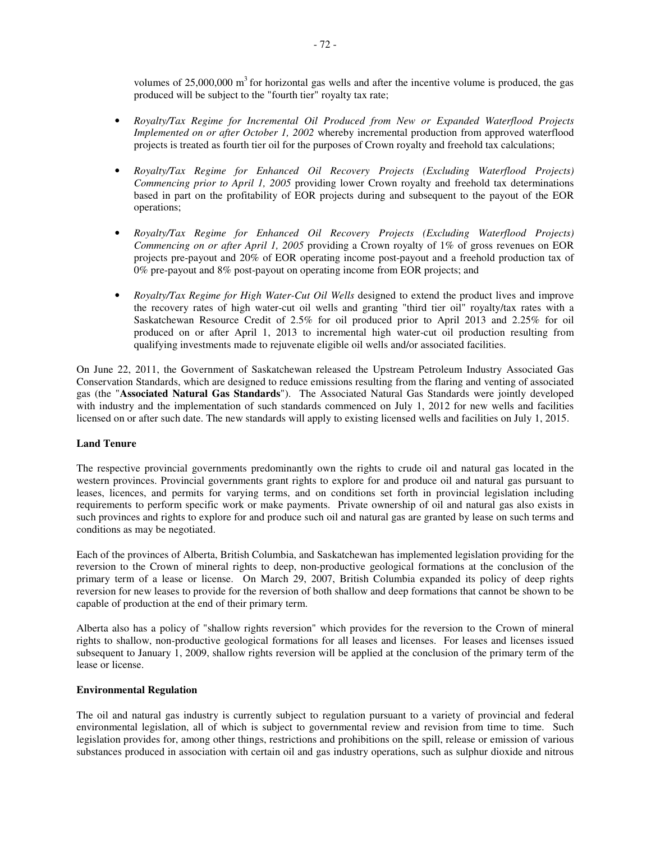volumes of  $25,000,000$  m<sup>3</sup> for horizontal gas wells and after the incentive volume is produced, the gas produced will be subject to the "fourth tier" royalty tax rate;

- *Royalty/Tax Regime for Incremental Oil Produced from New or Expanded Waterflood Projects Implemented on or after October 1, 2002* whereby incremental production from approved waterflood projects is treated as fourth tier oil for the purposes of Crown royalty and freehold tax calculations;
- *Royalty/Tax Regime for Enhanced Oil Recovery Projects (Excluding Waterflood Projects) Commencing prior to April 1, 2005* providing lower Crown royalty and freehold tax determinations based in part on the profitability of EOR projects during and subsequent to the payout of the EOR operations;
- *Royalty/Tax Regime for Enhanced Oil Recovery Projects (Excluding Waterflood Projects) Commencing on or after April 1, 2005* providing a Crown royalty of 1% of gross revenues on EOR projects pre-payout and 20% of EOR operating income post-payout and a freehold production tax of 0% pre-payout and 8% post-payout on operating income from EOR projects; and
- *Royalty/Tax Regime for High Water-Cut Oil Wells* designed to extend the product lives and improve the recovery rates of high water-cut oil wells and granting "third tier oil" royalty/tax rates with a Saskatchewan Resource Credit of 2.5% for oil produced prior to April 2013 and 2.25% for oil produced on or after April 1, 2013 to incremental high water-cut oil production resulting from qualifying investments made to rejuvenate eligible oil wells and/or associated facilities.

On June 22, 2011, the Government of Saskatchewan released the Upstream Petroleum Industry Associated Gas Conservation Standards, which are designed to reduce emissions resulting from the flaring and venting of associated gas (the "**Associated Natural Gas Standards**"). The Associated Natural Gas Standards were jointly developed with industry and the implementation of such standards commenced on July 1, 2012 for new wells and facilities licensed on or after such date. The new standards will apply to existing licensed wells and facilities on July 1, 2015.

# **Land Tenure**

The respective provincial governments predominantly own the rights to crude oil and natural gas located in the western provinces. Provincial governments grant rights to explore for and produce oil and natural gas pursuant to leases, licences, and permits for varying terms, and on conditions set forth in provincial legislation including requirements to perform specific work or make payments. Private ownership of oil and natural gas also exists in such provinces and rights to explore for and produce such oil and natural gas are granted by lease on such terms and conditions as may be negotiated.

Each of the provinces of Alberta, British Columbia, and Saskatchewan has implemented legislation providing for the reversion to the Crown of mineral rights to deep, non-productive geological formations at the conclusion of the primary term of a lease or license. On March 29, 2007, British Columbia expanded its policy of deep rights reversion for new leases to provide for the reversion of both shallow and deep formations that cannot be shown to be capable of production at the end of their primary term.

Alberta also has a policy of "shallow rights reversion" which provides for the reversion to the Crown of mineral rights to shallow, non-productive geological formations for all leases and licenses. For leases and licenses issued subsequent to January 1, 2009, shallow rights reversion will be applied at the conclusion of the primary term of the lease or license.

# **Environmental Regulation**

The oil and natural gas industry is currently subject to regulation pursuant to a variety of provincial and federal environmental legislation, all of which is subject to governmental review and revision from time to time. Such legislation provides for, among other things, restrictions and prohibitions on the spill, release or emission of various substances produced in association with certain oil and gas industry operations, such as sulphur dioxide and nitrous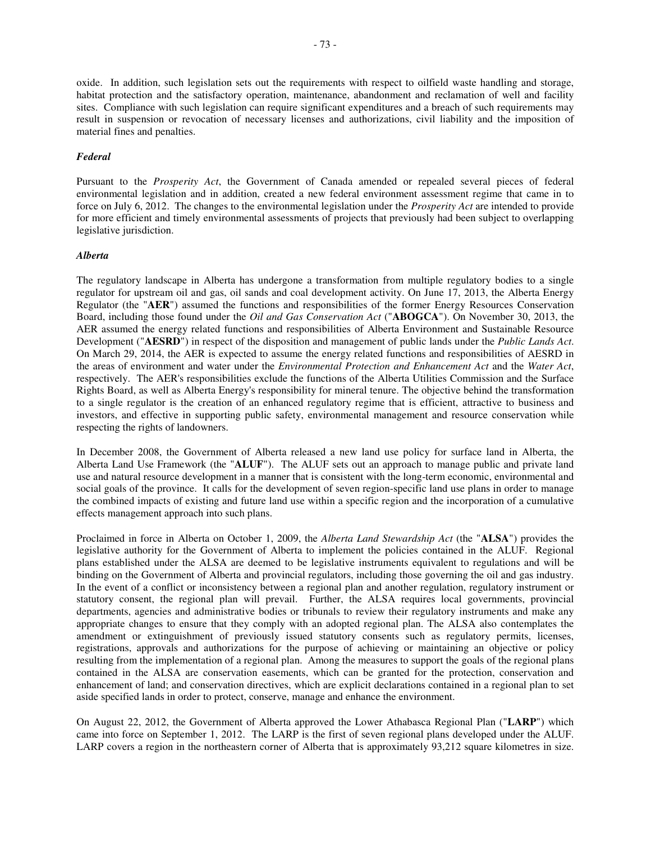oxide. In addition, such legislation sets out the requirements with respect to oilfield waste handling and storage, habitat protection and the satisfactory operation, maintenance, abandonment and reclamation of well and facility sites. Compliance with such legislation can require significant expenditures and a breach of such requirements may result in suspension or revocation of necessary licenses and authorizations, civil liability and the imposition of material fines and penalties.

# *Federal*

Pursuant to the *Prosperity Act*, the Government of Canada amended or repealed several pieces of federal environmental legislation and in addition, created a new federal environment assessment regime that came in to force on July 6, 2012. The changes to the environmental legislation under the *Prosperity Act* are intended to provide for more efficient and timely environmental assessments of projects that previously had been subject to overlapping legislative jurisdiction.

# *Alberta*

The regulatory landscape in Alberta has undergone a transformation from multiple regulatory bodies to a single regulator for upstream oil and gas, oil sands and coal development activity. On June 17, 2013, the Alberta Energy Regulator (the "**AER**") assumed the functions and responsibilities of the former Energy Resources Conservation Board, including those found under the *Oil and Gas Conservation Act* ("**ABOGCA**"). On November 30, 2013, the AER assumed the energy related functions and responsibilities of Alberta Environment and Sustainable Resource Development ("**AESRD**") in respect of the disposition and management of public lands under the *Public Lands Act*. On March 29, 2014, the AER is expected to assume the energy related functions and responsibilities of AESRD in the areas of environment and water under the *Environmental Protection and Enhancement Act* and the *Water Act*, respectively. The AER's responsibilities exclude the functions of the Alberta Utilities Commission and the Surface Rights Board, as well as Alberta Energy's responsibility for mineral tenure. The objective behind the transformation to a single regulator is the creation of an enhanced regulatory regime that is efficient, attractive to business and investors, and effective in supporting public safety, environmental management and resource conservation while respecting the rights of landowners.

In December 2008, the Government of Alberta released a new land use policy for surface land in Alberta, the Alberta Land Use Framework (the "**ALUF**"). The ALUF sets out an approach to manage public and private land use and natural resource development in a manner that is consistent with the long-term economic, environmental and social goals of the province. It calls for the development of seven region-specific land use plans in order to manage the combined impacts of existing and future land use within a specific region and the incorporation of a cumulative effects management approach into such plans.

Proclaimed in force in Alberta on October 1, 2009, the *Alberta Land Stewardship Act* (the "**ALSA**") provides the legislative authority for the Government of Alberta to implement the policies contained in the ALUF. Regional plans established under the ALSA are deemed to be legislative instruments equivalent to regulations and will be binding on the Government of Alberta and provincial regulators, including those governing the oil and gas industry. In the event of a conflict or inconsistency between a regional plan and another regulation, regulatory instrument or statutory consent, the regional plan will prevail. Further, the ALSA requires local governments, provincial departments, agencies and administrative bodies or tribunals to review their regulatory instruments and make any appropriate changes to ensure that they comply with an adopted regional plan. The ALSA also contemplates the amendment or extinguishment of previously issued statutory consents such as regulatory permits, licenses, registrations, approvals and authorizations for the purpose of achieving or maintaining an objective or policy resulting from the implementation of a regional plan. Among the measures to support the goals of the regional plans contained in the ALSA are conservation easements, which can be granted for the protection, conservation and enhancement of land; and conservation directives, which are explicit declarations contained in a regional plan to set aside specified lands in order to protect, conserve, manage and enhance the environment.

On August 22, 2012, the Government of Alberta approved the Lower Athabasca Regional Plan ("**LARP**") which came into force on September 1, 2012. The LARP is the first of seven regional plans developed under the ALUF. LARP covers a region in the northeastern corner of Alberta that is approximately 93,212 square kilometres in size.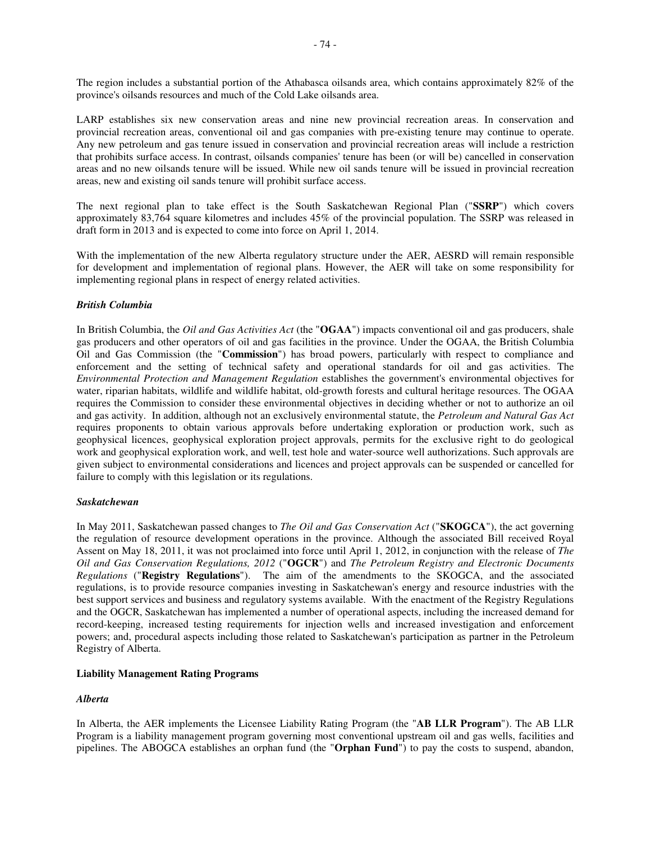The region includes a substantial portion of the Athabasca oilsands area, which contains approximately 82% of the province's oilsands resources and much of the Cold Lake oilsands area.

LARP establishes six new conservation areas and nine new provincial recreation areas. In conservation and provincial recreation areas, conventional oil and gas companies with pre-existing tenure may continue to operate. Any new petroleum and gas tenure issued in conservation and provincial recreation areas will include a restriction that prohibits surface access. In contrast, oilsands companies' tenure has been (or will be) cancelled in conservation areas and no new oilsands tenure will be issued. While new oil sands tenure will be issued in provincial recreation areas, new and existing oil sands tenure will prohibit surface access.

The next regional plan to take effect is the South Saskatchewan Regional Plan ("**SSRP**") which covers approximately 83,764 square kilometres and includes 45% of the provincial population. The SSRP was released in draft form in 2013 and is expected to come into force on April 1, 2014.

With the implementation of the new Alberta regulatory structure under the AER, AESRD will remain responsible for development and implementation of regional plans. However, the AER will take on some responsibility for implementing regional plans in respect of energy related activities.

# *British Columbia*

In British Columbia, the *Oil and Gas Activities Act* (the "**OGAA**") impacts conventional oil and gas producers, shale gas producers and other operators of oil and gas facilities in the province. Under the OGAA, the British Columbia Oil and Gas Commission (the "**Commission**") has broad powers, particularly with respect to compliance and enforcement and the setting of technical safety and operational standards for oil and gas activities. The *Environmental Protection and Management Regulation* establishes the government's environmental objectives for water, riparian habitats, wildlife and wildlife habitat, old-growth forests and cultural heritage resources. The OGAA requires the Commission to consider these environmental objectives in deciding whether or not to authorize an oil and gas activity. In addition, although not an exclusively environmental statute, the *Petroleum and Natural Gas Act* requires proponents to obtain various approvals before undertaking exploration or production work, such as geophysical licences, geophysical exploration project approvals, permits for the exclusive right to do geological work and geophysical exploration work, and well, test hole and water-source well authorizations. Such approvals are given subject to environmental considerations and licences and project approvals can be suspended or cancelled for failure to comply with this legislation or its regulations.

# *Saskatchewan*

In May 2011, Saskatchewan passed changes to *The Oil and Gas Conservation Act* ("**SKOGCA**"), the act governing the regulation of resource development operations in the province. Although the associated Bill received Royal Assent on May 18, 2011, it was not proclaimed into force until April 1, 2012, in conjunction with the release of *The Oil and Gas Conservation Regulations, 2012* ("**OGCR**") and *The Petroleum Registry and Electronic Documents Regulations* ("**Registry Regulations**"). The aim of the amendments to the SKOGCA, and the associated regulations, is to provide resource companies investing in Saskatchewan's energy and resource industries with the best support services and business and regulatory systems available. With the enactment of the Registry Regulations and the OGCR, Saskatchewan has implemented a number of operational aspects, including the increased demand for record-keeping, increased testing requirements for injection wells and increased investigation and enforcement powers; and, procedural aspects including those related to Saskatchewan's participation as partner in the Petroleum Registry of Alberta.

# **Liability Management Rating Programs**

# *Alberta*

In Alberta, the AER implements the Licensee Liability Rating Program (the "**AB LLR Program**"). The AB LLR Program is a liability management program governing most conventional upstream oil and gas wells, facilities and pipelines. The ABOGCA establishes an orphan fund (the "**Orphan Fund**") to pay the costs to suspend, abandon,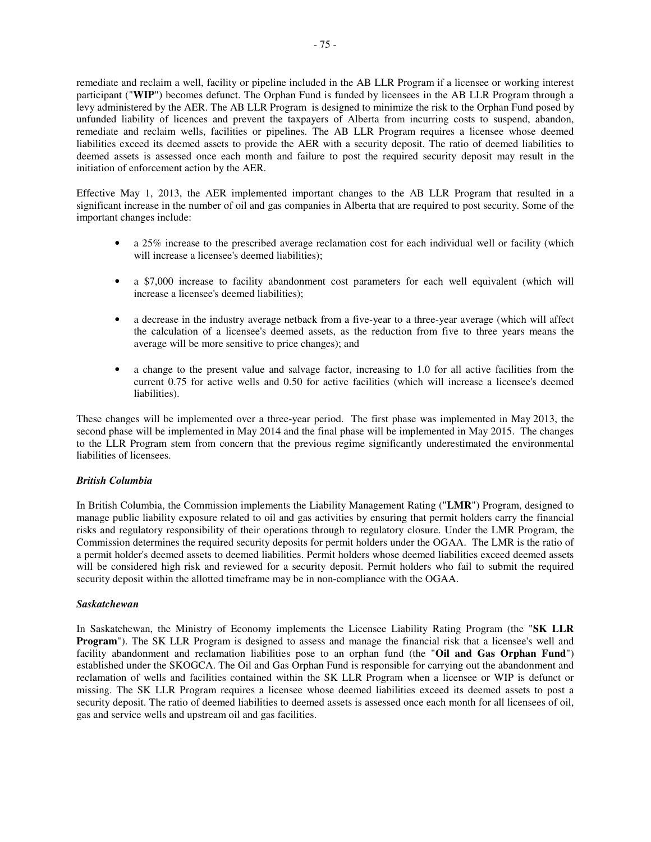remediate and reclaim a well, facility or pipeline included in the AB LLR Program if a licensee or working interest participant ("**WIP**") becomes defunct. The Orphan Fund is funded by licensees in the AB LLR Program through a levy administered by the AER. The AB LLR Program is designed to minimize the risk to the Orphan Fund posed by unfunded liability of licences and prevent the taxpayers of Alberta from incurring costs to suspend, abandon, remediate and reclaim wells, facilities or pipelines. The AB LLR Program requires a licensee whose deemed liabilities exceed its deemed assets to provide the AER with a security deposit. The ratio of deemed liabilities to deemed assets is assessed once each month and failure to post the required security deposit may result in the initiation of enforcement action by the AER.

Effective May 1, 2013, the AER implemented important changes to the AB LLR Program that resulted in a significant increase in the number of oil and gas companies in Alberta that are required to post security. Some of the important changes include:

- a 25% increase to the prescribed average reclamation cost for each individual well or facility (which will increase a licensee's deemed liabilities);
- a \$7,000 increase to facility abandonment cost parameters for each well equivalent (which will increase a licensee's deemed liabilities);
- a decrease in the industry average netback from a five-year to a three-year average (which will affect the calculation of a licensee's deemed assets, as the reduction from five to three years means the average will be more sensitive to price changes); and
- a change to the present value and salvage factor, increasing to 1.0 for all active facilities from the current 0.75 for active wells and 0.50 for active facilities (which will increase a licensee's deemed liabilities).

These changes will be implemented over a three-year period. The first phase was implemented in May 2013, the second phase will be implemented in May 2014 and the final phase will be implemented in May 2015. The changes to the LLR Program stem from concern that the previous regime significantly underestimated the environmental liabilities of licensees.

# *British Columbia*

In British Columbia, the Commission implements the Liability Management Rating ("**LMR**") Program, designed to manage public liability exposure related to oil and gas activities by ensuring that permit holders carry the financial risks and regulatory responsibility of their operations through to regulatory closure. Under the LMR Program, the Commission determines the required security deposits for permit holders under the OGAA. The LMR is the ratio of a permit holder's deemed assets to deemed liabilities. Permit holders whose deemed liabilities exceed deemed assets will be considered high risk and reviewed for a security deposit. Permit holders who fail to submit the required security deposit within the allotted timeframe may be in non-compliance with the OGAA.

# *Saskatchewan*

In Saskatchewan, the Ministry of Economy implements the Licensee Liability Rating Program (the "**SK LLR Program**"). The SK LLR Program is designed to assess and manage the financial risk that a licensee's well and facility abandonment and reclamation liabilities pose to an orphan fund (the "**Oil and Gas Orphan Fund**") established under the SKOGCA. The Oil and Gas Orphan Fund is responsible for carrying out the abandonment and reclamation of wells and facilities contained within the SK LLR Program when a licensee or WIP is defunct or missing. The SK LLR Program requires a licensee whose deemed liabilities exceed its deemed assets to post a security deposit. The ratio of deemed liabilities to deemed assets is assessed once each month for all licensees of oil, gas and service wells and upstream oil and gas facilities.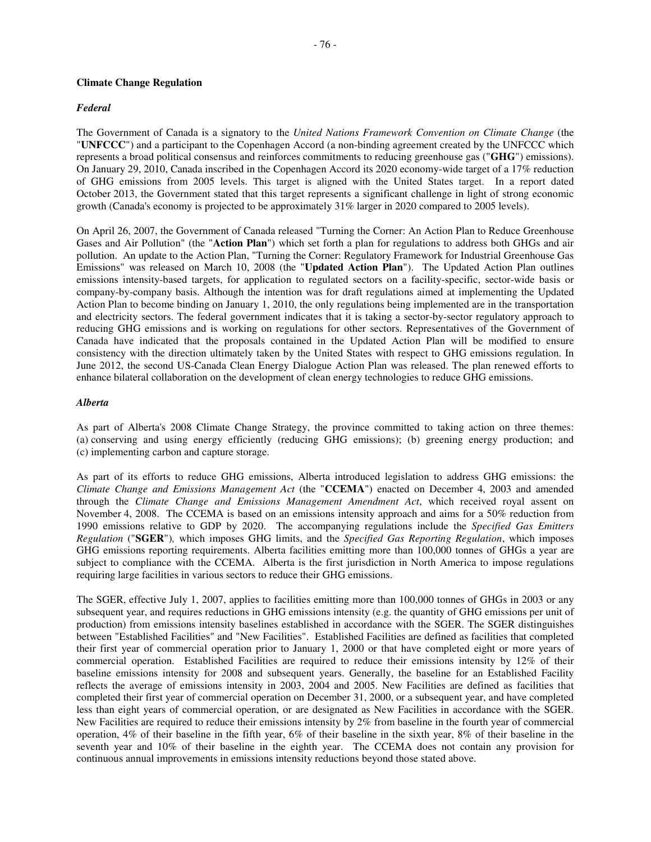## **Climate Change Regulation**

### *Federal*

The Government of Canada is a signatory to the *United Nations Framework Convention on Climate Change* (the "**UNFCCC**") and a participant to the Copenhagen Accord (a non-binding agreement created by the UNFCCC which represents a broad political consensus and reinforces commitments to reducing greenhouse gas ("**GHG**") emissions). On January 29, 2010, Canada inscribed in the Copenhagen Accord its 2020 economy-wide target of a 17% reduction of GHG emissions from 2005 levels. This target is aligned with the United States target. In a report dated October 2013, the Government stated that this target represents a significant challenge in light of strong economic growth (Canada's economy is projected to be approximately 31% larger in 2020 compared to 2005 levels).

On April 26, 2007, the Government of Canada released "Turning the Corner: An Action Plan to Reduce Greenhouse Gases and Air Pollution" (the "**Action Plan**") which set forth a plan for regulations to address both GHGs and air pollution. An update to the Action Plan, "Turning the Corner: Regulatory Framework for Industrial Greenhouse Gas Emissions" was released on March 10, 2008 (the "**Updated Action Plan**"). The Updated Action Plan outlines emissions intensity-based targets, for application to regulated sectors on a facility-specific, sector-wide basis or company-by-company basis. Although the intention was for draft regulations aimed at implementing the Updated Action Plan to become binding on January 1, 2010, the only regulations being implemented are in the transportation and electricity sectors. The federal government indicates that it is taking a sector-by-sector regulatory approach to reducing GHG emissions and is working on regulations for other sectors. Representatives of the Government of Canada have indicated that the proposals contained in the Updated Action Plan will be modified to ensure consistency with the direction ultimately taken by the United States with respect to GHG emissions regulation. In June 2012, the second US-Canada Clean Energy Dialogue Action Plan was released. The plan renewed efforts to enhance bilateral collaboration on the development of clean energy technologies to reduce GHG emissions.

### *Alberta*

As part of Alberta's 2008 Climate Change Strategy, the province committed to taking action on three themes: (a) conserving and using energy efficiently (reducing GHG emissions); (b) greening energy production; and (c) implementing carbon and capture storage.

As part of its efforts to reduce GHG emissions, Alberta introduced legislation to address GHG emissions: the *Climate Change and Emissions Management Act* (the "**CCEMA**") enacted on December 4, 2003 and amended through the *Climate Change and Emissions Management Amendment Act*, which received royal assent on November 4, 2008. The CCEMA is based on an emissions intensity approach and aims for a 50% reduction from 1990 emissions relative to GDP by 2020. The accompanying regulations include the *Specified Gas Emitters Regulation* ("**SGER**")*,* which imposes GHG limits, and the *Specified Gas Reporting Regulation*, which imposes GHG emissions reporting requirements. Alberta facilities emitting more than 100,000 tonnes of GHGs a year are subject to compliance with the CCEMA. Alberta is the first jurisdiction in North America to impose regulations requiring large facilities in various sectors to reduce their GHG emissions.

The SGER, effective July 1, 2007, applies to facilities emitting more than 100,000 tonnes of GHGs in 2003 or any subsequent year, and requires reductions in GHG emissions intensity (e.g. the quantity of GHG emissions per unit of production) from emissions intensity baselines established in accordance with the SGER. The SGER distinguishes between "Established Facilities" and "New Facilities". Established Facilities are defined as facilities that completed their first year of commercial operation prior to January 1, 2000 or that have completed eight or more years of commercial operation. Established Facilities are required to reduce their emissions intensity by 12% of their baseline emissions intensity for 2008 and subsequent years. Generally, the baseline for an Established Facility reflects the average of emissions intensity in 2003, 2004 and 2005. New Facilities are defined as facilities that completed their first year of commercial operation on December 31, 2000, or a subsequent year, and have completed less than eight years of commercial operation, or are designated as New Facilities in accordance with the SGER. New Facilities are required to reduce their emissions intensity by 2% from baseline in the fourth year of commercial operation, 4% of their baseline in the fifth year, 6% of their baseline in the sixth year, 8% of their baseline in the seventh year and 10% of their baseline in the eighth year. The CCEMA does not contain any provision for continuous annual improvements in emissions intensity reductions beyond those stated above.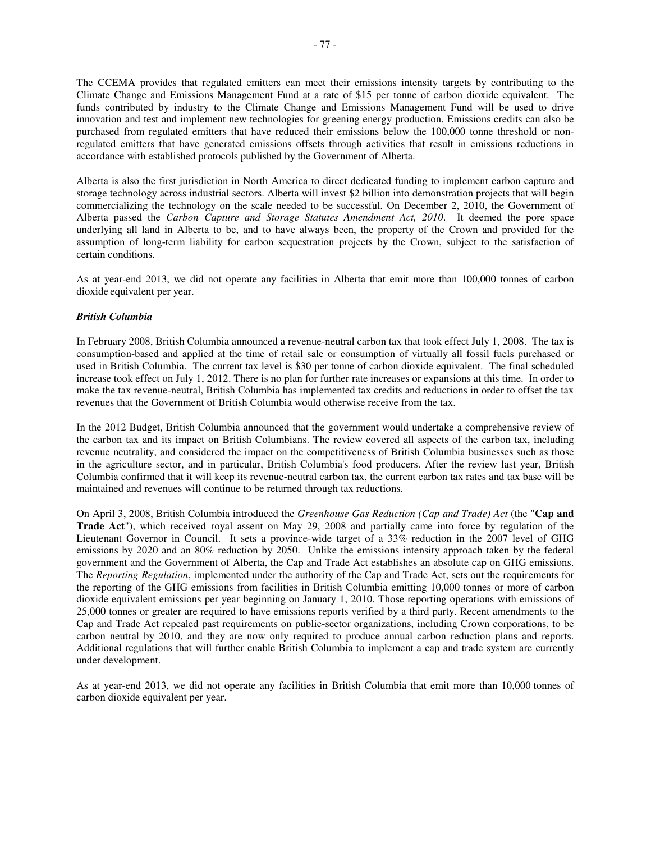The CCEMA provides that regulated emitters can meet their emissions intensity targets by contributing to the Climate Change and Emissions Management Fund at a rate of \$15 per tonne of carbon dioxide equivalent. The funds contributed by industry to the Climate Change and Emissions Management Fund will be used to drive innovation and test and implement new technologies for greening energy production. Emissions credits can also be purchased from regulated emitters that have reduced their emissions below the 100,000 tonne threshold or nonregulated emitters that have generated emissions offsets through activities that result in emissions reductions in accordance with established protocols published by the Government of Alberta.

Alberta is also the first jurisdiction in North America to direct dedicated funding to implement carbon capture and storage technology across industrial sectors. Alberta will invest \$2 billion into demonstration projects that will begin commercializing the technology on the scale needed to be successful. On December 2, 2010, the Government of Alberta passed the *Carbon Capture and Storage Statutes Amendment Act, 2010*. It deemed the pore space underlying all land in Alberta to be, and to have always been, the property of the Crown and provided for the assumption of long-term liability for carbon sequestration projects by the Crown, subject to the satisfaction of certain conditions.

As at year-end 2013, we did not operate any facilities in Alberta that emit more than 100,000 tonnes of carbon dioxide equivalent per year.

# *British Columbia*

In February 2008, British Columbia announced a revenue-neutral carbon tax that took effect July 1, 2008. The tax is consumption-based and applied at the time of retail sale or consumption of virtually all fossil fuels purchased or used in British Columbia. The current tax level is \$30 per tonne of carbon dioxide equivalent. The final scheduled increase took effect on July 1, 2012. There is no plan for further rate increases or expansions at this time. In order to make the tax revenue-neutral, British Columbia has implemented tax credits and reductions in order to offset the tax revenues that the Government of British Columbia would otherwise receive from the tax.

In the 2012 Budget, British Columbia announced that the government would undertake a comprehensive review of the carbon tax and its impact on British Columbians. The review covered all aspects of the carbon tax, including revenue neutrality, and considered the impact on the competitiveness of British Columbia businesses such as those in the agriculture sector, and in particular, British Columbia's food producers. After the review last year, British Columbia confirmed that it will keep its revenue-neutral carbon tax, the current carbon tax rates and tax base will be maintained and revenues will continue to be returned through tax reductions.

On April 3, 2008, British Columbia introduced the *Greenhouse Gas Reduction (Cap and Trade) Act* (the "**Cap and Trade Act**"), which received royal assent on May 29, 2008 and partially came into force by regulation of the Lieutenant Governor in Council. It sets a province-wide target of a 33% reduction in the 2007 level of GHG emissions by 2020 and an 80% reduction by 2050. Unlike the emissions intensity approach taken by the federal government and the Government of Alberta, the Cap and Trade Act establishes an absolute cap on GHG emissions. The *Reporting Regulation*, implemented under the authority of the Cap and Trade Act, sets out the requirements for the reporting of the GHG emissions from facilities in British Columbia emitting 10,000 tonnes or more of carbon dioxide equivalent emissions per year beginning on January 1, 2010. Those reporting operations with emissions of 25,000 tonnes or greater are required to have emissions reports verified by a third party. Recent amendments to the Cap and Trade Act repealed past requirements on public-sector organizations, including Crown corporations, to be carbon neutral by 2010, and they are now only required to produce annual carbon reduction plans and reports. Additional regulations that will further enable British Columbia to implement a cap and trade system are currently under development.

As at year-end 2013, we did not operate any facilities in British Columbia that emit more than 10,000 tonnes of carbon dioxide equivalent per year.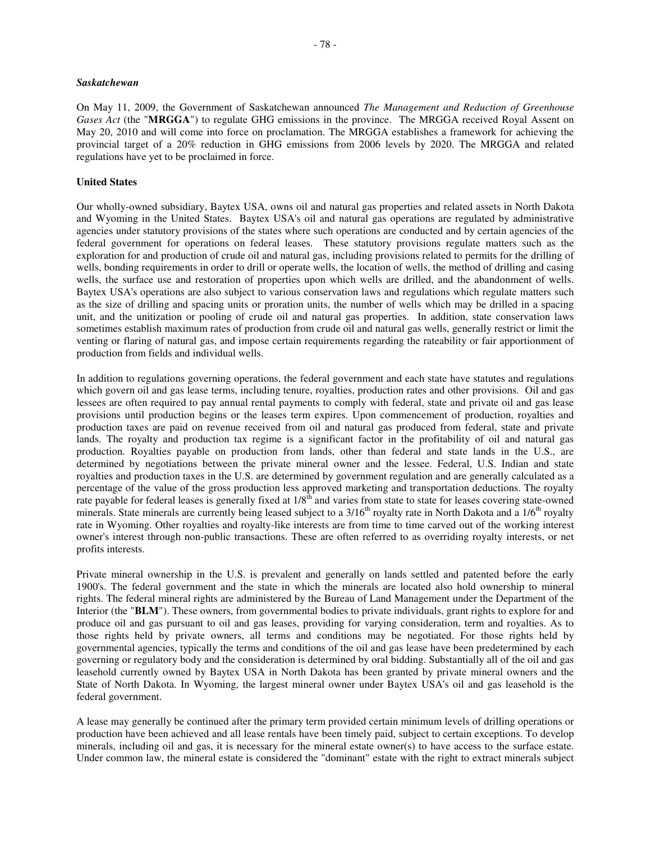#### *Saskatchewan*

On May 11, 2009, the Government of Saskatchewan announced *The Management and Reduction of Greenhouse*  Gases Act (the "MRGGA") to regulate GHG emissions in the province. The MRGGA received Royal Assent on May 20, 2010 and will come into force on proclamation. The MRGGA establishes a framework for achieving the provincial target of a 20% reduction in GHG emissions from 2006 levels by 2020. The MRGGA and related regulations have yet to be proclaimed in force.

### **United States**

Our wholly-owned subsidiary, Baytex USA, owns oil and natural gas properties and related assets in North Dakota and Wyoming in the United States. Baytex USA's oil and natural gas operations are regulated by administrative agencies under statutory provisions of the states where such operations are conducted and by certain agencies of the federal government for operations on federal leases. These statutory provisions regulate matters such as the exploration for and production of crude oil and natural gas, including provisions related to permits for the drilling of wells, bonding requirements in order to drill or operate wells, the location of wells, the method of drilling and casing wells, the surface use and restoration of properties upon which wells are drilled, and the abandonment of wells. Baytex USA's operations are also subject to various conservation laws and regulations which regulate matters such as the size of drilling and spacing units or proration units, the number of wells which may be drilled in a spacing unit, and the unitization or pooling of crude oil and natural gas properties. In addition, state conservation laws sometimes establish maximum rates of production from crude oil and natural gas wells, generally restrict or limit the venting or flaring of natural gas, and impose certain requirements regarding the rateability or fair apportionment of production from fields and individual wells.

In addition to regulations governing operations, the federal government and each state have statutes and regulations which govern oil and gas lease terms, including tenure, royalties, production rates and other provisions. Oil and gas lessees are often required to pay annual rental payments to comply with federal, state and private oil and gas lease provisions until production begins or the leases term expires. Upon commencement of production, royalties and production taxes are paid on revenue received from oil and natural gas produced from federal, state and private lands. The royalty and production tax regime is a significant factor in the profitability of oil and natural gas production. Royalties payable on production from lands, other than federal and state lands in the U.S., are determined by negotiations between the private mineral owner and the lessee. Federal, U.S. Indian and state royalties and production taxes in the U.S. are determined by government regulation and are generally calculated as a percentage of the value of the gross production less approved marketing and transportation deductions. The royalty rate payable for federal leases is generally fixed at  $1/8^{\text{th}}$  and varies from state to state for leases covering state-owned minerals. State minerals are currently being leased subject to a  $3/16<sup>th</sup>$  royalty rate in North Dakota and a  $1/6<sup>th</sup>$  royalty rate in Wyoming. Other royalties and royalty-like interests are from time to time carved out of the working interest owner's interest through non-public transactions. These are often referred to as overriding royalty interests, or net profits interests.

Private mineral ownership in the U.S. is prevalent and generally on lands settled and patented before the early 1900's. The federal government and the state in which the minerals are located also hold ownership to mineral rights. The federal mineral rights are administered by the Bureau of Land Management under the Department of the Interior (the "**BLM**"). These owners, from governmental bodies to private individuals, grant rights to explore for and produce oil and gas pursuant to oil and gas leases, providing for varying consideration, term and royalties. As to those rights held by private owners, all terms and conditions may be negotiated. For those rights held by governmental agencies, typically the terms and conditions of the oil and gas lease have been predetermined by each governing or regulatory body and the consideration is determined by oral bidding. Substantially all of the oil and gas leasehold currently owned by Baytex USA in North Dakota has been granted by private mineral owners and the State of North Dakota. In Wyoming, the largest mineral owner under Baytex USA's oil and gas leasehold is the federal government.

A lease may generally be continued after the primary term provided certain minimum levels of drilling operations or production have been achieved and all lease rentals have been timely paid, subject to certain exceptions. To develop minerals, including oil and gas, it is necessary for the mineral estate owner(s) to have access to the surface estate. Under common law, the mineral estate is considered the "dominant" estate with the right to extract minerals subject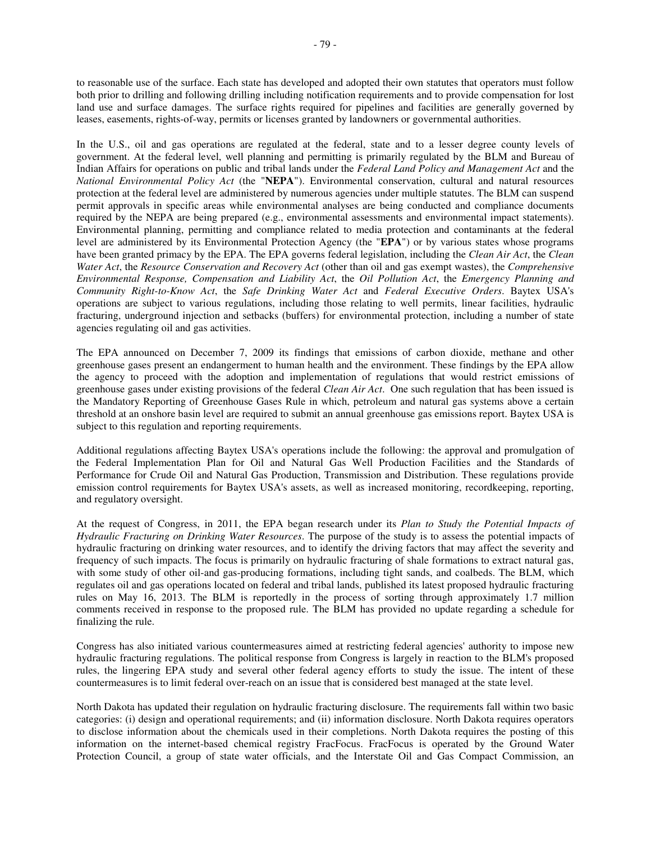to reasonable use of the surface. Each state has developed and adopted their own statutes that operators must follow both prior to drilling and following drilling including notification requirements and to provide compensation for lost land use and surface damages. The surface rights required for pipelines and facilities are generally governed by leases, easements, rights-of-way, permits or licenses granted by landowners or governmental authorities.

In the U.S., oil and gas operations are regulated at the federal, state and to a lesser degree county levels of government. At the federal level, well planning and permitting is primarily regulated by the BLM and Bureau of Indian Affairs for operations on public and tribal lands under the *Federal Land Policy and Management Act* and the *National Environmental Policy Act* (the "**NEPA**"). Environmental conservation, cultural and natural resources protection at the federal level are administered by numerous agencies under multiple statutes. The BLM can suspend permit approvals in specific areas while environmental analyses are being conducted and compliance documents required by the NEPA are being prepared (e.g., environmental assessments and environmental impact statements). Environmental planning, permitting and compliance related to media protection and contaminants at the federal level are administered by its Environmental Protection Agency (the "**EPA**") or by various states whose programs have been granted primacy by the EPA. The EPA governs federal legislation, including the *Clean Air Act*, the *Clean Water Act*, the *Resource Conservation and Recovery Act* (other than oil and gas exempt wastes), the *Comprehensive Environmental Response, Compensation and Liability Act*, the *Oil Pollution Act*, the *Emergency Planning and Community Right-to-Know Act*, the *Safe Drinking Water Act* and *Federal Executive Orders*. Baytex USA's operations are subject to various regulations, including those relating to well permits, linear facilities, hydraulic fracturing, underground injection and setbacks (buffers) for environmental protection, including a number of state agencies regulating oil and gas activities.

The EPA announced on December 7, 2009 its findings that emissions of carbon dioxide, methane and other greenhouse gases present an endangerment to human health and the environment. These findings by the EPA allow the agency to proceed with the adoption and implementation of regulations that would restrict emissions of greenhouse gases under existing provisions of the federal *Clean Air Act*. One such regulation that has been issued is the Mandatory Reporting of Greenhouse Gases Rule in which, petroleum and natural gas systems above a certain threshold at an onshore basin level are required to submit an annual greenhouse gas emissions report. Baytex USA is subject to this regulation and reporting requirements.

Additional regulations affecting Baytex USA's operations include the following: the approval and promulgation of the Federal Implementation Plan for Oil and Natural Gas Well Production Facilities and the Standards of Performance for Crude Oil and Natural Gas Production, Transmission and Distribution. These regulations provide emission control requirements for Baytex USA's assets, as well as increased monitoring, recordkeeping, reporting, and regulatory oversight.

At the request of Congress, in 2011, the EPA began research under its *Plan to Study the Potential Impacts of Hydraulic Fracturing on Drinking Water Resources*. The purpose of the study is to assess the potential impacts of hydraulic fracturing on drinking water resources, and to identify the driving factors that may affect the severity and frequency of such impacts. The focus is primarily on hydraulic fracturing of shale formations to extract natural gas, with some study of other oil-and gas-producing formations, including tight sands, and coalbeds. The BLM, which regulates oil and gas operations located on federal and tribal lands, published its latest proposed hydraulic fracturing rules on May 16, 2013. The BLM is reportedly in the process of sorting through approximately 1.7 million comments received in response to the proposed rule. The BLM has provided no update regarding a schedule for finalizing the rule.

Congress has also initiated various countermeasures aimed at restricting federal agencies' authority to impose new hydraulic fracturing regulations. The political response from Congress is largely in reaction to the BLM's proposed rules, the lingering EPA study and several other federal agency efforts to study the issue. The intent of these countermeasures is to limit federal over-reach on an issue that is considered best managed at the state level.

North Dakota has updated their regulation on hydraulic fracturing disclosure. The requirements fall within two basic categories: (i) design and operational requirements; and (ii) information disclosure. North Dakota requires operators to disclose information about the chemicals used in their completions. North Dakota requires the posting of this information on the internet-based chemical registry FracFocus. FracFocus is operated by the Ground Water Protection Council, a group of state water officials, and the Interstate Oil and Gas Compact Commission, an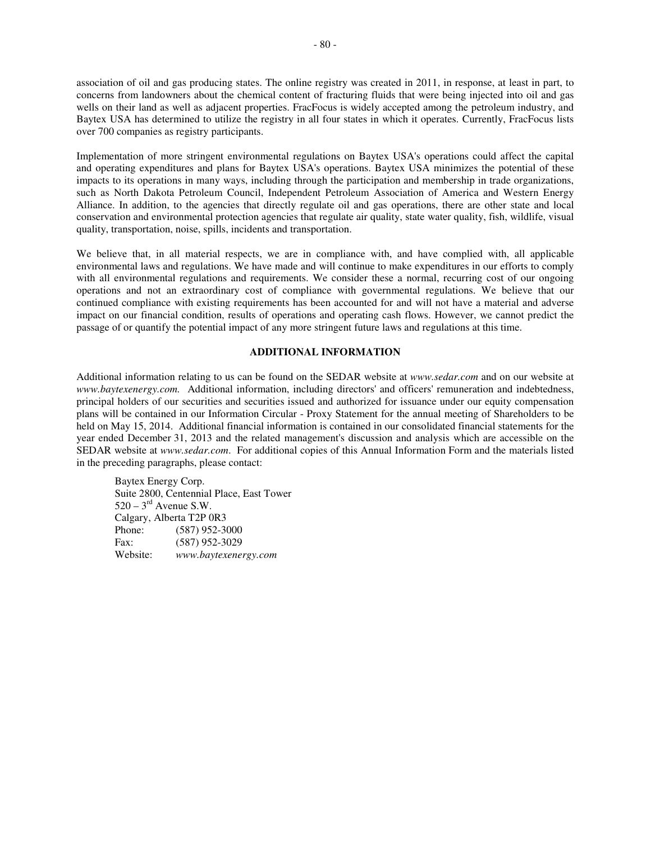association of oil and gas producing states. The online registry was created in 2011, in response, at least in part, to concerns from landowners about the chemical content of fracturing fluids that were being injected into oil and gas wells on their land as well as adjacent properties. FracFocus is widely accepted among the petroleum industry, and Baytex USA has determined to utilize the registry in all four states in which it operates. Currently, FracFocus lists over 700 companies as registry participants.

Implementation of more stringent environmental regulations on Baytex USA's operations could affect the capital and operating expenditures and plans for Baytex USA's operations. Baytex USA minimizes the potential of these impacts to its operations in many ways, including through the participation and membership in trade organizations, such as North Dakota Petroleum Council, Independent Petroleum Association of America and Western Energy Alliance. In addition, to the agencies that directly regulate oil and gas operations, there are other state and local conservation and environmental protection agencies that regulate air quality, state water quality, fish, wildlife, visual quality, transportation, noise, spills, incidents and transportation.

We believe that, in all material respects, we are in compliance with, and have complied with, all applicable environmental laws and regulations. We have made and will continue to make expenditures in our efforts to comply with all environmental regulations and requirements. We consider these a normal, recurring cost of our ongoing operations and not an extraordinary cost of compliance with governmental regulations. We believe that our continued compliance with existing requirements has been accounted for and will not have a material and adverse impact on our financial condition, results of operations and operating cash flows. However, we cannot predict the passage of or quantify the potential impact of any more stringent future laws and regulations at this time.

# **ADDITIONAL INFORMATION**

Additional information relating to us can be found on the SEDAR website at *www.sedar.com* and on our website at *www.baytexenergy.com.* Additional information, including directors' and officers' remuneration and indebtedness, principal holders of our securities and securities issued and authorized for issuance under our equity compensation plans will be contained in our Information Circular - Proxy Statement for the annual meeting of Shareholders to be held on May 15, 2014. Additional financial information is contained in our consolidated financial statements for the year ended December 31, 2013 and the related management's discussion and analysis which are accessible on the SEDAR website at *www.sedar.com*. For additional copies of this Annual Information Form and the materials listed in the preceding paragraphs, please contact:

Baytex Energy Corp. Suite 2800, Centennial Place, East Tower  $520 - 3<sup>rd</sup>$  Avenue S.W. Calgary, Alberta T2P 0R3 Phone: (587) 952-3000 Fax: (587) 952-3029 Website: *www.baytexenergy.com*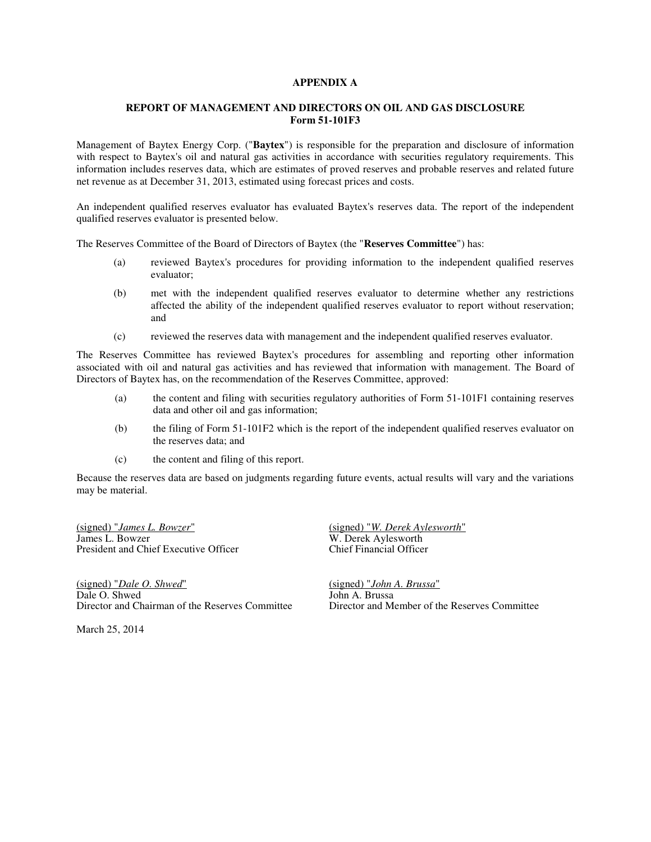# **APPENDIX A**

# **REPORT OF MANAGEMENT AND DIRECTORS ON OIL AND GAS DISCLOSURE Form 51-101F3**

Management of Baytex Energy Corp. ("**Baytex**") is responsible for the preparation and disclosure of information with respect to Baytex's oil and natural gas activities in accordance with securities regulatory requirements. This information includes reserves data, which are estimates of proved reserves and probable reserves and related future net revenue as at December 31, 2013, estimated using forecast prices and costs.

An independent qualified reserves evaluator has evaluated Baytex's reserves data. The report of the independent qualified reserves evaluator is presented below.

The Reserves Committee of the Board of Directors of Baytex (the "**Reserves Committee**") has:

- (a) reviewed Baytex's procedures for providing information to the independent qualified reserves evaluator;
- (b) met with the independent qualified reserves evaluator to determine whether any restrictions affected the ability of the independent qualified reserves evaluator to report without reservation; and
- (c) reviewed the reserves data with management and the independent qualified reserves evaluator.

The Reserves Committee has reviewed Baytex's procedures for assembling and reporting other information associated with oil and natural gas activities and has reviewed that information with management. The Board of Directors of Baytex has, on the recommendation of the Reserves Committee, approved:

- (a) the content and filing with securities regulatory authorities of Form 51-101F1 containing reserves data and other oil and gas information;
- (b) the filing of Form 51-101F2 which is the report of the independent qualified reserves evaluator on the reserves data; and
- (c) the content and filing of this report.

Because the reserves data are based on judgments regarding future events, actual results will vary and the variations may be material.

(signed) "*James L. Bowzer*" (signed) "*W. Derek Aylesworth*" President and Chief Executive Officer

(signed) "*Dale O. Shwed*" (signed) "*John A. Brussa*" Dale O. Shwed<br>Director and Chairman of the Reserves Committee Director and Member of the Reserves Committee Director and Chairman of the Reserves Committee

March 25, 2014

W. Derek Aylesworth<br>Chief Financial Officer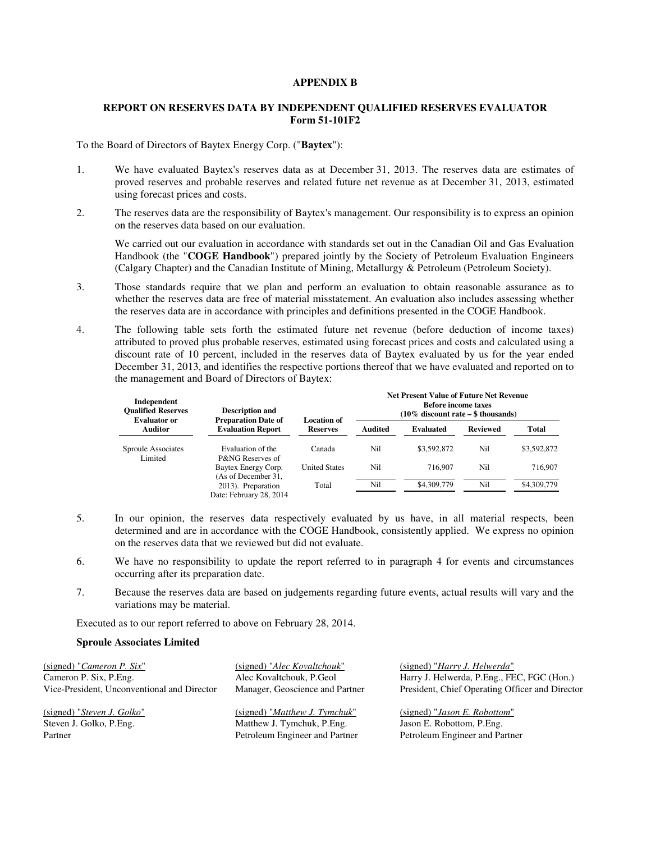## **APPENDIX B**

# **REPORT ON RESERVES DATA BY INDEPENDENT QUALIFIED RESERVES EVALUATOR Form 51-101F2**

To the Board of Directors of Baytex Energy Corp. ("**Baytex**"):

- 1. We have evaluated Baytex's reserves data as at December 31, 2013. The reserves data are estimates of proved reserves and probable reserves and related future net revenue as at December 31, 2013, estimated using forecast prices and costs.
- 2. The reserves data are the responsibility of Baytex's management. Our responsibility is to express an opinion on the reserves data based on our evaluation.

We carried out our evaluation in accordance with standards set out in the Canadian Oil and Gas Evaluation Handbook (the "**COGE Handbook**") prepared jointly by the Society of Petroleum Evaluation Engineers (Calgary Chapter) and the Canadian Institute of Mining, Metallurgy & Petroleum (Petroleum Society).

- 3. Those standards require that we plan and perform an evaluation to obtain reasonable assurance as to whether the reserves data are free of material misstatement. An evaluation also includes assessing whether the reserves data are in accordance with principles and definitions presented in the COGE Handbook.
- 4. The following table sets forth the estimated future net revenue (before deduction of income taxes) attributed to proved plus probable reserves, estimated using forecast prices and costs and calculated using a discount rate of 10 percent, included in the reserves data of Baytex evaluated by us for the year ended December 31, 2013, and identifies the respective portions thereof that we have evaluated and reported on to the management and Board of Directors of Baytex:

| Independent<br><b>Oualified Reserves</b><br><b>Evaluator or</b><br>Auditor | <b>Description and</b><br><b>Preparation Date of</b><br><b>Evaluation Report</b> | Location of<br><b>Reserves</b> | <b>Net Present Value of Future Net Revenue</b><br><b>Before income taxes</b><br>(10% discount rate – \$ thousands) |                  |                 |             |
|----------------------------------------------------------------------------|----------------------------------------------------------------------------------|--------------------------------|--------------------------------------------------------------------------------------------------------------------|------------------|-----------------|-------------|
|                                                                            |                                                                                  |                                | Audited                                                                                                            | <b>Evaluated</b> | <b>Reviewed</b> | Total       |
| Sproule Associates<br>Limited                                              | Evaluation of the<br>P&NG Reserves of                                            | Canada                         | Ni1                                                                                                                | \$3,592,872      | Ni1             | \$3,592,872 |
|                                                                            | Baytex Energy Corp.<br>(As of December 31,                                       | <b>United States</b>           | Nil                                                                                                                | 716,907          | Nil             | 716,907     |
|                                                                            | 2013). Preparation<br>Date: February 28, 2014                                    | Total                          | Nil                                                                                                                | \$4,309,779      | Ni1             | \$4,309,779 |

- 5. In our opinion, the reserves data respectively evaluated by us have, in all material respects, been determined and are in accordance with the COGE Handbook, consistently applied. We express no opinion on the reserves data that we reviewed but did not evaluate.
- 6. We have no responsibility to update the report referred to in paragraph 4 for events and circumstances occurring after its preparation date.
- 7. Because the reserves data are based on judgements regarding future events, actual results will vary and the variations may be material.

Executed as to our report referred to above on February 28, 2014.

#### **Sproule Associates Limited**

(signed) "*Cameron P. Six*" (signed) "*Alec Kovaltchouk*" (signed) "*Harry J. Helwerda*" Vice-President, Unconventional and Director Manager, Geoscience and Partner President, Chief Operating Officer and Director

(signed) "*Steven J. Golko*" (signed) "*Matthew J. Tymchuk*" (signed) "*Jason E. Robottom*" Steven J. Golko, P.Eng. Matthew J. Tymchuk, P.Eng. Jason E. Robottom, P.Eng.

Harry J. Helwerda, P.Eng., FEC, FGC (Hon.)

Partner Petroleum Engineer and Partner Petroleum Engineer and Partner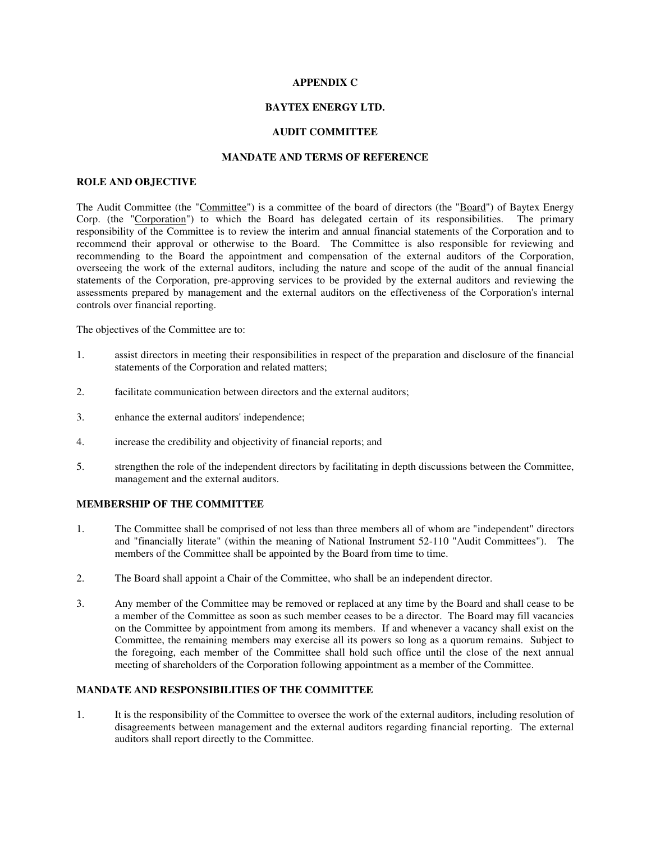## **APPENDIX C**

# **BAYTEX ENERGY LTD.**

### **AUDIT COMMITTEE**

# **MANDATE AND TERMS OF REFERENCE**

# **ROLE AND OBJECTIVE**

The Audit Committee (the "Committee") is a committee of the board of directors (the "Board") of Baytex Energy Corp. (the "Corporation") to which the Board has delegated certain of its responsibilities. The primary responsibility of the Committee is to review the interim and annual financial statements of the Corporation and to recommend their approval or otherwise to the Board. The Committee is also responsible for reviewing and recommending to the Board the appointment and compensation of the external auditors of the Corporation, overseeing the work of the external auditors, including the nature and scope of the audit of the annual financial statements of the Corporation, pre-approving services to be provided by the external auditors and reviewing the assessments prepared by management and the external auditors on the effectiveness of the Corporation's internal controls over financial reporting.

The objectives of the Committee are to:

- 1. assist directors in meeting their responsibilities in respect of the preparation and disclosure of the financial statements of the Corporation and related matters;
- 2. facilitate communication between directors and the external auditors;
- 3. enhance the external auditors' independence;
- 4. increase the credibility and objectivity of financial reports; and
- 5. strengthen the role of the independent directors by facilitating in depth discussions between the Committee, management and the external auditors.

# **MEMBERSHIP OF THE COMMITTEE**

- 1. The Committee shall be comprised of not less than three members all of whom are "independent" directors and "financially literate" (within the meaning of National Instrument 52-110 "Audit Committees"). The members of the Committee shall be appointed by the Board from time to time.
- 2. The Board shall appoint a Chair of the Committee, who shall be an independent director.
- 3. Any member of the Committee may be removed or replaced at any time by the Board and shall cease to be a member of the Committee as soon as such member ceases to be a director. The Board may fill vacancies on the Committee by appointment from among its members. If and whenever a vacancy shall exist on the Committee, the remaining members may exercise all its powers so long as a quorum remains. Subject to the foregoing, each member of the Committee shall hold such office until the close of the next annual meeting of shareholders of the Corporation following appointment as a member of the Committee.

# **MANDATE AND RESPONSIBILITIES OF THE COMMITTEE**

1. It is the responsibility of the Committee to oversee the work of the external auditors, including resolution of disagreements between management and the external auditors regarding financial reporting. The external auditors shall report directly to the Committee.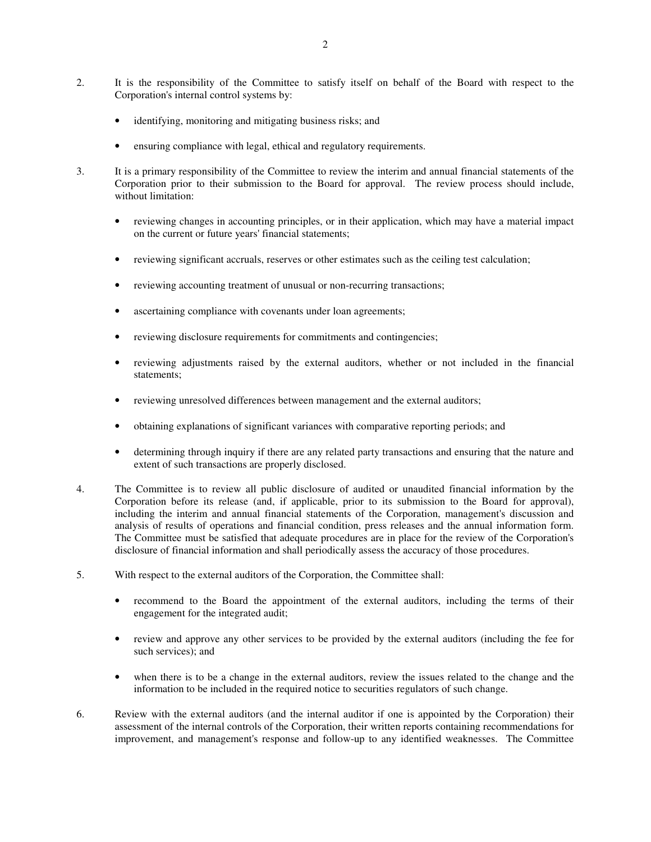- 2. It is the responsibility of the Committee to satisfy itself on behalf of the Board with respect to the Corporation's internal control systems by:
	- identifying, monitoring and mitigating business risks; and
	- ensuring compliance with legal, ethical and regulatory requirements.
- 3. It is a primary responsibility of the Committee to review the interim and annual financial statements of the Corporation prior to their submission to the Board for approval. The review process should include, without limitation:
	- reviewing changes in accounting principles, or in their application, which may have a material impact on the current or future years' financial statements;
	- reviewing significant accruals, reserves or other estimates such as the ceiling test calculation;
	- reviewing accounting treatment of unusual or non-recurring transactions;
	- ascertaining compliance with covenants under loan agreements;
	- reviewing disclosure requirements for commitments and contingencies;
	- reviewing adjustments raised by the external auditors, whether or not included in the financial statements;
	- reviewing unresolved differences between management and the external auditors;
	- obtaining explanations of significant variances with comparative reporting periods; and
	- determining through inquiry if there are any related party transactions and ensuring that the nature and extent of such transactions are properly disclosed.
- 4. The Committee is to review all public disclosure of audited or unaudited financial information by the Corporation before its release (and, if applicable, prior to its submission to the Board for approval), including the interim and annual financial statements of the Corporation, management's discussion and analysis of results of operations and financial condition, press releases and the annual information form. The Committee must be satisfied that adequate procedures are in place for the review of the Corporation's disclosure of financial information and shall periodically assess the accuracy of those procedures.
- 5. With respect to the external auditors of the Corporation, the Committee shall:
	- recommend to the Board the appointment of the external auditors, including the terms of their engagement for the integrated audit;
	- review and approve any other services to be provided by the external auditors (including the fee for such services); and
	- when there is to be a change in the external auditors, review the issues related to the change and the information to be included in the required notice to securities regulators of such change.
- 6. Review with the external auditors (and the internal auditor if one is appointed by the Corporation) their assessment of the internal controls of the Corporation, their written reports containing recommendations for improvement, and management's response and follow-up to any identified weaknesses. The Committee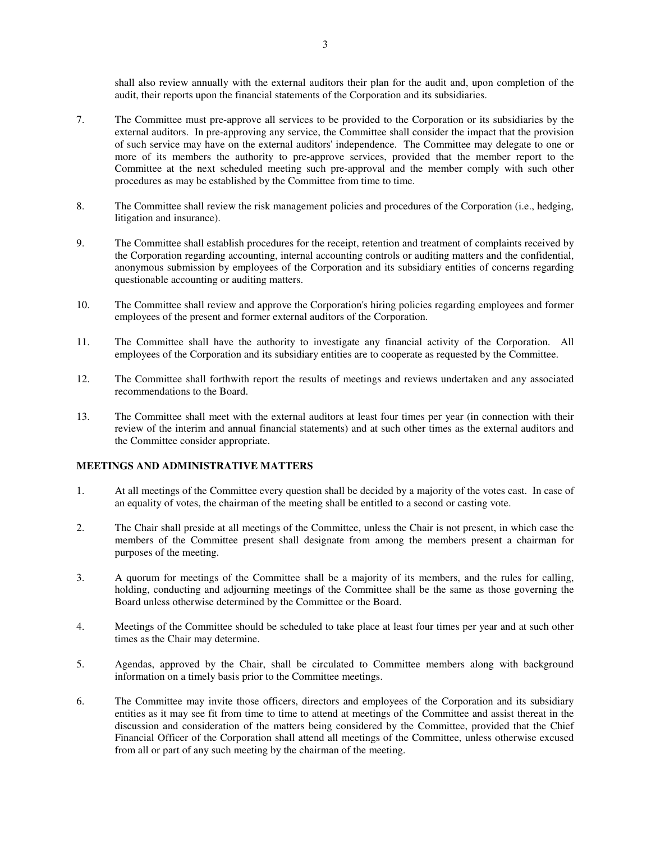shall also review annually with the external auditors their plan for the audit and, upon completion of the audit, their reports upon the financial statements of the Corporation and its subsidiaries.

- 7. The Committee must pre-approve all services to be provided to the Corporation or its subsidiaries by the external auditors. In pre-approving any service, the Committee shall consider the impact that the provision of such service may have on the external auditors' independence. The Committee may delegate to one or more of its members the authority to pre-approve services, provided that the member report to the Committee at the next scheduled meeting such pre-approval and the member comply with such other procedures as may be established by the Committee from time to time.
- 8. The Committee shall review the risk management policies and procedures of the Corporation (i.e., hedging, litigation and insurance).
- 9. The Committee shall establish procedures for the receipt, retention and treatment of complaints received by the Corporation regarding accounting, internal accounting controls or auditing matters and the confidential, anonymous submission by employees of the Corporation and its subsidiary entities of concerns regarding questionable accounting or auditing matters.
- 10. The Committee shall review and approve the Corporation's hiring policies regarding employees and former employees of the present and former external auditors of the Corporation.
- 11. The Committee shall have the authority to investigate any financial activity of the Corporation. All employees of the Corporation and its subsidiary entities are to cooperate as requested by the Committee.
- 12. The Committee shall forthwith report the results of meetings and reviews undertaken and any associated recommendations to the Board.
- 13. The Committee shall meet with the external auditors at least four times per year (in connection with their review of the interim and annual financial statements) and at such other times as the external auditors and the Committee consider appropriate.

# **MEETINGS AND ADMINISTRATIVE MATTERS**

- 1. At all meetings of the Committee every question shall be decided by a majority of the votes cast. In case of an equality of votes, the chairman of the meeting shall be entitled to a second or casting vote.
- 2. The Chair shall preside at all meetings of the Committee, unless the Chair is not present, in which case the members of the Committee present shall designate from among the members present a chairman for purposes of the meeting.
- 3. A quorum for meetings of the Committee shall be a majority of its members, and the rules for calling, holding, conducting and adjourning meetings of the Committee shall be the same as those governing the Board unless otherwise determined by the Committee or the Board.
- 4. Meetings of the Committee should be scheduled to take place at least four times per year and at such other times as the Chair may determine.
- 5. Agendas, approved by the Chair, shall be circulated to Committee members along with background information on a timely basis prior to the Committee meetings.
- 6. The Committee may invite those officers, directors and employees of the Corporation and its subsidiary entities as it may see fit from time to time to attend at meetings of the Committee and assist thereat in the discussion and consideration of the matters being considered by the Committee, provided that the Chief Financial Officer of the Corporation shall attend all meetings of the Committee, unless otherwise excused from all or part of any such meeting by the chairman of the meeting.